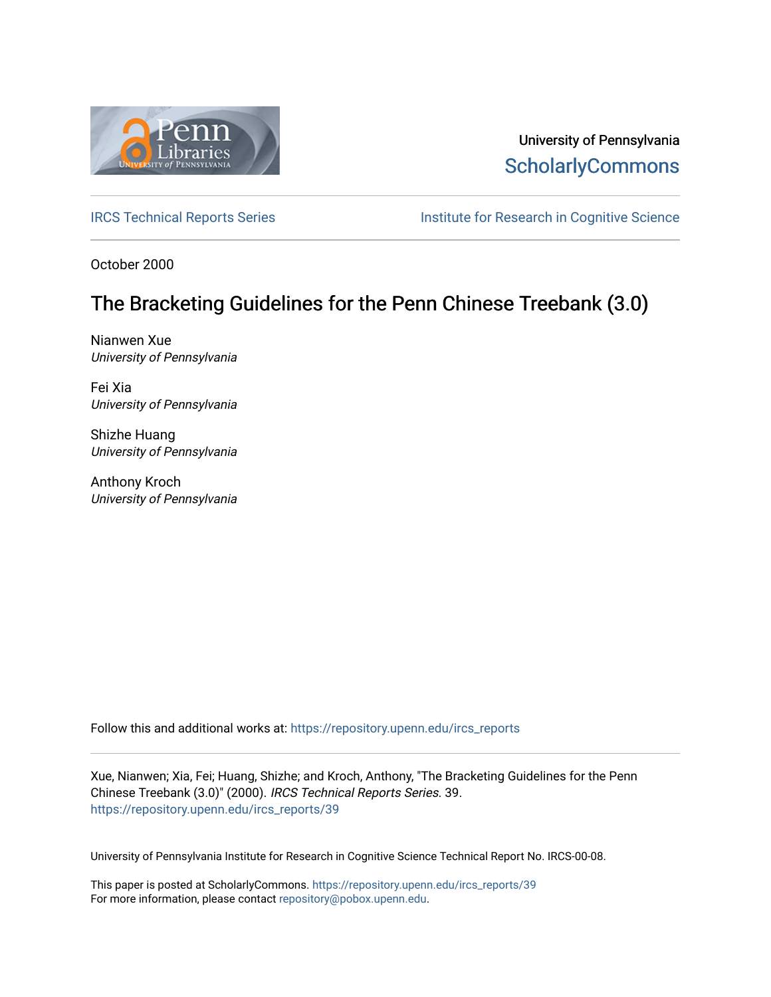

University of Pennsylvania **ScholarlyCommons** 

[IRCS Technical Reports Series](https://repository.upenn.edu/ircs_reports) **Institute for Research in Cognitive Science** 

October 2000

# The Bracketing Guidelines for the Penn Chinese Treebank (3.0)

Nianwen Xue University of Pennsylvania

Fei Xia University of Pennsylvania

Shizhe Huang University of Pennsylvania

Anthony Kroch University of Pennsylvania

Follow this and additional works at: [https://repository.upenn.edu/ircs\\_reports](https://repository.upenn.edu/ircs_reports?utm_source=repository.upenn.edu%2Fircs_reports%2F39&utm_medium=PDF&utm_campaign=PDFCoverPages)

Xue, Nianwen; Xia, Fei; Huang, Shizhe; and Kroch, Anthony, "The Bracketing Guidelines for the Penn Chinese Treebank (3.0)" (2000). IRCS Technical Reports Series. 39. [https://repository.upenn.edu/ircs\\_reports/39](https://repository.upenn.edu/ircs_reports/39?utm_source=repository.upenn.edu%2Fircs_reports%2F39&utm_medium=PDF&utm_campaign=PDFCoverPages) 

University of Pennsylvania Institute for Research in Cognitive Science Technical Report No. IRCS-00-08.

This paper is posted at ScholarlyCommons. [https://repository.upenn.edu/ircs\\_reports/39](https://repository.upenn.edu/ircs_reports/39) For more information, please contact [repository@pobox.upenn.edu.](mailto:repository@pobox.upenn.edu)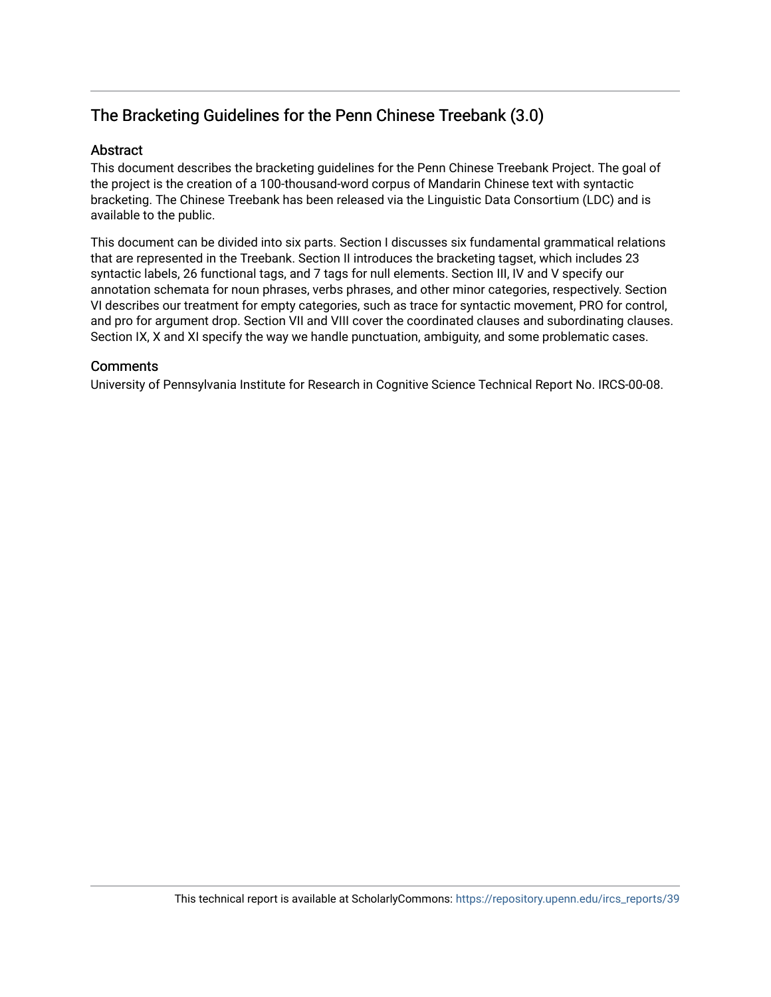## The Bracketing Guidelines for the Penn Chinese Treebank (3.0)

#### Abstract

This document describes the bracketing guidelines for the Penn Chinese Treebank Project. The goal of the project is the creation of a 100-thousand-word corpus of Mandarin Chinese text with syntactic bracketing. The Chinese Treebank has been released via the Linguistic Data Consortium (LDC) and is available to the public.

This document can be divided into six parts. Section I discusses six fundamental grammatical relations that are represented in the Treebank. Section II introduces the bracketing tagset, which includes 23 syntactic labels, 26 functional tags, and 7 tags for null elements. Section III, IV and V specify our annotation schemata for noun phrases, verbs phrases, and other minor categories, respectively. Section VI describes our treatment for empty categories, such as trace for syntactic movement, PRO for control, and pro for argument drop. Section VII and VIII cover the coordinated clauses and subordinating clauses. Section IX, X and XI specify the way we handle punctuation, ambiguity, and some problematic cases.

#### **Comments**

University of Pennsylvania Institute for Research in Cognitive Science Technical Report No. IRCS-00-08.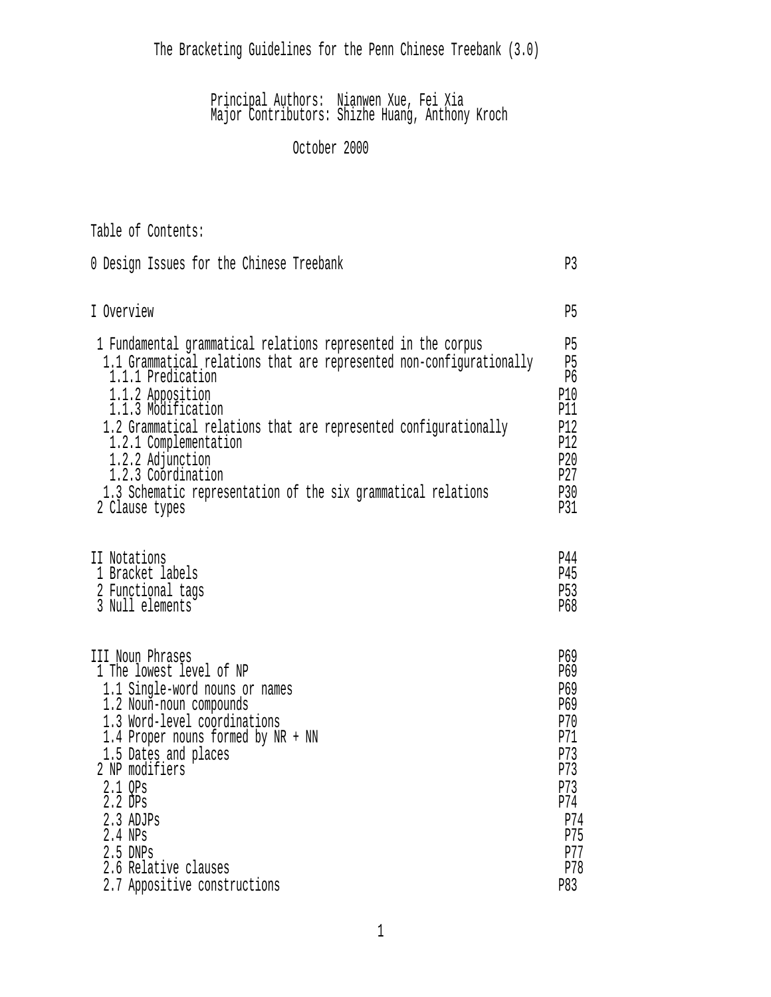The Bracketing Guidelines for the Penn Chinese Treebank (3.0)

#### Principal Authors: Nianwen Xue, Fei Xia Major Contributors: Shizhe Huang, Anthony Kroch

## October 2000

| Table of Contents:                                                   |     |
|----------------------------------------------------------------------|-----|
| 0 Design Issues for the Chinese Treebank                             | P3  |
| I Overview                                                           | P5  |
| 1 Fundamental grammatical relations represented in the corpus        | P5  |
| 1.1 Grammatical relations that are represented non-configurationally | P5  |
| 1.1.1 Predication                                                    | P6  |
| 1.1.2 Apposition                                                     | P10 |
| 1.1.3 Modification                                                   | P11 |
| 1.2 Grammatical relations that are represented configurationally     | P12 |
| 1.2.1 Complementation                                                | P12 |
| 1.2.2 Adjunction                                                     | P20 |
| 1.2.3 Coordination                                                   | P27 |
| 1.3 Schematic representation of the six grammatical relations        | P30 |
| 2 Clause types                                                       | P31 |
| II Notations                                                         | P44 |
| 1 Bracket labels                                                     | P45 |
| 2 Functional tags                                                    | P53 |
| 3 Null elements                                                      | P68 |
| III Noun Phrases                                                     | P69 |
| 1 The lowest level of NP                                             | P69 |
| 1.1 Single-word nouns or names                                       | P69 |
| 1.2 Noun-noun compounds                                              | P69 |
| 1.3 Word-level coordinations                                         | P70 |
| 1.4 Proper nouns formed by NR + NN                                   | P71 |
| 1.5 Dates and places                                                 | P73 |
| 2 NP modifiers                                                       | P73 |
| 2.1 QPs                                                              | P73 |
| 2.2 DPs                                                              | P74 |
| 2.3 ADJPs                                                            | P74 |
| 2.4 NPs                                                              | P75 |
| 2.5 DNPs                                                             | P77 |
| 2.6 Relative clauses                                                 | P78 |
| 2.7 Appositive constructions                                         | P83 |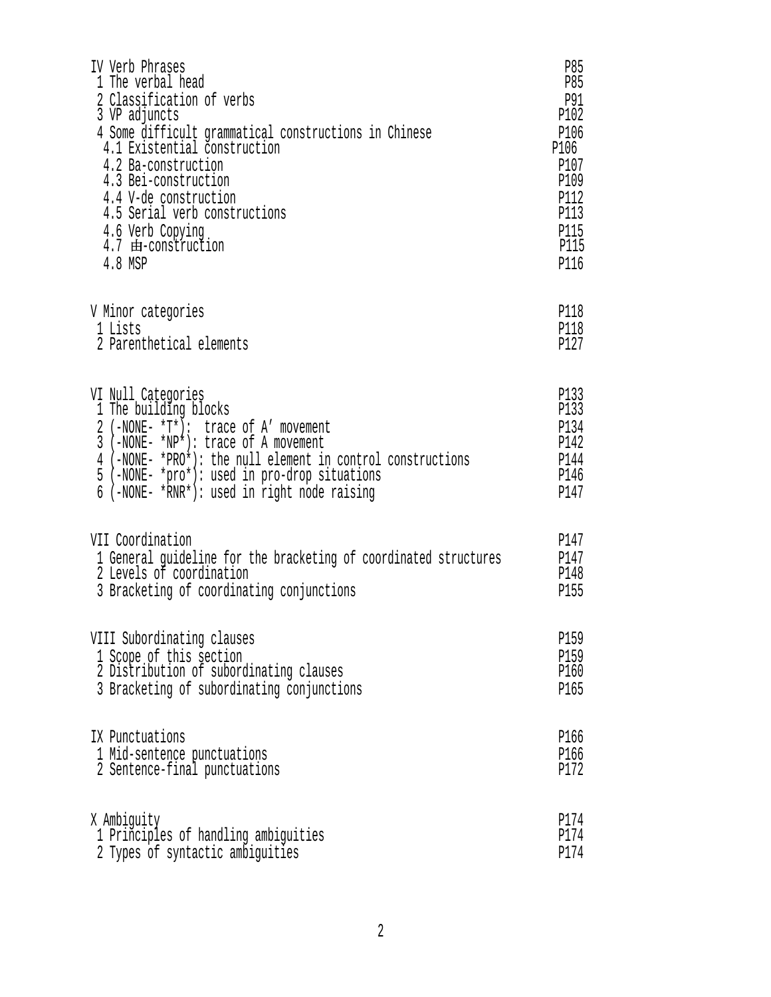| IV Verb Phrases                                                  | P85  |
|------------------------------------------------------------------|------|
| 1 The verbal head                                                | P85  |
| 2 Classification of verbs                                        | P91  |
| 3 VP adjuncts                                                    | P102 |
| 4 Some difficult grammatical constructions in Chinese            | P106 |
| 4.1 Existential construction                                     | P106 |
| 4.2 Ba-construction                                              | P107 |
| 4.3 Bei-construction                                             | P109 |
| 4.4 V-de construction                                            | P112 |
| 4.5 Serial verb constructions                                    | P113 |
| 4.6 Verb Copying                                                 | P115 |
| 4.7 由-construction                                               | P115 |
| 4.8 MSP                                                          | P116 |
| V Minor categories                                               | P118 |
| 1 Lists                                                          | P118 |
| 2 Parenthetical elements                                         | P127 |
| VI Null Categories                                               | P133 |
| 1 The building blocks                                            | P133 |
| 2 (-NONE- *T*): trace of A' movement                             | P134 |
| 3 (-NONE- *NP*): trace of A movement                             | P142 |
| 4 (-NONE- *PRO*): the null element in control constructions      | P144 |
| 5 (-NONE- *pro*): used in pro-drop situations                    | P146 |
| 6 (-NONE- *RNR*): used in right node raising                     | P147 |
| VII Coordination                                                 | P147 |
| 1 General guideline for the bracketing of coordinated structures | P147 |
| 2 Levels of coordination                                         | P148 |
| 3 Bracketing of coordinating conjunctions                        | P155 |
| VIII Subordinating clauses                                       | P159 |
| 1 Scope of this section                                          | P159 |
| 2 Distribution of subordinating clauses                          | P160 |
| 3 Bracketing of subordinating conjunctions                       | P165 |
| IX Punctuations                                                  | P166 |
| 1 Mid-sentence punctuations                                      | P166 |
| 2 Sentence-final punctuations                                    | P172 |
| X Ambiguity                                                      | P174 |
| 1 Principles of handling ambiguities                             | P174 |
| 2 Types of syntactic ambiguities                                 | P174 |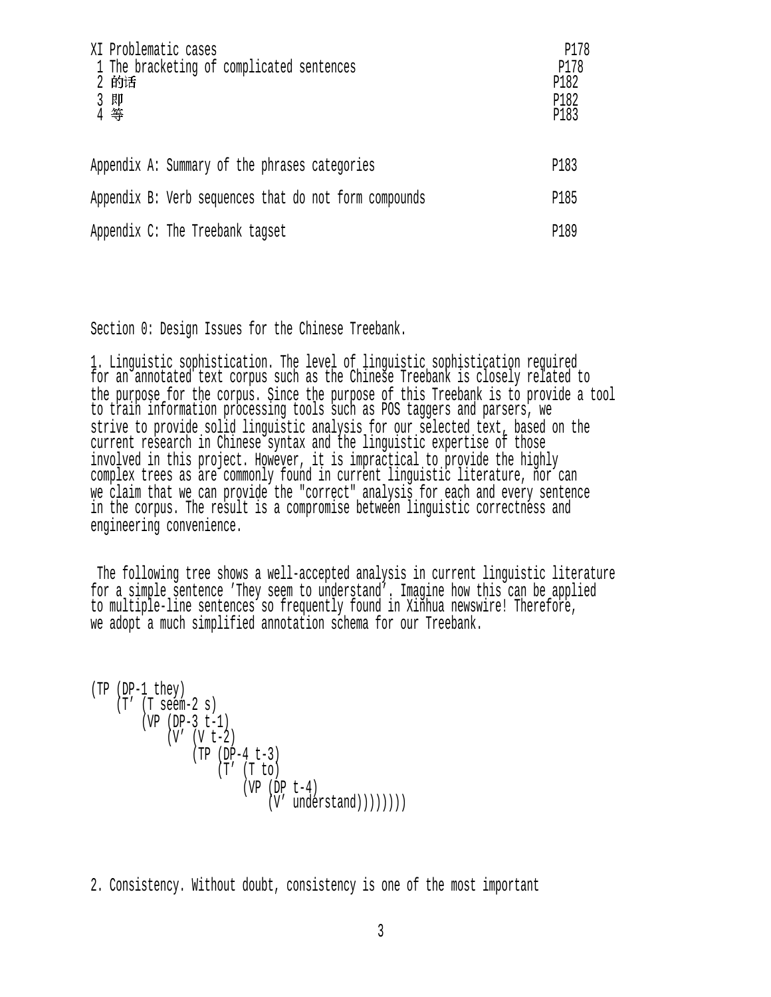| XI Problematic cases<br>1 The bracketing of complicated sentences<br>2 的话<br>3 即<br>4 等 | P178<br>P178<br>P182<br>P182<br>P183 |
|-----------------------------------------------------------------------------------------|--------------------------------------|
| Appendix A: Summary of the phrases categories                                           | P183                                 |
| Appendix B: Verb sequences that do not form compounds                                   | P185                                 |
| Appendix C: The Treebank tagset                                                         | P189                                 |

Section 0: Design Issues for the Chinese Treebank.

1. Linguistic sophistication. The level of linguistic sophistication required for an annotated text corpus such as the Chinese Treebank is closely related to the purpose for the corpus. Since the purpose of this Treebank is to provide a tool to train information processing tools such as POS taggers and parsers, we strive to provide solid linguistic analysis for our selected text, based on the current research in Chinese syntax and the linguistic expertise of those involved in this project. However, it is impractical to provide the highly complex trees as are commonly found in current linguistic literature, nor can we claim that we can provide the "correct" analysis for each and every sentence in the corpus. The result is a compromise between linguistic correctness and engineering convenience.

 The following tree shows a well-accepted analysis in current linguistic literature for a simple sentence 'They seem to understand'. Imagine how this can be applied to multiple-line sentences so frequently found in Xinhua newswire! Therefore, we adopt a much simplified annotation schema for our Treebank.

```
(TP (DP-1 they) 
    (T' (T seem-2 s)
         (VP (DP-3 t-1) 
             (V' (V t-2)) (TP (DP-4 t-3) 
                     (T' (T to)
                         (VP (DP t-4))(V' understand)))))))
```
2. Consistency. Without doubt, consistency is one of the most important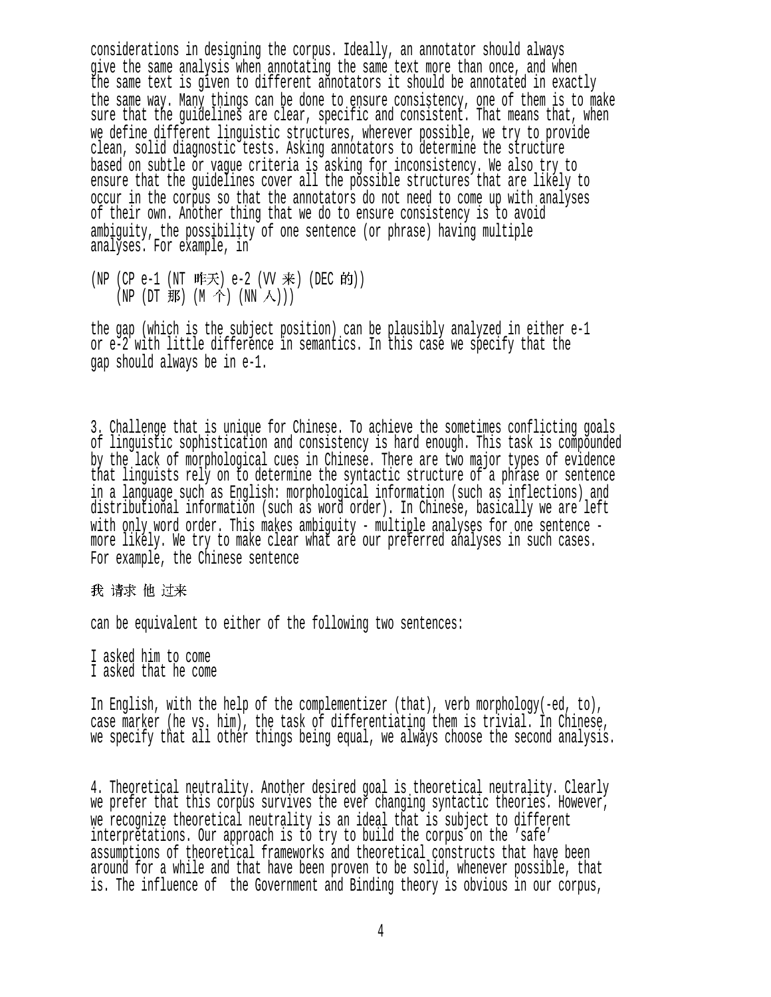considerations in designing the corpus. Ideally, an annotator should always give the same analysis when annotating the same text more than once, and when the same text is given to different annotators it should be annotated in exactly the same way. Many things can be done to ensure consistency, one of them is to make sure that the guidelines are clear, specific and consistent. That means that, when we define different linguistic structures, wherever possible, we try to provide clean, solid diagnostic tests. Asking annotators to determine the structure based on subtle or vague criteria is asking for inconsistency. We also try to ensure that the guidelines cover all the possible structures that are likely to occur in the corpus so that the annotators do not need to come up with analyses of their own. Another thing that we do to ensure consistency is to avoid ambiguity, the possibility of one sentence (or phrase) having multiple analyses. For example, in

(NP (CP e-1 (NT 昨天) e-2 (VV 来) (DEC 的)) (NP (DT 那) (M 个) (NN 人)))

the gap (which is the subject position) can be plausibly analyzed in either e-1 or e-2 with little difference in semantics. In this case we specify that the gap should always be in e-1.

3. Challenge that is unique for Chinese. To achieve the sometimes conflicting goals of linguistic sophistication and consistency is hard enough. This task is compounded by the lack of morphological cues in Chinese. There are two major types of evidence that linguists rely on to determine the syntactic structure of a phrase or sentence in a language such as English: morphological information (such as inflections) and distributional information (such as word order). In Chinese, basically we are left with only word order. This makes ambiguity - multiple analyses for one sentence more likely. We try to make clear what are our preferred analyses in such cases. For example, the Chinese sentence

我 请求 他 过来

can be equivalent to either of the following two sentences:

I asked him to come I asked that he come

In English, with the help of the complementizer (that), verb morphology(-ed, to), case marker (he vs. him), the task of differentiating them is trivial. In Chinese, we specify that all other things being equal, we always choose the second analysis.

4. Theoretical neutrality. Another desired goal is theoretical neutrality. Clearly we prefer that this corpus survives the ever changing syntactic theories. However, we recognize theoretical neutrality is an ideal that is subject to different interpretations. Our approach is to try to build the corpus on the 'safe' assumptions of theoretical frameworks and theoretical constructs that have been around for a while and that have been proven to be solid, whenever possible, that is. The influence of the Government and Binding theory is obvious in our corpus,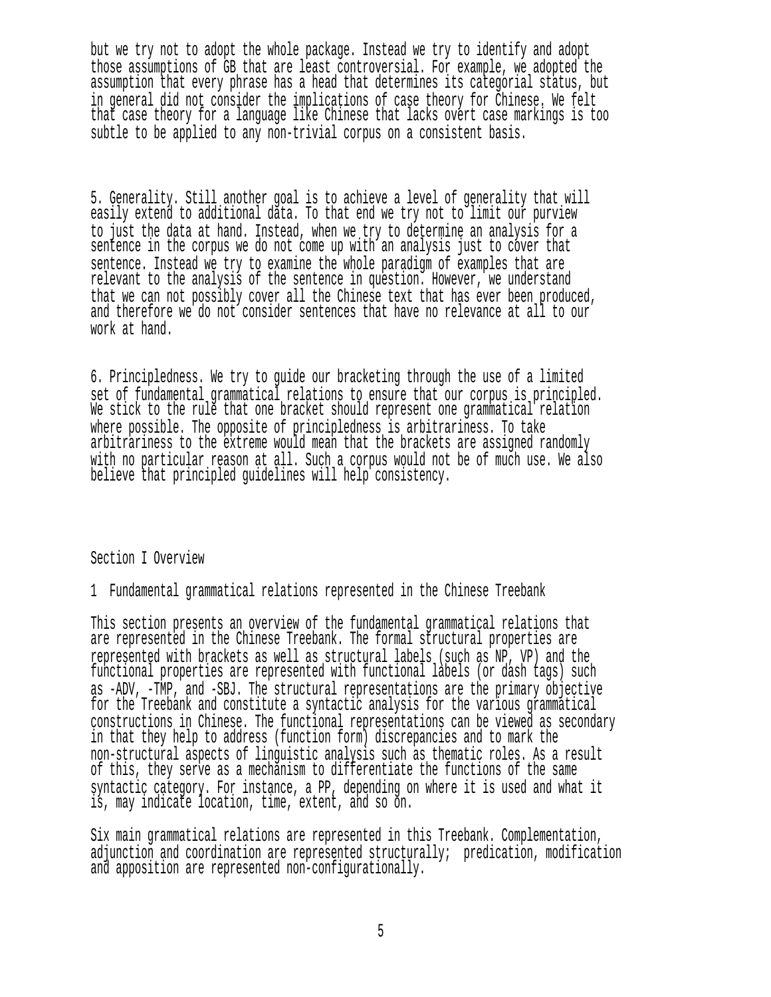but we try not to adopt the whole package. Instead we try to identify and adopt those assumptions of GB that are least controversial. For example, we adopted the assumption that every phrase has a head that determines its categorial status, but in general did not consider the implications of case theory for Chinese. We felt that case theory for a language like Chinese that lacks overt case markings is too subtle to be applied to any non-trivial corpus on a consistent basis.

5. Generality. Still another goal is to achieve a level of generality that will easily extend to additional data. To that end we try not to limit our purview to just the data at hand. Instead, when we try to determine an analysis for a sentence in the corpus we do not come up with an analysis just to cover that sentence. Instead we try to examine the whole paradigm of examples that are relevant to the analysis of the sentence in question. However, we understand that we can not possibly cover all the Chinese text that has ever been produced, and therefore we do not consider sentences that have no relevance at all to our work at hand.

6. Principledness. We try to guide our bracketing through the use of a limited set of fundamental grammatical relations to ensure that our corpus is principled. We stick to the rule that one bracket should represent one grammatical relation where possible. The opposite of principledness is arbitrariness. To take arbitrariness to the extreme would mean that the brackets are assigned randomly with no particular reason at all. Such a corpus would not be of much use. We also believe that principled guidelines will help consistency.

Section I Overview

1 Fundamental grammatical relations represented in the Chinese Treebank

This section presents an overview of the fundamental grammatical relations that are represented in the Chinese Treebank. The formal structural properties are represented with brackets as well as structural labels (such as NP, VP) and the functional properties are represented with functional labels (or dash tags) such as -ADV, -TMP, and -SBJ. The structural representations are the primary objective for the Treebank and constitute a syntactic analysis for the various grammatical constructions in Chinese. The functional representations can be viewed as secondary in that they help to address (function form) discrepancies and to mark the non-structural aspects of linguistic analysis such as thematic roles. As a result of this, they serve as a mechanism to differentiate the functions of the same syntactic category. For instance, a PP, depending on where it is used and what it is, may indicate location, time, extent, and so on.

Six main grammatical relations are represented in this Treebank. Complementation, adjunction and coordination are represented structurally; predication, modification and apposition are represented non-configurationally.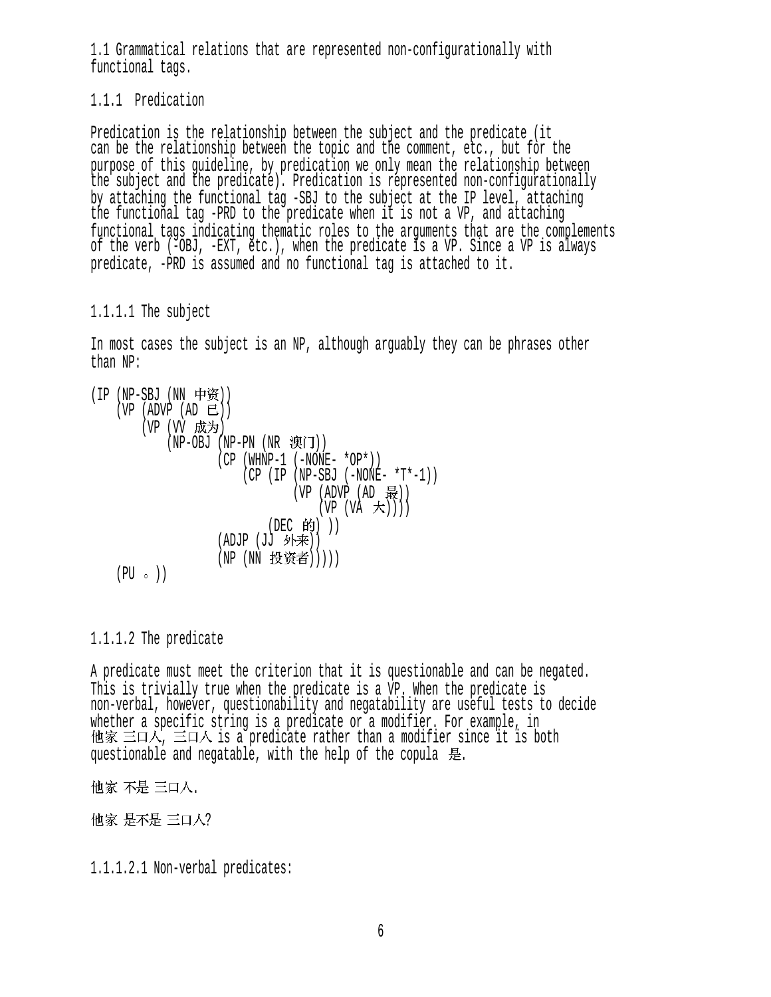1.1 Grammatical relations that are represented non-configurationally with functional tags.

1.1.1 Predication

Predication is the relationship between the subject and the predicate (it can be the relationship between the topic and the comment, etc., but for the purpose of this guideline, by predication we only mean the relationship between the subject and the predicate). Predication is represented non-configurationally by attaching the functional tag -SBJ to the subject at the IP level, attaching the functional tag -PRD to the predicate when it is not a VP, and attaching functional tags indicating thematic roles to the arguments that are the complements of the verb (-OBJ, -EXT, etc.), when the predicate is a VP. Since a VP is always predicate, -PRD is assumed and no functional tag is attached to it.

#### 1.1.1.1 The subject

In most cases the subject is an NP, although arguably they can be phrases other than NP:

\n
$$
\begin{array}{ll}\n \text{(IP (NP-SBJ (NN \tmp\texttt{\%}))} \\
 \text{(VP (ADVP (AD \tline L))} \\
 \text{(VP (VV \tline K)3)} \\
 \text{(NP-OBJ (NP-PN (NR \tline \texttt{\%}iJ))} \\
 \text{(CP (WHNP-1 (-NONE - *OP*))} \\
 \text{(CP (IP (NP-SBJ (-NONE - *T*-1))} \\
 \text{(VP (ADVP (AD \tline L))} \\
 \text{(VP (VA \tline K))})) \\
 \text{(DEC \tline fj))} \\
 \text{(ADJP (JJ \tline \texttt{\%} + \texttt{\#}))} \\
 \text{(NP (NN \tline K) + \texttt{\#})} \\
 \text{(NP (NN \tline K) + \texttt{\#})} \\
 \text{(NP (NN \tline K) + \texttt{\#})} \\
 \text{(NP (NN \tline K) + \texttt{\#})} \\
 \text{(NP (NN \tline K) + \texttt{\#})} \\
 \text{(NP (NN \tline K) + \texttt{\#})} \\
 \text{(NP (NN \tline K) + \texttt{\#})} \\
 \text{(NP (NN \tline K) + \texttt{\#})} \\
 \text{(NP (NN \tline K) + \texttt{\#})} \\
 \text{(NP (NN \tline K) + \texttt{\#})} \\
 \text{(NP (NN \tline K) + \texttt{\#})} \\
 \text{(NP (NN \tline K) + \texttt{\#})} \\
 \text{(NP (NN \tline K) + \texttt{\#})} \\
 \text{(NP (NN \tline K) + \texttt{\#})} \\
 \text{(NP (NN \tline K) + \texttt{\#})} \\
 \text{(NP (NN \tline K) + \texttt{\#})} \\
 \text{(NP (NN \tline K) + \texttt{\#})} \\
 \text{(NP (NN \tline K) + \texttt{\#})} \\
 \text{(NP (NN \tline K) + \texttt{\#})} \\
 \text{(NP (NN \tline K) + \texttt{\#})} \\
 \text{(NP (NN \tline K) + \texttt{\#})} \\
 \text{(NP (NN \tline K) + \texttt{\#})} \\
 \text{(NP (NN \tline K) + \texttt{\#})} \\
 \text{(NP (NN \tline K) + \texttt{\#})} \\
 \text{(NP (NN \tline K) + \texttt{\#})} \\
 \text{(NP (NN \tline K) + \texttt{\#})} \\
 \text{(NP (NN \tline K) + \texttt{\#})} \\
 \text{(NP (NN \tline K) + \texttt{\#})} \\
 \text{(NP (
$$

1.1.1.2 The predicate

A predicate must meet the criterion that it is questionable and can be negated. This is trivially true when the predicate is a VP. When the predicate is non-verbal, however, questionability and negatability are useful tests to decide whether a specific string is a predicate or a modifier. For example, in , 他家 三口人, 三口人 is a predicate rather than a modifier since it is both questionable and negatable, with the help of the copula 是.

他家 不是 三口人.

他家 是不是 三口人?

1.1.1.2.1 Non-verbal predicates: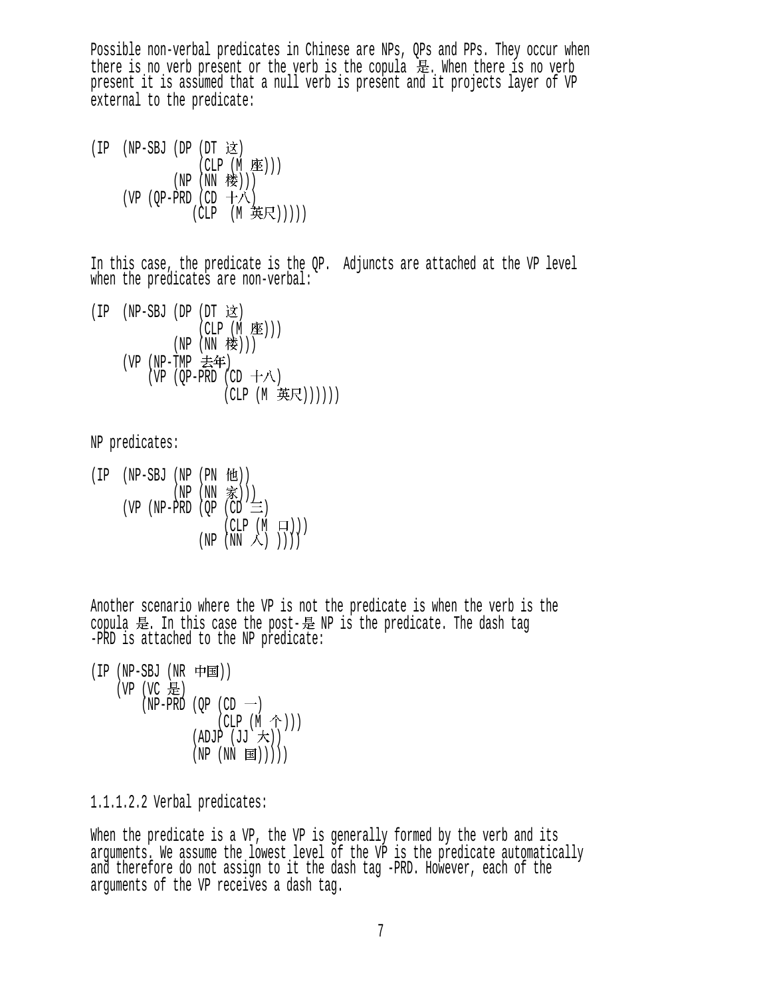Possible non-verbal predicates in Chinese are NPs, QPs and PPs. They occur when there is no verb present or the verb is the copula  $\mathbb{\bar{R}}$ . When there is no verb present it is assumed that a null verb is present and it projects layer of VP external to the predicate:

 $(IP$   $(NP-SBJ$   $(DP$   $(DT \times)$ (CLP (M 座)))  $(NP(NN$ 楼 $)))$ (VP (QP-PRD (CD  $+\wedge$ ) (CLP (M 英尺)))))

In this case, the predicate is the QP. Adjuncts are attached at the VP level when the predicates are non-verbal:

 $(IP$   $(NP-SBJ$   $(DP$   $(DT \; \&)$  $(CLP(M \times))$  $(NP(NN$ 楼 $)))$  $(VP (NP-TMP  $\pm 4F)$$ (VP (OP-PRD (CD  $+\lambda$ ) (CLP (M 英尺))))))

NP predicates:

 $(IP$   $(NP-SBJ$   $(NP$   $(PN$   $fU))$  $(NP(NN \tilde{\mathcal{F}})))$ (VP (NP-PRD (OP (CD  $\equiv$ )  $(CLP (M \square))$  $(NP (NN \wedge))$ )

Another scenario where the VP is not the predicate is when the verb is the copula 是. In this case the post-是 NP is the predicate. The dash tag -PRD is attached to the NP predicate:

 $(IP (NP-SBJ (NR 'H)$  $(VP (VC E))$  $(NP-PRD (OP (CD  $\rightarrow$ )$  $(CLP (M \hat{\uparrow})))$  $(ADJP (JJ \nmid \nabla))$  $(NP (NN \Xi)))$ )

1.1.1.2.2 Verbal predicates:

When the predicate is a VP, the VP is generally formed by the verb and its arguments. We assume the lowest level of the VP is the predicate automatically and therefore do not assign to it the dash tag -PRD. However, each of the arguments of the VP receives a dash tag.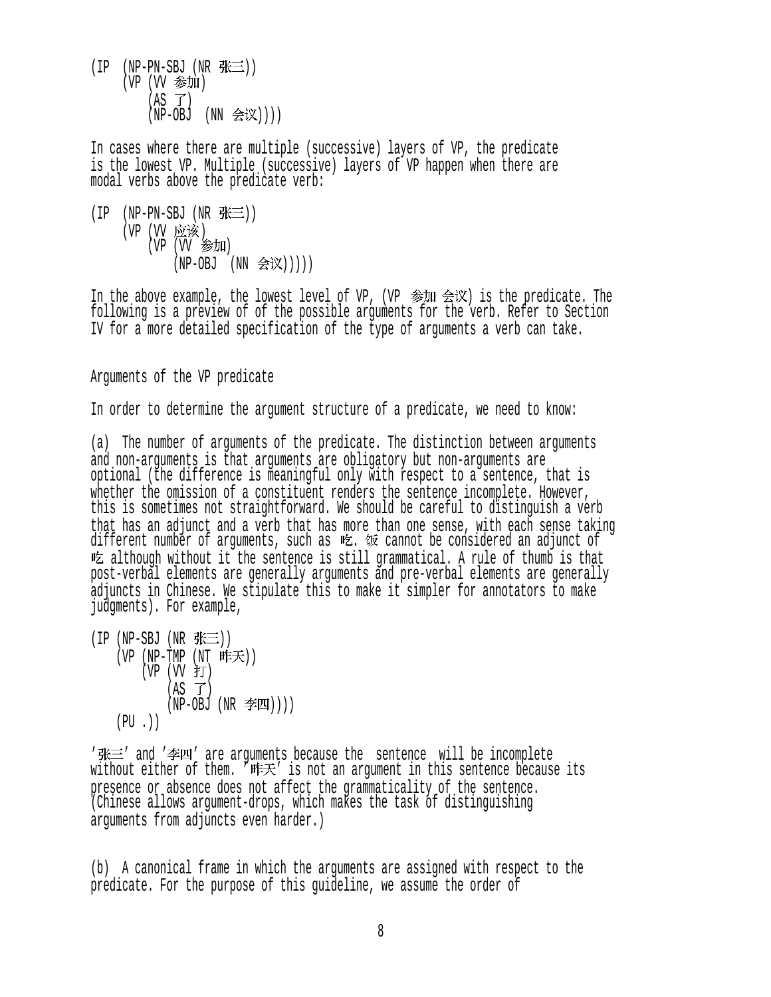$(IP$  (NP-PN-SBJ (NR  $\mathcal{H}\equiv$ ))  $(VP)$   $(VV)$  参加 )  $(AS \ \vec{J})$  $(NP-OBJ (NN \triangleq \mathcal{K})))$ 

In cases where there are multiple (successive) layers of VP, the predicate is the lowest VP. Multiple (successive) layers of VP happen when there are modal verbs above the predicate verb:

 $(IP$  (NP-PN-SBJ (NR  $# \equiv$ )) (VP (VV 应该) (VP (VV 参加)  $(NP-OBJ (NN  $\hat{\mathcal{B}}(\mathbb{X}))))$$ 

In the above example, the lowest level of VP, (VP  $\hat{\mathcal{B}}$ M  $\hat{\mathcal{B}}(\mathbb{X})$  is the predicate. The following is a preview of of the possible arguments for the verb. Refer to Section IV for a more detailed specification of the type of arguments a verb can take.

Arguments of the VP predicate

In order to determine the argument structure of a predicate, we need to know:

(a) The number of arguments of the predicate. The distinction between arguments and non-arguments is that arguments are obligatory but non-arguments are optional (the difference is meaningful only with respect to a sentence, that is whether the omission of a constituent renders the sentence incomplete. However, this is sometimes not straightforward. We should be careful to distinguish a verb that has an adjunct and a verb that has more than one sense, with each sense taking different number of arguments, such as 吃. 饭 cannot be considered an adjunct of although without it the sentence is still grammatical. A rule of thumb is that post-verbal elements are generally arguments and pre-verbal elements are generally adjuncts in Chinese. We stipulate this to make it simpler for annotators to make judgments). For example,

 $(IP(NP-SBJ(NR \# \equiv))$  $(VP (NP-TMP (NT #E $\neq$ )))$  $(VP (W f))$  $(AS \tJ)$  $(NP-OBJ (NR \ncong I)))$  $(PU$ . $))$ 

' 张三' and '李四' are arguments because the sentence will be incomplete without either of them. ' 昨天' is not an argument in this sentence because its presence or absence does not affect the grammaticality of the sentence. (Chinese allows argument-drops, which makes the task of distinguishing arguments from adjuncts even harder.)

(b) A canonical frame in which the arguments are assigned with respect to the predicate. For the purpose of this guideline, we assume the order of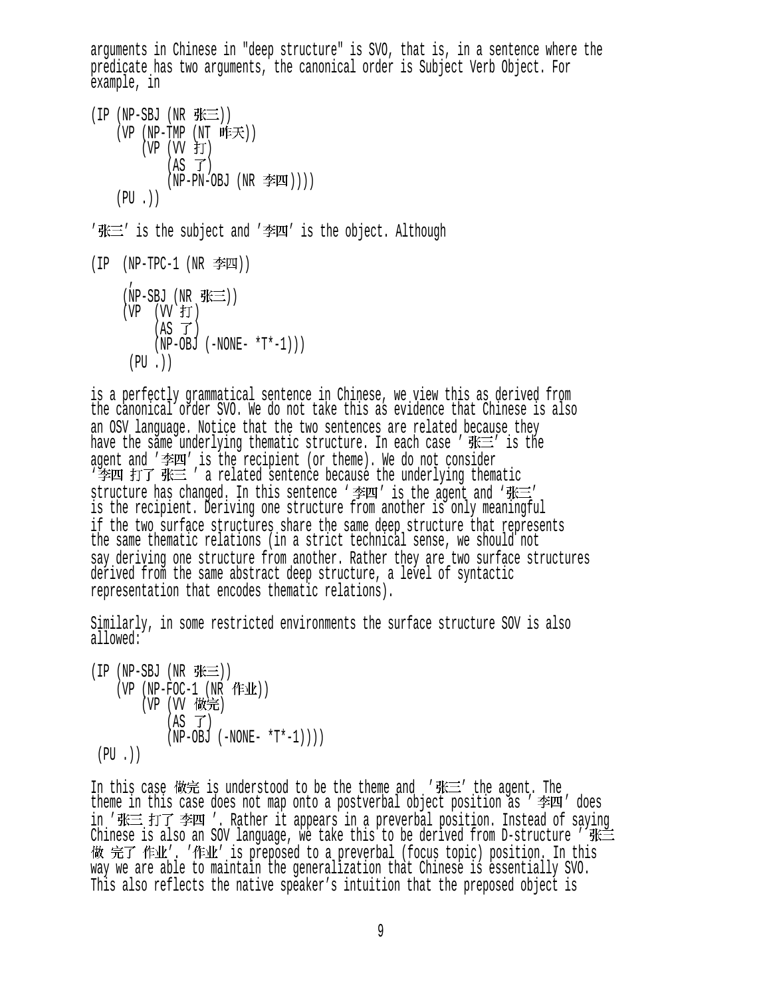arguments in Chinese in "deep structure" is SVO, that is, in a sentence where the predicate has two arguments, the canonical order is Subject Verb Object. For example, in

 $(IP(NP-SBJ(NR \# \equiv))$  $(VP (NP-TMP (NT #K))$  $(VP (VV )$ 打  $(AS \ \vec{J})$  $(NP-PN-OBJ (NR \ncong I)))$  $(PU$ . $))$ 

 $'$  张三' is the subject and '李四' is the object. Although

 $(IP$  (NP-TPC-1 (NR 李四))

```
(NP-SBJ (NR K\equiv))(VP (VV fT)(AS \tJ)(NP-OBJ (-NONE- *T*-1)))(PI \t)
```
is a perfectly grammatical sentence in Chinese, we view this as derived from the canonical order SVO. We do not take this as evidence that Chinese is also an OSV language. Notice that the two sentences are related because they have the same underlying thematic structure. In each case  $'$   $\mathbb{R}^{\mathbb{Z}}$  is the agent and '李四' is the recipient (or theme). We do not consider<br>'李四 打了 张三 ' a related sentence because the underlying thematic structure has changed. In this sentence '李四' is the agent and '张三' is the recipient. Deriving one structure from another is only meaningful if the two surface structures share the same deep structure that represents the same thematic relations (in a strict technical sense, we should not say deriving one structure from another. Rather they are two surface structures derived from the same abstract deep structure, a level of syntactic representation that encodes thematic relations).

Similarly, in some restricted environments the surface structure SOV is also allowed:

 $(IP (NP-SBJ (NR  $\# \equiv$ )))$  $(VP (NP-FOC-1 (NR ff1))$ (VP (VV 做完)  $(AS \tJ)$  $(NP-OBJ (-NONE- *T*-1))$  $(PU, )$ 

In this case 做完 is understood to be the theme and '张三' the agent. The<br>theme in this case does not map onto a postverbal object position as ' 李四' does<br>in '张三 打了 李四 '. Rather it appears in a preverbal position. Instead of Chinese is also an SOV language, we take this to be derived from D-structure '张三做 完了 作业'. '作业' is preposed to a preverbal (focus topic) position. In this way we are able to maintain the generalization that Chinese is essentially SVO. This also reflects the native speaker's intuition that the preposed object is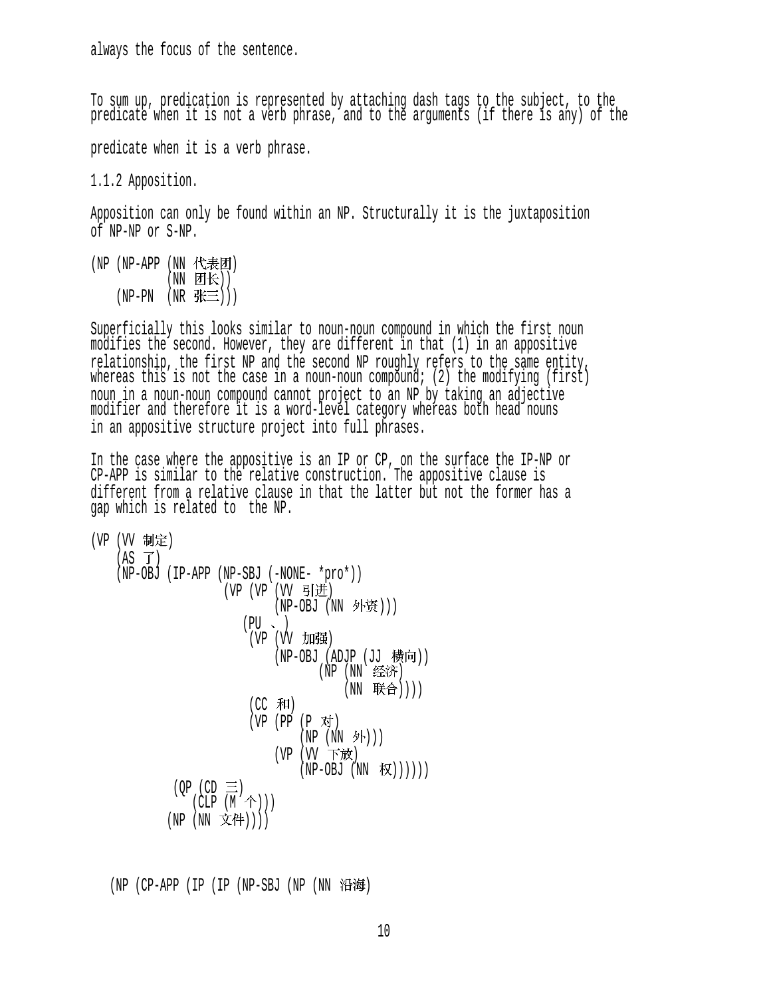always the focus of the sentence.

To sum up, predication is represented by attaching dash tags to the subject, to the predicate when it is not a verb phrase, and to the arguments (if there is any) of the

predicate when it is a verb phrase.

1.1.2 Apposition.

Apposition can only be found within an NP. Structurally it is the juxtaposition of NP-NP or S-NP.

(NP (NP-APP (NN 代表团) (NN 团长))  $(NP-PN$   $(NR$  张三)))

Superficially this looks similar to noun-noun compound in which the first noun modifies the second. However, they are different in that (1) in an appositive relationship, the first NP and the second NP roughly refers to the same entity, whereas this is not the case in a noun-noun compound; (2) the modifying (first) noun in a noun-noun compound cannot project to an NP by taking an adjective modifier and therefore it is a word-level category whereas both head nouns in an appositive structure project into full phrases.

In the case where the appositive is an IP or CP, on the surface the IP-NP or CP-APP is similar to the relative construction. The appositive clause is different from a relative clause in that the latter but not the former has a gap which is related to the NP.

\n
$$
(VP (VV 制定)
$$
\n (AS T)\n (NP-OBJ (IP-APP (NP-SBJ (-NONE- \*pro\*))\n (VP (VP (VV 5H)#))\n (NP-OBJ (NN 外發)))\n (PU -)\n (VP (VV JIIJ#H)\n (NP-OBJ (ADJP (JJ 構向))\n (NP (NN 4&;\*)\n (NP (NN 4&;\*))))\n (CC 和)\n (VP (PP (P 7#) (NP (NN 94))))\n (VP (VP (VP (NN 7))))\n (QP (CD ≡)\n (CLP (M ^)))))\n (NP (NN 2#)))))\n

 $(NP (CP-APP (IP (IP (NP-SBJ (NP (NN R#)$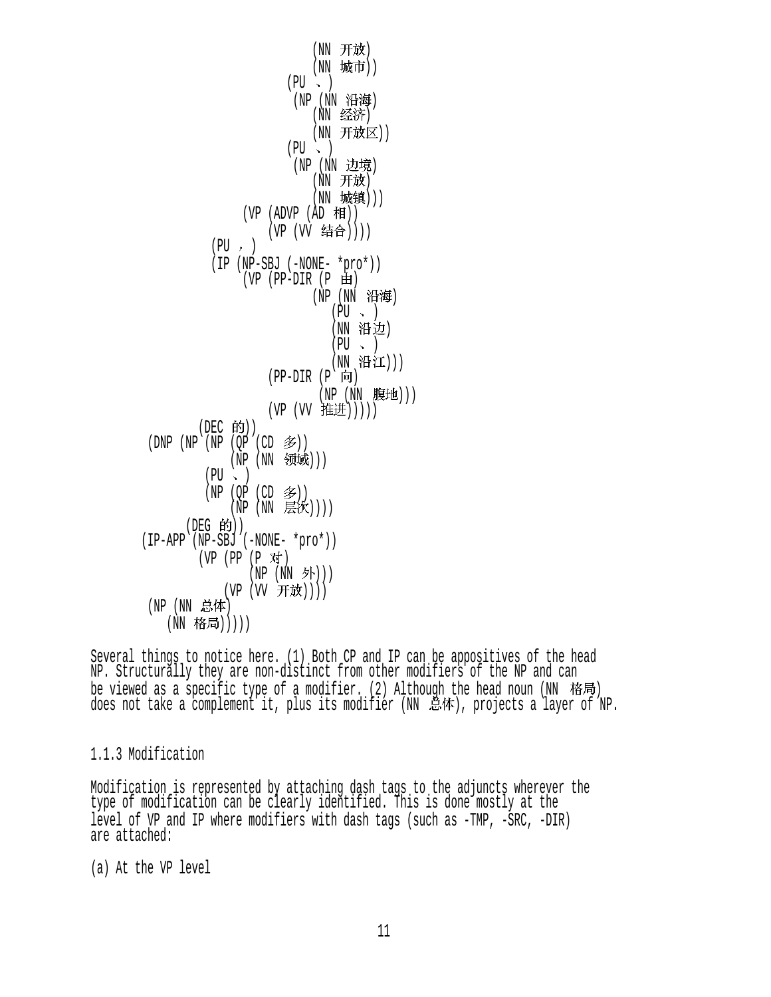(NN 开放) (NN 城市))  $(PU \sim )$ (NP (NN 沿海) (NN 经济) (NN 开放区))  $(PU \sim )$ (NP (NN 边境) (NN 开放) (NN 城镇)))  $(VP (ADVP (AD H))$ (VP (VV 结合))))  $(PU, )$  (IP (NP-SBJ (-NONE- \*pro\*))  $(VP$  (PP-DIR  $(P \oplus)$ ) (NP (NN 沿海)  $(PU \sim )$ (NN 沿边)  $(PU \sim )$ (NN 沿江)))  $(PP-DIR (P 6))$ (NP (NN 腹地)))  $(VP (VV$  推进 $))))$  $(DEC$  的 $))$  $(DNP (NP (NP (QP (CD \mathcal{Z}))))$ (NP (NN 领域)))  $(PU \sim )$  $(NP (OP (CD \n&))$  $(\tilde{NP}$  (NN 层次)))) (DEG 的)) (IP-APP (NP-SBJ (-NONE- \*pro\*))  $(VP (PP (P \n{N})$  $(NP (NN \nightharpoonup)$ ) (VP (VV 开放)))) (NP (NN 总体) (NN 格局)))))

Several things to notice here. (1) Both CP and IP can be appositives of the head NP. Structurally they are non-distinct from other modifiers of the NP and can be viewed as a specific type of a modifier. (2) Although the head noun ( $NN$  格局) does not take a complement it, plus its modifier (NN 总体), projects a layer of NP.

#### 1.1.3 Modification

Modification is represented by attaching dash tags to the adjuncts wherever the type of modification can be clearly identified. This is done mostly at the level of VP and IP where modifiers with dash tags (such as -TMP, -SRC, -DIR) are attached:

(a) At the VP level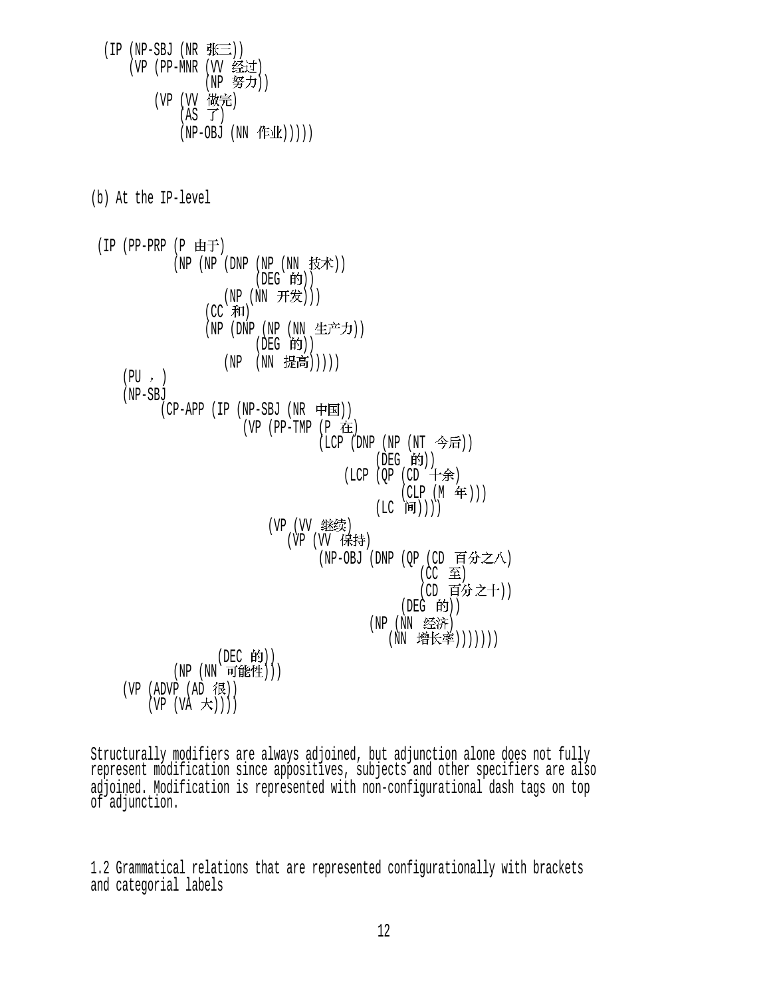$(IP(NP-SBJ(NR \# \equiv))$ (VP (PP-MNR (VV 经过) (NP 努力)) (VP (VV 做完)  $(AS \tJ)$  $(NP-OBJ (NN fE1k))$ ) (b) At the IP-level (IP (PP-PRP  $(P \nleftrightarrow F)$  $(NP (NP (DNP (NP (NN$  $(DEG$  的)) (NP (NN 开发)))  $(CC \bar{H})$ (NP (DNP (NP (NN 生产力))  $(DEG$  的))  $(NP (NN \#高)))$  $(PU, )$  (NP-SBJ  $(CP-APP (IP (NP-SBJ (NR \noplus \nightharpoonup \nightharpoonup \nightharpoonup))$  $(VP (PP-TMP (P$  在 (LCP (DNP (NP (NT 今后)) (DEG 的))  $( LCP (QP (CD  $+$  1)$  $(CLP (M f))$ (LC 间)))) (VP (VV ) (VP (VV 保持) (NP-OBJ (DNP (QP (CD 百分之八) (CC ) (CD 百分之十))  $($ DEG  $|$ 的 $)$  $)$ (NP (NN 经济) (NN 增长率)))))))  $(DEC$  的 $))$  $(NP (NN T###))$  $(VP (ADVP (AD 1)$  $(VP (VA \nightharpoonup t))$ 

Structurally modifiers are always adjoined, but adjunction alone does not fully represent modification since appositives, subjects and other specifiers are also adjoined. Modification is represented with non-configurational dash tags on top of adjunction.

1.2 Grammatical relations that are represented configurationally with brackets and categorial labels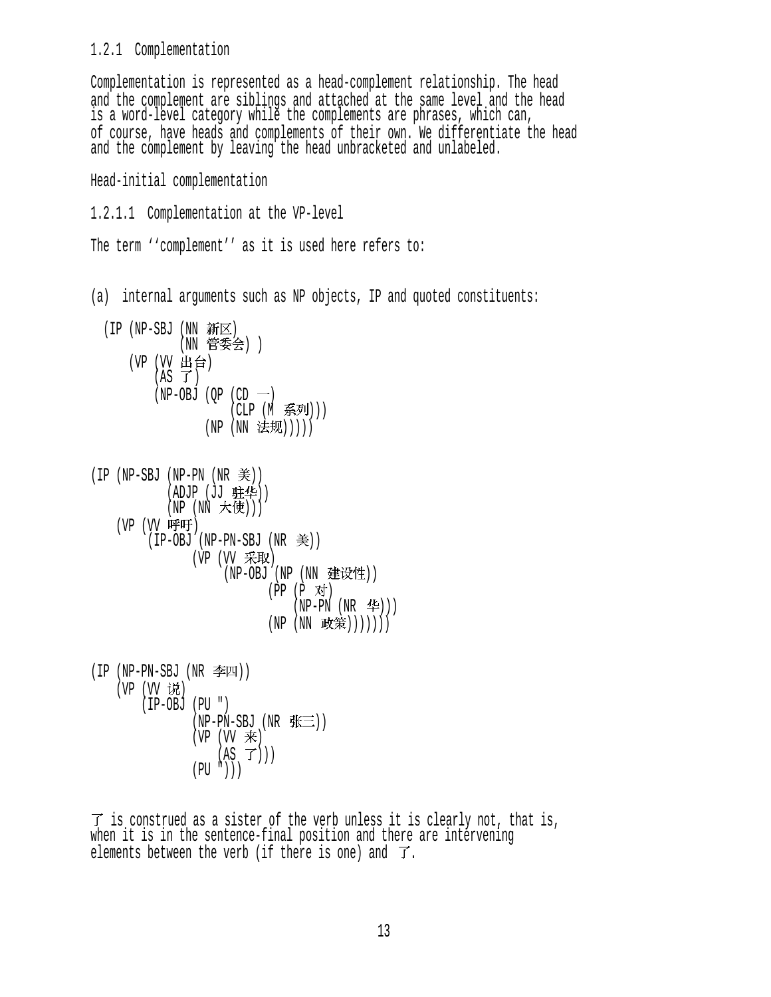### 1.2.1 Complementation

Complementation is represented as a head-complement relationship. The head and the complement are siblings and attached at the same level and the head is a word-level category while the complements are phrases, which can, of course, have heads and complements of their own. We differentiate the head and the complement by leaving the head unbracketed and unlabeled.

Head-initial complementation

```
1.2.1.1 Complementation at the VP-level
```
The term ''complement'' as it is used here refers to:

(a) internal arguments such as NP objects, IP and quoted constituents:

| (IP (NP-SBJ (NN 新区) |             |            | (NN 管委会) )                             |
|---------------------|-------------|------------|----------------------------------------|
|                     | (VP (VV 出台) | $(AS \tJ)$ |                                        |
|                     |             |            | $(NP-OBJ (QP (CD -))$<br>(CLP (M 系列))) |
|                     |             |            | (NP (NN 法规)))))                        |

| (IP (NP-SBJ (NP-PN (NR 美))      |
|---------------------------------|
| (ADJP (JJ 驻华))                  |
| $(NP (NN \nmid \nexists (NP))$  |
| (VP (VV 呼吁)                     |
| $(IP-OBJ (NP-PN-SBJ (NR \leq))$ |
| (VP (VV 采取)                     |
| (NP-OBJ (NP (NN 建设性))           |
| (PP (P 对)                       |
| (NP-PN (NR 华)))                 |
| (NN 政策)))))))<br>(NP            |

 $(IP (NP-PN-SBJ (NR  $\equiv$  )))$ (VP (VV 说)  $(IP-OBJ (PU''))$  $(NP-PN-SBJ (NR \# \equiv))$  $(VP (VV \neq))$  $(AS \ \overrightarrow{J}))$  $(PU'')$ ))

 $\overrightarrow{J}$  is construed as a sister of the verb unless it is clearly not, that is, when it is in the sentence-final position and there are intervening elements between the verb (if there is one) and  $\overline{J}$ .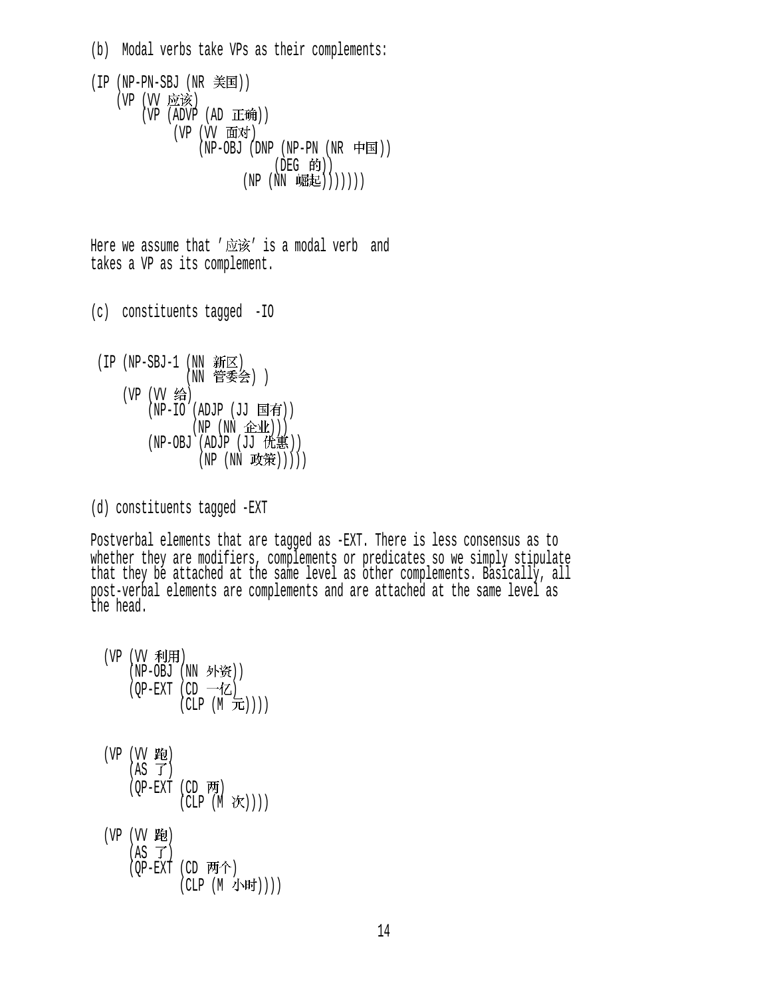(b) Modal verbs take VPs as their complements: (IP (NP-PN-SBJ (NR 美国)) (VP (VV 应该)  $(VP (ADVP (AD E)$ (VP (VV 面对)  $(NP-OBJ$  (DNP  $(NP-PN$   $(NR$  中国)) (DEG 的))  $(NP (NN W#E)))))$ 

Here we assume that  $'\bar{\text{m}}\tilde{\text{m}}'$  is a modal verb and takes a VP as its complement.

(c) constituents tagged -IO

(IP (NP-SBJ-1 (NN 新区) (NN 管委会) ) (VP (VV 给)  $(NP-IO$  (ADJP (JJ 国有))  $(NP(NN \triangle \mathcal{W})))$ (NP-OBJ (ADJP (JJ 优惠)) (NP (NN 政策)))))

(d) constituents tagged -EXT

Postverbal elements that are tagged as -EXT. There is less consensus as to whether they are modifiers, complements or predicates so we simply stipulate that they be attached at the same level as other complements. Basically, all post-verbal elements are complements and are attached at the same level as the head.

 $(VP (W \t{A(H))$  $(NP-OBJ(NN \text{ K})$ (OP-EXT (CD  $-\mathcal{K}$ )  $(CLP(M\text{ in}))))$ (VP (VV 跑)  $(AS \tJ)$  $(OP-EXT$   $(CD \ \overline{F})$  $(CLP (M \mathcal{K})))$ (VP (VV 跑)  $(AS \ \overrightarrow{J})$ (OP-EXT (CD 两个) (CLP (M 小时))))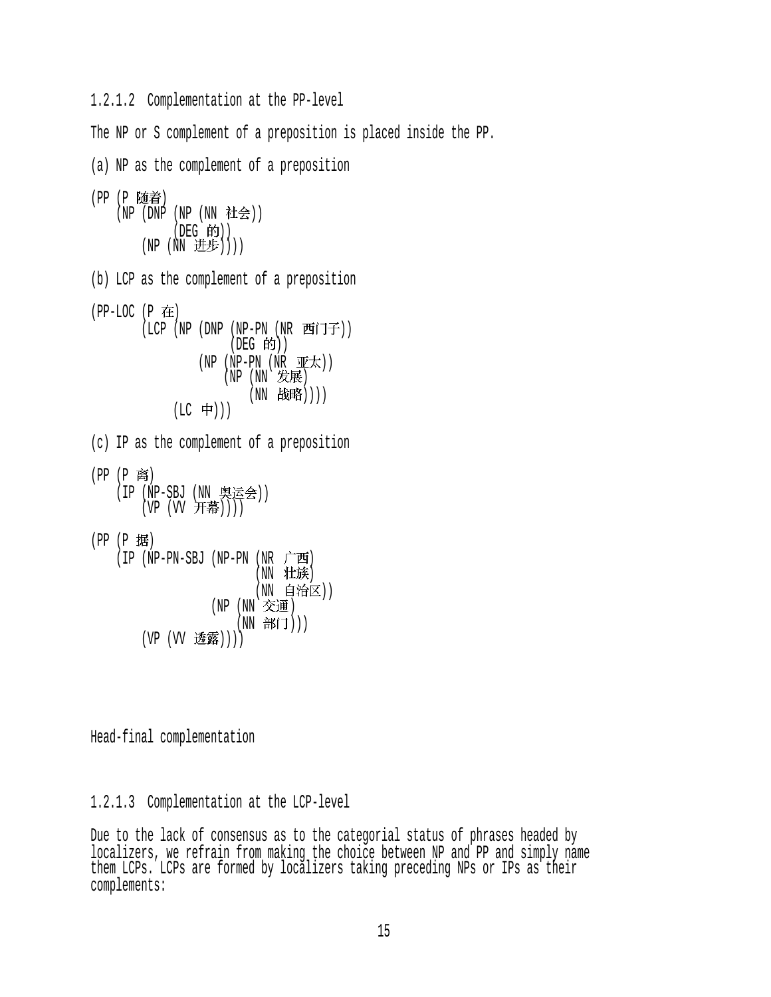1.2.1.2 Complementation at the PP-level

The NP or S complement of a preposition is placed inside the PP.

(a) NP as the complement of a preposition (PP (P 随着) (NP (DNP (NP (NN 社会)) (DEG 的))  $(NP (NN \#E))$ ) (b) LCP as the complement of a preposition  $(PP-LOC (P \tpm))$ (LCP (NP (DNP (NP-PN (NR 西门子))  $($ DEG 的 $)$  $)$  $(NP - PN (NR \mathbb{I} E \mathcal{F}))$  $(NP (NN \nexists \mathcal{E})$ (NN 战略))))  $(LC + 1))$ (c) IP as the complement of a preposition  $(PP (P **B**$ (IP (NP-SBJ (NN 奥运会)) (VP (VV 开幕)))) (PP (P 据) (IP (NP-PN-SBJ (NP-PN (NR ) (NN 壮族) (NN 自治区))  $(NP(NN \times H))$ (NN 部门))) (VP (VV 透露))))

Head-final complementation

1.2.1.3 Complementation at the LCP-level

Due to the lack of consensus as to the categorial status of phrases headed by localizers, we refrain from making the choice between NP and PP and simply name them LCPs. LCPs are formed by localizers taking preceding NPs or IPs as their complements: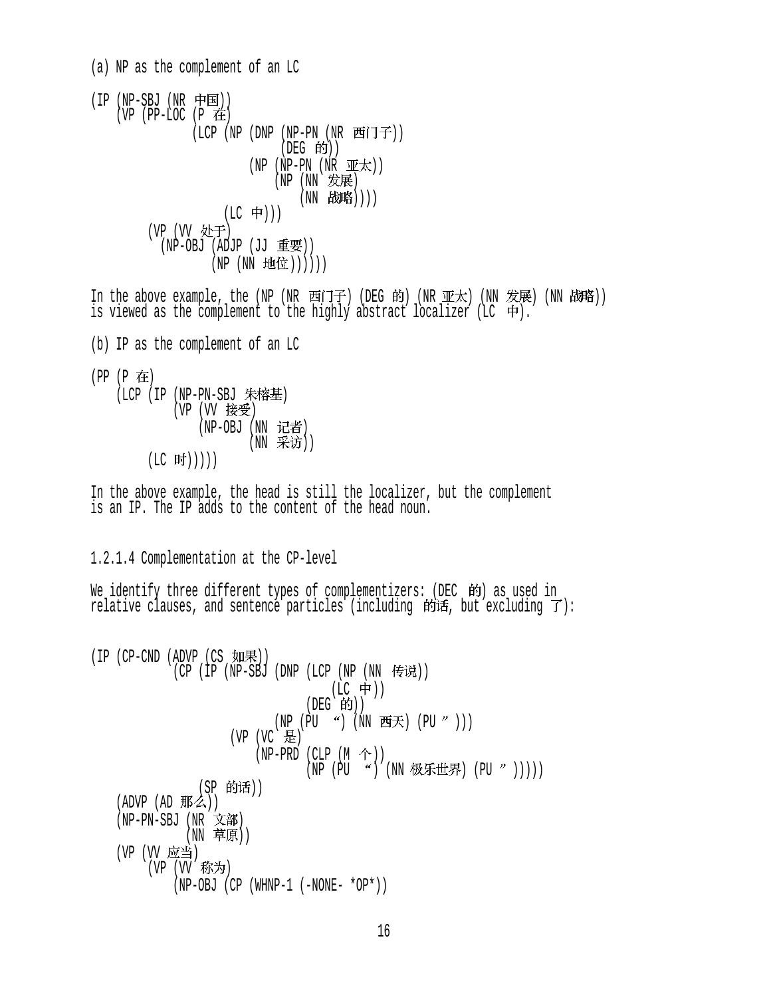(a) NP as the complement of an LC  $(IP (NP-SBJ (NR \noplus)$  $(VP$  (PP-LOC (P  $\pm$ ) (LCP (NP (DNP (NP-PN (NR 西门子)) (DEG 的))  $(NP - PN (NR \mathbb{I} \mathbb{E} \mathbb{I}) )$  $(NP (NN \times E))$ (NN 战略))))  $(LC \neq))$ (VP (VV 处于) (NP-OBJ (ADJP (JJ 重要)) (NP (NN 地位)))))) In the above example, the (NP (NR 西门子) (DEG 的) (NR 亚太) (NN 发展) (NN 战略)) is viewed as the complement to the highly abstract localizer (LC  $\pm$ ). (b) IP as the complement of an LC  $(PP (P$  在 (LCP (IP (NP-PN-SBJ 朱榕基) (VP (VV 接受) (NP-OBJ (NN 记者) (NN 采访))  $(LC$  时 $))$ ) In the above example, the head is still the localizer, but the complement is an IP. The IP adds to the content of the head noun. 1.2.1.4 Complementation at the CP-level We identify three different types of complementizers: (DEC 的) as used in relative clauses, and sentence particles (including  $\mathfrak{h}$  if, but excluding  $\mathcal{T}$ ):  $(IP (CP-CND (ADVP (CS  $\text{NIF})$ ))$  $(CP(TP(NP-SBJ(DNP(LCP(NP(NN F#W)))$ (LC 中)) (DEG 的))  $(NP (PU ") (NN "EK) (PU ")))$ (VP (VC 是)  $(NP-PRD$  (CLP  $(M \hat{\uparrow})$ ) (NP (PU ") (NN 极乐世界) (PU " ))))) (SP 的话)) (ADVP (AD 那么)) (NP-PN-SBJ (NR 文部) (NN 草原)) (VP (VV 应当) (VP (VV 称为) (NP-OBJ (CP (WHNP-1 (-NONE- \*OP\*))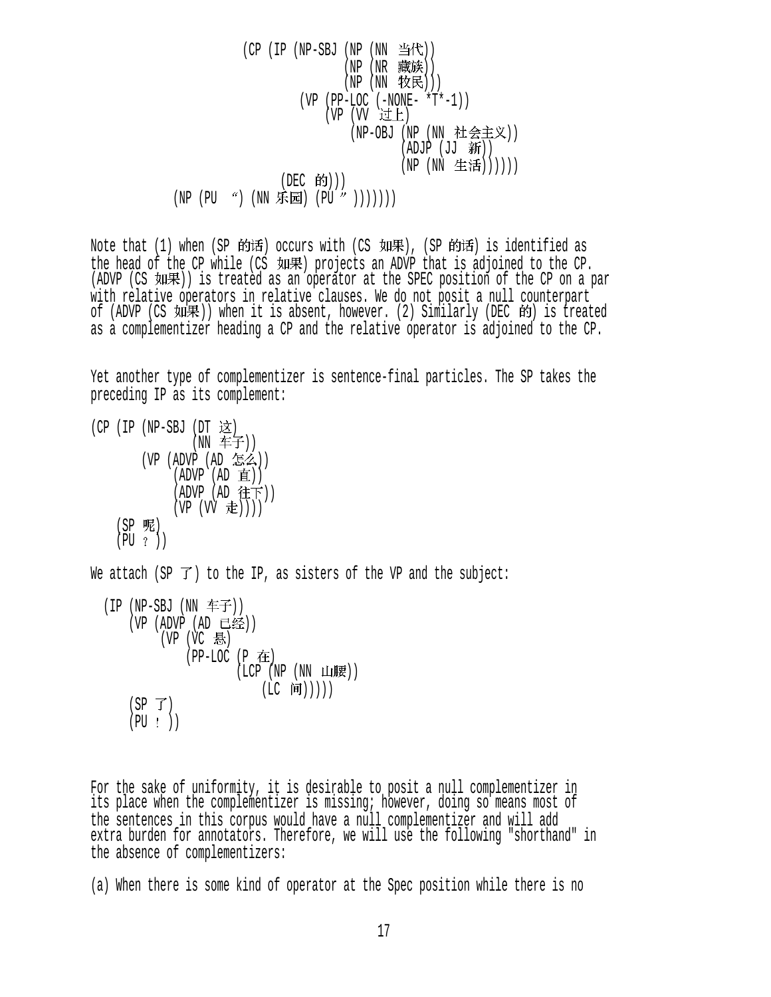$$
\begin{array}{ccccc}\n & \text{(CP (IP (NP-SBJ (NP (NN \implies\#f)))} & \text{(NP (NN \implies\#f))} \\
 & \text{(NP (NN \implies\#f))} & \text{(NP (NN \implies\#f*)})) \\
 & \text{(VP (PP-LOC (-NONE- *T*-1))} & \text{(VP (VV \implies\#F))} \\
 & \text{(NP (UV \implies\#F))} & \text{(NP (NN \implies\#F))} \\
 & \text{(DEC \implies\#f))} & \text{(NP (NN \implies\#f))})) \\
 & \text{(DEC \implies\#f))} & \text{(NP (NN \implies\#f))})) \\
 & \text{(NP (PU \implies\#f))} & \text{(PU \implies\#f))} & \text{(NP (NN \implies\#f))})) \\
 & \text{(NP (PU \implies\#f))} & \text{(PU \implies\#f))} & \text{(NP (V) \implies\#f))} & \text{(NP (V) \implies\#f) & \text{(NP (V) \implies\#f)} & \text{(NP (V) \implies\#f))} \\
 & \text{(NP (V) \implies\#f) & \text{(NP (V) \implies\#f) & \text{(NP (V) \implies\#f)} & \text{(NP (V) \implies\#f)} & \text{(NP (V) \implies\#f) & \text{(NP (V) \implies\#f)} & \text{(NP (V) \implies\#f) & \text{(NP (V) \implies\#f)} & \text{(NP (V) \implies\#f) & \text{(NP (V) \implies\#f)} & \text{(NP (V) \implies\#f) & \text{(NP (V) \implies\#f)} & \text{(NP (V) \implies\#f)} & \text{(NP (V) \implies\#f) & \text{(NP (V) \implies\#f)} & \text{(NP (V) \implies\#f)} & \text{(NP (V) \implies\#f) & \text{(NP (V) \implies\#f)} & \text{(NP (V) \implies\#f)} & \text{(NP (V) \implies\#f)} & \text{(NP (V) \implies\#f)} & \text{(NP (V) \implies\#f)} & \
$$

Note that (1) when (SP 的话) occurs with (CS 如果), (SP 的话) is identified as the head of the CP while (CS 如果) projects an ADVP that is adjoined to the CP. (ADVP (CS 如果)) is treated as an operator at the SPEC position of the CP on a par with relative operators in relative clauses. We do not posit a null counterpart of (ADVP (CS 如果)) when it is absent, however. (2) Similarly (DEC 的) is treated as a complementizer heading a CP and the relative operator is adjoined to the CP.

Yet another type of complementizer is sentence-final particles. The SP takes the preceding IP as its complement:

 $(CP$  (IP (NP-SBJ (DT 这) (NN 车子)) (VP (ADVP (AD )) (ADVP (AD ))  $(ADVP (AD$ 往下 $))$  $(VP (VV E)))$ (SP 呢)  $(PU ?)$ We attach (SP  $\vec{J}$ ) to the IP, as sisters of the VP and the subject:

 $(IP (NP-SBJ (NN F\mathcal{F})))$  $(VP (ADVP (AD E)$  $(VP (VC \t{R})$  $(PP-LOC (P$  在  $($ LCP  $($ NP  $($ NN 山腰 $)$  $)$ (LC 间)))))  $(SP \not\supset)$  $(PU : )$ 

For the sake of uniformity, it is desirable to posit a null complementizer in its place when the complementizer is missing; however, doing so means most of the sentences in this corpus would have a null complementizer and will add extra burden for annotators. Therefore, we will use the following "shorthand" in the absence of complementizers:

(a) When there is some kind of operator at the Spec position while there is no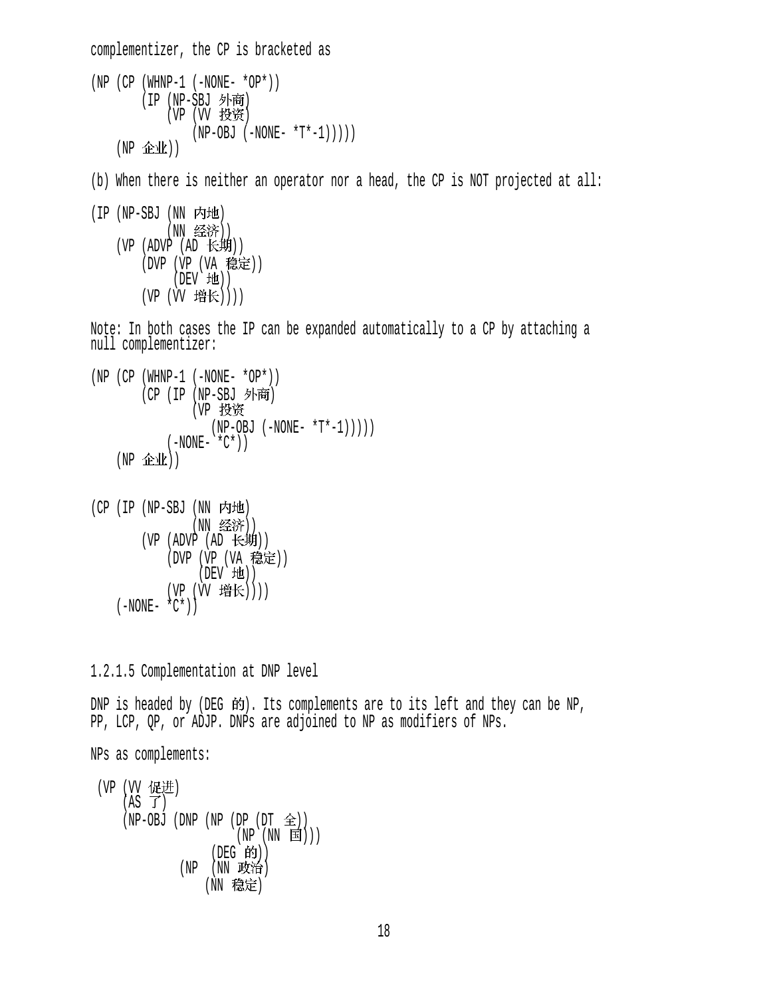complementizer, the CP is bracketed as (NP (CP (WHNP-1 (-NONE- \*OP\*)) (IP (NP-SBJ 外商) (VP (VV 投资)  $(NP-OBJ (-NONE- *T*-1)))))$  $(NP \triangle\Psi)$ (b) When there is neither an operator nor a head, the CP is NOT projected at all: (IP (NP-SBJ (NN 内地) (NN 经济)) (VP  $(ADVP (AD \t\leftrightarrow\t\#)))$ (DVP (VP (VA 稳定))  $(DEV'$   $H\!E)$ ) (VP (VV 增长)))) Note: In both cases the IP can be expanded automatically to a CP by attaching a null complementizer:  $(NP (CP (WHNP-1 (-NONE- *OP*)))$ (CP (IP (NP-SBJ 外商) (VP  $(NP-OBJ (-NONE- *T*-1)))))$  $(-NONE- *C*))$  $(NP \triangle\Psi)$ (CP (IP (NP-SBJ (NN 内地) (NN 经济)) (VP  $(ADVP (AD \t\leftrightarrow\t\#)))$ (DVP (VP (VA 稳定)) (DEV 地)) (VP (VV 增长))))  $(-NONE- *C*)$ 1.2.1.5 Complementation at DNP level DNP is headed by (DEG  $\hat{F}$ ). Its complements are to its left and they can be NP, PP, LCP, QP, or ADJP. DNPs are adjoined to NP as modifiers of NPs. NPs as complements: (VP (VV 促进)  $(AS \ \vec{J})$  $(NP-OBJ$  (DNP  $(NP$  (DP  $(DT \tLeftrightarrow))$ )  $(NP(NN \t{E})))$ (DEG 的)) (NP (NN 政治) (NN 稳定)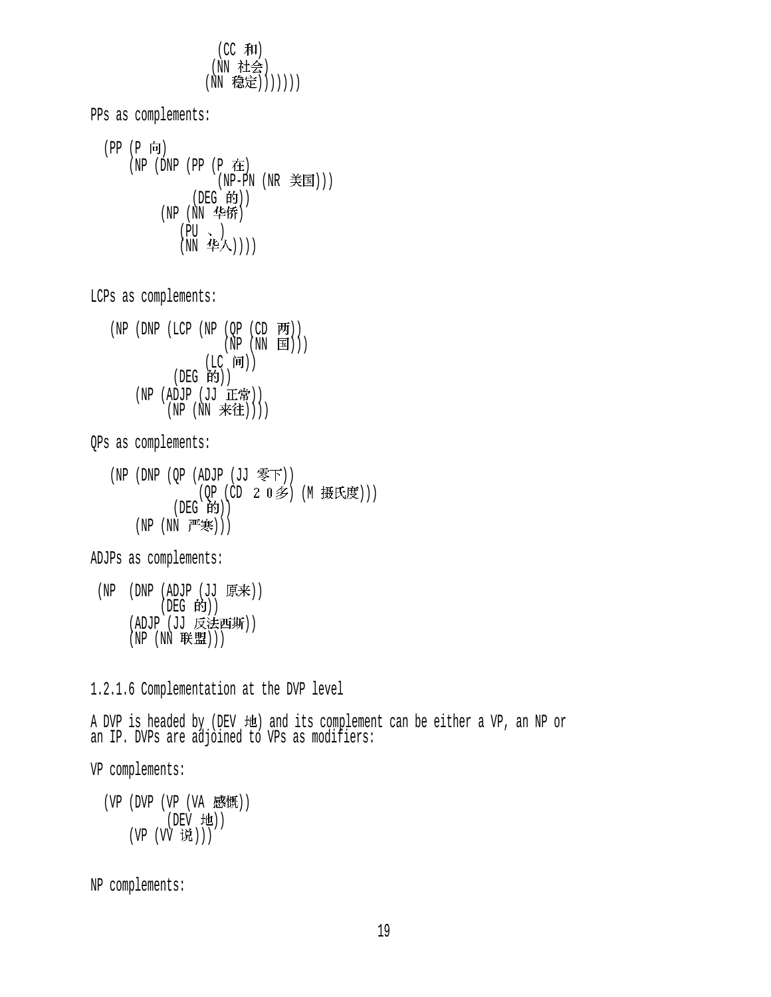$(CC$  和) (NN 社会) (NN 稳定)))))))

PPs as complements: (PP (P 向)  $(NP (DNP (PP (P \tpm))$ (NP-PN (NR 美国)))  $($ DEG 的 $)$  $)$  $(NP(NN \; 466))$  $(PU \sim )$  $(NN \quad \mathbb{P}^2/\sqrt{})$ LCPs as complements:  $(NP (DNP (LCP (NP (QP (CD P9)))))$  $(NP (NN \t{ is }))/$  $($ LC 间 $)$ (DEG 的)) (NP (ADJP  $(JJ \tI\#))$  $(NP(NN \; \tilde{\#} 1)))$ QPs as complements: (NP (DNP (QP (ADJP (JJ 零下)) (OP (CD 2 0 多) (M 摄氏度)))  $(DEG$  $\hat{B}$  $))$  $(NP (NN *f*<sup>#</sup>$ ADJPs as complements:  $(NP)$  (DNP (ADJP (JJ 原来))  $($ DEG 的 $)$  $)$ (ADJP (JJ 反法西斯))  $(NP(NN) \# 2))$ 1.2.1.6 Complementation at the DVP level A DVP is headed by (DEV 地) and its complement can be either a VP, an NP or an IP. DVPs are adjoined to VPs as modifiers: VP complements:  $(VP (DVP (VP (VA B<sup>2</sup> t<sup>W</sup>)))$ (DEV 地)) (VP (VV 说)))

NP complements: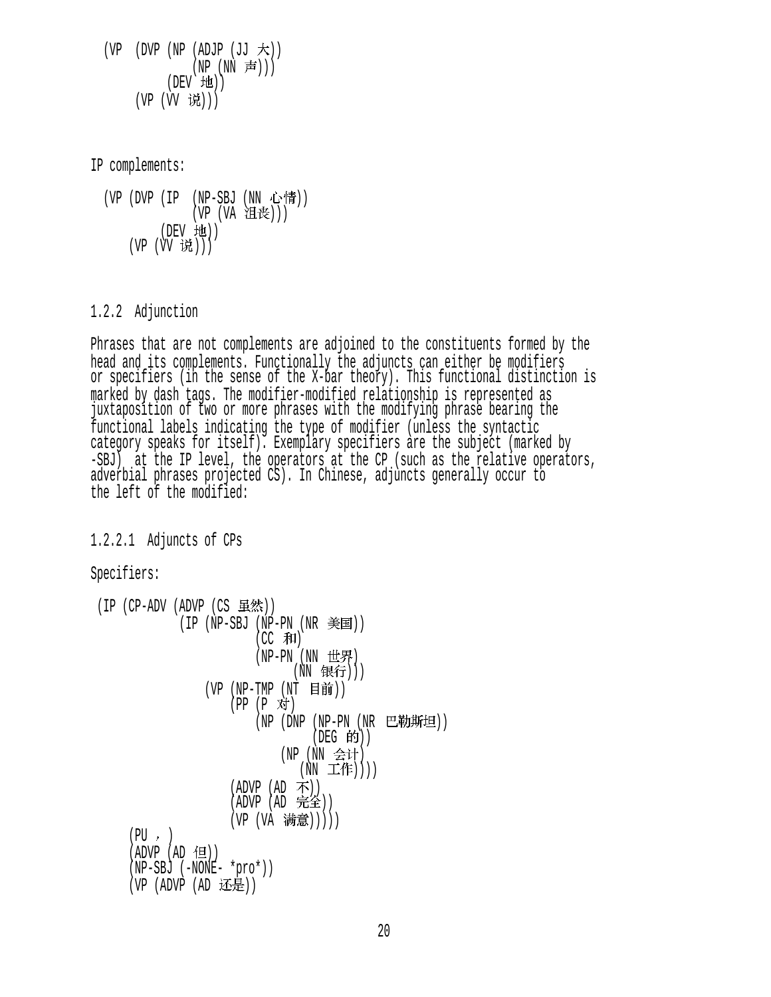$(VP$  (DVP  $(NP (ADJP (JJ \n $\nabla$ ))$  $(NP (NN \nexists j))$  $(DEV H<sub>2</sub>)$ (VP (VV 说)))

IP complements:

(VP (DVP (IP (NP-SBJ (NN 心情)) (VP (VA 沮丧)))  $(DEV H1)$ (VP (VV 说)))

#### 1.2.2 Adjunction

Phrases that are not complements are adjoined to the constituents formed by the head and its complements. Functionally the adjuncts can either be modifiers or specifiers (in the sense of the X-bar theory). This functional distinction is marked by dash tags. The modifier-modified relationship is represented as juxtaposition of two or more phrases with the modifying phrase bearing the functional labels indicating the type of modifier (unless the syntactic category speaks for itself). Exemplary specifiers are the subject (marked by -SBJ) at the IP level, the operators at the CP (such as the relative operators, adverbial phrases projected CS). In Chinese, adjuncts generally occur to the left of the modified:

1.2.2.1 Adjuncts of CPs

Specifiers:

```
(IP (CP-ADV (ADVP (CS <math>\mathbb{H}\mathcal{R})</math>))(IP (NP-SBJ (NP-PN (NR <math>\equiv</math> )))(CC 和)
                                (NP-PN (NN 世界)
                                        (NN 银行)))
                      (VP (NP-TMP (NT 目前))
                           (PP (P 对)
                                (NP (DNP (NP-PN (NR 巴勒斯坦))
                                            (DEG 的))(NP (NN 会计)
                                         (NN \pm \mathsf{ff})))
                           (ADVP (AD \t<math>\overline{1})</math>)(ADVP (AD \; 1)(VP (VA 满意)))))
      (PU, )(ADVP (AD ( 1 ) ) (NP-SBJ (-NONE- *pro*)) 
      (VP (ADVP (AD <math>\overline{15.4}^{\circ}))
```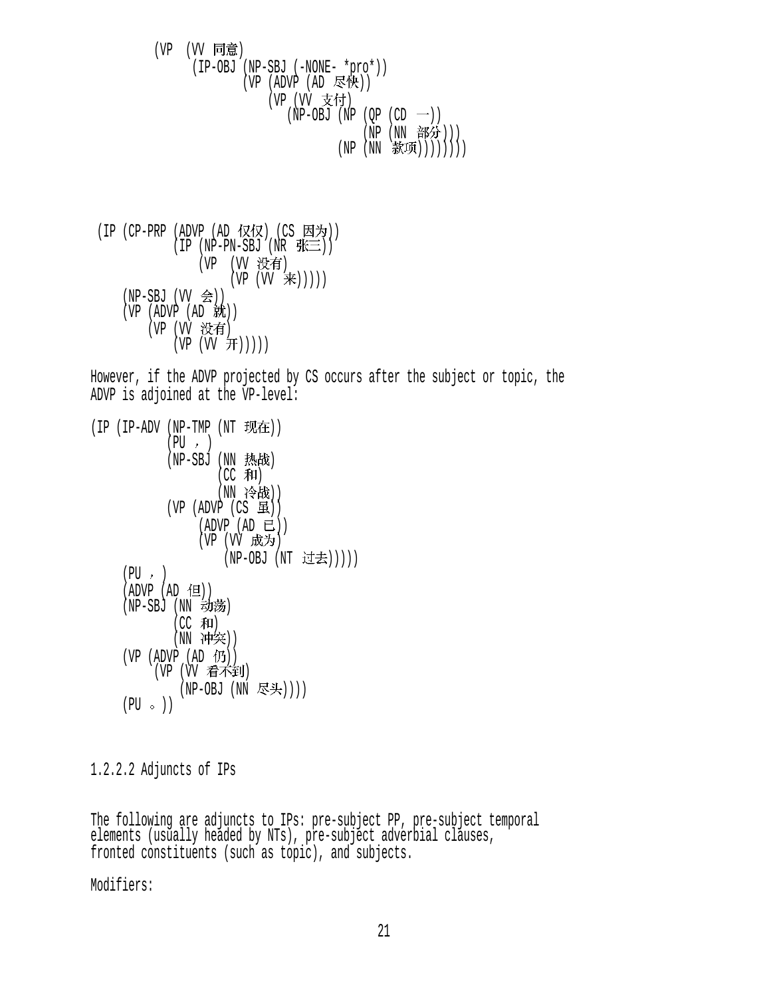(VP (VV 同意) (IP-OBJ (NP-SBJ (-NONE- \*pro\*))  $(VP (ADVP (AD E\&))$ (VP (VV 支付)  $(NP-OBJ (NP (QP (CD  $\rightarrow$ )))$ (NP (NN 部分))) (NP (NN 款项))))))))

(IP (CP-PRP (ADVP (AD 仅仅) (CS 因为))  $(IP (NP-PN-SBJ (NR \# \equiv))$ (VP (VV 没有)  $(VP (VV \neq)))))$  $(NP-SBJ (VV \text{ } \Leftrightarrow ) )$  $(VP (ADVP (AD K))$ (VP (VV 没有)  $(VP (VV H)))$ 

However, if the ADVP projected by CS occurs after the subject or topic, the ADVP is adjoined at the VP-level:

```
(IP (IP-ADV (NP-TMP (NT  \n<math>\overline{H}E))</math>)(PU, )(NP-SBJ (NN 热战)
                     (CC 和)
                     (NN 冷战))
             (VP (ADVP (CS H))(ADVP (AD E))(VP (VV 成为)
                      (NP-OBJ (NT 过去)))))
     (PU, )(ADVP (AD 1)(NP-SBJ (NN 动荡)
              (CC 和)
              (NN 冲突))
     (VP (ADVP (AD \noplus))(VP (W 看不到)
               (NP-OBJ (NN \; \nabla \div))(PU \circ)
```
1.2.2.2 Adjuncts of IPs

The following are adjuncts to IPs: pre-subject PP, pre-subject temporal elements (usually headed by NTs), pre-subject adverbial clauses, fronted constituents (such as topic), and subjects.

Modifiers: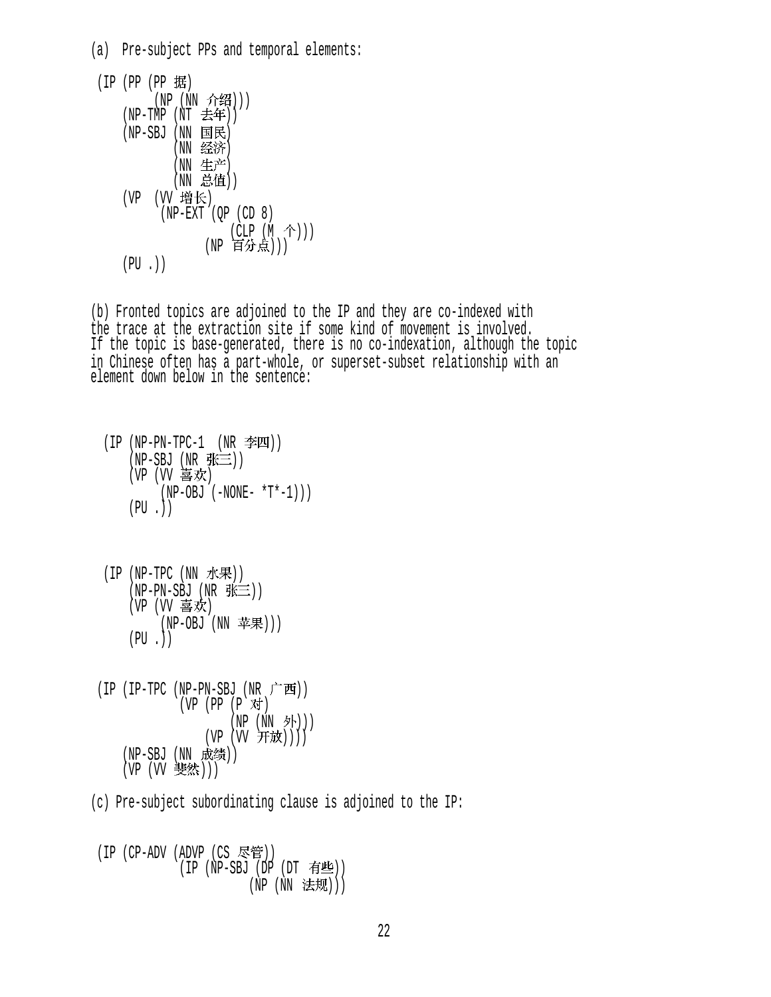| (a) Pre-subject PPs and temporal elements: |
|--------------------------------------------|
| (IP (PP (PP 据)                             |
| (NP (NN 介绍)))<br>(NP-TMP (NT 去年))          |
| (NP-SBJ (NN 国民)<br>(NN 经济)                 |
| (NN 生产)<br>(NN 总值))                        |
| (VP (VV 增长)<br>$(NP-EXT (QP (CD 8))$       |
| (CLP (M 个)))<br>(NP 百分点)))                 |
| $(PU.$ ) )                                 |

(b) Fronted topics are adjoined to the IP and they are co-indexed with the trace at the extraction site if some kind of movement is involved. If the topic is base-generated, there is no co-indexation, although the topic in Chinese often has a part-whole, or superset-subset relationship with an element down below in the sentence:

```
(IP (NP-PN-TPC-1 (NR <math>\text{} \text{#}E\text{)}))(NP-SBJ(NR \# \equiv))(VP (VV 喜欢)
          (NP-OBJ (-NONE- *T*-1)))(PU.)
```
- $(IP (NP-TPC (NN) \nright)$  $(NP-PN-SBJ (NR K \equiv))$ (VP (VV 喜欢) (NP-OBJ (NN 苹果)))  $(PU.$
- $(IP (IP-TPC (NP-PN-SBJ (NR \nightharpoonup \nightharpoonup \nightharpoonup \nightharpoonup))$  $(VP (PP (P \times)$  $(NP(NN \text{ M})))$  $(VP (W H x))$ (NP-SBJ (NN 成绩)) (VP (W 斐然)))
- (c) Pre-subject subordinating clause is adjoined to the IP:

(IP (CP-ADV (ADVP (CS 尽管))  $(IP (NP-SBJ (DP (DT  $\overline{f}f \triangleq 0)$ ))$ (NP (NN 法规)))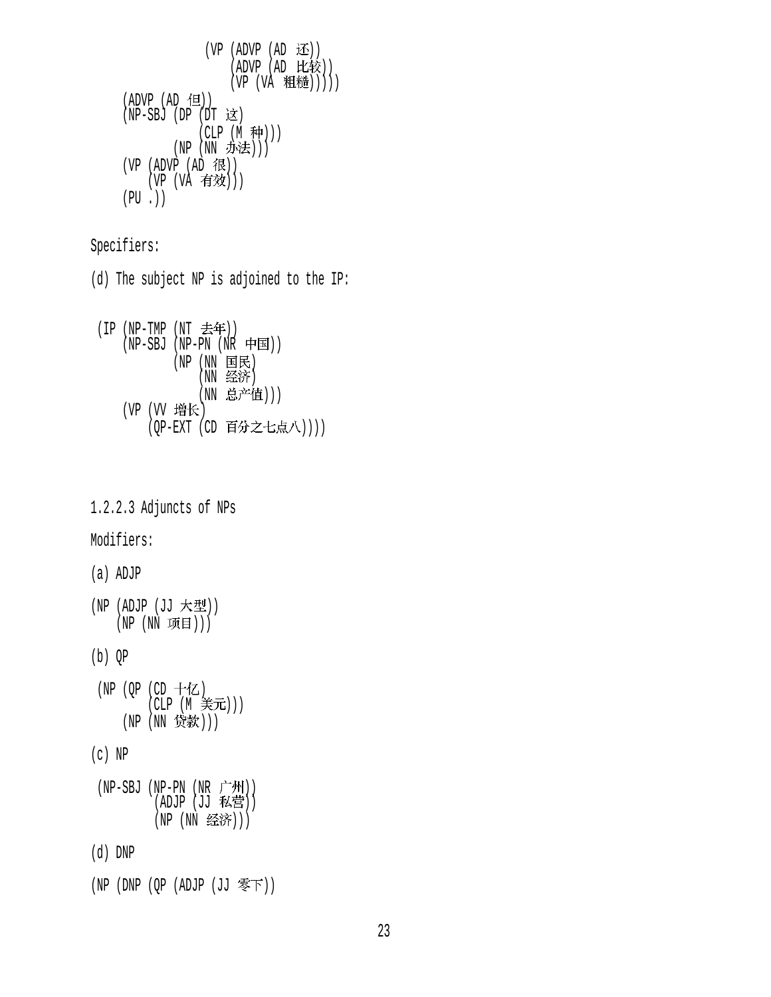```
(VP (ADVP (AD E))(ADVP (AD 比较))
                  (VP (VA H<sup>*</sup>())))
(ADVP (AD 1)(NP-SBJ (DP (DT \; \; \&))
             (CLP (M 种)))
        (NP (NN 办法)))
(VP (ADVP (AD R))(VP (VA \t{f} \t{f} \t{f})))(PU.)
```
Specifiers:

(d) The subject NP is adjoined to the IP:

```
(IP (NP-TMP (NT 去年)))(NP-SBJ(NP-PN(NR +E))(NP(NN \tB)(NN 经济)
             (NN 总产值)))
   (VP (VV 增长)
      (QP-EXT (CD 百分之七点八))))
```
1.2.2.3 Adjuncts of NPs

## Modifiers:

#### (a) ADJP

(NP (ADJP  $(JJ \nmid \mathcal{F}\mathcal{L}$ )) (NP (NN 项目)))

#### (b) QP

 $(NP (OP (CD + Z))$  $(CLP (M  $\ncong$  1))$ (NP (NN 贷款)))

### (c) NP

| $(NP-SBJ (NP-PN (NR r^+M))$ |  |
|-----------------------------|--|
| (ADJP (JJ 私营))              |  |
| (NP (NN 经济)))               |  |

#### (d) DNP

```
(NP (DNP (QP (ADJP (JJ \; \overline{\mathscr{F}} \mathcal{F}))
```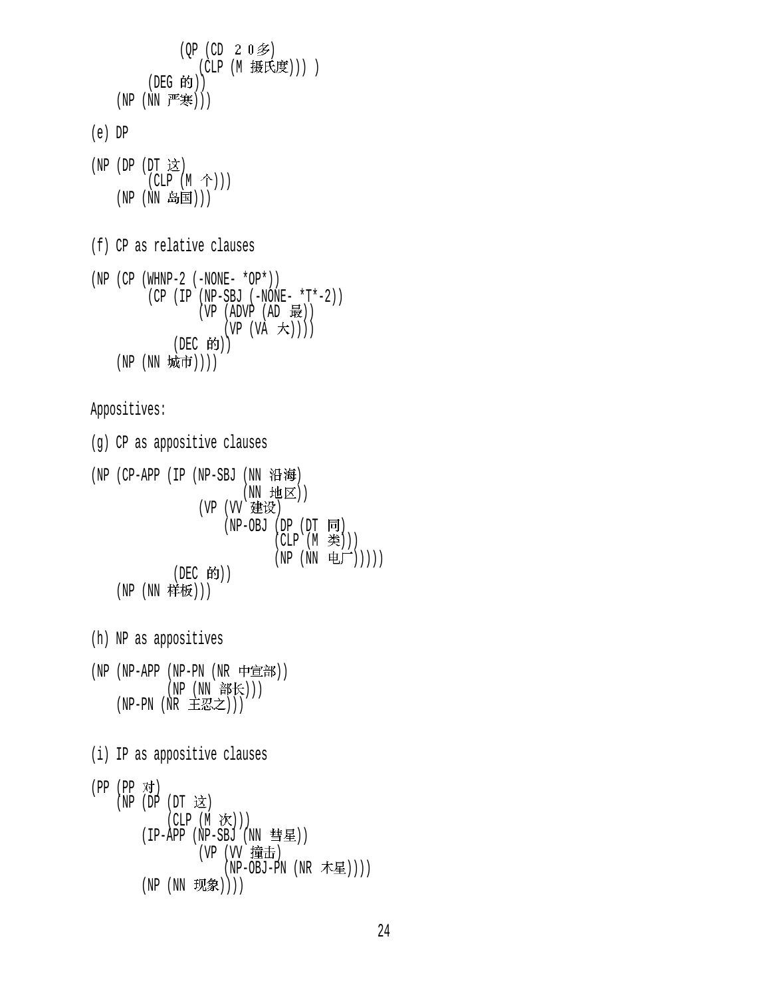```
(QP (CD 2 0 3)(CLP (M 摄氏度))) )
         (DEG 的))(NP (NN P^{\text{#}}))(e) DP 
(NP) (DP) (DT) 这
         (CLP (M \tbinom{\wedge}{})(NP (NN \nB [E]))(f) CP as relative clauses 
(NP (CP (WHNP-2 (-NONE- *OP*))) (CP (IP (NP-SBJ (-NONE- *T*-2)) 
                  (VP (ADVP (AD 1)(VP (VA \t{<math>\pm</math>)))(DEC 的))(NP (NN 城市))))
Appositives: 
(g) CP as appositive clauses 
(NP (CP-APP (IP (NP-SBJ (NN 沿海)
                         (NN 地区))
                  (VP (VV 建设)
                      (NP-OBJ (DP (DT \n\overline{F})(CLP(M, 3))
                              (NP (NN E)))))
             (DEC 的))
    (NP (NN 样板)))
(h) NP as appositives 
(NP (NP-APP (NP-PN (NR 中宣部))
            (NP (NN 部长)))
    (NP-PN (NR EZ)(i) IP as appositive clauses 
(PP (PP <i>Y</i>)+)(NP (DP (DT \; x))(CLP (M \mathcal{K})))(IP-APP (NP-SBJ (NN 彗星))
                  (VP (VV 撞击)
                      (NP-OBJ-PN (NR 木星))))
        (NP (NN 现象))))
```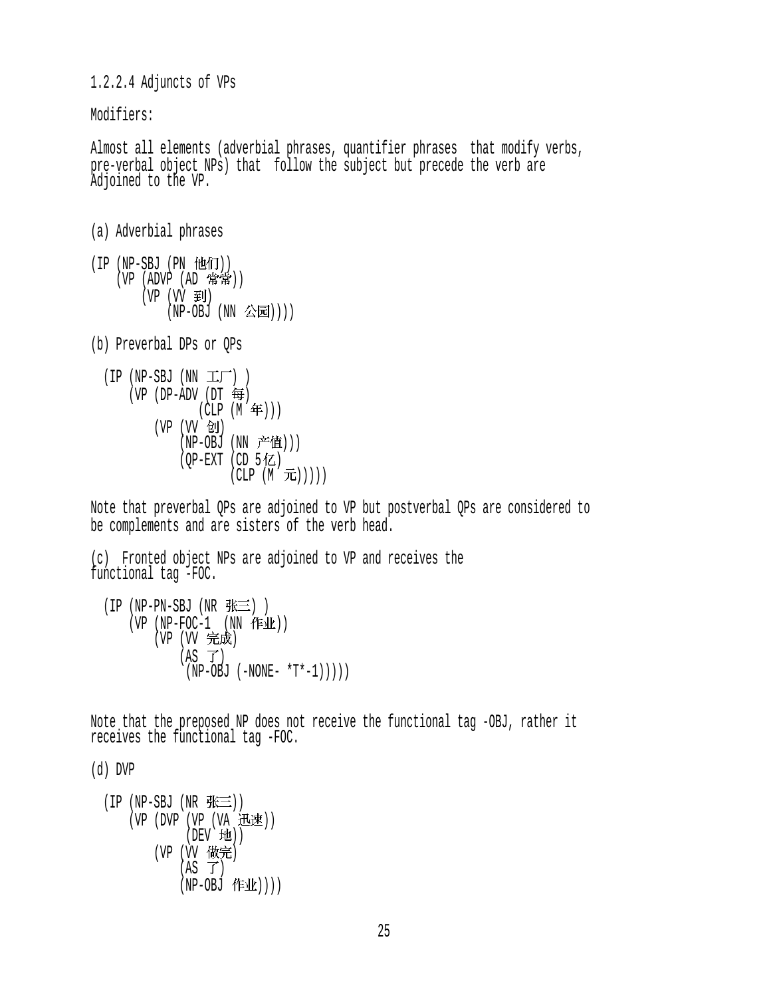1.2.2.4 Adjuncts of VPs

Modifiers:

Almost all elements (adverbial phrases, quantifier phrases that modify verbs, pre-verbal object NPs) that follow the subject but precede the verb are Adjoined to the VP.

```
(a) Adverbial phrases
```
- $(IP (NP-SBJ (PN  $ft\ddot{\mathbf{H}}))$$  $(VP (ADVP (AD ))$ (VP (VV 到)  $(NP-OBJ (NN \triangle\bar{E})))$
- (b) Preverbal DPs or QPs

$$
(IP (NP-SBJ (NN IT))\n(VP (DP-ADV (DT #)\n(CLP (M #)))\n(VP (VV & U)\n(NP-OBJ (NN Ë#)))\n(QP-EXT (CD 5#Z)\n(CLP (M  $\overline{J}E$ ))))  
\n(CLP (M  $\overline{J}E$ ))))
$$

Note that preverbal QPs are adjoined to VP but postverbal QPs are considered to be complements and are sisters of the verb head.

(c) Fronted object NPs are adjoined to VP and receives the functional tag -FOC.

```
(IP (NP-PN-SBJ (NR <math>\#E)</math>))(VP (NP-FOC-1 (NN fF1k))(VP (W 完成)
            (AS \tJ)(NP-OBJ (-NONE- *T*-1)))))
```
Note that the preposed NP does not receive the functional tag -OBJ, rather it receives the functional tag -FOC.

(d) DVP

$$
(IP (NP-SBJ (NR 3E))\n(VP (DVP (VP (VA 3E)E))\n(DEV 1EL))\n(VP (VV 1KE) \n(AS T)\n(NP-OBJ 1E)L)))
$$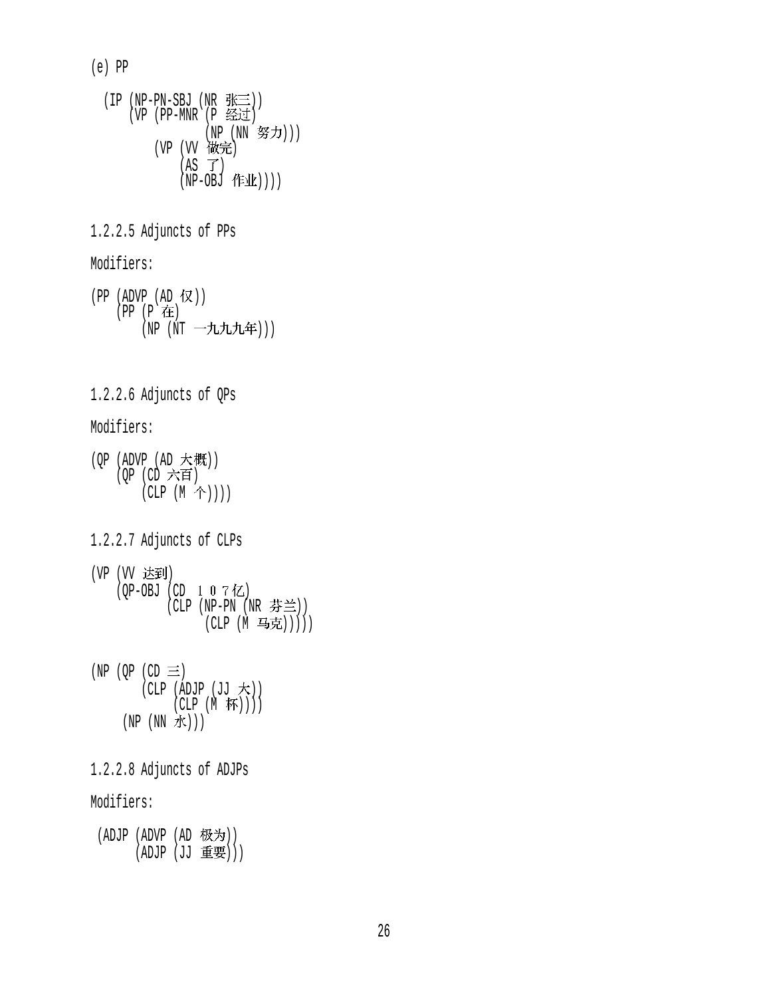(e) PP

 $(IP (NP-PN-SBJ (NR  $\# \equiv$ )))$  $(VP (PP-MNR (P  $\leq \leq t$ ))$ (NP (NN 努力))) (VP (VV 做完)  $(AS \ \vec{J})$  $(NP-OBJ$  作业 $))$ ) 1.2.2.5 Adjuncts of PPs Modifiers:  $(PP (ADVP (AD \tW))$  (PP (P ) (NP (NT 一九九九年))) 1.2.2.6 Adjuncts of QPs Modifiers:  $(OP (ADVP (AD t#)))$  $(QP$   $(CD \nrightarrow E)$  $(CLP (M \hat{\uparrow}))))$ 1.2.2.7 Adjuncts of CLPs (VP (VV 达到)  $(QP-OBJ (CD 1 0 7 7Z))$ (CLP (NP-PN (NR 芬兰)) (CLP (M 马克))))) (NP (OP (CD  $\equiv$ )  $(CLP (ADJP (JJ \nmid \n}))$  $(CLP (M \overline{W}))$ )  $(NP(NN \n#))$ 1.2.2.8 Adjuncts of ADJPs Modifiers:  $(ADJP (ADVP (AD \t{tX})))$ (ADJP (JJ 重要)))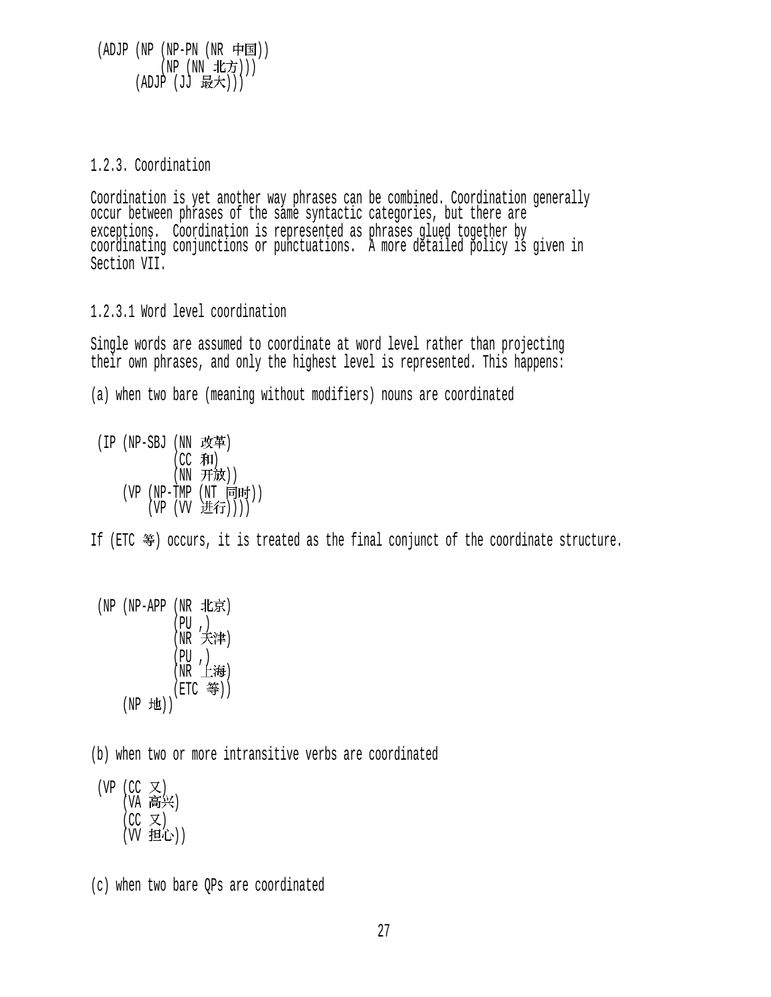$(ADJP (NP (NP-PN (NR \noplus)$ (NP (NN 北方)))  $(ADJP (JJ H)$ 

#### 1.2.3. Coordination

Coordination is yet another way phrases can be combined. Coordination generally occur between phrases of the same syntactic categories, but there are exceptions. Coordination is represented as phrases glued together by coordinating conjunctions or punctuations. A more detailed policy is given in Section VII.

1.2.3.1 Word level coordination

Single words are assumed to coordinate at word level rather than projecting their own phrases, and only the highest level is represented. This happens:

(a) when two bare (meaning without modifiers) nouns are coordinated

 $(IP (NP-SBJ (NN \; K)$  $(CC$  和) (NN 开放))  $(VP (NP-TMP (NT 同时))$  $(VP (W$  进行 $))))$ 

If (ETC  $\mathcal{F}$ ) occurs, it is treated as the final conjunct of the coordinate structure.

$$
\begin{array}{ll} \text{(NP (NP-APP (NR \t 1k \bar{\pi})} \\ \text{(PU, )} \\ \text{(NR \t 1k \bar{\pi})} \\ \text{(PR (P, )} \\ \text{(NR \t 1k \bar{\pi})} \\ \text{(NR \t 1k \bar{\pi})} \\ \text{(NP 1k \bar{\pi})} \\ \text{(NP 1k \bar{\pi})}) \end{array}
$$

(b) when two or more intransitive verbs are coordinated

(VP (CC  $\chi$ )  $(VA \nightharpoonup K)$  $(CC \times)$ (W 担心))

<sup>(</sup>c) when two bare QPs are coordinated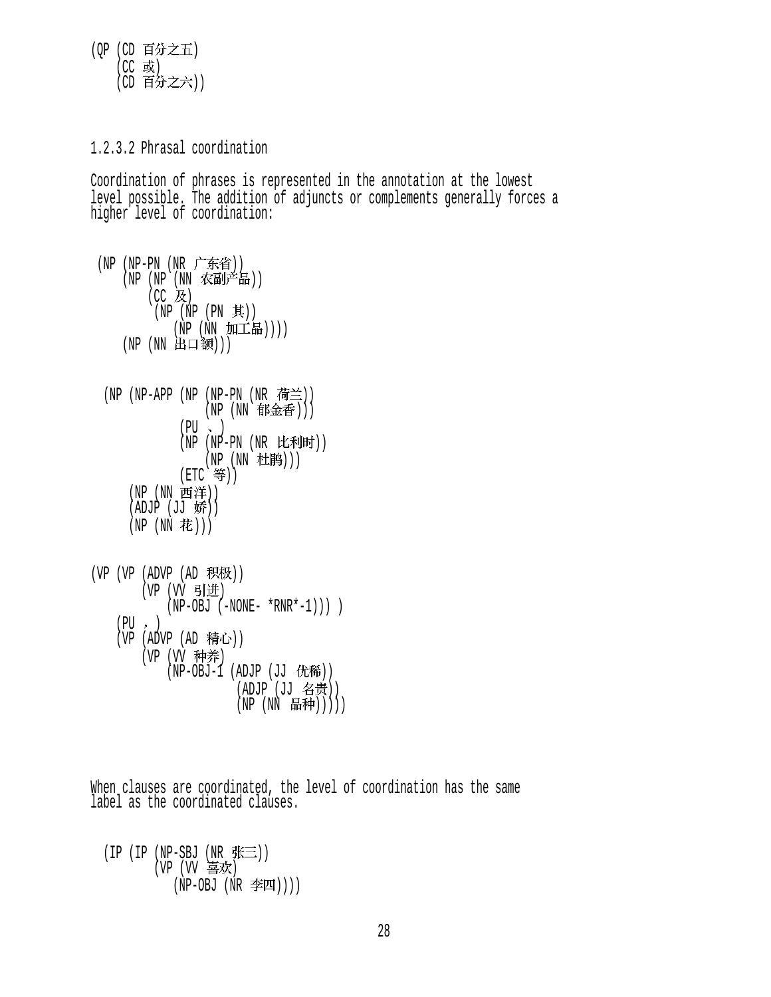(QP (CD 百分之五)  $(CC$  或) (CD 百分之六))

1.2.3.2 Phrasal coordination

Coordination of phrases is represented in the annotation at the lowest level possible. The addition of adjuncts or complements generally forces a higher level of coordination:

(NP (NP-PN (NR 广东省))  $(NP (NP NN \times \mathbb{R})^{\pm 1})$  $(CC$  及)  $(NP (NP (PN \#))$  $(NP(NN M \pm \frac{1}{2})))$ (NP (NN 出口额))) (NP (NP-APP (NP (NP-PN (NR 荷兰))  $(NP (NN$  郁金香 $)))$  $(PU \sim )$  $(NP (NP-PN (NR EEMH))$ (NP (NN 杜鹃)))  $(ETC \;$  等 $))$ (NP (NN 西洋))  $(ADJP (JJ$ 娇 $))$  $(NP (NN$ 花 $)))$  $(VP (VP (ADVP (AD R R)$ (VP (VV 引进)  $(NP-OBJ (-NONE- *RNR*-1)))$  $(PU, )$ (VP  $(ADVP (AD f#C))$ (VP (VV 种养)  $(NP-OBJ-1$  (ADJP (JJ 优稀))

(ADJP (JJ 名贵))  $(NP (NN H#)))$ 

When clauses are coordinated, the level of coordination has the same label as the coordinated clauses.

(IP (IP ( $NP-SBJ$  ( $NR$   $\mathcal{H}\equiv$ )) (VP (VV 喜欢)  $(NP-OBJ (NR \ncong I)))$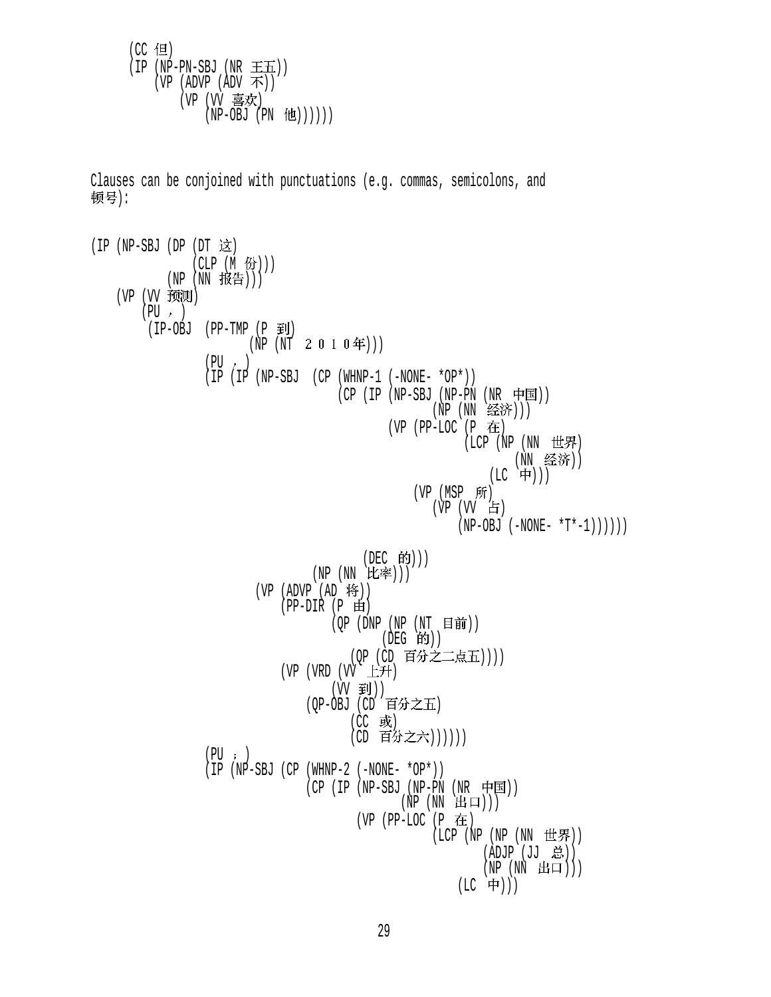$(CC$  但  $(IP (NP-PN-SBJ (NR \pm \pm))$ (VP (ADVP (ADV 不)) (VP (VV 喜欢)  $(NP-OBJ (PN (t)))))$ 

Clauses can be conjoined with punctuations (e.g. commas, semicolons, and 顿号):

```
(IP (NP-SBJ (DP (DT \; \&))(CLP(M \t{B})))(NP(NN H#))(VP (VV 预测)
       (PU, )(IP-OBJ (PP-TMP (P \tilde{=}))(NP (NT 2 0 1 0 4))
                 (PIJ, )(IP (IP (NP-SBJ (CP (WHNP-1 (-NONE- *OP*))(CP (IP (NP-SBJ (NP-PN (NR \noplus \nightharpoonup))(NP (NN 经济)))
                                             (VP (PP-LOC (P \tdiv E)( LCP  (NP ( NN  世界)
                                                               (NN 经济))
                                                            (LC 中)))
                                                (VP (MSP Ff)(VP (W F)(NP-OBJ (-NONE- *T*-1)))))(DEC 的))) (NP (NN ))) 
                        (VP (ADVP (AD 19))(PP-DIR (P \n\mathbf{H}))(QP (DNP (NP (NT 111))(DEG 的))
                                       (QP (CD 百分之二点五))))
                            (VP (VRD (VV E#))(VV \oplus I) (QP-OBJ (CD ) 
                                       (CC 或)
                                       (CD 百分之六))))))
                 (PU; )(IP (NP-SBJ (CP (WHNP-2 (-NONE- *OP*)))(CP (IP (NP-SBJ (NP-PN (NR \noplus))))(NP (NN H<sub>1</sub>)))(VP (PP-LOC (P在
                                                   ( LCP ( NP ( NP ( NN t#F)))(ADJP (JJ <math>\dot{\mathbb{E}}</math>)))(NP (NN H\Box)))(LC 中)))
```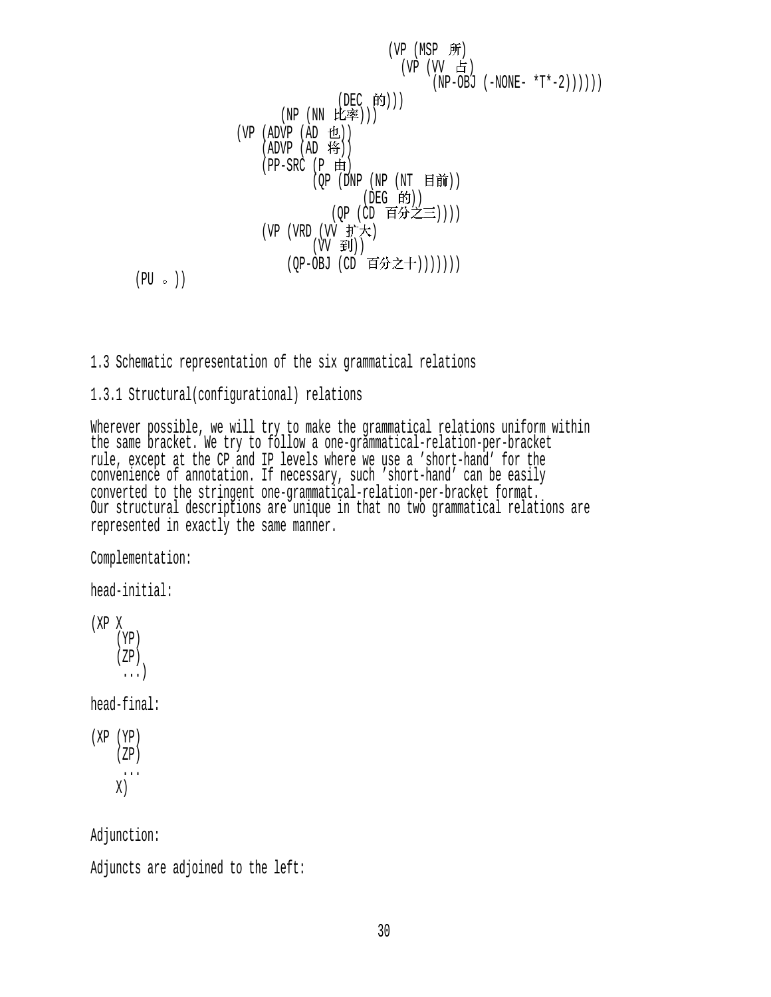\n
$$
\begin{array}{c}\n \text{(VP (MSP }\#f) \\
 \text{(VP (UV }\#f) \\
 \text{(NP -OBJ (-NONE- *T*-2)))))} \\
 \text{(NP (NN }\#f)) \\
 \text{(NP (NN }\#f)) \\
 \text{(AP (AD 'H))} \\
 \text{(AP (AD 'H))} \\
 \text{(AP (AD 'H))} \\
 \text{(PP -SRC (P \#f))} \\
 \text{(QP (DNP (NP (NT \n H \#f))1} \\
 \text{(DP (CD 'H#J') + (DP 'H))1} \\
 \text{(VP (VRD (VV \#J')) + (VP 'H))1} \\
 \text{(VP -OBJ (CD 'H#J2+)))))))\n
$$

 $(PU \circ)$ 

## 1.3 Schematic representation of the six grammatical relations

## 1.3.1 Structural(configurational) relations

Wherever possible, we will try to make the grammatical relations uniform within the same bracket. We try to follow a one-grammatical-relation-per-bracket rule, except at the CP and IP levels where we use a 'short-hand' for the convenience of annotation. If necessary, such 'short-hand' can be easily converted to the stringent one-grammatical-relation-per-bracket format. Our structural descriptions are unique in that no two grammatical relations are represented in exactly the same manner.

Complementation:

head-initial:

(XP X (YP) (ZP) ...) head-final: (XP (YP)  $(ZP)$ 

 ...  $X)$ 

Adjunction:

```
Adjuncts are adjoined to the left:
```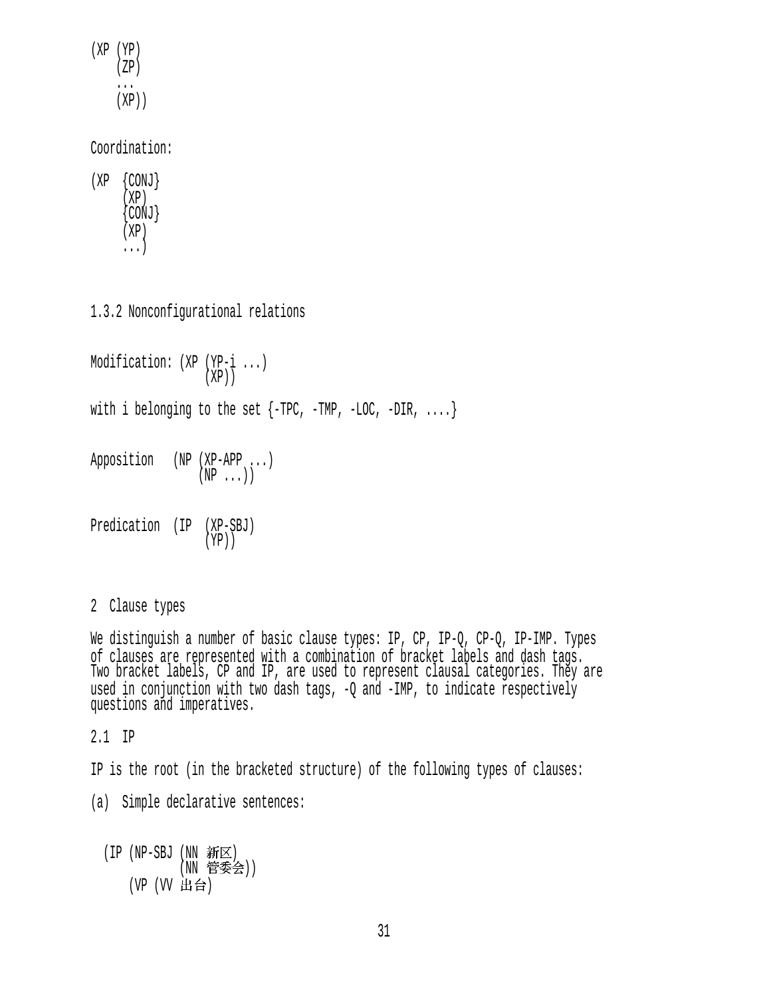(XP (YP) (ZP) ... (XP))

Coordination:

(XP {CONJ} (XP)  ${ \big\{ \text{CONJ} \big\}}$  $(XP)$ ...)

1.3.2 Nonconfigurational relations

Modification: (XP (YP-i ...)  $(XP)$ with i belonging to the set  $\{-TPC, -TMP, -LOC, -DIR, ... \}$ Apposition (NP (XP-APP ...)  $(NP \ldots)$ Predication (IP (XP-SBJ) (YP))

2 Clause types

We distinguish a number of basic clause types: IP, CP, IP-Q, CP-Q, IP-IMP. Types of clauses are represented with a combination of bracket labels and dash tags. Two bracket labels, CP and IP, are used to represent clausal categories. They are used in conjunction with two dash tags, -Q and -IMP, to indicate respectively questions and imperatives.

2.1 IP

IP is the root (in the bracketed structure) of the following types of clauses:

(a) Simple declarative sentences:

(IP (NP-SBJ (NN 新区) (NN 管委会)) (VP (VV 出台)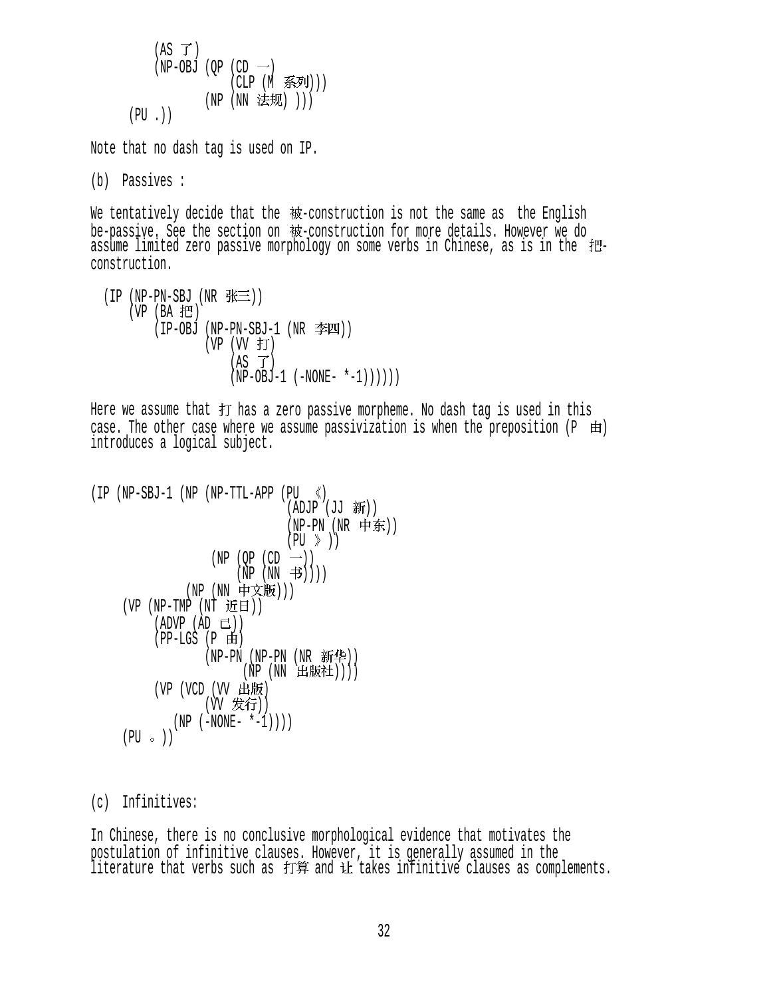$$
(AS \ f)
$$
\n
$$
(NP-OBJ (QP (CD \ -))
$$
\n
$$
(CLP (M \ \tilde{\mathcal{F}}^{j}J)))
$$
\n
$$
(PU .))
$$

Note that no dash tag is used on IP.

(b) Passives :

We tentatively decide that the  $\mathcal{H}$ -construction is not the same as the English be-passive. See the section on 被-construction for more details. However we do assume limited zero passive morphology on some verbs in Chinese, as is in the 把-<br>construction.

 $(IP (NP-PN-SBJ (NR  $\frac{m}{N} \equiv$ )))$  $(VP (BA H))$  $(IP-OBJ (NP-PN-SBJ-1 (NR  $\text{2} \text{F} \text{H}) )$$  $(VP (W f))$  $(AS \tI)$  $(NP-OBJ-1 (-NONE- *-1)))))$ 

Here we assume that  $#$  has a zero passive morpheme. No dash tag is used in this case. The other case where we assume passivization is when the preposition  $(P \oplus I)$ introduces a logical subject.

```
(IP(NP-SBJ-1(NP(NP-TTL-APP(PU < <math>))(ADJP (JJ <math>3\frac{1}{3}m</math>))(NP-PN (NR 中东))
                                    (PU \geqslant))(NP (QP (CD \rightarrow))(NP(NN \t\ddot{\theta}))(NP (NN 中文版)))
       (VP (NP-TMP (NT )) 
           (ADVP (AD E))(PP-LGS (P \nleftrightarrow)(NP-PN (NP-PN (NR 新华))
                            (NP(NN H)版社)))(VP (VCD (VV H/III))(W 发行))
               (NP (-NONE- *-1))(PU \circ )
```
(c) Infinitives:

In Chinese, there is no conclusive morphological evidence that motivates the postulation of infinitive clauses. However, it is generally assumed in the literature that verbs such as 引昇 and 让 takes infinitive clauses as complements.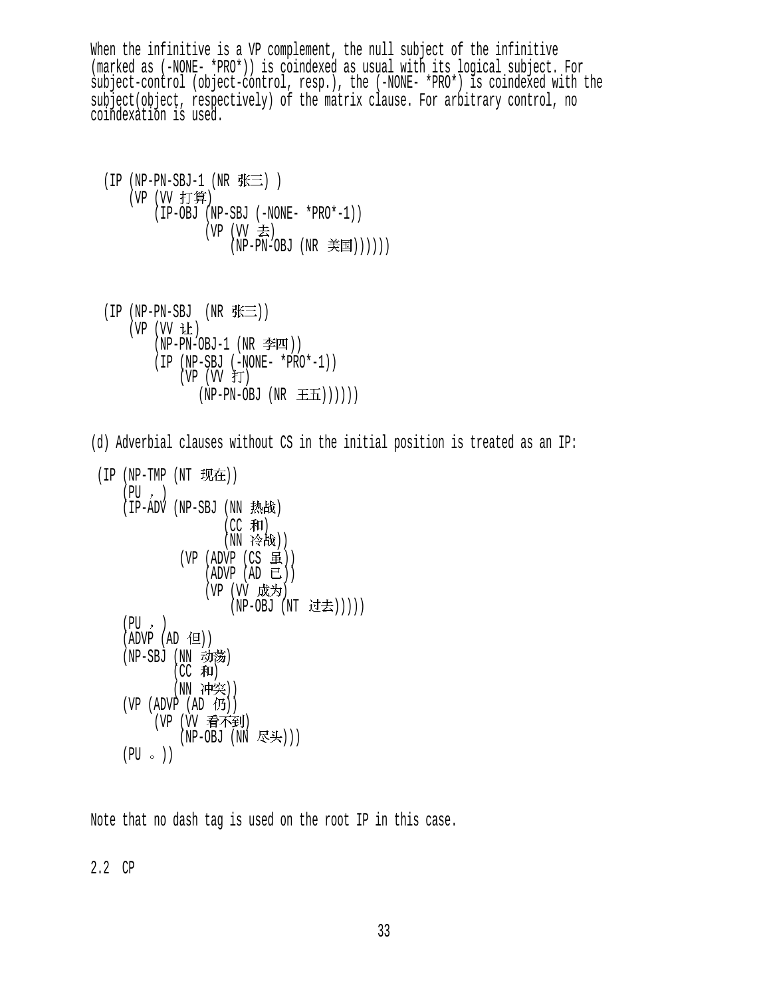When the infinitive is a VP complement, the null subject of the infinitive (marked as (-NONE- \*PRO\*)) is coindexed as usual with its logical subject. For subject-control (object-control, resp.), the (-NONE- \*PRO\*) is coindexed with the subject(object, respectively) of the matrix clause. For arbitrary control, no coindexation is used.

 $(IP (NP-PN-SBJ-1 (NR  $\nexists)$  )$ (VP (VV 打算) (IP-OBJ (NP-SBJ (-NONE- \*PRO\*-1)) (VP  $(W \pm)$  $(NP-PN-OBJ (NR \;$ 

 $(IP (NP-PN-SBJ (NR  $\frac{R}{N} \equiv$ )))$ (VP (VV 让)  $(NP-PN-OBJ-1$   $(NR \cong II))$  (IP (NP-SBJ (-NONE- \*PRO\*-1))  $(VP (W f))$  $(NP-PN-OBJ (NR \pm \pm 1))))$ 

(d) Adverbial clauses without CS in the initial position is treated as an IP:

```
(IP(NP-TMP(NT \tmathcal{H}(PU, )(IP-ADV (NP-SBJ (NN, \frac{1}{100})(CC \#I)(NN 冷战))
            (VP (ADVP (CS H))(ADVP (AD E))(VP (VV 成为)
                    (NP-OBJ (NT t) \pm t))(PU, )(ADVP (AD 1)(NP-SBJ (NN 动荡)
           (CC 和)
           (NN 冲突))
    (VP (ADVP (AD 10))(VP (W 看不到)
            (NP-OBJ (NN 尽头)))
   (PU \circ )
```
Note that no dash tag is used on the root IP in this case.

2.2 CP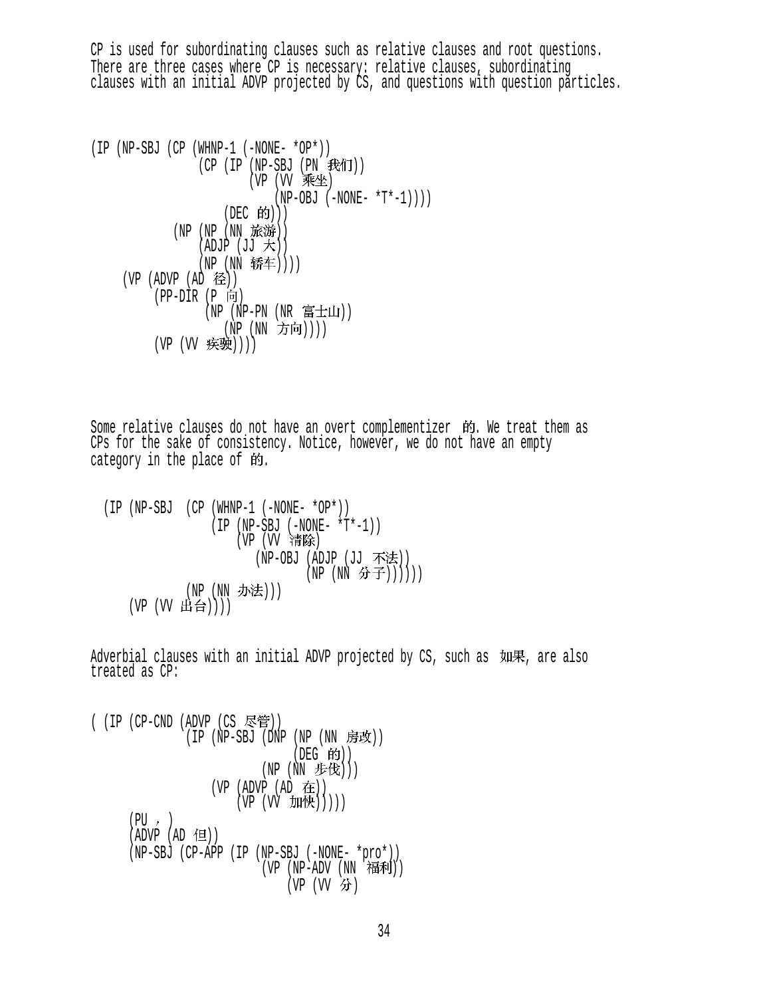CP is used for subordinating clauses such as relative clauses and root questions. There are three cases where CP is necessary: relative clauses, subordinating clauses with an initial ADVP projected by CS, and questions with question particles.

```
(IP (NP-SBJ (CP (WHNP-1 (-NONE- *OP*)) 
(CP (IP (NP-SBU (PN TX11))(VP (VV \rightarrow W \rightarrow W))(NP-OBJ (-NONE- *T*-1)))(DEC 的))(NP (NP (NN 旅游))
               (ADJP (JJ \nprec f))(NP (NN 轿车))))
     (VP (ADVP (AD )) 
        (PP-DIR (P F) (NP (NP-PN (NR )) 
                 (NP (NN 方向))))
        (VP (VV 疾驶))))
```
Some relative clauses do not have an overt complementizer 的. We treat them as CPs for the sake of consistency. Notice, however, we do not have an empty category in the place of  $\mathfrak{M}$ .

 (IP (NP-SBJ (CP (WHNP-1 (-NONE- \*OP\*)) (IP (NP-SBJ (-NONE- \*T\*-1)) (VP (VV 行)) (NP-OBJ (ADJP (JJ 不法))  $(NP (NN \nrightarrow \pm)))))$ (NP (NN 办法)))  $(VP (VV H$ 台 $)))$ 

Adverbial clauses with an initial ADVP projected by CS, such as  $\mu$  WH, are also treated as CP:

( (IP (CP-CND (ADVP (CS )) (IP (NP-SBJ (DNP (NP (NN )) (DEG )) (NP (NN ))) (VP (ADVP (AD )) (VP (VV ))))) (PU ) (ADVP (AD )) (NP-SBJ (CP-APP (IP (NP-SBJ (-NONE- \*pro\*)) (VP (NP-ADV (NN )) (VP (VV )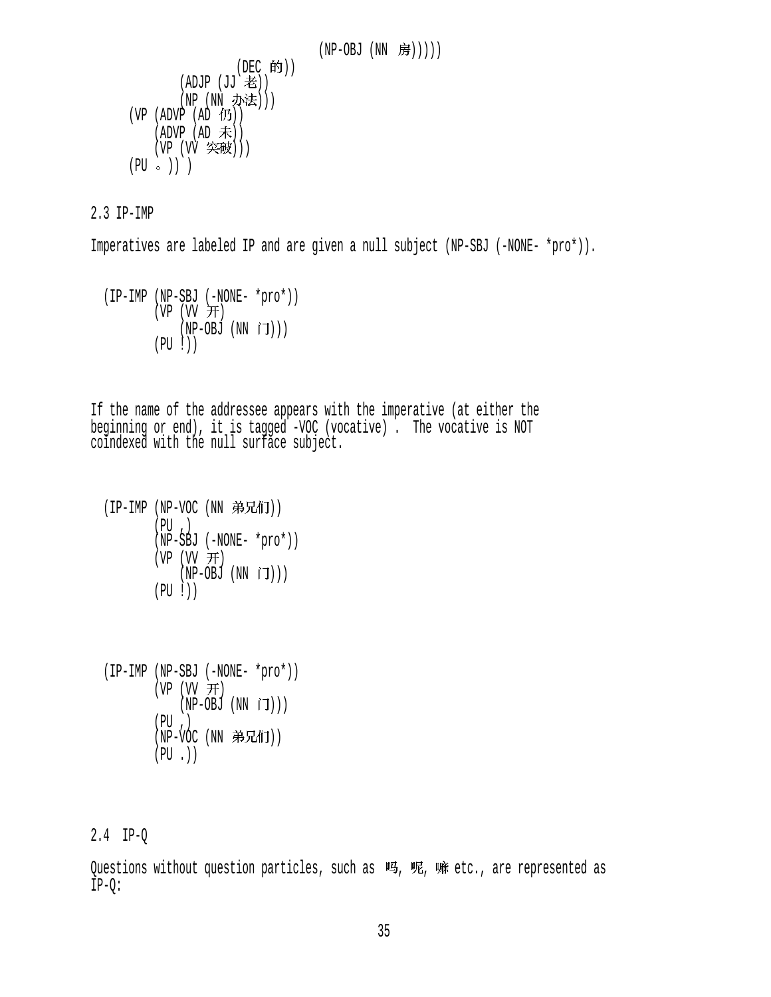```
 (NP-OBJ (NN )))))
```

```
(DEC 的))
        (ADJP (JJ \; \not\equiv))(NP (NN 办法)))
(VP (ADVP (AD 10))(ADVP (AD \neq))(VP (VV \, 突破)))(PU \circ) )
```
2.3 IP-IMP

Imperatives are labeled IP and are given a null subject (NP-SBJ (-NONE- \*pro\*)).

```
 (IP-IMP (NP-SBJ (-NONE- *pro*)) 
         (VP (VV H))(NP-OBJ (NN \tilde{J}))) (PU !))
```
If the name of the addressee appears with the imperative (at either the beginning or end), it is tagged -VOC (vocative) . The vocative is NOT coindexed with the null surface subject.

```
(IP-IMP (NP-VOC (NN 弟兄们))
        (PU, )(NP-SBJ (-NONE- *pro*))(VP (W H)(NP-OBJ (NN \rceil)) (PU !))
```
 (IP-IMP (NP-SBJ (-NONE- \*pro\*))  $(VP (W \#))$  $(NP-OBJ (NN IJ)))$  $(PU, )$ (NP-VOC (NN 弟兄们))  $(PU, )$ 

# 2.4 IP-Q

Ouestions without question particles, such as 吗, 呢, 嘛 etc., are represented as IP-Q: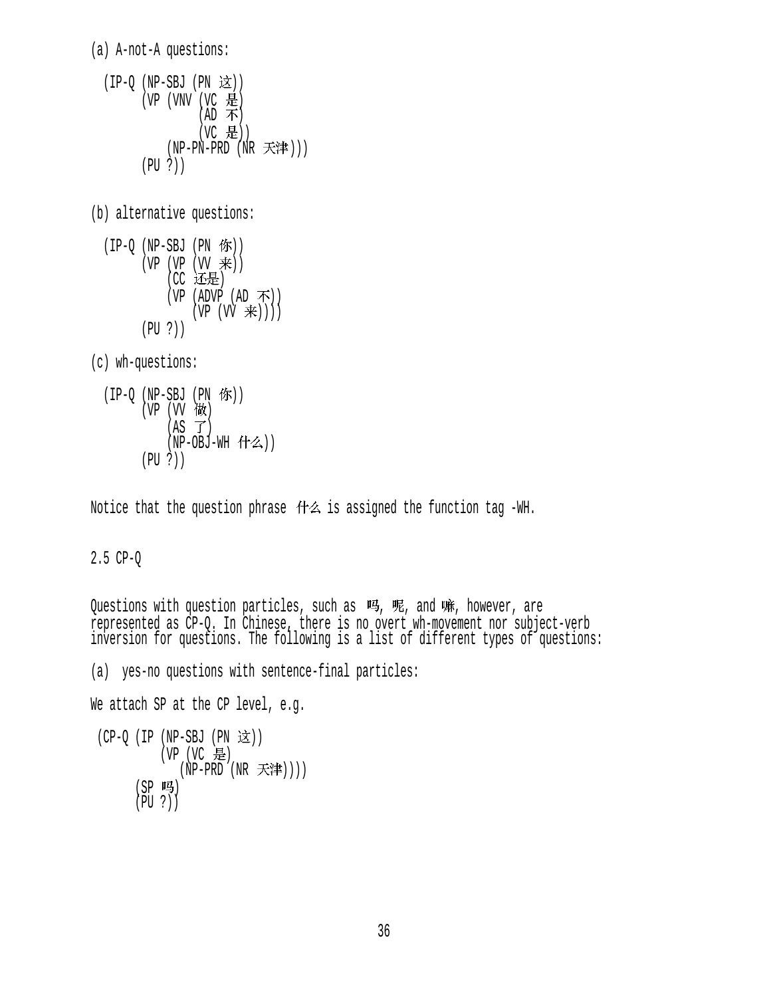(a) A-not-A questions:

```
(IP-Q (NP-SBJ (PN <math>\geq 1</math>))(VP (VNV (VC 是)
                  (AD \; \pi)(VC 是))
            (NP-PN-PRD (NR 天津)))
        (PU ?))
```
(b) alternative questions:

 $(IP-Q (NP-SBJ (PN 6F))$  $(VP (VP (VV$  $|CC$  还是 $|$  $(VP (ADVP (AD \, \mathcal{F}))$  $(VP (VV \neq))$ ) (PU ?))

(c) wh-questions:

$$
\begin{array}{ll}\n(\text{IP-Q} & (\text{NP-SBJ} \text{ (PN} \text{ } \text{``$K$}) ) \\
(\text{VP} \text{ (VV} \text{ } \text{``$K$}) \\
(\text{AS} \text{ } \text{''} \text{)} \\
(\text{NP-OBJ-WH} \text{ } (\text{†} \text{4$})\n) \\
(\text{PU ?})\n)\n\end{array}
$$

Notice that the question phrase  $H^2$  is assigned the function tag -WH.

## 2.5 CP-Q

Questions with question particles, such as 吗, 呢, and 嘛, however, are represented as CP-Q. In Chinese, there is no overt wh-movement nor subject-verb inversion for questions. The following is a list of different types of questions:

(a) yes-no questions with sentence-final particles: We attach SP at the CP level, e.g.  $(CP-Q (IP (NP-SBJ (PN  $\dot{\mathbb{Z}}$ )))$ 

```
(VP (VC 是)
         (NP-PRD'(NR \nexists \mathbb{R}^*)))(SP 吗)
 (PU ?))
```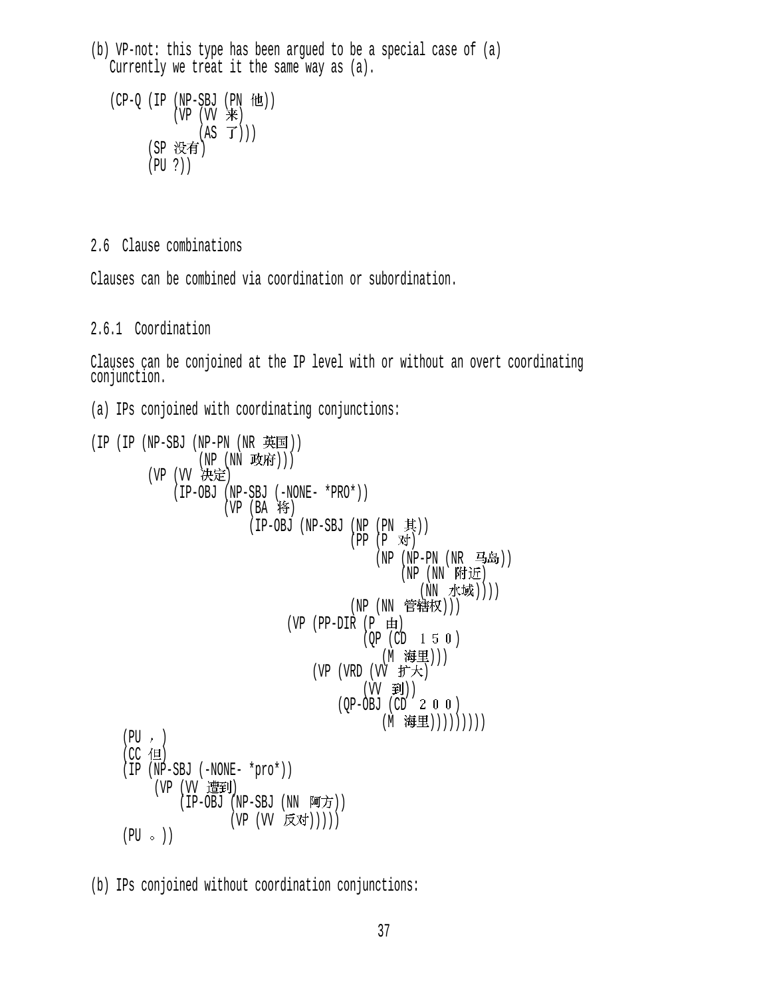(b) VP-not: this type has been argued to be a special case of (a) Currently we treat it the same way as (a).

```
(CP-Q (IP (NP-SBJ (PN <math>ftL</math>)))(VP (VV)来
                  (AS \ \vec{J}))(SP 没有)
        (PU ?))
```
2.6 Clause combinations

Clauses can be combined via coordination or subordination.

### 2.6.1 Coordination

Clauses can be conjoined at the IP level with or without an overt coordinating conjunction.

(a) IPs conjoined with coordinating conjunctions:

```
(IP (IP (NP-SBJ (NP-PN (NR) H<math>\overline{H})</math>)))(NP (NN 政府)))
         (VP (VV 决定)
               (IP-OBJ (NP-SBJ (-NONE- *PRO*)) 
                      (VP (BA 将)
                           (IP-OBJ (NP-SBJ (NP (PN \n<math>\not\equiv</math>)))(PP (P 对)
                                                 (NP (NP-PN (NR 4.4)(NP (NN)附近
                                                        (NN 水域))))
                                            (NP (NN 管辖权)))
                                 (VP (PP-DIR (P \nleftrightarrow))(QP (CD 1 5 0))(M 海里)))
                                      (VP (VRD (VV f \ddot{\mathcal{F}}\mathcal{F}))(\forall \lor \bot \pm i) )
(QP-OBJ (CD Z U U)(M 海里)))))))))
     (PU, )(CC 但)
     (IP (NP-SBJ (-NONE- *proc*)))(VP (VV 遭到)
               (IP-OBJ (NP-SBJ (NN \n<math>\overline{M} \n<math>\overline{D})</math>)(VP (VV 反对)))))
     (PU \circ)
```
(b) IPs conjoined without coordination conjunctions: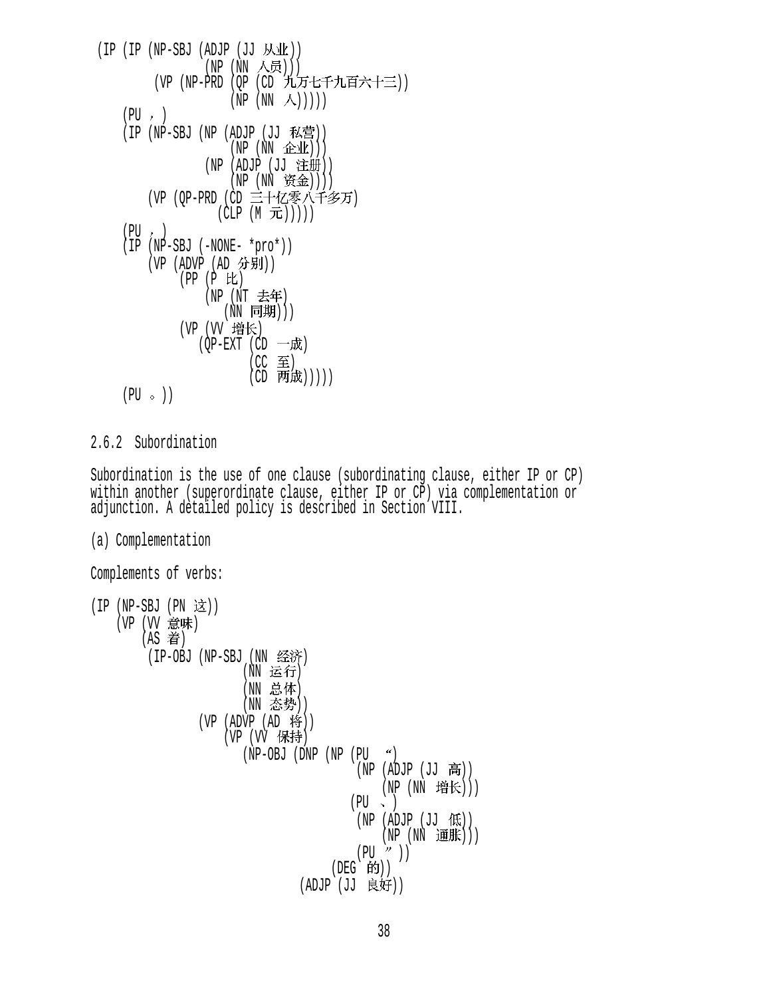```
(IP (IP (NP-SBJ (ADJP (JJ M_M))(NP (NN 人员)))
                (VP (NP-PRD (QP (CD 九万七千九百六十三))
                                      (NP (NN \wedge)))(PU, )(IP (NP-SBJ (NP (ADJP (JJ 私营))
                                       (NP(NN \t\&\t\&\t))(NP (ADJP (JJ 注册))
                                      (NP (NN \t\&\t\&))(VP (OP-PRD (CD 三十亿零八千多万)
                                  (CLP(M\,\,\overline{\hbox{--}}\hbox{--})))(PU, ) (IP (NP-SBJ (-NONE- *pro*)) 
               (VP (ADVP (AD )) 
                        (PP (P E)(NP (NT 去年)
                                    (NN \quad \rbox{r} = \rbox{r} = \rbox{r} = \rbox{r} = \rbox{r} = \rbox{r} = \rbox{r} = \rbox{r} = \rbox{r} = \rbox{r} = \rbox{r} = \rbox{r} = \rbox{r} = \rbox{r} = \rbox{r} = \rbox{r} = \rbox{r} = \rbox{r} = \rbox{r} = \rbox{r} = \rbox{r} = \rbox{r} = \rbox{r} = \rbox{r} = \rbox{r} = \rbox{r} = \rbox{r} = \rbox{r} = \rbox{r} = \rbox{r} = \rbox{r(VP (VV 增长)
                             (QP-EXT (CD 一成)
                                            (CC \tB)(CD 两成)))))
       (PU \circ)
```
### 2.6.2 Subordination

Subordination is the use of one clause (subordinating clause, either IP or CP) within another (superordinate clause, either IP or CP) via complementation or adjunction. A detailed policy is described in Section VIII.

```
(a) Complementation
```

```
Complements of verbs: 
(IP (NP-SBJ (PN <math>\dot{\mathbb{X}})</math>)(VP (VV 意味)
         (AS 着)
          (IP-OBJ (NP-SBJ (NN 经济)
                            (NN 运行)
                            (NN 总体)
                            (NN 态势))
                   (VP (ADVP (AD 19))(VP (VV 保持)
                           (NP-OBJ (DNP (NP (PU <math>^{\prime\prime}</math>))(NP (ADJP (JJ 高))(NP (NN 增长)))
                                               (PU \sim )(NP (ADJP (JJ (R)))(NP(NN \t{if } \#)))(PU'')(DEG |的))
                                       (ADJP (JJ ))
```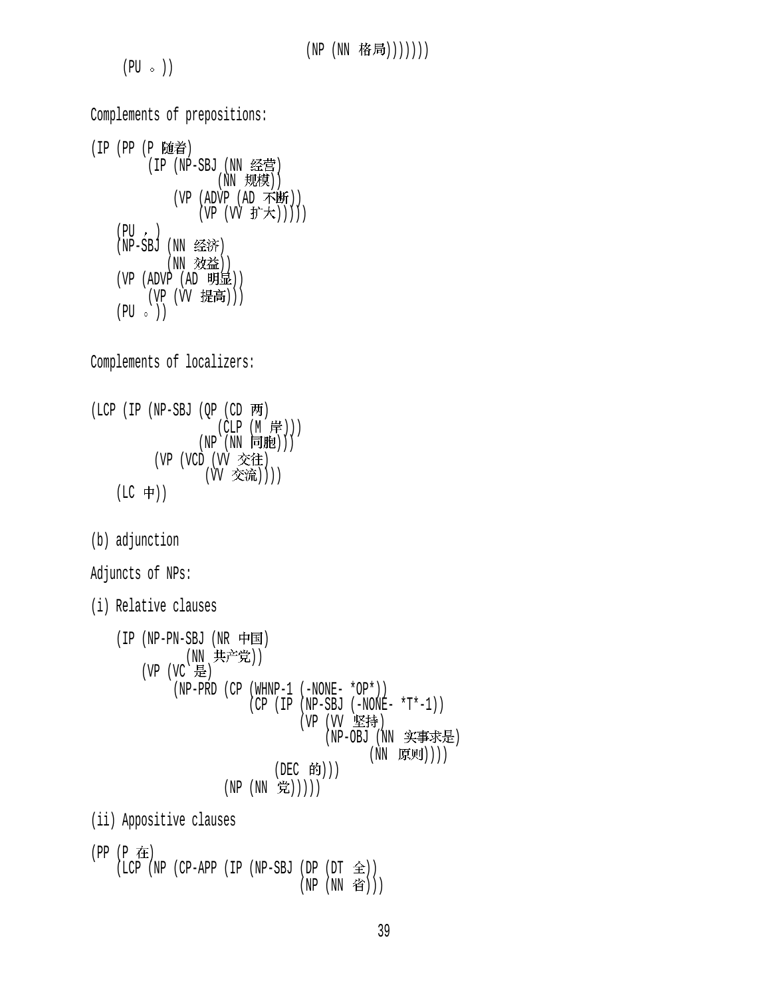$(PU \circ )$ 

Complements of prepositions: (IP (PP (P 随着) (IP (NP-SBJ (NN 经营)  $(NN$  规模)) (VP (ADVP (AD 不断))  $(VP (VV H^* \pm \mathcal{F}))$  $(PU, )$ (NP-SBJ (NN 经济) (NN 效益)) (VP (ADVP (AD )) (VP (VV 提高)))  $(PU \circ )$ Complements of localizers:  $(LCP (IP (NP-SBJ (OP (CD  $\overline{p}$$ (CLP (M 岸)))  $(NP(NN \; \fbox{m}, \fbox{m}))$ (VP (VCD (VV 交往)  $(\overline{VV} \times \overline{\mathfrak{R}}))$  $(LC + 1)$ (b) adjunction Adjuncts of NPs: (i) Relative clauses  $(IP (NP-PN-SBJ (NR \nleftrightarrow \nabla))$ (NN 共产党))  $(VP (VC E)$  (NP-PRD (CP (WHNP-1 (-NONE- \*OP\*))  $(CP (IP (NP-SBJ (-NONE- *T*-1)))$ (VP (VV 坚持) (NP-OBJ (NN 实事求是) (NN 原则)))) (DEC 的)))  $(NP (NN  $\ncong$ )))))$ (ii) Appositive clauses (PP (P 在)  $( LCP (NP (CP-APP (IP (NP-SBJ (DP (DT  $\triangle$ )))$ (NP (NN 省)))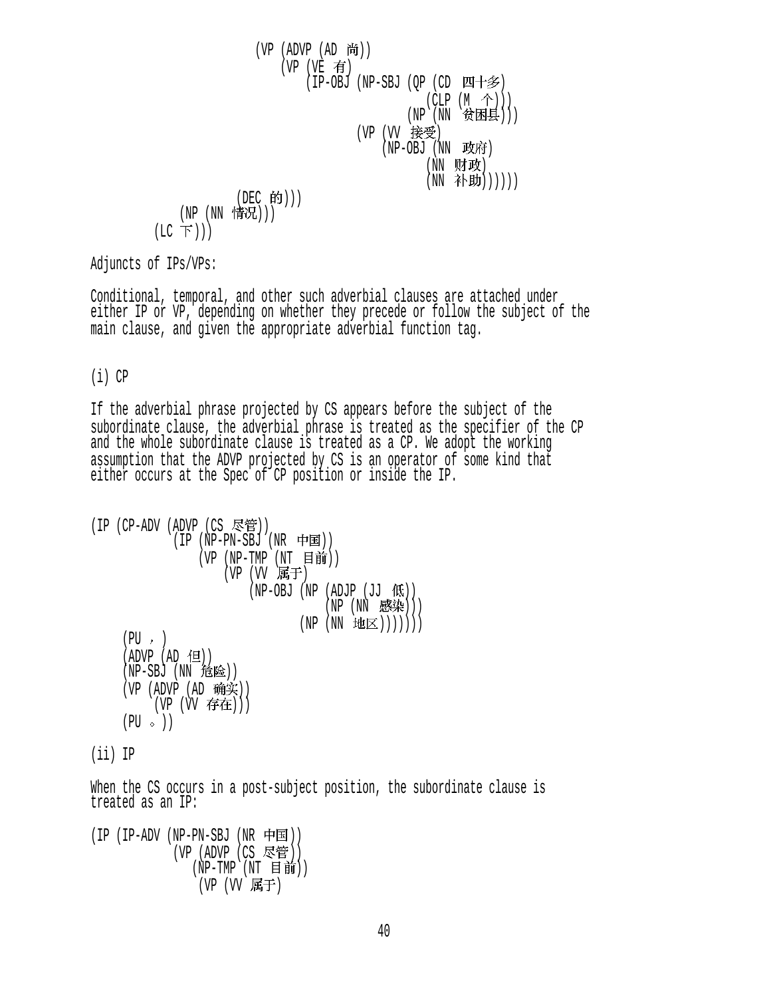$$
\begin{array}{c}\n\text{(VP (ADVP (AD \ H)))}\\
\text{(VP (VE \ \ \overline{f}\text{f})})\\
\text{(IP-OBJ (NP-SBJ (QP (CD UH \ \overline{f}\text{F})))}\\
\text{(CLP (M \ \textcircled{f})))}\\
\text{(NP (NN \ \textcircled{f}\textcircled{f})})\\
\text{(VP (VV \ \textcircled{f}\textcircled{f}\textcircled{f})\\
\text{(NP (NN \ \textcircled{f}))))}\\
\text{(NE (NN \ \textcircled{f}\textcircled{f}))))}\\
\text{(LCC \ \overline{F})))}\\
\text{(LC \ \overline{F})))}\n\end{array}
$$

Adjuncts of IPs/VPs:

Conditional, temporal, and other such adverbial clauses are attached under either IP or VP, depending on whether they precede or follow the subject of the main clause, and given the appropriate adverbial function tag.

### (i) CP

If the adverbial phrase projected by CS appears before the subject of the subordinate clause, the adverbial phrase is treated as the specifier of the CP and the whole subordinate clause is treated as a CP. We adopt the working assumption that the ADVP projected by CS is an operator of some kind that either occurs at the Spec of CP position or inside the IP.

```
(IP (CP-ADV (ADVP (CS \n<math>\nabla</math>>)))(IP (NP-PN-SBJ (NR \nleftrightarrow \nexists))(VP (NP-TMP (NT H#))(VP (VV F<sub>1</sub>(NP-OBJ (NP (ADJP (JJ (fK)))(NP(NN \t B染))
                                      (NP (NN H1(E))))))(PU, )(ADVP (AD ( 1 ) )(NP-SBJ (NN 危险))(VP (ADVP (AD 0)(VP (VV 存在)))
     (PU \circ)(ii) IP
```
When the CS occurs in a post-subject position, the subordinate clause is treated as an IP:

 $(IP (IP-ADV (NP-PN-SBJ (NR \nleftrightarrow \nexists))$ (VP (ADVP (CS 尽管))  $(NP-TMP (NT \t\t\mathsf{H} \t\t\hat{\mathsf{m}}))$ (VP (VV 属于)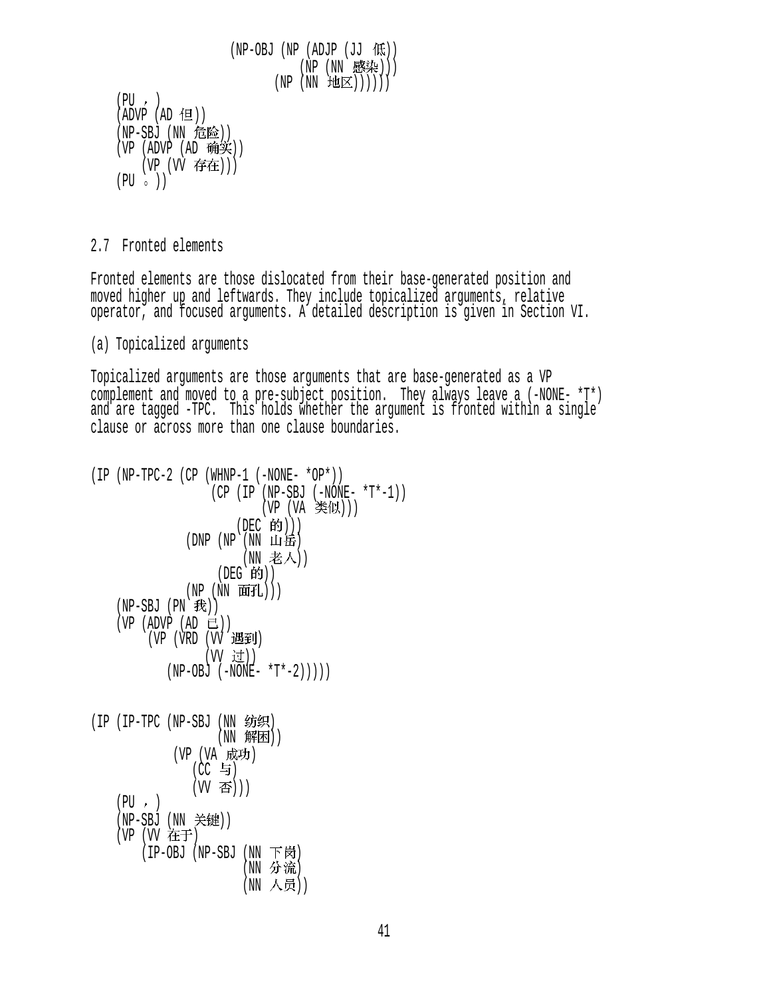```
(NP-OBJ (NP (ADJP (JJ (R)))(NP (NN 感染)))
                                (NP(NN \t\t\text{H}(X)))) (PU ) 
(ADVP (AD 1)(NP-SBJ (NN 危险))
(VP (ADVP (AD  \, \, \hat{\mathfrak{m}} \hat{\mathfrak{X}}))(VP (VV 存在)))
(PU \circ )
```
#### 2.7 Fronted elements

Fronted elements are those dislocated from their base-generated position and moved higher up and leftwards. They include topicalized arguments, relative operator, and focused arguments. A detailed description is given in Section VI.

#### (a) Topicalized arguments

Topicalized arguments are those arguments that are base-generated as a VP complement and moved to a pre-subject position. They always leave a (-NONE- \*T\*) and are tagged -TPC. This holds whether the argument is fronted within a single clause or across more than one clause boundaries.

```
(IP (NP-TPC-2 (CP (WHNP-1 (-NONE- *OP*)) 
                  (CP (IP (NP-SBJ (-NONE- *T*-1)) 
                         (VP (VA 类似)))
                     (DEC 的)))
              (DNP(NP(NN) 111岳)
                      (NN 老人))
                  (DEG 的))(NP (NN 面孔)))
   (NP-SBJ (PN \t#))(VP (ADVP (AD E))(VP (VRD (VV 遇到)
                 (W 过))
           (NP-OBJ (-NONE- *T*-2)))))
(IP (IP-TPC (NP-SBJ (NN 纺织)
                  (NN 解困))(VP (VA 成功)
               (CC 与)
               (W 否)))
   (PU, )(NP-SBJ (NN 关键))
   (VP (VV 在于)
       (IP-OBJ (NP-SBJ (NN 下岗)
                      (NN 分流)
                      (NN 人员))
```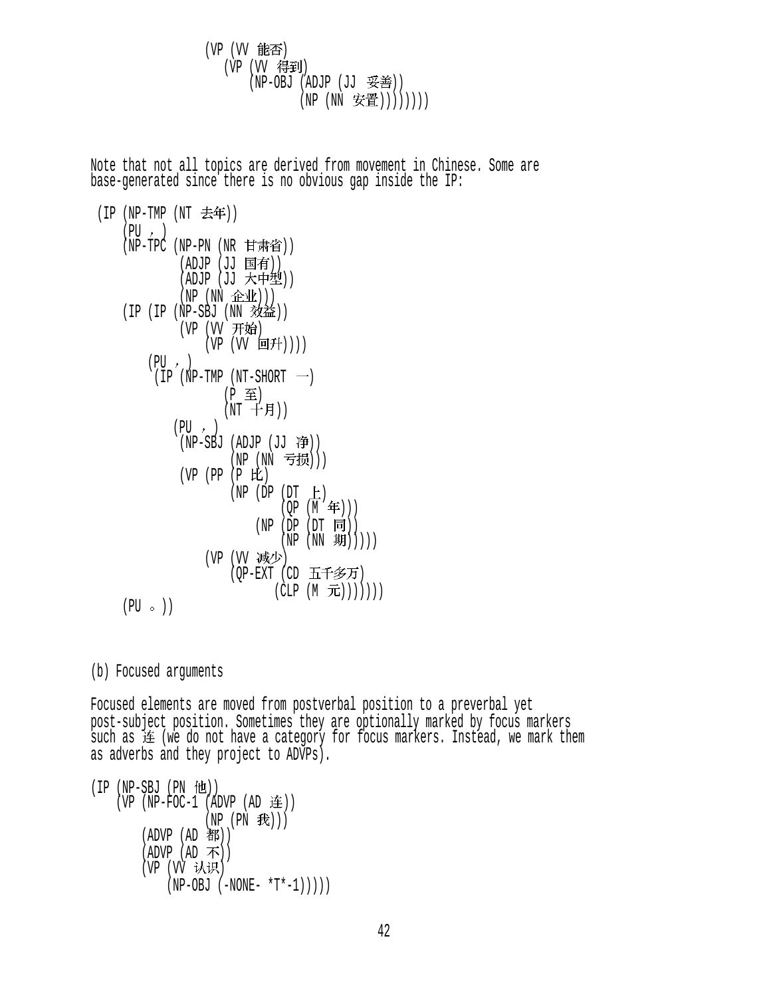(VP (VV 能否) (VP (VV 得到) (NP-OBJ (ADJP (JJ 妥善)) (NP (NN 安置)))))))))

Note that not all topics are derived from movement in Chinese. Some are base-generated since there is no obvious gap inside the IP:

```
(IP(NP-TMP(NT \t#f)))(PU, )(NP-TPC (NP-PN (NR 甘肃省))
             (ADJP (JJ 国有))
             (ADJP (JJ 大中型))
             (NP (NN \triangle\Psi))(IP (IP (NP-SBJ (NN <i></i>(VP (VV 开始)
                 (VP (VV \Box f)(PU, )(IP(NP-TMP(NT-SHORT \t))(P (NT + 1)(PU, )(NP-SBJ (ADJP (JJ  ))(NP (NN 亏损)))
             (VP (PP (P E))(NP (DP (DT <math>\pm</math>))(QP (M \n4))
                          (NP (DP (DT <math>\overline{\mathbb{F}}))(NP (NN 1)))(VP (VV 减少)
                      (OP-EXT (CD 五千多万)
                             (CLP(M\text{ in}))))))
    (PU \circ )
```
(b) Focused arguments

Focused elements are moved from postverbal position to a preverbal yet post-subject position. Sometimes they are optionally marked by focus markers such as  $#$  (we do not have a category for focus markers. Instead, we mark them as adverbs and they project to ADVPs).

```
(IP (NP-SBJ (PN <math>ftt)</math>))(VP (NP-FOC-1 (ADVP (AD \t#))(NP (PN \t#))(ADVP (AD <b>#</b>))(ADVP (AD \, \overline{\Lambda}))(VP (VV 认识)
               (NP-OBJ (-NONE- *T*-1))))
```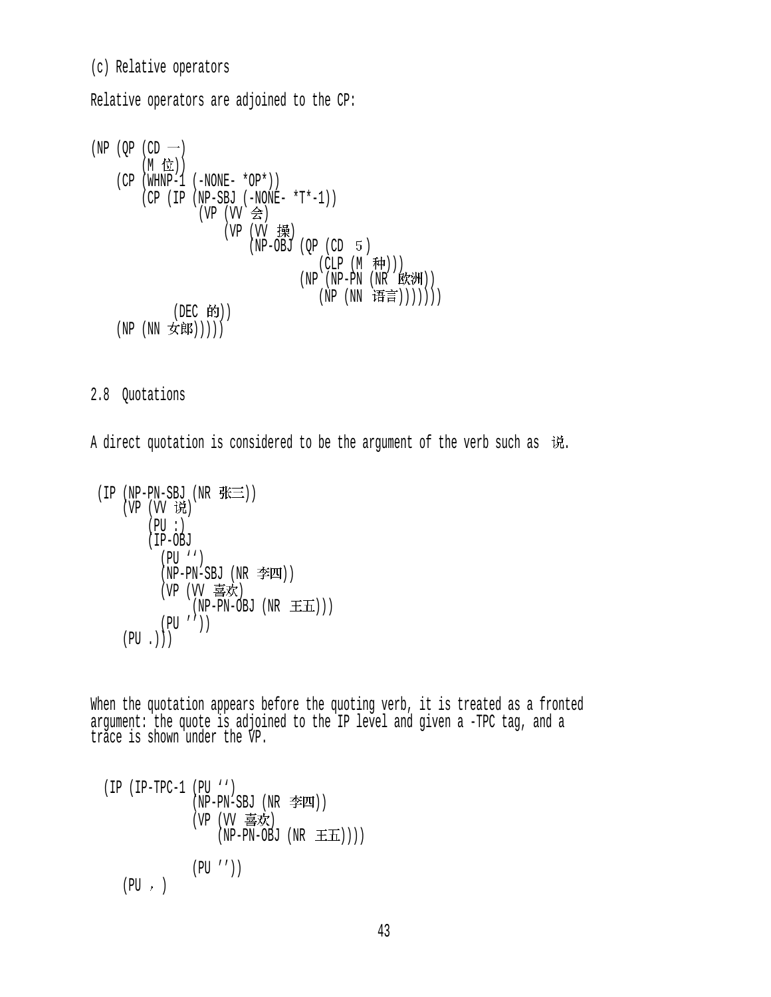(c) Relative operators

Relative operators are adjoined to the CP:

$$
(NP (QP (CD -))\n(M 12))\n(CP (WHNP-1 (-NONE - *OP*))\n(CP (IP (NP-SBJ (-NONE - *T*-1))\n(VP (VV 会)\n(VP (UV 44))\n(NP-OBJ (QP (CD 5)\n(CLP (M 14))\n(NP (NP-PN (NR 187))))\n(DEC 451))\n(NP (NN 151))))\n(NP (NN 151))))\n(DEC 451)))))\n(DFC 451))))
$$

2.8 Quotations

A direct quotation is considered to be the argument of the verb such as  $\ddot{w}$ .

```
(1P (NP-PN-SBU (NK <math>\sqrt[4]{2}m)</math>))(VP (VV)(PU : ) (IP-OBJ
              (PU '') 
             (NP-PN-SBJ (NR \ncong T))(VP (VV 喜欢)
                  \hat{N}(NP-PN-OBJ (NR \pm \pm \frac{1}{2}) (PU '')) 
     (PU \t.)
```
When the quotation appears before the quoting verb, it is treated as a fronted argument: the quote is adjoined to the IP level and given a -TPC tag, and a trace is shown under the VP.

$$
\begin{array}{ll}\n \text{(IP (IP-TPC-1 (PU ''))} \\
 \text{(NP-PN-SBJ (NR ="W))} \\
 \text{(VP (VV 1) (NP-PN-OBJ (NR 1) (EN))} \\
 \text{(PU ''))} \\
 \text{(PU '')})\n \end{array}
$$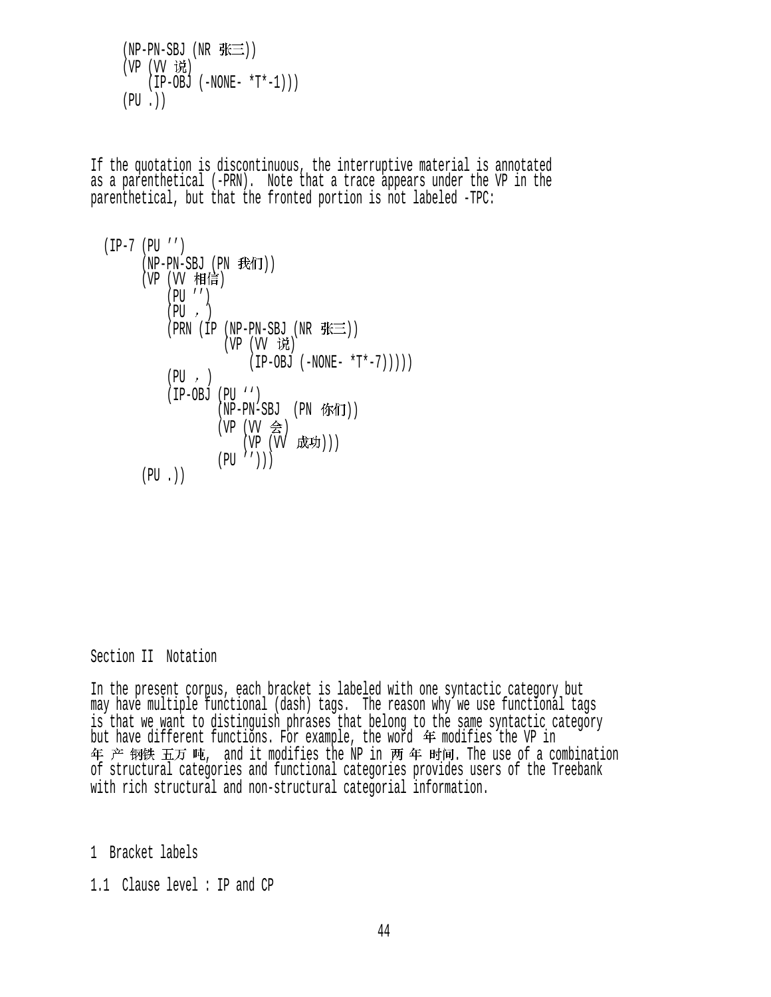```
(NP-PN-SBJ (NR <math>\# \equiv</math>))(VP (VV 说)
    (IP-OBJ (-NONE- *T*-1)))(PU.))
```
If the quotation is discontinuous, the interruptive material is annotated as a parenthetical (-PRN). Note that a trace appears under the VP in the parenthetical, but that the fronted portion is not labeled -TPC:

 (IP-7 (PU '') (NP-PN-SBJ (PN )) (VP (VV ) (PU '') (PU ) (PRN (IP (NP-PN-SBJ (NR )) (VP (VV ) (IP-OBJ (-NONE- \*T\*-7))))) (PU ) (IP-OBJ (PU '') (NP-PN-SBJ (PN )) (VP (VV ) (VP (VV ))) (PU ''))) (PU .))

Section II Notation

In the present corpus, each bracket is labeled with one syntactic category but may have multiple functional (dash) tags. The reason why we use functional tags is that we want to distinguish phrases that belong to the same syntactic category but have different functions. For example, the word  $#$  modifies the VP in 年 产 钢铁 五万 吨, and it modifies the NP in 两 年 时间. The use of a combination of structural categories and functional categories provides users of the Treebank with rich structural and non-structural categorial information.

1 Bracket labels

1.1 Clause level : IP and CP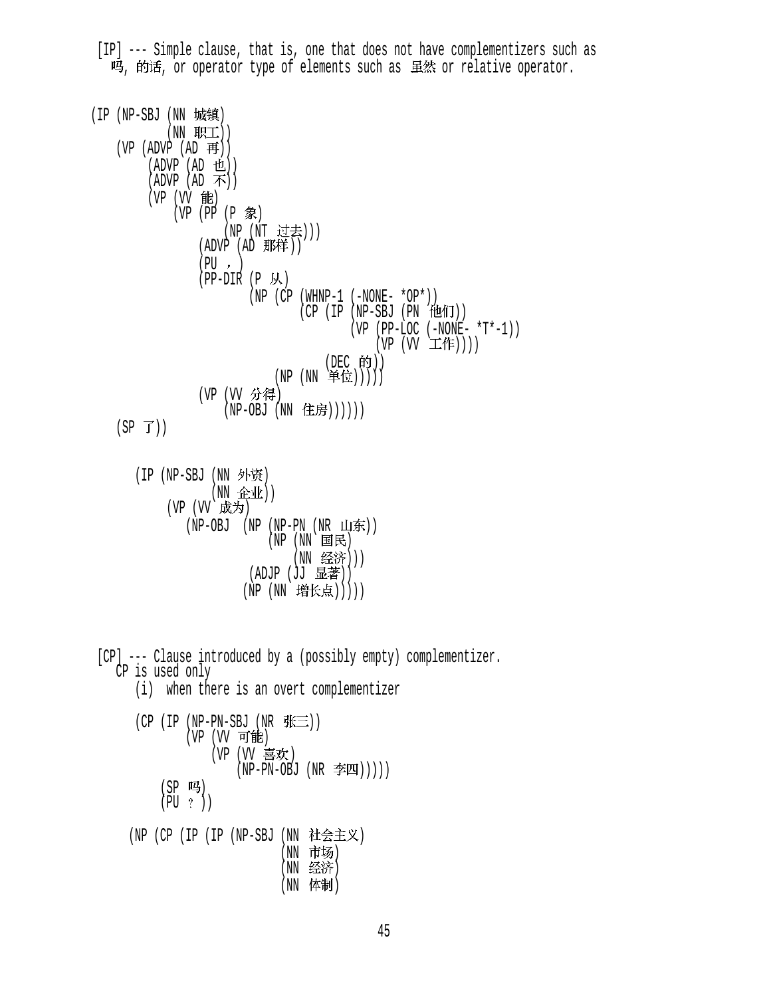[IP] --- Simple clause, that is, one that does not have complementizers such as 吗, 的话, or operator type of elements such as 虽然 or relative operator.

(IP (NP-SBJ (NN 城镇)  $(NN$  职工 $))$  $(VP (ADVP (AD H))$  $(ADVP (AD 12))$  $(ADVP (AD \n\rightarrow) )$ (VP (VV 能)  $(VP (PP (P \textcircled{\#})$ (NP (NT 过去))) (ADVP  $(AD$  那样))  $(PU, )$  $(PP-DIR (P M))$  $(NP (CP (WHNP-1 (-NONE- *OP*)))$  $(CP (IP (NP-SBJ (PN (UAT)))$  $(VP (PP-LOC (-NONE- *T*-1)))$  $(VP (W \pm \mathbf{f}))())$  $(DEC$  的 $))$  $(NP(NN)$ 单位 $))$ (VP (VV 分得)  $(NP-OBJ (NN t; \text{t} \cdot \text{t}))))$  $(SP \ f))$ (IP (NP-SBJ (NN 外资) (NN 企业)) (VP (VV 成为)  $(NP-OBJ$   $(NP-PN (NR LJ\overline{\text{F}}))$  (NP (NN ) (NN 经济)))  $(ADJP (JJ \tbox{\t{B.1}}))$ (NP (NN 增长点))))) [CP] --- Clause introduced by a (possibly empty) complementizer. CP is used only (i) when there is an overt complementizer (CP (IP (NP-PN-SBJ (NR  $E\equiv$ )) (VP (VV 可能) (VP (VV 喜欢)  $(NP-PN-OBJ (NR \ncong I)))$ (SP 吗)  $(PU ?)$ (NP (CP (IP (IP (NP-SBJ (NN 社会主义) (NN 市场) (NN 经济) (NN 体制)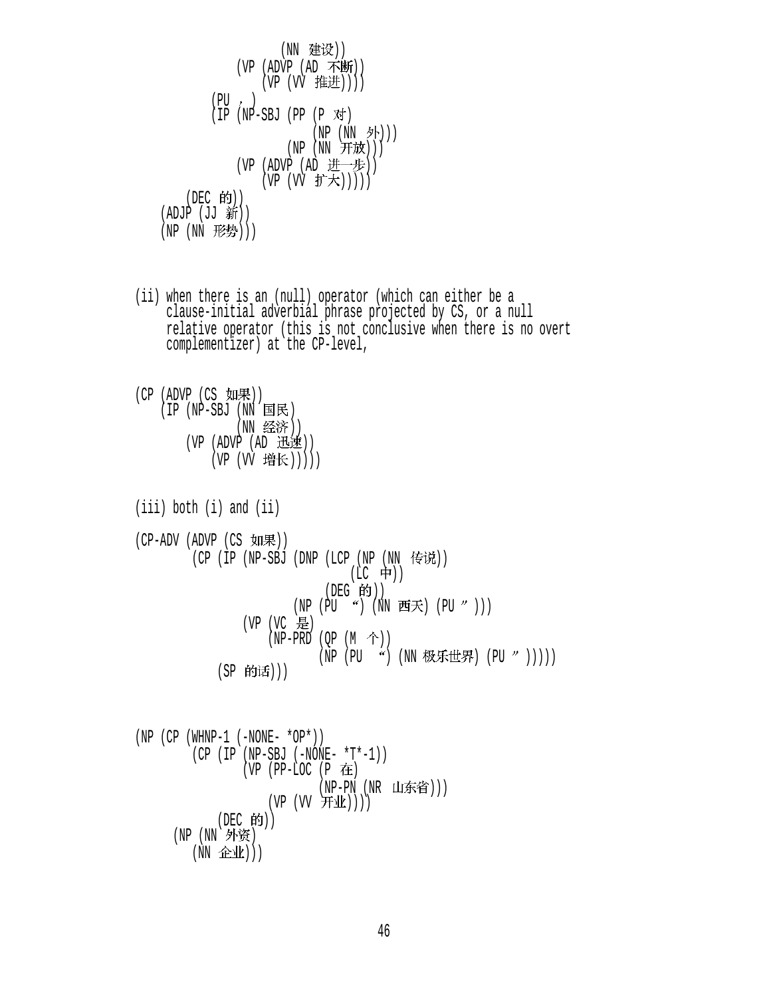$$
\begin{array}{c}\n\text{(NN} \n\text{ #} \n\text{ #} \n\text{ #} \n\text{ #} \n\text{ #} \n\text{ #} \n\text{ #} \n\text{ #} \n\text{ #} \n\text{ #} \n\text{ #} \n\text{ #} \n\text{ #} \n\text{ #} \n\text{ #} \n\text{ #} \n\text{ #} \n\text{ #} \n\text{ #} \n\text{ #} \n\text{ #} \n\text{ #} \n\text{ #} \n\text{ #} \n\text{ #} \n\text{ #} \n\text{ #} \n\text{ #} \n\text{ #} \n\text{ #} \n\text{ #} \n\text{ #} \n\text{ #} \n\text{ #} \n\text{ #} \n\text{ #} \n\text{ #} \n\text{ #} \n\text{ #} \n\text{ #} \n\text{ #} \n\text{ #} \n\text{ #} \n\text{ #} \n\text{ #} \n\text{ #} \n\text{ #} \n\text{ #} \n\text{ #} \n\text{ #} \n\text{ #} \n\text{ #} \n\text{ #} \n\text{ #} \n\text{ #} \n\text{ #} \n\text{ #} \n\text{ #} \n\text{ #} \n\text{ #} \n\text{ #} \n\text{ #} \n\text{ #} \n\text{ #} \n\text{ #} \n\text{ #} \n\text{ #} \n\text{ #} \n\text{ #} \n\text{ #} \n\text{ #} \n\text{ #} \n\text{ #} \n\text{ #} \n\text{ #} \n\text{ #} \n\text{ #} \n\text{ #} \n\text{ #} \n\text{ #} \n\text{ #} \n\text{ #} \n\text{ #} \n\text{ #} \n\text{ #} \n\text{ #} \n\text{ #} \n\text{ #} \n\text{ #} \n\text{ #} \n\text{ #} \n\text{ #} \n\text{ #}
$$

- (ii) when there is an (null) operator (which can either be a clause-initial adverbial phrase projected by CS, or a null relative operator (this is not conclusive when there is no overt complementizer) at the CP-level,
- $(CP (ADVP (CS  $impl$ )))$  $(IP (NP-SBJ (IN) ER)$ (NN 经济))  $(VP (ADVP (AD H)$ (VP (VV 增长)))))
- (iii) both (i) and (ii) (CP-ADV (ADVP (CS 如果)) (CP (IP (NP-SBJ (DNP (LCP (NP (NN 传说))  $(LC$  中))  $($ DEG  $(f)$  $)$  $(NP (PU " ) (NN E \neq \mathcal{F}) (PU " ))$ (VP (VC 是)  $(NP-PRD (QP (M \hat{\wedge}))$ (NP (PU ") (NN 极乐世界) (PU " ))))) (SP 的话)))

\n
$$
(NP (CP (WHNP-1 (-NONE - *OP*)))
$$
  
\n
$$
(CP (IP (NP-SBJ (-NONE - *T*-1))
$$
  
\n
$$
(VP (PP-LOC (P #E))
$$
  
\n
$$
(NP-PN (NR Luf\#H)))
$$
  
\n
$$
(DEC #f))
$$
  
\n
$$
(NP (NN \#H))
$$
  
\n
$$
(NP (NN \#H)))
$$
\n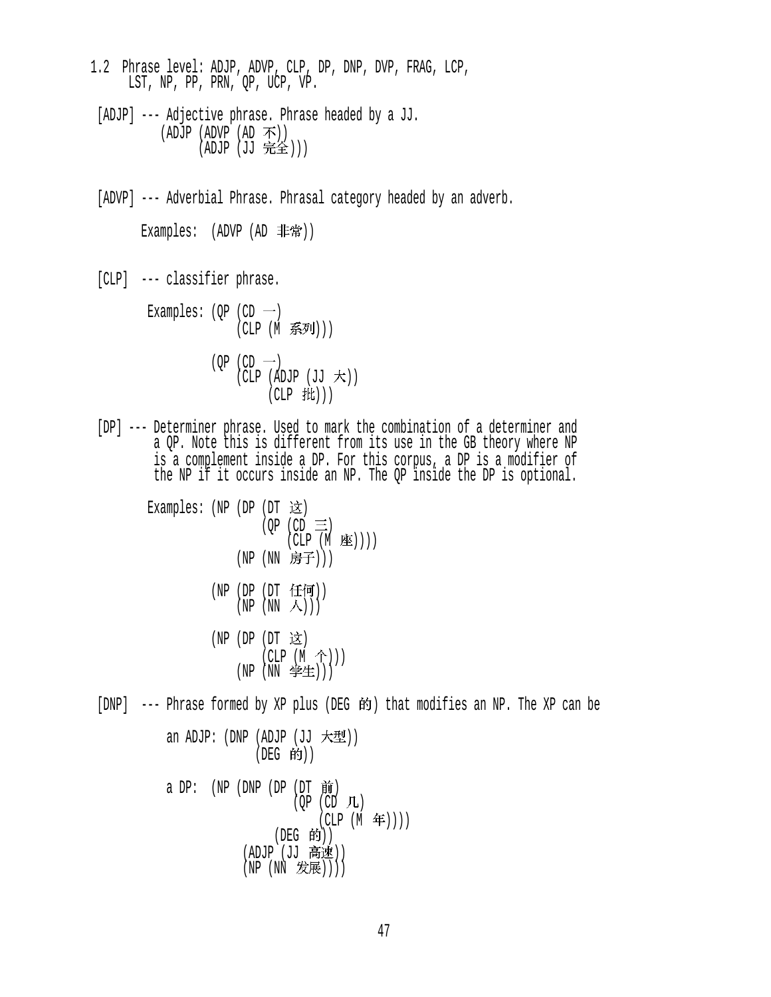- 1.2 Phrase level: ADJP, ADVP, CLP, DP, DNP, DVP, FRAG, LCP, LST, NP, PP, PRN, QP, UCP, VP.
- [ADJP] --- Adjective phrase. Phrase headed by a JJ. (ADJP (ADVP  $(AD \overline{\Lambda})$ )  $(ADJP (JJ 1.0)$
- [ADVP] --- Adverbial Phrase. Phrasal category headed by an adverb.

Examples:  $(ADVP (AD$ 非常))

[CLP] --- classifier phrase.

Examples:  $(\text{OP } (CD \rightarrow)$ (CLP (M 系列)))  $(OP (CD \rightarrow))$  $(CLP$  (ADJP  $(JJ \nightharpoonup \nightharpoonup \nightharpoonup))$ )  $(CLP$  批 $))$ 

 [DP] --- Determiner phrase. Used to mark the combination of a determiner and a QP. Note this is different from its use in the GB theory where NP is a complement inside a DP. For this corpus, a DP is a modifier of the NP if it occurs inside an NP. The QP inside the DP is optional.

```
Examples: (NP) (DP) (DT) 这
                           (QP (CD \equiv)(CLP (M \times)))
                      (NP (NN 房子)))
                  (NP (DP (DT 任何))
                      (NP(NN \wedge)))(NP) (DP) (DT) 这
                           (CLP (M \hat{\uparrow})))(NP(NN \; #E)))[DNP] --- Phrase formed by XP plus (DEG 的) that modifies an NP. The XP can be
           an ADJP: (DNP (ADJP (JJ 大型))
                         (DEG 的))
```
a DP:  $(NP (DNP (DP (DT \nleftrightarrow))$  $(OP (CD L)$  $(CLP (M \n4)$ ))  $($ DEG 的 $)$  $)$ (ADJP (JJ 高速))  $(NP(NN \t\mathcal{F}_k,\mathbb{R})))$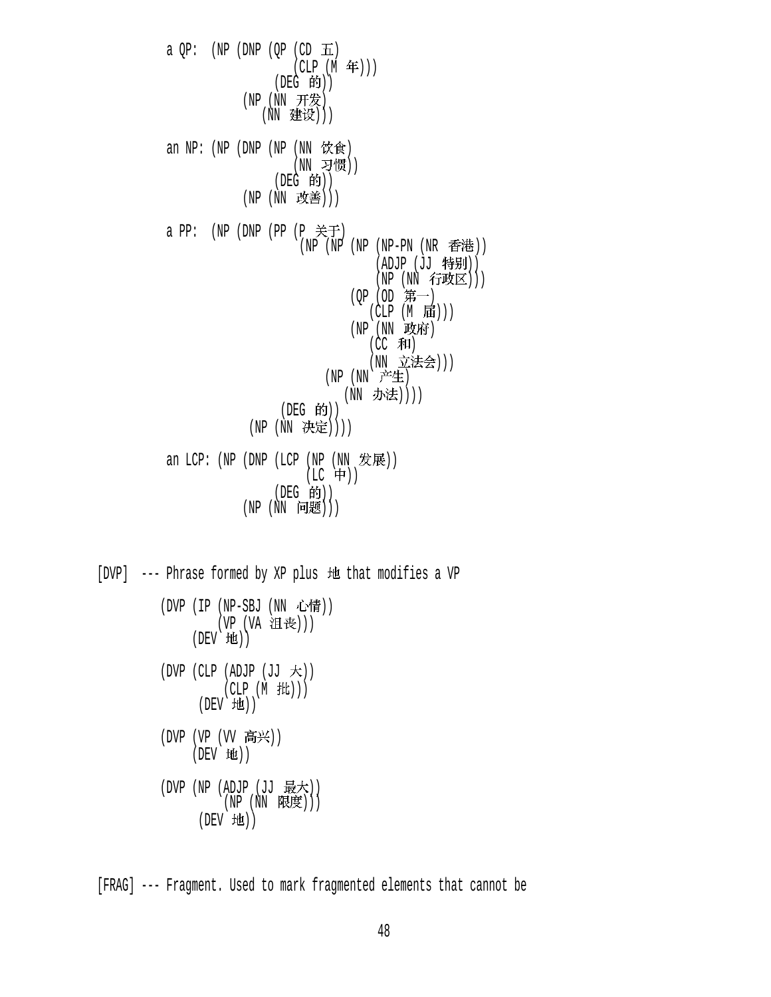a  $QP:$  (NP (DNP ( $QP$  (CD  $\overline{H}$ )  $(CLP(M \n4)$ )  $($ DEG 的 $)$  $(NP(NN H#2))$ (NN 建设))) an NP:  $(NP (DNP (NP (NN  $\nabla \hat{\mathbf{g}})$$ (NN 习惯))  $(DEG$  的 $))$ (NP (NN 改善))) a PP:  $(NP (DNP (PP (P  $\nless$  F))$ (NP (NP (NP (NP-PN (NR 香港))  $(ADJP (JJ$ 特别 $))$  $(NP (NN f\bar{w}(\underline{x})))$ (QP (OD 第一)  $(CLP (M \text{t})))$  (NP (NN ) (CC 和) (NN 立法会)))  $(NP(NN \n  $\neq$$ (NN 办法)))) (DEG 的)) (NP (NN 决定)))) an LCP: (NP (DNP (LCP (NP (NN 发展))  $(LC + 1)$ (DEG 的))  $(NP(NN \nvert \nvert E)))$ 

[DVP] --- Phrase formed by XP plus 地 that modifies a VP (DVP (IP (NP-SBJ (NN 心情)) (VP (VA 沮丧)))  $(DEV H<sub>1</sub>)$  $(DVP (CLP (ADJP (JJ \n $\pm$ )))$ (CLP (M 批)))  $(DEV$   $H$  $)$ ) (DVP  $(VP (VV F#)$ )  $(DEV$  地 $))$ (DVP (NP (ADJP (JJ 最大))  $(NP(NN R. E)))$ (DEV 地))

[FRAG] --- Fragment. Used to mark fragmented elements that cannot be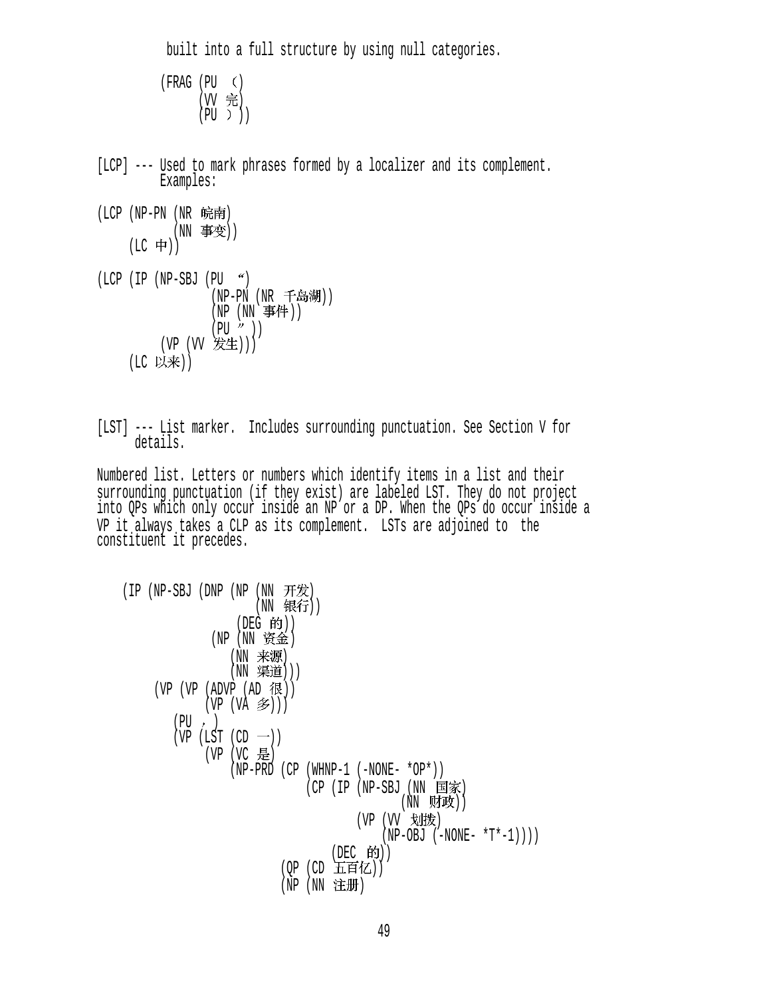built into a full structure by using null categories.

```
(FRAG (PU ((W 完)
    (PU))
```
- [LCP] --- Used to mark phrases formed by a localizer and its complement. Examples:
- $(LCP$  (NP-PN (NR 皖南) (NN 事变))  $(LC + 1)$
- $(LCP (IP (NP-SBJ (PU  $9$$ (NP-PN (NR 千岛湖))  $(NP(NN)$  事件  $))$  $(PU'')$  $(VP (VV)$  发生 $))$ (LC 以来))
- [LST] --- List marker. Includes surrounding punctuation. See Section V for details.

 Numbered list. Letters or numbers which identify items in a list and their surrounding punctuation (if they exist) are labeled LST. They do not project into QPs which only occur inside an NP or a DP. When the QPs do occur inside a VP it always takes a CLP as its complement. LSTs are adjoined to the constituent it precedes.

```
(IP (NP-SBJ (DNP (NP (NN <math>\#</math>))))(NN 银行))
                 (DEG 的))
             (NP (NN 资金)
                (NN 来源)
                (NN 渠道)))
    (VP (VP (ADVP (AD R)))(VP (VA \n3)(PU, )(VP (LST (CD -))(VP (VC 是)
                (NP-PRD (CP (WHNP-1 (-NONE- *OP*)))(CP (IP (NP-SBJ (NN 国家)
                                          (NN 财政))(VP (VV 划拨)
                                       (NP-OBJ (-NONE- *T*-1)))(DEC 的))(OP (CD 五百亿))
                        (NP(NN \pm H))
```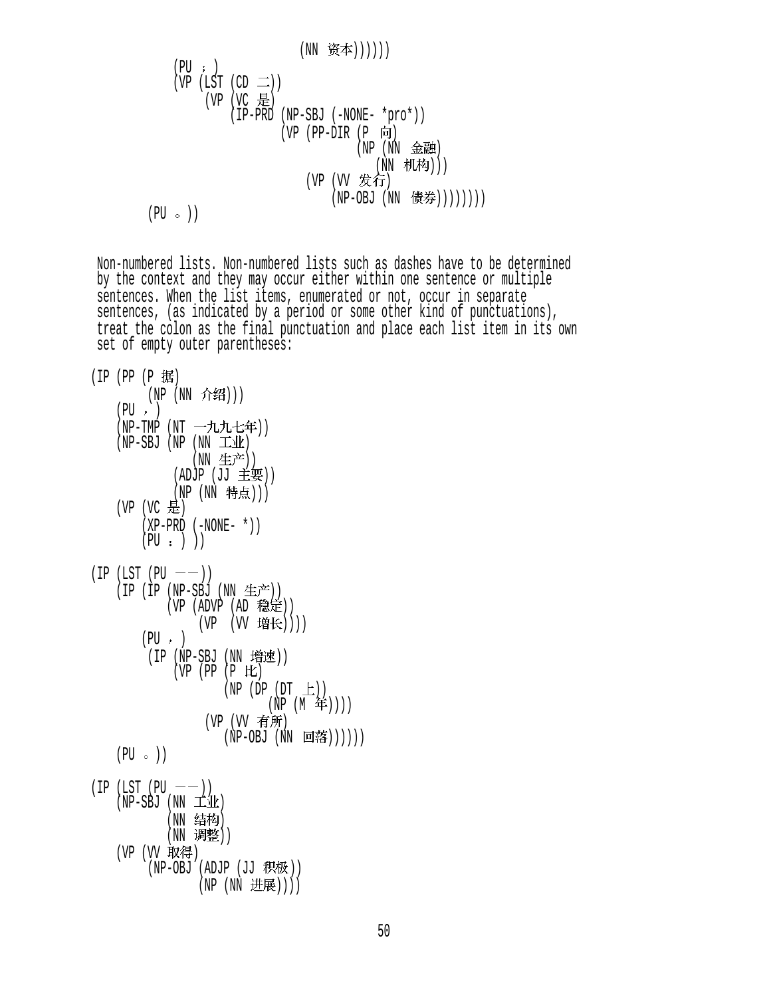(NN )))))) (PU ) (VP (LST (CD )) (VP (VC ) (IP-PRD (NP-SBJ (-NONE- \*pro\*)) (VP (PP-DIR (P ) (NP (NN ) (NN ))) (VP (VV ) (NP-OBJ (NN )))))))) (PU ))

 Non-numbered lists. Non-numbered lists such as dashes have to be determined by the context and they may occur either within one sentence or multiple sentences. When the list items, enumerated or not, occur in separate sentences, (as indicated by a period or some other kind of punctuations), treat the colon as the final punctuation and place each list item in its own set of empty outer parentheses:

```
(IP (PP (P 1#))(NP (NN 介绍)))
    (PU, )(NP-TMP (NT 一九九七年))
    (NP-SBJ (NP (NN \pm 11k))(NN 生产))
             (ADJP (JJ = E)(NP (NN 特点)))
    (VP (VC \tfrac{1}{10})(XP-PRD (-NONE- *))(PU : ) )(IP (LST (PU —))(IP (IP (NP-SBJ (NN <math>\pm \tilde{\mathcal{F}})</math>))(VP (ADVP (AD \t&E))(VP (VV 增长))))
        (PU, )(IP (NP-SBJ (NN 4 )(VP (PP (P )
                      (NP (DP (DT <math>\pm</math>))(NP (M 4)))
                   (VP (VV 有所)
                      (NP-OBJ (NN 回落))))))
    (PU \circ )(IP (LST (PU —))(NP-SBJ (NN \pm 1)(NN 结构)
            (NN 调整))
    (VP (VV 取得)
         (NP-OBJ (ADJP (JJ RR)))(NP (NN 进展))))
```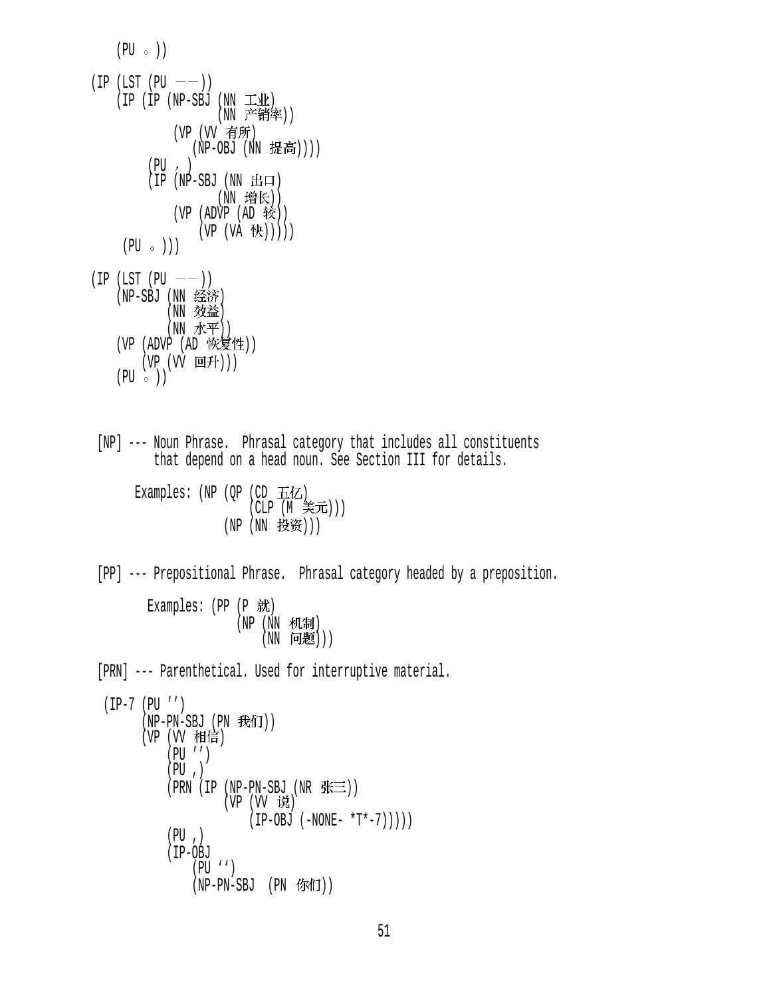$(PU \circ)$  $(IP (LST (PU —))$  $(IP (IP (NP-SBJ (NN I/M$ (NN 产销率)) (VP (VV 有所) (NP-OBJ (NN 提高))))  $(PU, )$  $(IP (NP-SBJ (NN H<sub>II</sub>))$ (NN 增长))  $(VP (ADVP (AD 1)$  $(VP (VA (H)))))$  $(PU \circ)$ )  $(IP (LST (PU —))$ (NP-SBJ (NN 经济) (NN 效益) (NN 水平)) (VP (ADVP (AD 恢复性))  $(VP (VV HH)))$  $(PU \circ )$  [NP] --- Noun Phrase. Phrasal category that includes all constituents that depend on a head noun. See Section III for details. Examples:  $(NP (OP (CD \pm iZ))$  $(CLP (M ∮\pm \pi)))$ (NP (NN 投资))) [PP] --- Prepositional Phrase. Phrasal category headed by a preposition. Examples:  $(PP (P **斜**$ (NP (NN 机制) (NN 问题))) [PRN] --- Parenthetical. Used for interruptive material. (IP-7 (PU '')  $(NP-PN-SBJ (PN H $\hat{H}$ )))$ (VP (VV 相信) (PU '')  $(PU, )$ (PRN (IP (NP-PN-SBJ (NR  $\mathcal{H}\equiv$ )) (VP (VV 说)  $(IP-OBJ (-NONE- *T*-7))$  $(PU, )$  (IP-OBJ (PU '')  $(NP-PN-SBJ (PN 65/1))$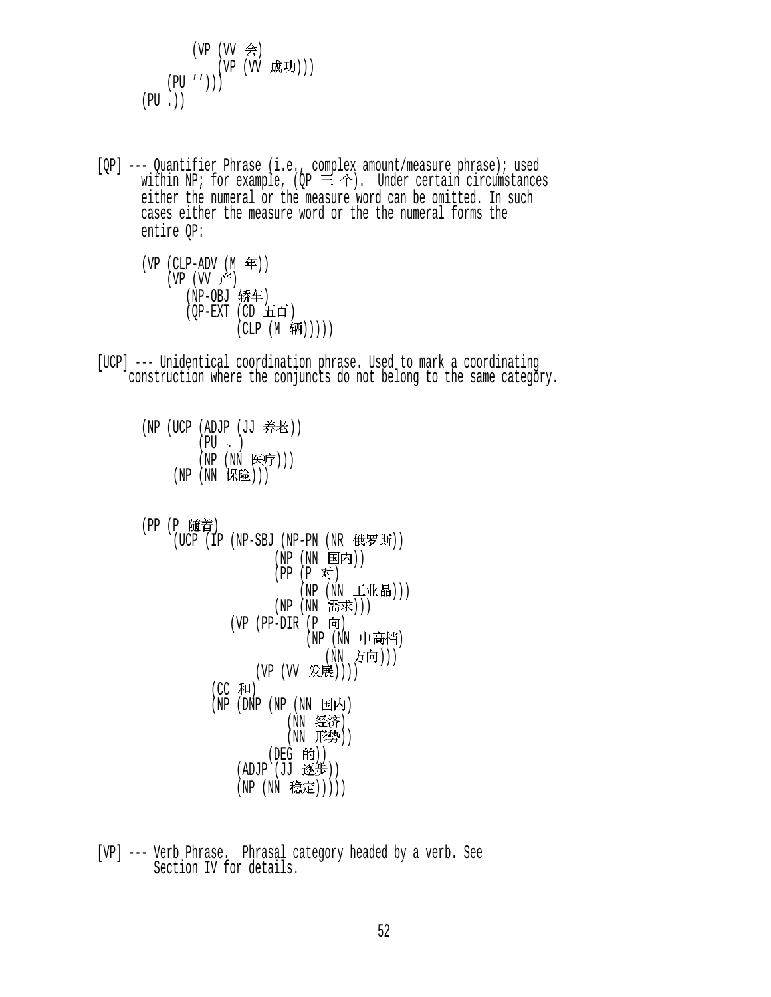$$
(\begin{array}{cc} (\text{VP} & (\text{VV} & \hat{\Leftarrow}) \\ & (\text{VP} & (\text{VV} & \text{成}{\text{y}}))) \\ (\text{PU} & \cdot)) \end{array})
$$

 [QP] --- Quantifier Phrase (i.e., complex amount/measure phrase); used within NP; for example, (OP  $\equiv \Upsilon$ ). Under certain circumstances either the numeral or the measure word can be omitted. In such cases either the measure word or the the numeral forms the entire QP:

 $(VP (CLP-ADV (M  $\text{#})$ )$  $(VP (VV \neq))$ (NP-0BJ 轿车)  $(OP-EXT$   $(CD \quad \pm \text{if})$  $(CLP (M \frac{4\pi}{}))))$ 

 [UCP] --- Unidentical coordination phrase. Used to mark a coordinating construction where the conjuncts do not belong to the same category.

```
(NP (UCP (ADJP (JJ 养老))
            (PU \sim )(NP (NN 医疗)))
      (NP(NN \; | \; \mathbb{R}|\; | \;)))
```

```
(PP (P 随着)
```
- (UCP (IP (NP-SBJ (NP-PN (NR 俄罗斯)) (NP (NN 国内))  $(PP (P \n{N})$  $(NP (NN I \mathbb{R}^n))$  $(NP(NN \; \; \overline{m} \; \bar{\mathcal{F}}))$  $(VP$  (PP-DIR  $(P \nvert \nvert)$ (NP (NN 中高档) (NN 方向))) (VP (VV 发展))))  $(CC$  和)  $(NP)$  (DNP  $(NP)$   $(\overline{NN})$  国内) (NN 经济)  $(NN$  形势 $))$ (DEG 的))  $(ADJP)(JJ \times #))$ (NP (NN 稳定)))))
- [VP] --- Verb Phrase. Phrasal category headed by a verb. See Section IV for details.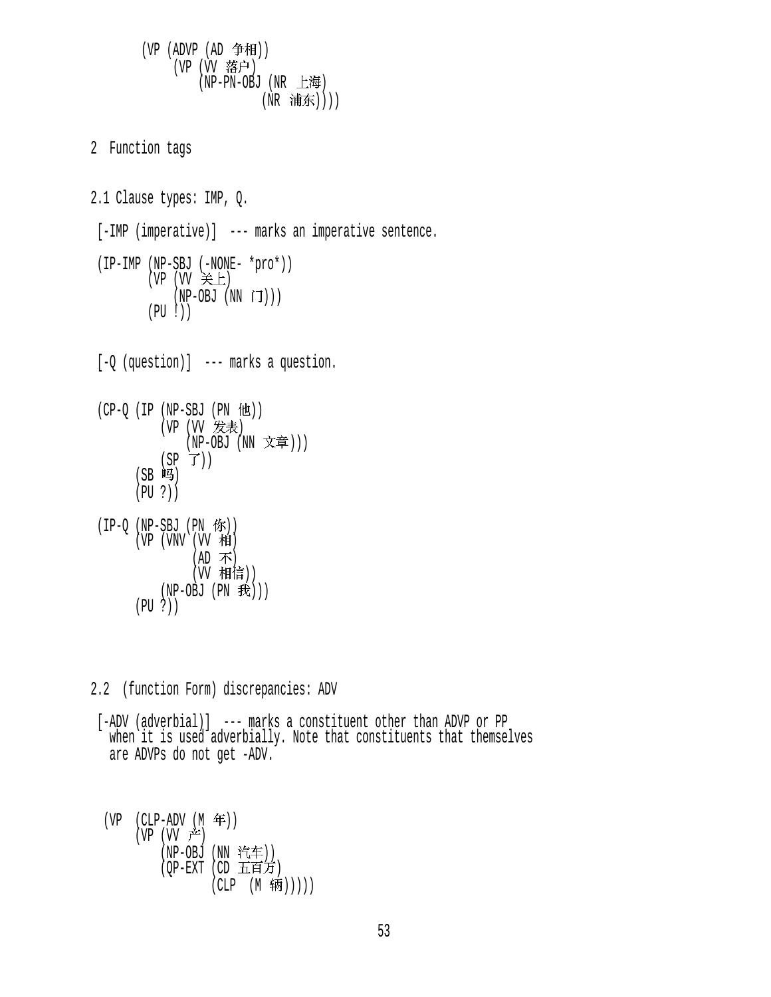(VP  $(ADVP (AD \oplus \#H))$ (VP (VV 落户)  $(NP-PN-OBJ$   $(NR \pm 14)$ (NR 浦东)))) 2 Function tags 2.1 Clause types: IMP, Q. [-IMP (imperative)] --- marks an imperative sentence. (IP-IMP (NP-SBJ (-NONE- \*pro\*))  $(VP (VV \neq \perp))$  $(NP-OBJ (NN \dot{\mathsf{I}}))$  $(PU | )$  [-Q (question)] --- marks a question.  $(CP-Q (IP (NP-SBJ (PN 12))$ (VP (VV 发表) (NP-OBJ (NN 文章)))  $(SP \ \vec{J}))$  $(SB$  吗 (PU ?))  $(IP-Q (NP-SBJ (PN$   $\hat{W})$ )  $(VP (VNV (VV H))$ (AD 不) (W 相信))  $(NP-OBJ (PN R))$ (PU ?))

2.2 (function Form) discrepancies: ADV

 [-ADV (adverbial)] --- marks a constituent other than ADVP or PP when it is used adverbially. Note that constituents that themselves are ADVPs do not get -ADV.

 $(VP (CLP-ADV (M \n4))$  $(VP (VV \rightrightarrows)$ (NP-OBJ (NN 汽车))  $(OP-EXT$   $(CD \times \overline{H})$  $(CLP (M$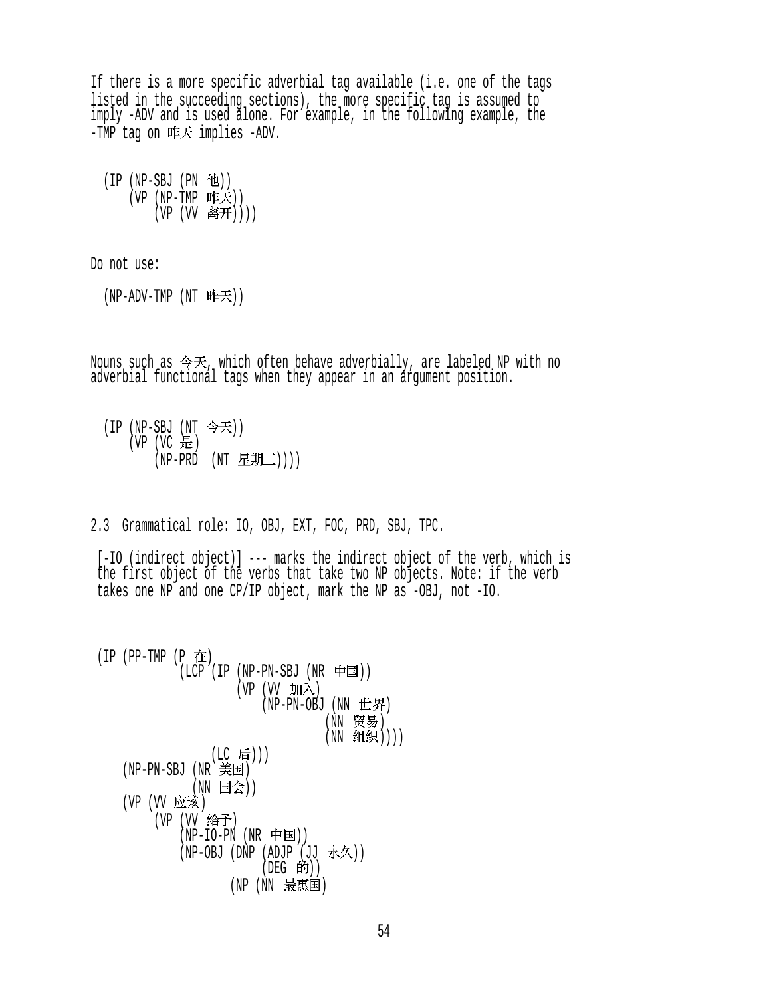If there is a more specific adverbial tag available (i.e. one of the tags listed in the succeeding sections), the more specific tag is assumed to imply -ADV and is used alone. For example, in the following example, the -TMP tag on 昨天 implies -ADV.

 $(IP (NP-SBJ (PN  $ftt)$ ))$  $(VP (NP-TMP IFK))$  $(VP (VV R#H))))$ 

Do not use:

(NP-ADV-TMP (NT 昨天))

Nouns such as  $\hat{\mathcal{F}}\mathcal{F}$ , which often behave adverbially, are labeled NP with no adverbial functional tags when they appear in an argument position.

 $(IP (NP-SBJ (NT  $$ 今天 $))$$ (VP  $(VC \oplus)$  $(NP-PRD (NT \t{E})))$ 

2.3 Grammatical role: IO, OBJ, EXT, FOC, PRD, SBJ, TPC.

[-IO (indirect object)] --- marks the indirect object of the verb, which is the first object of the verbs that take two NP objects. Note: if the verb takes one NP and one CP/IP object, mark the NP as -OBJ, not -IO.

 $(IP (PP-TMP (P$ 在  $(LCP$  (IP (NP-PN-SBJ (NR 中国))  $(VP (VV \nightharpoonup H)$  $(NP-PN-OBJ$   $(NN \t\text{#}F)$ (NN 贸易) (NN 组织)))) (LC 后))) (NP-PN-SBJ (NR ) (NN 国会)) (VP (VV 应该) (VP (VV 给予) (NP-IO-PN (NR 中国)) (NP-OBJ (DNP (ADJP (JJ 永久))  $($ DEG 的 $)$  $)$ (NP (NN 最惠国)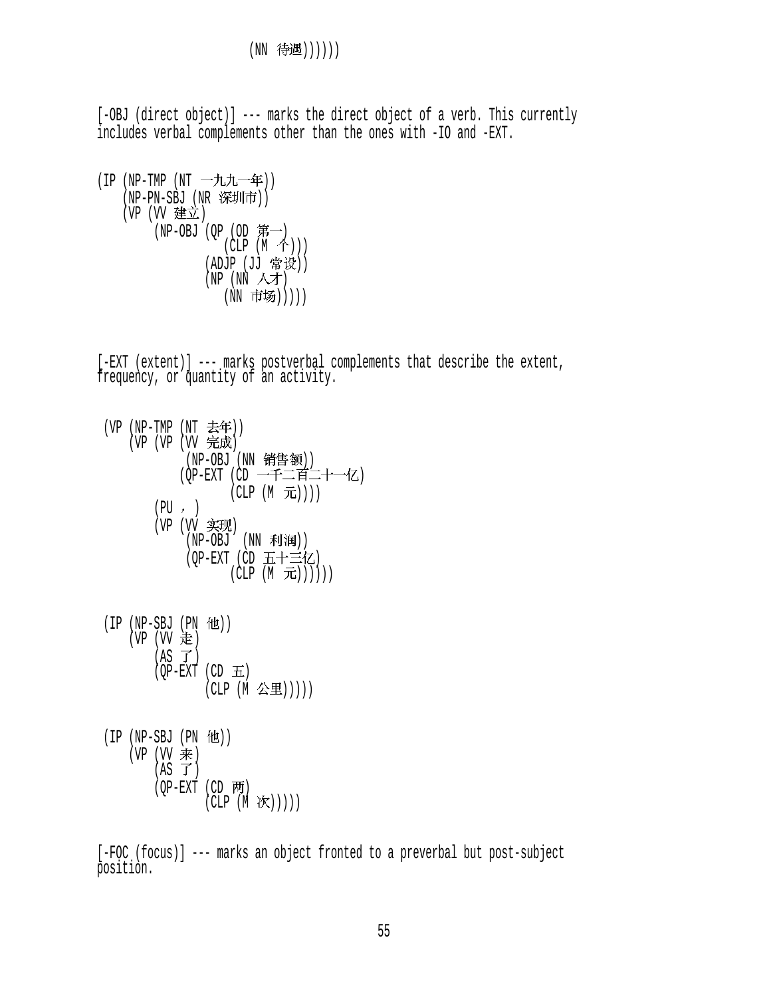[-OBJ (direct object)] --- marks the direct object of a verb. This currently includes verbal complements other than the ones with -IO and -EXT.

```
(IP (NP-TMP (NT -\n 11.11)(NP-PN-SBJ (NR 深圳市))
    (VP (VV 建立)
        (NP-OBJ (QP (OD \nG)(\dot{CLP} (M \, \hat{\uparrow})))(ADUP (UU \cdot H^cW))(NP (NN \wedge 1))(NN 市场)))))
```
[-EXT (extent)] --- marks postverbal complements that describe the extent, frequency, or quantity of an activity.

| (VP (NP-TMP (NT 去年))<br>(VP (VP (VV 完成) |                           |
|-----------------------------------------|---------------------------|
|                                         |                           |
|                                         | (NP-OBJ (NN 销售额))         |
|                                         | (QP-EXT (CD 一千二百二十一亿)     |
|                                         | (CLP (M 元))))             |
|                                         | (PU, )                    |
|                                         | (VP (VV 实现)               |
|                                         | (NP-OBJ (NN 利润))          |
|                                         |                           |
|                                         | (QP-EXT (CD 五十三亿)         |
|                                         | $(CLP(M\text{ in }E)))))$ |
|                                         |                           |

| $(IP (NP-SBJ (PN 12))$<br>(VP (VV 走) |                                           |
|--------------------------------------|-------------------------------------------|
| $(AS \tJ)$                           | $(OP-EXT$ $(CD \t{H})$<br>(CLP (M 公里))))) |

 $(IP (NP-SBJ (PN 12))$  $(VP (VV)$ 来)  $(AS \top)$  $(QP-EXT$  (CD 两)  $(CLP(M \mathcal{K})))$ 

 [-FOC (focus)] --- marks an object fronted to a preverbal but post-subject position.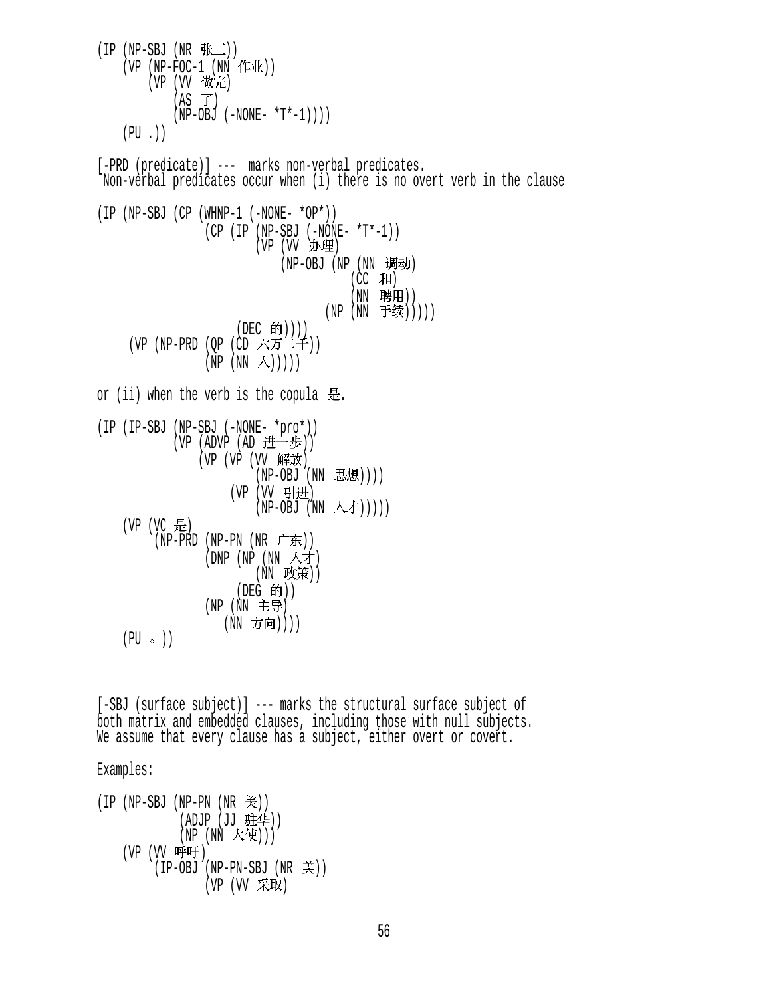$(IP(NP-SBJ(NR \# \equiv))$  $(VP (NP-FOC-1 (NN fF1))$ (VP (VV 做完)  $(AS \ \vec{J})$  $(NP-OBJ (-NONE- *T*-1))$  $(PU, )$  [-PRD (predicate)] --- marks non-verbal predicates. Non-verbal predicates occur when (i) there is no overt verb in the clause (IP (NP-SBJ (CP (WHNP-1 (-NONE- \*OP\*))  $(CP (IP (NP-SBJ (-NONE- *T*-1)))$ (VP (VV 办理) (NP-OBJ (NP (NN 调动)  $(CC$  和) (NN 聘用))  $(NP(NN \t#$ 续 $))))$ (DEC 的)))) (VP (NP-PRD (QP (CD 六万二千))  $(NP (NN \wedge))))$ or (ii) when the verb is the copula 是. (IP (IP-SBJ (NP-SBJ (-NONE- \*pro\*)) (VP (ADVP (AD 进一步)) (VP (VP (VV 解放)  $(NP-OBJ (NN E5E))$ (VP (VV 引进) (NP-OBJ (NN 人才))))  $(VP (VC \tfrac{11}{10})$ (NP-PRD (NP-PN (NR 广东)) (DNP (NP (NN 人才) (NN 政策)) (DEG 的))  $(NP(NN) \pm 1)$ (NN 方向))))  $(PU \circ)$ 

 [-SBJ (surface subject)] --- marks the structural surface subject of both matrix and embedded clauses, including those with null subjects. We assume that every clause has a subject, either overt or covert.

Examples:

\n
$$
(IP \ (NP-SBJ \ (NP-PN \ (NR \not\equiv))
$$
  
\n $(ADJP \ (JJ \not\equiv\psi))$   
\n $(NP \ (NN \not\equiv\psi))$   
\n $(VP \ (VV \quad IPP \ (NP-PN-SBJ \ (NR \not\equiv))$   
\n $(VP \ (VV \ \n\mp\psi)$   
\n $(VP \ (VV \ \n\mp\psi)$ \n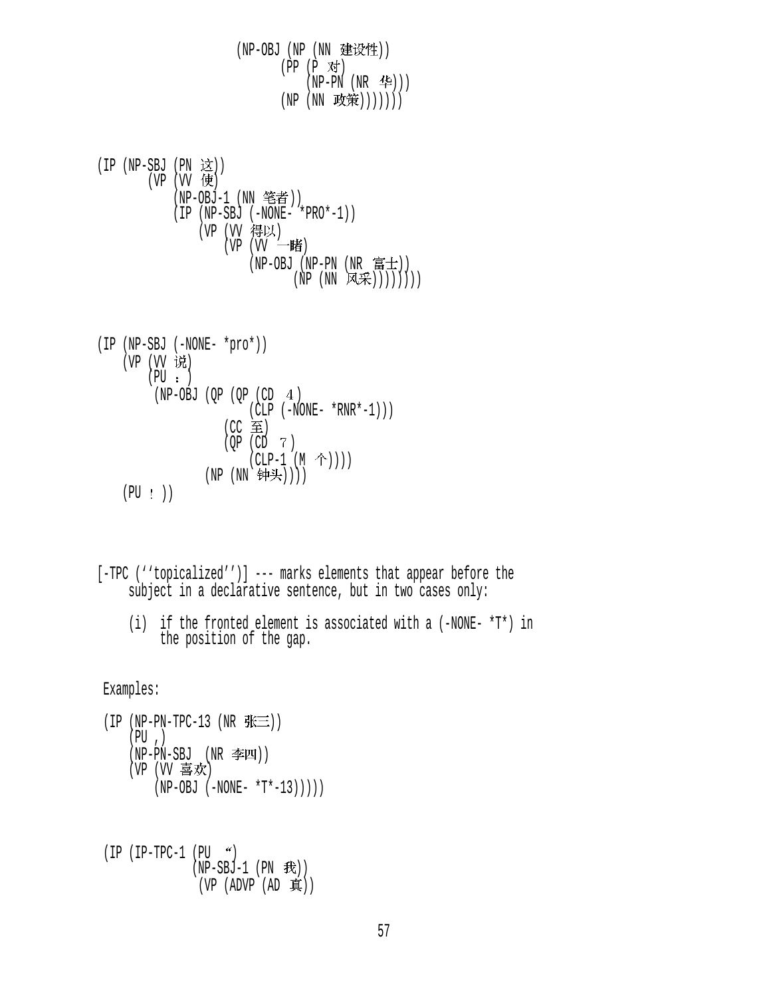(NP-OBJ (NP (NN 建设性)) (PP (P 对)  $(NP-PN (NR 4e))$ (NP (NN 政策)))))))

 $(IP (NP-SBJ (PN  $\overrightarrow{\mathbf{x}})$ ))$  $(VP (W 6)$ (NP-0BJ-1 (NN 笔者)) (IP (NP-SBJ (-NONE- \*PRO\*-1)) (VP (VV 得以)  $(VP (VV - 1)$  (NP-OBJ (NP-PN (NR ))  $(NP (NN \times \mathbb{R}))))$ 

$$
\begin{array}{ll}\n\text{(IP (NP-SBJ (-NONE- *pro*))} \\
\text{(VP (VV i\text{t}))} \\
\text{(PU : )} \\
\text{(NP-OBJ (QP (QP (CD 4))} \\
\text{(CLP (-NONE- *RNR*-1))}) \\
\text{(CC  $\cong$  )} \\
\text{(QP (CD 7)} \\
\text{(CLP-1 (M ^t))})) \\
\text{(PU : )} \\
\text{(NP (NN ^t\text{t}))))}\n\end{array}
$$

 [-TPC (''topicalized'')] --- marks elements that appear before the subject in a declarative sentence, but in two cases only:

 (i) if the fronted element is associated with a (-NONE- \*T\*) in the position of the gap.

Examples:

 $(IP (NP-PN-TPC-13 (NR  $\frac{R}{N})$ )).$  $(PU, )$  $(NP-PN-SBJ$   $(NR \cong I)$  $(VP)$  (VV 喜欢)  $(NP-OBJ (-NONE- *T*-13))$ ))

$$
(IP (IP-TPC-1 (PU ')\n (NP-SBJ-1 (PN Æ))\n (VP (ADVP (AD)  $\bar{A}$ )))
$$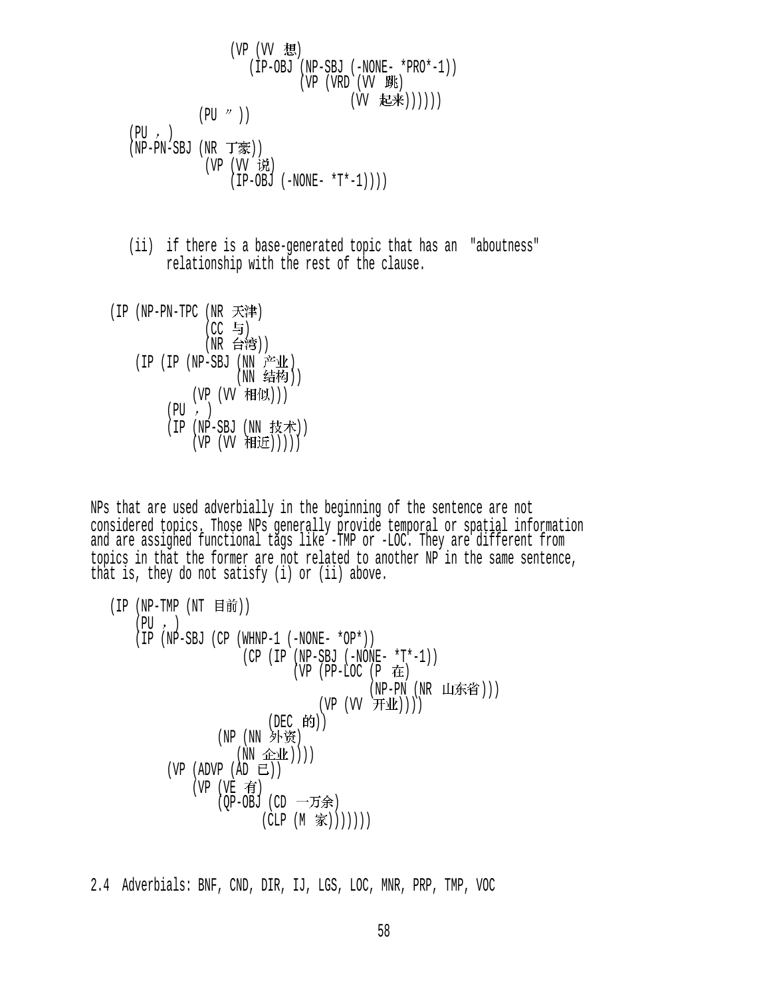(VP (VV ) (IP-OBJ (NP-SBJ (-NONE- \*PRO\*-1)) (VP (VRD (VV ) (VV )))))) (PU )) (PU ) (NP-PN-SBJ (NR )) (VP (VV ) (IP-OBJ (-NONE- \*T\*-1))))

- (ii) if there is a base-generated topic that has an "aboutness" relationship with the rest of the clause.
- (IP (NP-PN-TPC (NR 天津)  $(CC = 5)$ (NR 台湾)) (IP (IP (NP-SBJ (NN 产业)  $(NN \n4K)$ (VP (VV 相似)))  $(PU, )$ (IP (NP-SBJ (NN 技术))  $(VP (VV H)$

NPs that are used adverbially in the beginning of the sentence are not considered topics. Those NPs generally provide temporal or spatial information and are assigned functional tags like -TMP or -LOC. They are different from topics in that the former are not related to another NP in the same sentence, that is, they do not satisfy (i) or (ii) above.

\n
$$
\begin{array}{ll}\n \text{(IP (NP-TMP (NT \text{H} \text{H} \text{H}))} \\
 \text{(PU , )} \\
 \text{(IP (NP-SBJ (CP (WHNP-1 (-NONE- *OP*))}))} \\
 \text{(CP (IP (NP-SBJ (-NONE- *T*-1))}))} \\
 \text{(VP (PP-LOC (P \text{H} \text{H}))} \\
 \text{(VP (VP -V) (WR UI \text{H}))))} \\
 \text{(VP (UV \text{H} \text{H}))} \\
 \text{(VP (W \text{H}))))} \\
 \text{(VP (NN \text{H} \text{H}))))} \\
 \text{(VP (NP (R \text{H}))} \\
 \text{(VP (NP \text{H}))))} \\
 \text{(VP (VP \text{H}))))} \\
 \text{(VP (VE \text{H})} \\
 \text{(VP (V) (VP \text{H}))))} \\
 \text{(VP (VP \text{H})}) \\
 \text{(VP (VP (VP \text{H})))))} \\
 \text{(VP (VP \text{H})}) \\
 \text{(VP (VP (VP \text{H})))))} \\
 \text{(VP (VP \text{H})}) \\
 \text{(VP (VP \text{H}))))} \\
 \text{(VP (VP \text{H})}) \\
 \text{(VP (VP \text{H}))))} \\
 \text{(VP (VP \text{H})}) \\
 \text{(VP (VP \text{H}))))} \\
 \text{(VP (VP \text{H})}) \\
 \text{(VP (VP \text{H}))))} \\
 \text{(VP (VP \text{H})}) \\
 \text{(VP (VP \text{H}))))} \\
 \text{(VP (VP \text{H})}) \\
 \text{(VP (VP \text{H}))))} \\
 \text{(VP (VP \text{H})}) \\
 \text{(VP (VP \text{H}))))} \\
 \text{(VP (VP \text{H})}) \\
 \text{(VP (VP \text{H}))))} \\
 \text{(VP (VP \text{H})}) \\
 \text{(VP (VP \text{H}))))} \\
 \text{(VP (VP \text{H})}) \\
 \text{(VP (VP \text{H}))))} \\
 \text{(VP (VP \text{H}))))} \\
 \text{(VP (VP \text{H}))))} \\
 \text{(VP (VP \text{H}))))} \\
 \text{(VP (VP \text{H}))))} \\
 \text{(VP (VP \text{H}))))} \\
 \text{(VP (VP \text{H}))))} \\
 \text{(VP (VP \text{H}))))} \\
 \text{(VP (VP \text{H}))))} \\
 \text{(VP (VP \text{H}))))} \\
 \text{(VP (VP \text{H}))))} \\
 \text{(VP (VP \text{H}))))} \\
 \text{(VP (VP \text{H}))))}
$$

2.4 Adverbials: BNF, CND, DIR, IJ, LGS, LOC, MNR, PRP, TMP, VOC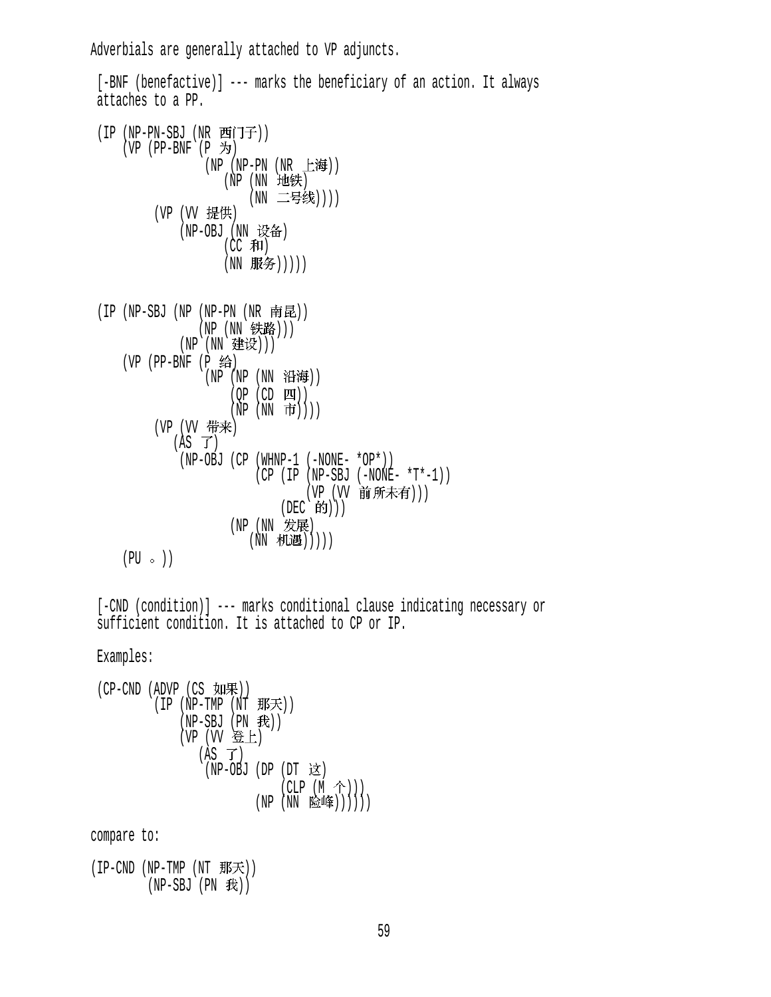Adverbials are generally attached to VP adjuncts.

```
[-BNF (benefactive)] --- marks the beneficiary of an action. It always
 attaches to a PP. 
(IP (NP-PN-SBJ (NR TFI)(VP (PP-BNF (P \nightharpoonup))
                  (NP (NP-PN (NR 上海))
                     (NP(NN) 地铁)
                         (NN 二号线))))
         (VP (VV 提供)
              (NP-OBJ (NN 设备)
                     (CC \#I)(NN 服务)))))
(IP (NP-SBJ (NP (NP-PN (NR \tPhi E)))(NP (NN 铁路)))
             (NP (NN 建设)))
    (VP (PP-BNF (P 给)
                  (NP (NP (NN 沿海))
                      (OP (CD <math>\boxed{11})</math>)(\tilde{NP} (NN 市))))
         (VP (VV 带来)
             (AS \ \vec{J})(NP-OBJ (CP (WHNP-1 (-NONE- *OP*))
                          (CP (IP (NP-SBJ (-NONE- *T*-1)))(VP (VV 前所未有)))
                               (DEC 的)))
                      (NP(NN \t#E))(NN 机遇)))))
    (PU \circ )
```
[-CND (condition)] --- marks conditional clause indicating necessary or sufficient condition. It is attached to CP or IP.

Examples:

$$
\begin{array}{ll}\n \text{(CP-CND (ADVP (CS yI) + R))} \\
 \text{(IP (NP-TMP (NT B) + R))} \\
 \text{(NP-SBJ (PN B))} \\
 \text{(VP (VV B) + (NP B))} \\
 \text{(AS T)} \\
 \text{(NP-OBJ (DP (DT B))} \\
 \text{(NP (NN B) + (NP B))} \\
 \text{(NP (NN B) + (NP B))} \\
 \text{(NP (NN B) + (NP B))} \\
 \text{(NP (NN B) + (NP B))} \\
 \text{(NP (NN B) + (NP B))} \\
 \text{(NP (NN B) + (NP B))} \\
 \text{(NP (NN B) + (NP B))} \\
 \text{(NP (NN B) + (NP B))} \\
 \text{(NP (NN B) + (NP B))} \\
 \text{(NP (NN B) + (NP B))} \\
 \text{(NP (NN B) + (NP B))} \\
 \text{(NP (NN B) + (NP B))} \\
 \text{(NP (NN B) + (NP B))} \\
 \text{(NP (NN B) + (NP B))} \\
 \text{(NP (NN B) + (NP B))} \\
 \text{(NP (NN B) + (NP B))} \\
 \text{(NP (NN B) + (NP B))} \\
 \text{(NP (NN B) + (NP B))} \\
 \text{(NP (NN B) + (NP B))} \\
 \text{(NP (NN B) + (NP B))} \\
 \text{(NP (NN B) + (NP B))} \\
 \text{(NP (NN B) + (NP B))} \\
 \text{(NP (NN B) + (NP B))} \\
 \text{(NP (NN B) + (NP B))} \\
 \text{(NP (NN B))} \\
 \text{(NP (NN B))} \\
 \text{(NP (NN B))} \\
 \text{(NP (NN B))} \\
 \text{(NP (NN B))} \\
 \text{(NP (NN B))} \\
 \text{(NP (NN B))} \\
 \text{(NP (NN B))} \\
 \text{(NP (NN B))} \\
 \text{(NP (NN B))} \\
 \text{(NP (NN B))} \\
 \text{(NP (NN B))} \\
 \text{(NP (NN B))} \\
 \text{(NP (NN B))} \\
 \text{(NP (NN B))} \\
 \text{(NP (NN B))} \\
 \text{(NP (NN B))} \\
 \text{(NP (NN B))} \\
 \text{(NP (NN B))} \\
 \text{(NP (NN B))} \\
 \text{(NP (NN B))} \\
 \text{(NP (NN B))} \\
 \text{(NP (NN B))} \\
 \text{(NP (NN B))} \\
 \text{(NP (NN B))} \\
 \text{(NP (NN B))} \\
 \text{(NP (NN B))} \\
 \text{(NP (NN B))} \\
 \text{(NP (NN B))} \\
 \text{(NP (NN B))} \\
 \text{(NP (NN B))
$$

compare to:

 $(IP-CND (NP-TMP (NT \n $\#E\#F)$ ))$  $(NP-SBJ (PN \t#))$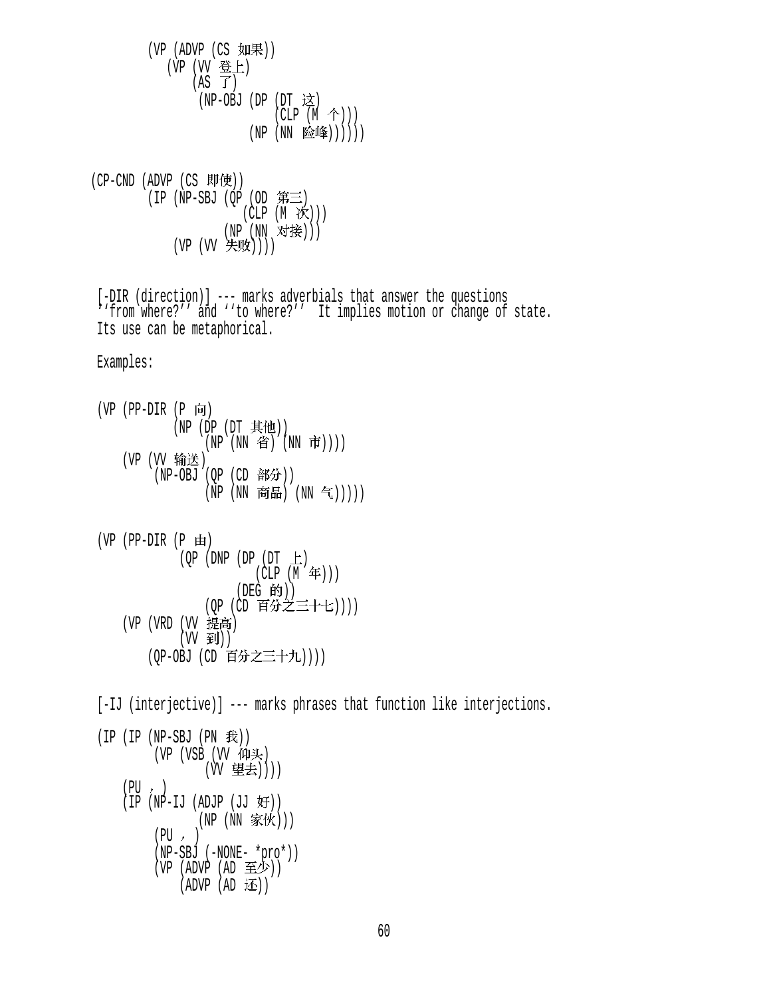$(VP (ADVP (CS  $\text{YI} \mathbb{R}) )$$ (VP (VV 登上)  $(AS \tJ)$ (NP-OBJ (DP  $(DT \; \dot{\mathbb{X}})$  $(CLP (M \hat{\uparrow})))$  $(NP (NN \triangle 4))))$ )  $(CP-CND (ADVP (CS  $\overline{W}(\overline{E}))$$  $(IP (NP-SBJ (QP (OD  $\tilde{})\equiv$$  $(CLP(M \n\mathcal{K})))$ (NP (NN 对接))) (VP (VV 失败)))) [-DIR (direction)] --- marks adverbials that answer the questions ''from where?'' and ''to where?'' It implies motion or change of state. Its use can be metaphorical. Examples:  $(VP$  (PP-DIR  $(P \nvert \nvert)$ (NP (DP  $(DT \nvert \mathbf{\mathcal{H}}(t))$ ) (NP (NN 省) (NN 市)))) (VP (VV 输送)  $(NP-OBJ (QP (CD  $\frac{3}{4}$ ))$ (NP (NN 商品) (NN 气)))))  $(VP$  (PP-DIR  $(P \oplus)$ )  $(QP (DNP (DP (DT  $\pm$ ))$  $(CLP(M \n4)$ )  $(DEG - HJ)$ )  $(QP$  (CD  $\exists$  )) $\mathcal{D}$  (CD )))) (VP (VRD (VV 提高)  $(VV \oplus J))$ (OP-OBJ (CD 百分之三十九)))) [-IJ (interjective)] --- marks phrases that function like interjections.  $(IP (IP (NP-SBJ (PN  $\#$ )))$ (VP (VSB (VV 仰头) (W 望去))))  $(PI) \rightarrow )$  $(IP (NP-II (ADJP (JJ 好)))$ (NP (NN 家伙)))  $(PU, )$ (NP-SBJ (-NONE- \*pro\*))

60

(VP (ADVP (AD 至少))  $(ADVP (AD  $iE$ ))$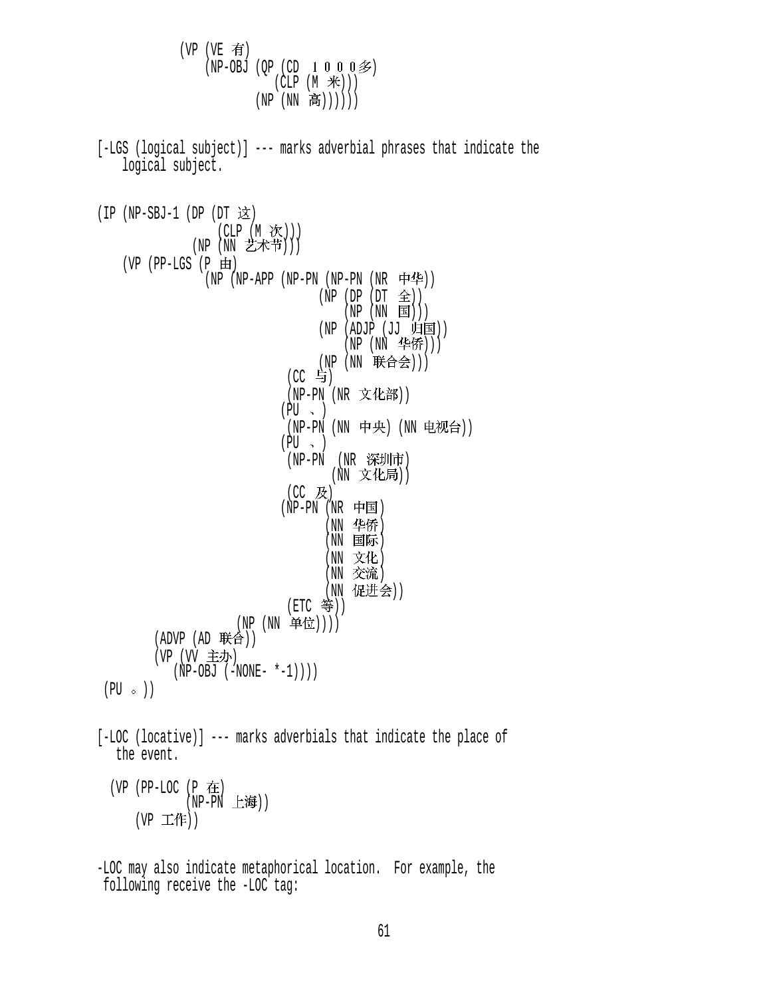$(VP (VE \t{f})$  $(NP-OBJ (QP (CD 1 0 0 0 2))$ (CLP  $(M \n\mathcal{H}))$ )  $(NP (NN \t\tilde{\bf a})))))$  [-LGS (logical subject)] --- marks adverbial phrases that indicate the logical subject.  $(IP (NP-SBJ-1 (DP (DT \times))$  $\left(\begin{array}{cc} \text{CLP} & \text{(M} & \text{CX} \end{array}\right)$ )  $(NP (NN Z A T))$  $(VP$  (PP-LGS  $(P \n\text{H})$  $(NP - APP (NP-PN (NP-PN (NR \nleftrightarrow 1))$  $(NP (DP (DT \t\t\hat{=}))$  $(NP(NN \tIm)$ )  $(NP (ADJP (JJ 4H)$  $(NP (NN 466))$ (NP (NN 联合会)))  $(CC$  与) (NP-PN (NR 文化部))  $(PU \sim )$ (NP-PN (NN 中央) (NN 电视台))  $(PU \sim )$ (NP-PN (NR 深圳市) (NN 文化局))  $(CC$  及)  $(NP-PN(NR + F)$ (NN 华侨)  $(NN \quad \text{B}$ 际) (NN 文化) (NN 交流) (NN 促进会))  $(ETC  $\frac{45}{7})$$ (NP (NN 单位))))  $(ADVP (AD  $\#A$ ))$ (VP (VV 主办)  $(NP-OBJ (-NONE- *-1)))$  $(PU \circ)$  [-LOC (locative)] --- marks adverbials that indicate the place of the event.  $(VP$  (PP-LOC (P  $\pm$ )  $(NP-PN$  上海 $))$  $(VP \perp \text{#})$ -LOC may also indicate metaphorical location. For example, the

following receive the -LOC tag: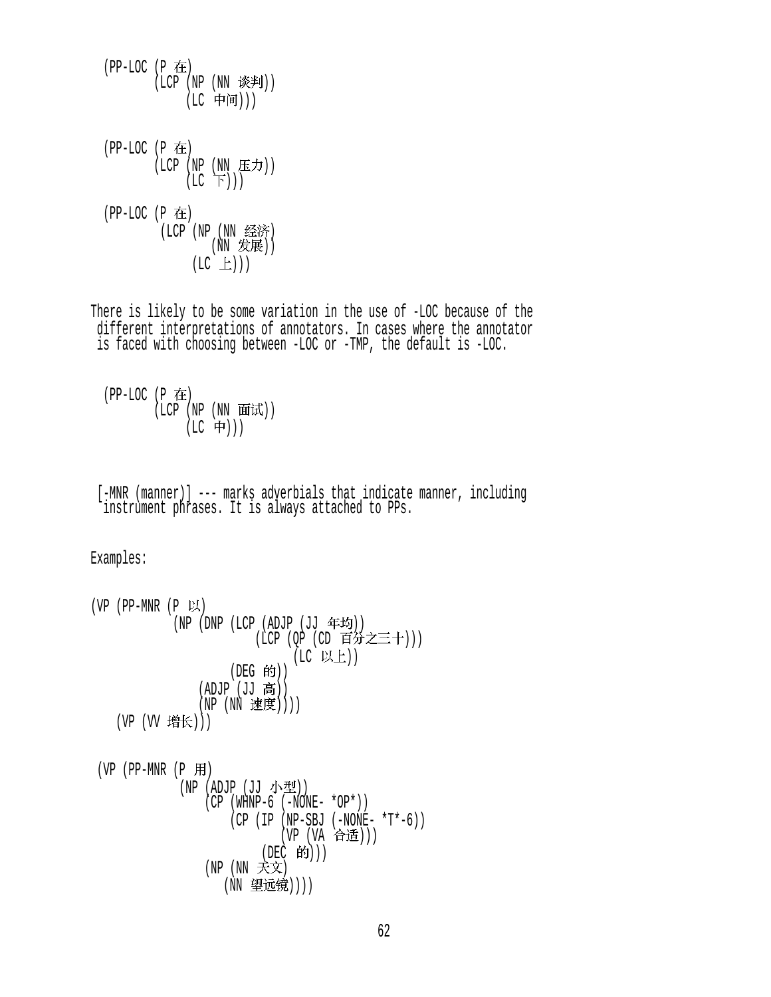(LC 中间)))  $(PP-LOC (P$  在 (LCP (NP (NN 庄ノリ))  $(LC \Gamma))$  $(PP-LOC (P$  在 (LCP (NP (NN 经济)  $(NN \napprox E)$  $(LC \tL))$ 

 $( LCP ( NP ( NN)$  谈判 $))$ 

 $(PP-LOC (P$  在

There is likely to be some variation in the use of -LOC because of the different interpretations of annotators. In cases where the annotator is faced with choosing between -LOC or -TMP, the default is -LOC.

 $(PP-LOC(P$   $E)$  $($ LCP  $($ NP  $($ NN 面试 $)$ )  $(LC$  中)))

 [-MNR (manner)] --- marks adverbials that indicate manner, including instrument phrases. It is always attached to PPs.

Examples:

```
(VP (PP-MNR (P \cup \cup \cup(NP (DNP (LCP (ADUP (JU 4F~E))))(\text{LCP } (\text{QP } (\text{CD } \text{H/T} \triangle \pm \text{T})))(LC 以上))(DEG 的))
                   (ADJP (JJ 高))(NP (NN \nexists \mathcal{B}(j)))(VP (VV 增长)))
 (VP (PP-MNR (P \nH)(NP (ADJP (JJ \nightharpoonup \Delta \mathbb{Z}))
                    (CP (WHNP-6 (-NONE- *OP*))) (CP (IP (NP-SBJ (-NONE- *T*-6)) 
                                  (VP (VA 合适)))
                               (DEC 的)))
                    (NP (NN 天文)
                        (NN 望远镜))))
```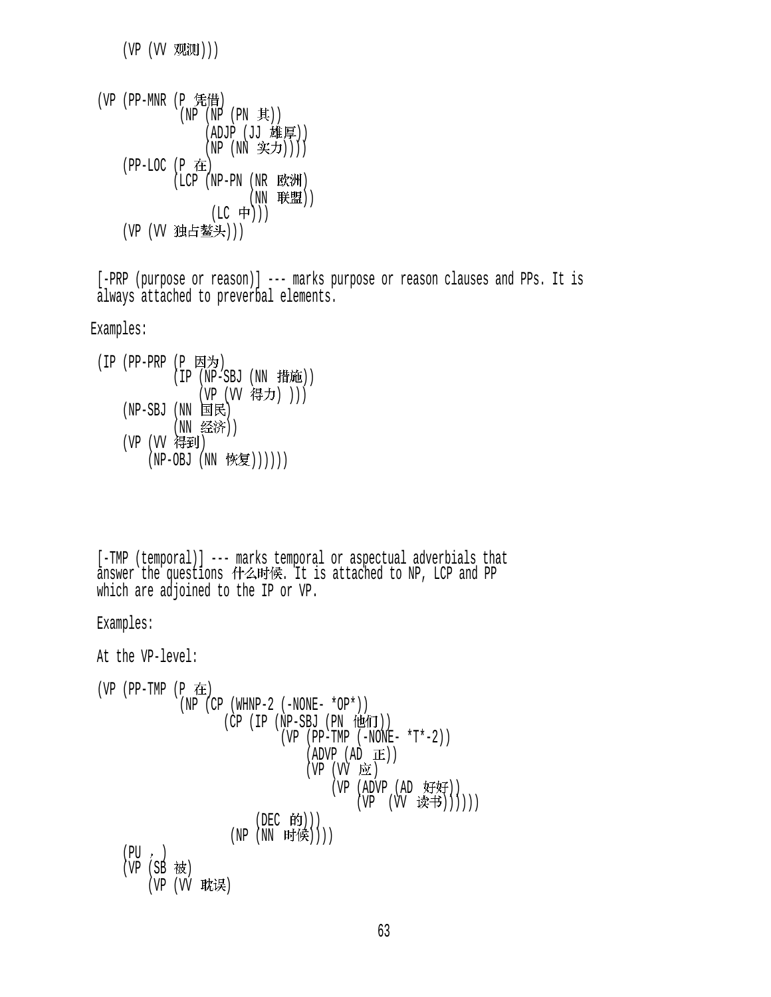$(VP (VV W)$ 

```
(VP (PP-MNR (P 凭借)
             (NP (NP (PN \nexists))(ADJP (JJ 雄厚))
                 (NP (NN 实力))))
     (PP-LOC (P ) 
            ( LCP ( NP-PN ( NR EK)(NN 联盟))
                  (LC + \rightarrow))(VP (W 独占鳌头)))
```
 [-PRP (purpose or reason)] --- marks purpose or reason clauses and PPs. It is always attached to preverbal elements.

```
Examples:
```

```
(IP (PP-PRP (P 因为)
            (IP (NP-SBJ (NN 1#)(VP (VV 得力) )))
   (NP-SBJ (NN \tB\mathbb{R})(NN 经济))
   (VP (VV 得到)
       (NP-OBJ (NN 恢复))))))
```

```
 [-TMP (temporal)] --- marks temporal or aspectual adverbials that 
answer the questions 什么时候. It is attached to NP, LCP and PP
 which are adjoined to the IP or VP.
```

```
 Examples:
```

```
 At the VP-level: 
(VP (PP-TMP (P在
             (NP (CP (WHNP-2 (-NONE- *OP*)))(CP (IP (NP-SBJ (PN 191))(VP (PP-TMP (-\text{NONE-} *T*-2))
                                (ADVP (AD \t E))(VP (VV E)(VP (ADVP (AD 好好))
                                        (VP (VV )读书)))))
                        (DEC 的)))
                    (NP (NN 时候))))
    (PU, )(VP(SB被)
       (VP (VV 耽误)
```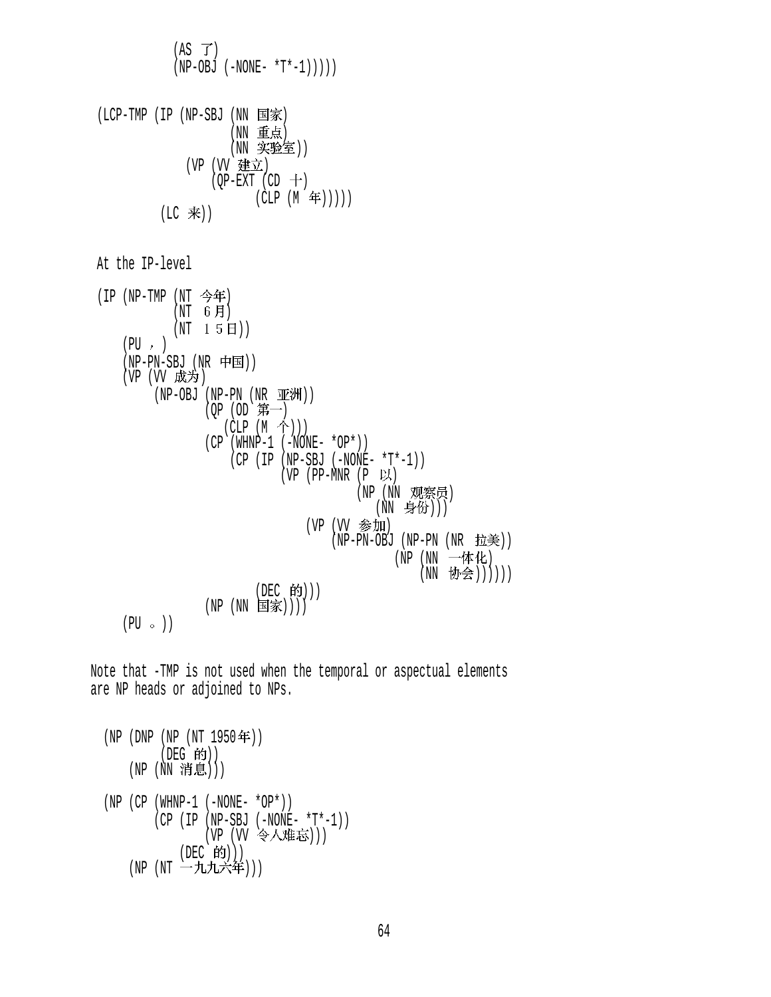$$
(AS T)
$$
\n
$$
(NP-OBJ (-NONE- *T^* -1))))
$$
\n
$$
(LCP-TMP (IP (NP-SBJ (NN BāK))
$$
\n
$$
(WR \oplus K)
$$
\n
$$
(NN \oplus K)
$$
\n
$$
(NP \oplus K)
$$
\n
$$
(NP \oplus K)
$$
\n
$$
(NP \oplus K)
$$
\n
$$
(CP (NP - TMP) (NT \oplus K))
$$
\n
$$
(CLP (M \oplus K))
$$
\n
$$
(LC \oplus K)
$$
\n
$$
(LC \oplus K)
$$
\n
$$
(NP \oplus K)
$$
\n
$$
(NP \oplus K)
$$
\n
$$
(NP \oplus K)
$$
\n
$$
(NP \oplus K)
$$
\n
$$
(NP \oplus K)
$$
\n
$$
(NP \oplus K)
$$
\n
$$
(NP \oplus K)
$$
\n
$$
(NP \oplus K)
$$
\n
$$
(NP \oplus K)
$$
\n
$$
(NP \oplus K)
$$
\n
$$
(NP \oplus K)
$$
\n
$$
(NP \oplus K)
$$
\n
$$
(NP \oplus K)
$$
\n
$$
(NP \oplus K)
$$
\n
$$
(NP \oplus K)
$$
\n
$$
(NP \oplus K)
$$
\n
$$
(NP \oplus K)
$$
\n
$$
(NP \oplus K)
$$
\n
$$
(NP \oplus K)
$$
\n
$$
(NP \oplus K)
$$
\n
$$
(NP \oplus K)
$$
\n
$$
(NP \oplus K)
$$
\n
$$
(NP \oplus K)
$$
\n
$$
(NP \oplus K)
$$
\n
$$
(NP \oplus K)
$$
\n
$$
(NP \oplus K)
$$
\n
$$
(NP \oplus K)
$$
\n
$$
(NP \oplus K)
$$
\n
$$
(NP \oplus K)
$$
\n
$$
(NP \oplus K)
$$
\n
$$
(NP \oplus K)
$$
\n
$$
(NP \oplus K)
$$
\n
$$
(NP \oplus K)
$$
\n
$$
(NP \oplus K)
$$
\n
$$
(NP \oplus K)
$$
\n
$$
(NP \oplus K)
$$
\n
$$
(NP \oplus K)
$$
\

Note that -TMP is not used when the temporal or aspectual elements are NP heads or adjoined to NPs.

 (NP (DNP (NP (NT 1950 )) (DEG )) (NP (NN ))) (NP (CP (WHNP-1 (-NONE- \*OP\*)) (CP (IP (NP-SBJ (-NONE- \*T\*-1)) (VP (VV ))) (DEC ))) (NP (NT )))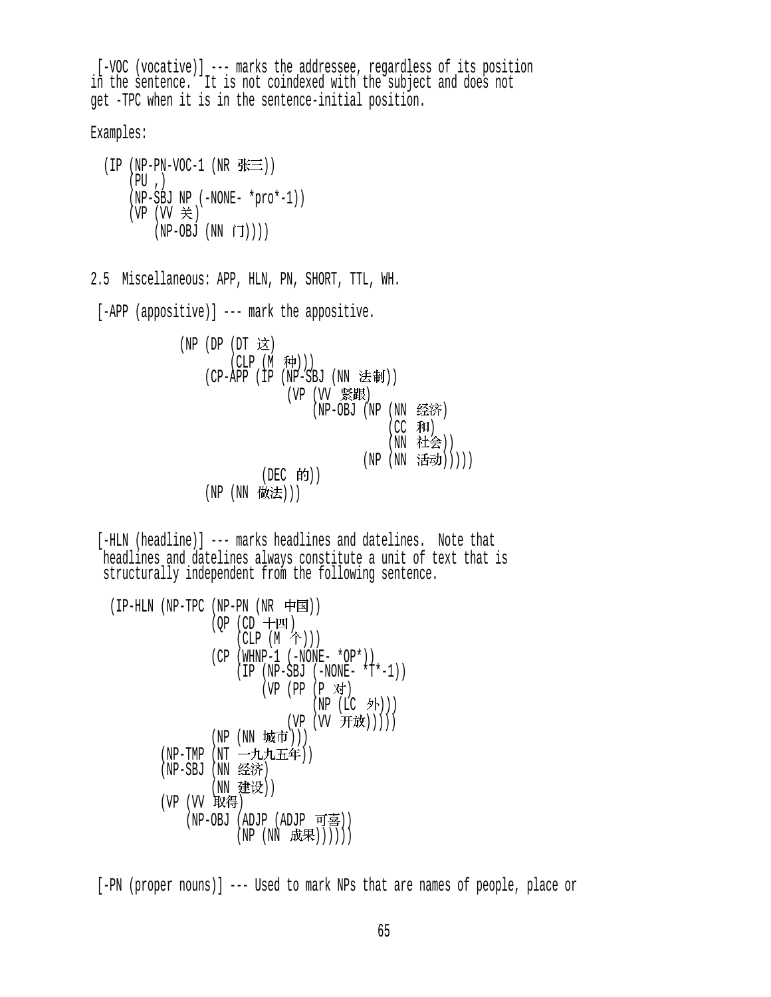[-VOC (vocative)] --- marks the addressee, regardless of its position in the sentence. It is not coindexed with the subject and does not get -TPC when it is in the sentence-initial position.

Examples:

 $(IP (NP-PN-VOC-1 (NR  $\frac{1}{2} \equiv 1)$ ))$  $(PU, )$  (NP-SBJ NP (-NONE- \*pro\*-1)) (VP (VV 关)  $(NP-OBJ (NN \tilde{J})))$ 

2.5 Miscellaneous: APP, HLN, PN, SHORT, TTL, WH.

[-APP (appositive)] --- mark the appositive.

 $(NP)$   $(DP)$   $(DT)$  这  $(CLP (M \#)))$  $(CP-APP (IP (NP-SBJ (NN ÷t)))$ (VP (VV 紧跟)  $(NP-OBJ (NP (NN  $\nleq$   $\hat{m}$ ))$  $(CC$  和) (NN 社会)) (NP (NN 活动)))))  $(DEC$  的 $))$ (NP (NN 做法)))

 [-HLN (headline)] --- marks headlines and datelines. Note that headlines and datelines always constitute a unit of text that is structurally independent from the following sentence.

```
(IP-HLN (NP-TPC (NP-PN (NR \noplus)(OP (CD + M)(CLP (M \hat{\wedge}))(CP (WHNP-1 (-NONE- *OP*))(IP (NP-SBJ (-NONE- *T*-1))(VP (PP (P 对)
                                   (NP (LC 外)))
                              (VP (VV 开放)))))
                 (NP (NN 城市)))
         (NP-TMP (NT 一九九五年))
         (NP-SBJ (NN \triangleq 3F)(NN 建设))
        (VP (VV 取得)
             (NP-OBJ (ADJP (ADJP 可喜))
                     (NP(NN R, \nleftrightarrow \mathbb{R}))))))
```
[-PN (proper nouns)] --- Used to mark NPs that are names of people, place or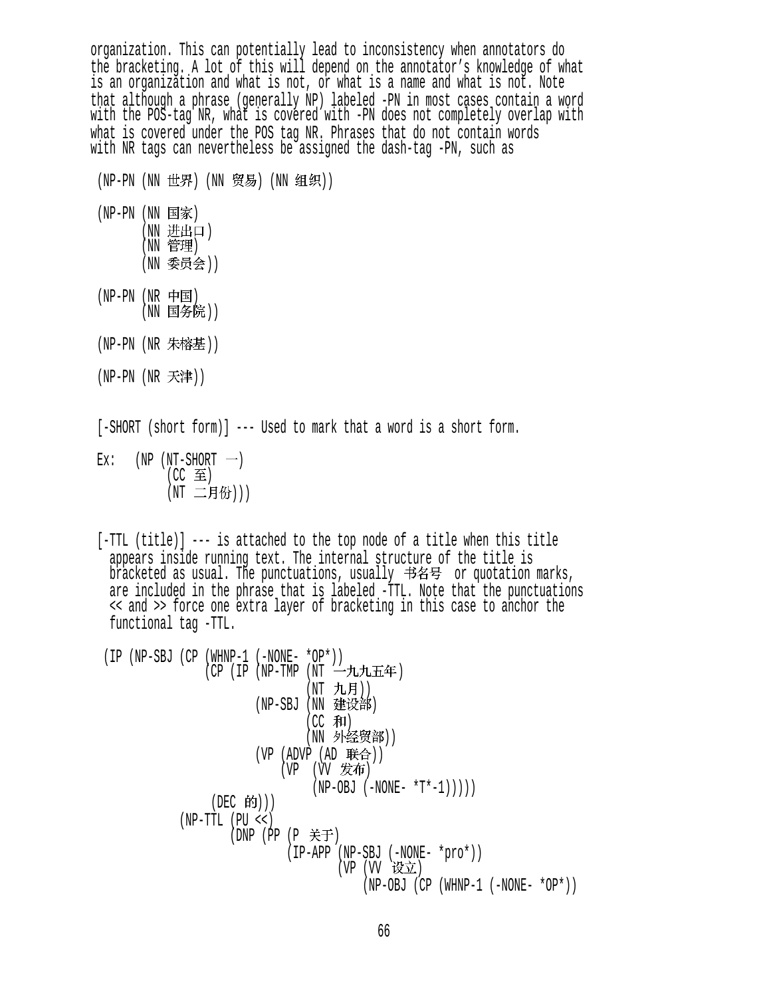organization. This can potentially lead to inconsistency when annotators do the bracketing. A lot of this will depend on the annotator's knowledge of what is an organization and what is not, or what is a name and what is not. Note that although a phrase (generally NP) labeled -PN in most cases contain a word with the POS-tag NR, what is covered with -PN does not completely overlap with what is covered under the POS tag NR. Phrases that do not contain words with NR tags can nevertheless be assigned the dash-tag -PN, such as

- (NP-PN (NN 世界) (NN 贸易) (NN 组织))
- (NP-PN (NN 国家) (NN 进出口) (NN 管理) (NN 委员会))
- $(NP-PN$   $(NR$  中国) (NN 国务院))
- (NP-PN (NR 朱榕基))
- $(NP-PN(NR \neq \#))$

[-SHORT (short form)] --- Used to mark that a word is a short form.

 $Ex:$  (NP (NT-SHORT  $\rightarrow$ )  $(CC \t{f}$ (NT 二月份)))

 [-TTL (title)] --- is attached to the top node of a title when this title appears inside running text. The internal structure of the title is bracketed as usual. The punctuations, usually 书名号 or quotation marks, are included in the phrase that is labeled -TTL. Note that the punctuations << and >> force one extra layer of bracketing in this case to anchor the functional tag -TTL.

 (IP (NP-SBJ (CP (WHNP-1 (-NONE- \*OP\*)) (CP (IP (NP-TMP (NT 一九九五年) (NT 九月)) (NP-SBJ (NN 建设部)  $(CC$  和) (NN 外经贸部))  $(VP (ADVP (AD E#A))$  $(VP)$   $(VV)$  发布)  $(NP-OBJ (-NONE- *T*-1)))))$ (DEC 的))) (NP-TTL (PU <<)  $(DNP (PP (P  $\notin$   $\pm$ ))$  (IP-APP (NP-SBJ (-NONE- \*pro\*)) (VP (VV 设立) (NP-OBJ (CP (WHNP-1 (-NONE- \*OP\*))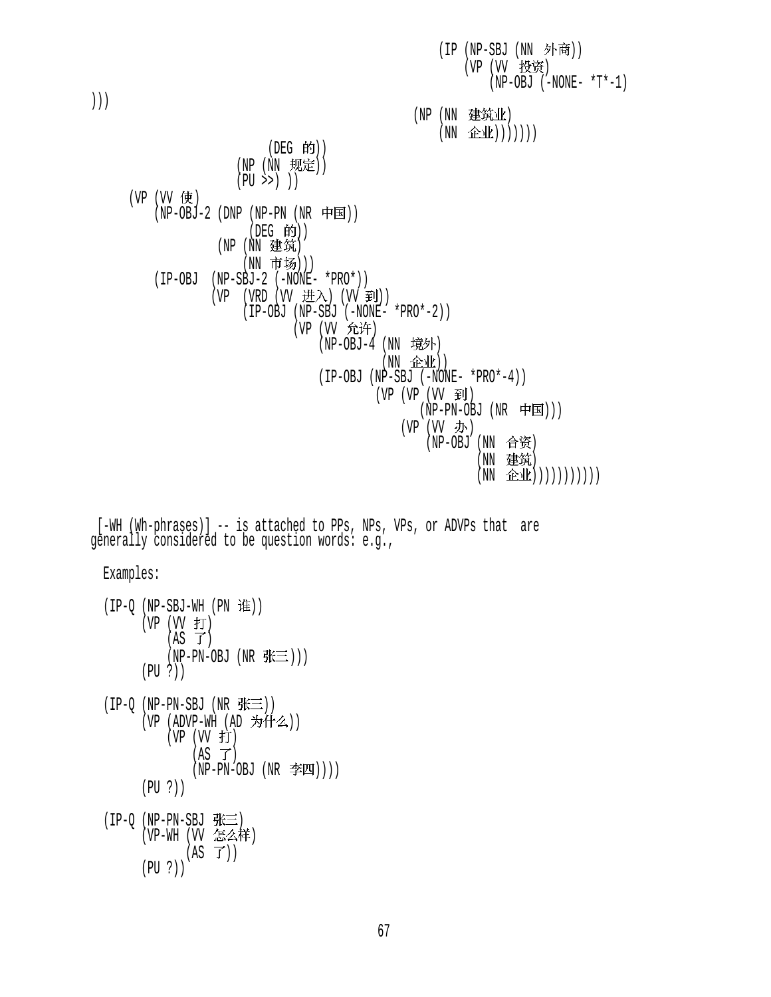(IP (NP-SBJ (NN 外商)) (VP (VV 投资)  $(NP-OBJ$   $(-NONE- *T*-1)$ ))) (NP (NN 建筑业)  $(NN \quad \hat{L}(\underline{W}))))))$ (DEG 的)) (NP (NN 规定))  $(PU \rightarrow)$ )  $(VP (VV fE))$  $(NP-OBJ-2 (DNP (NP-PN (NR \noplus \nightharpoonup E)))$  $($ DEG 的 $)$  $)$  $(NP(NN)$ 建筑) (NN 市场)))  $(IP-OBJ$   $(NP-SBJ-2$   $(-NONE- *PRO*)$ )  $(VP (VRD (VV  \n # \n  $\lambda$ ) (VV  \n  $\mathfrak{H}$ )))$  $(IP-OBJ (NP-SBJ (–NONE- *PRO*-2))$ (VP (VV 允许) (NP-0BJ-4 (NN 境外)  $(NN \quad \hat{H}(\mathbf{r}))$  (IP-OBJ (NP-SBJ (-NONE- \*PRO\*-4)) (VP (VP (VV 到)  $(NP-PN-OBJ (NR$  中国))) (VP  $(W \not\!\!\!\!\!I)$ ) (NP-OBJ (NN 合资) (NN 建筑)  $(NN \quad \hat{L}(\hat{L}(\cdot)))\cup))$ 

 [-WH (Wh-phrases)] -- is attached to PPs, NPs, VPs, or ADVPs that are generally considered to be question words: e.g.,

Examples:

 $(IP-Q (NP-SBJ-WH (PN  iff))$  $(VP (VV f))$  $(AS \ \mathcal{T})$  $(NP-PN-OBJ$   $(NR \# \equiv))$  (PU ?))  $(IP-Q (NP-PN-SBJ (NR  $\frac{P}{N} \equiv$ )))$ (VP (ADVP-WH (AD 为什么))  $(VP (VV f))$  $(AS \ \vec{J})$  $(NP-PN-OBJ (NR \ncong I)))$  (PU ?))  $(IP-Q$   $(NP-PN-SBJ$  张三 (VP-WH (VV 怎么样)  $(AS \ \vec{J}))$ (PU ?))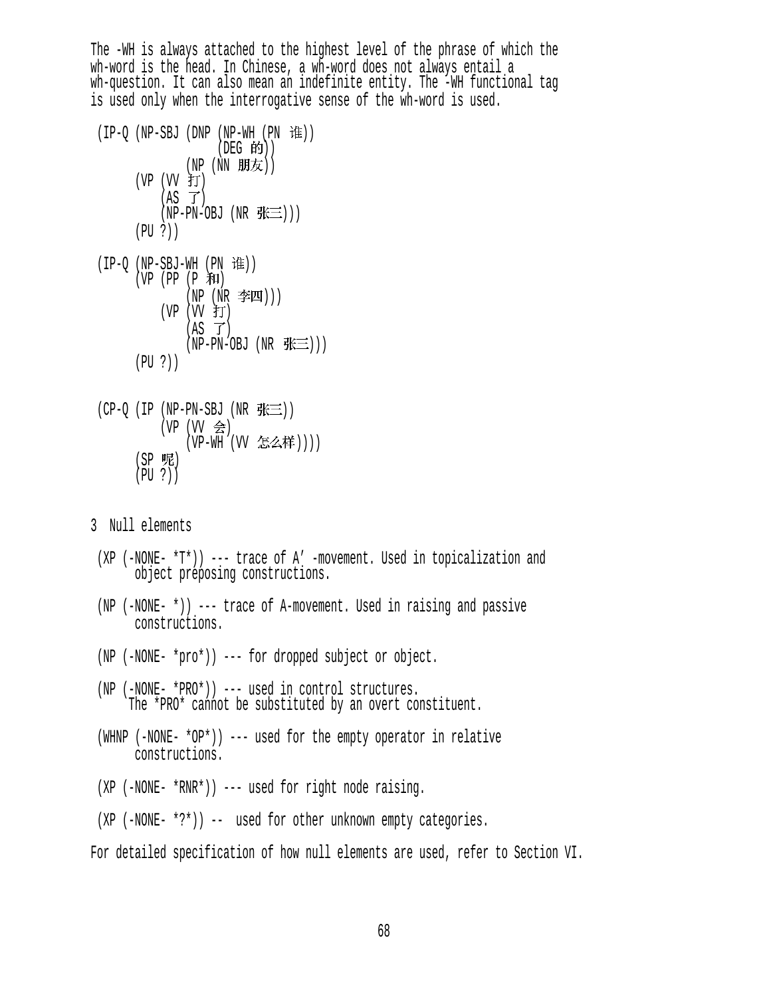The -WH is always attached to the highest level of the phrase of which the wh-word is the head. In Chinese, a wh-word does not always entail a wh-question. It can also mean an indefinite entity. The -WH functional tag is used only when the interrogative sense of the wh-word is used.

- $(IP-Q (NP-SBJ (DNP (NP-WH (PN t#)))$ (DEG 的)) (NP (NN 朋友)) (VP (VV 打)  $(AS \ \vec{J})$  $(NP-PN-OBJ (NR \# \equiv)))$  (PU ?))  $(IP-O (NP-SBJ-WH (PN$  $(VP (PP (P 1)$  $(NP(NR \cong I))$ 
	- (VP  $(W \nmid T)$  $(AS \tJ)$  $(NP-PN-OBJ (NR  $\# \equiv$ )))$ (PU ?))
- $(CP-O (IP (NP-PN-SBJ (NR  $\# \equiv$ )))$ (VP  $(W \trianglelefteq)$ (VP-WH (VV 怎么样)))) (SP 呢) (PU ?))

3 Null elements

- (XP (-NONE- \*T\*)) --- trace of A' -movement. Used in topicalization and object preposing constructions.
- (NP (-NONE- \*)) --- trace of A-movement. Used in raising and passive constructions.
- (NP (-NONE- \*pro\*)) --- for dropped subject or object.
- (NP (-NONE- \*PRO\*)) --- used in control structures. The \*PRO\* cannot be substituted by an overt constituent.
- (WHNP (-NONE-  $*$ OP $*)$ ) --- used for the empty operator in relative constructions.
- (XP (-NONE- \*RNR\*)) --- used for right node raising.
- (XP (-NONE- \*?\*)) -- used for other unknown empty categories.

For detailed specification of how null elements are used, refer to Section VI.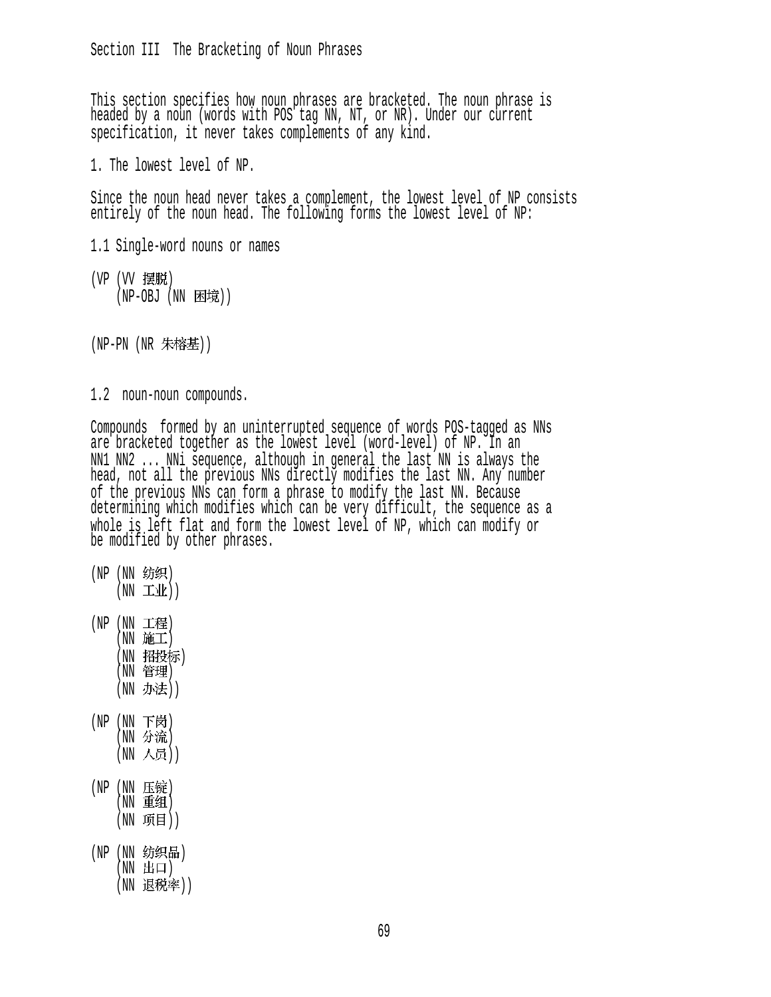This section specifies how noun phrases are bracketed. The noun phrase is headed by a noun (words with POS tag NN, NT, or NR). Under our current specification, it never takes complements of any kind.

1. The lowest level of NP.

Since the noun head never takes a complement, the lowest level of NP consists entirely of the noun head. The following forms the lowest level of NP:

- 1.1 Single-word nouns or names
- (VP (VV 摆脱) (NP-OBJ (NN 困境))
- (NP-PN (NR 朱榕基))
- 1.2 noun-noun compounds.

Compounds formed by an uninterrupted sequence of words POS-tagged as NNs are bracketed together as the lowest level (word-level) of NP. In an NN1 NN2 ... NNi sequence, although in general the last NN is always the head, not all the previous NNs directly modifies the last NN. Any number of the previous NNs can form a phrase to modify the last NN. Because determining which modifies which can be very difficult, the sequence as a whole is left flat and form the lowest level of NP, which can modify or be modified by other phrases.

- (NP (NN 纺织)  $(NN \pm 1)$
- (NP (NN 工程)  $(NN)$ 施工) (NN 招投标) (NN 管理) (NN 办法))
- (NP  $(NN$  下岗)  $(NN \nrightarrow \hat{m})$ (NN 人员))
- (NP (NN 压锭) (NN 重组) (NN 项目))
- (NP (NN 纺织品)  $(NN$   $\boxplus$  $\Box)$ (NN 退税率))

69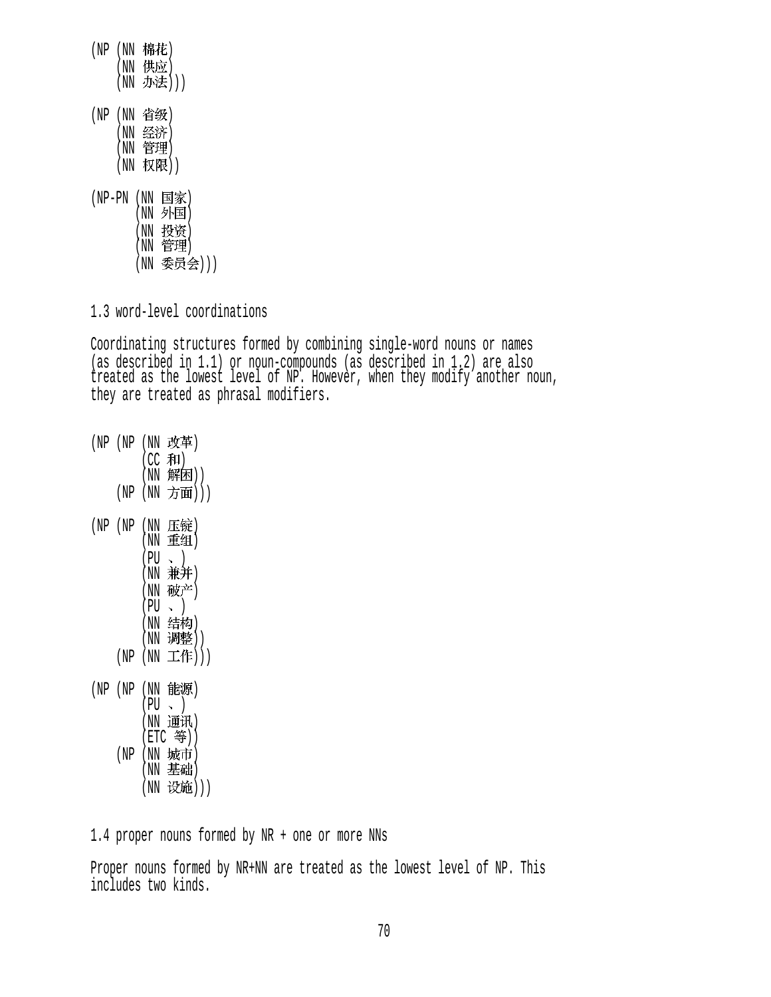$(NP(NN \nvert \hat{R}$ (NN 供应) (NN 办法))) (NP (NN 省级) (NN 经济) (NN 管理) (NN 权限)) (NP-PN (NN 国家)

(NN 外国) (NN 投资)  $(NN$  管理 $)$ (NN 委员会)))

1.3 word-level coordinations

Coordinating structures formed by combining single-word nouns or names (as described in 1.1) or noun-compounds (as described in 1.2) are also treated as the lowest level of NP. However, when they modify another noun, they are treated as phrasal modifiers.

 $(NP(NP(NN \; \not \& \n\#))$  $(CC$  和)  $(NN$ 解困 $))$ (NP (NN 方面)))  $(NP)$   $(NN)$  压锭  $(NN \t B4)$  $(PU \sim )$ (NN 兼并)  $(NN$ 破产)  $(PU \sim )$ (NN 结构) (NN 调整))  $(NP (NN Iff)))$ (NP (NP (NN 能源)  $(PU \sim )$ (NN 通讯)  $(ETC$  等)) (NP (NN 城市)  $(NN \t{B}$ 础) (NN 设施)))

1.4 proper nouns formed by NR + one or more NNs

Proper nouns formed by NR+NN are treated as the lowest level of NP. This includes two kinds.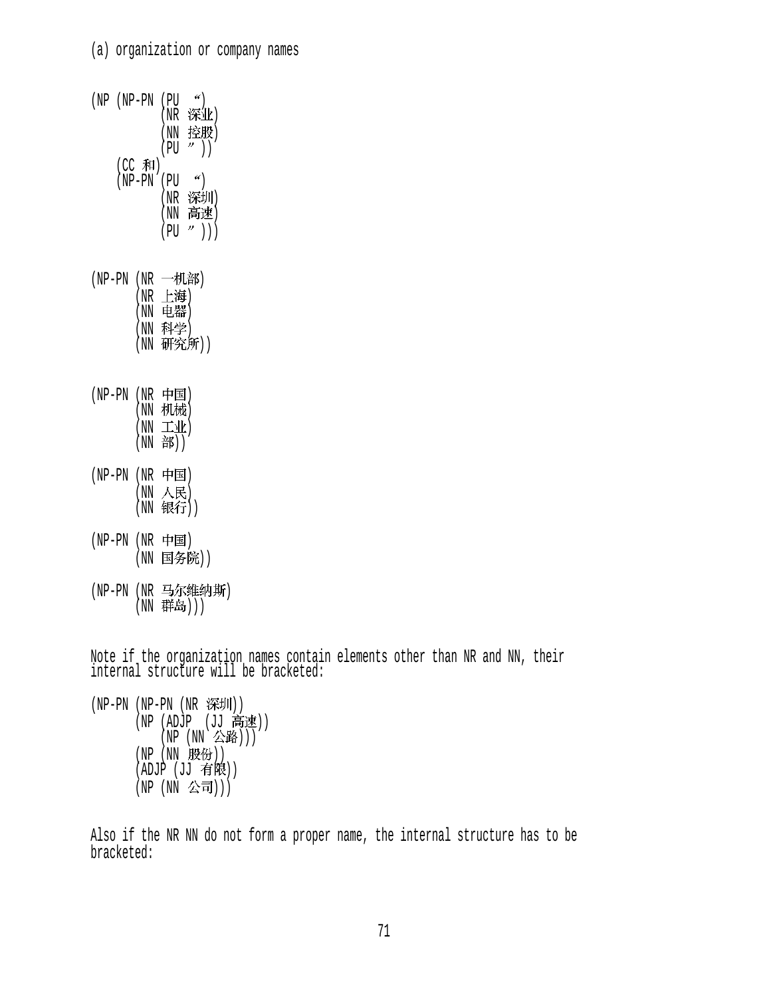| (NP (NP-PN |                    | $\mathscr{L}$<br>(PU<br>深业)<br>(NR<br>控股)<br>"))<br>(NN<br>(PU                    |
|------------|--------------------|-----------------------------------------------------------------------------------|
|            |                    | (CC 和)<br>(NP-PN (PU<br>$\mathscr{C}$<br>深圳)<br>(NR<br>(NN 高速)<br>$"\ )$ )<br>(PU |
| (NP-PN     | (NR                | 一机部)<br>(NR 上海)<br>(NN 电器)<br>(NN 科学)<br>(NN 研究)<br>研究所))                         |
| (NP-PN     |                    | (NR 中国)<br>(NN 机械)<br>(NN 工业)<br>(NN 部))                                          |
| (NP-PN     | (NN<br>(MN)        | (NR 中国)<br>人民)<br>银行))                                                            |
| (NP-PN     |                    | (NR 中国)<br>(NN 国务院))                                                              |
| (NP-PN     | $(\,\mathrm{NN}\,$ | (NR 马尔维纳斯)<br>群岛)))                                                               |

Note if the organization names contain elements other than NR and NN, their internal structure will be bracketed:

(NP-PN (NP-PN (NR 深圳)) (NP (ADJP (JJ 向地)) (NP (NN 公*哈*)))  $(NP(NN H\mathcal{B}))$  $(ADJP (JJ 4)$  $($ NP  $($ NN 公司 $))$ 

Also if the NR NN do not form a proper name, the internal structure has to be bracketed: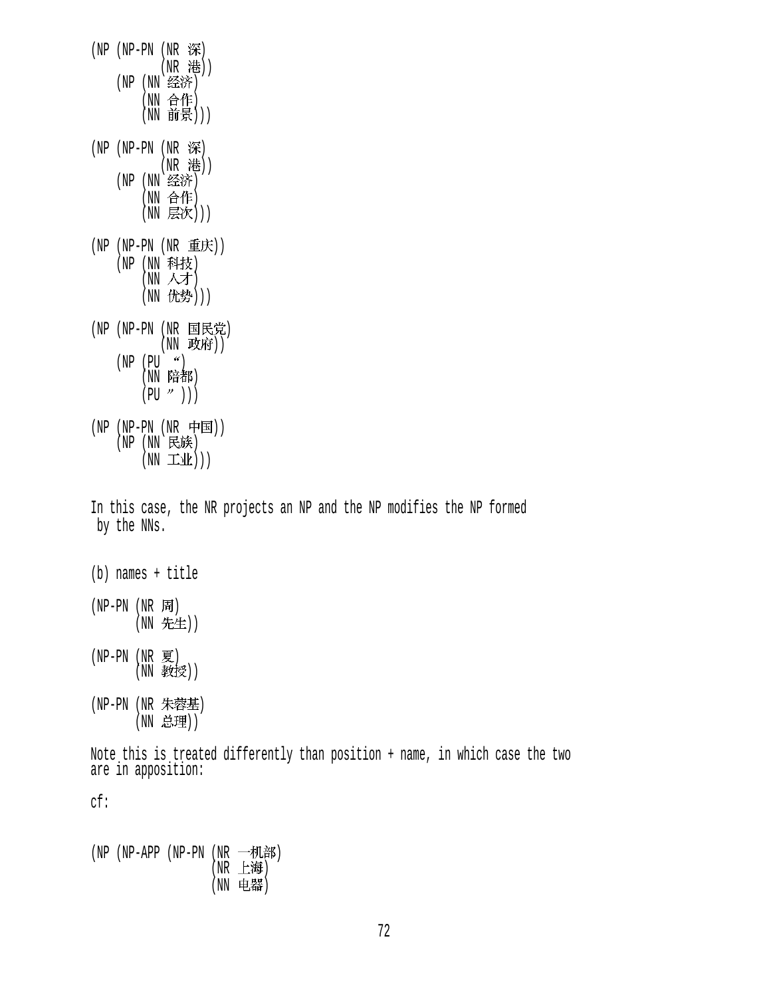$(NP - PN (NR  $\mathcal{R})$$ (NR 港)) (NP (NN 经济) (NN 合作) (NN 前景)))  $(NP - PN (NR  $\mathcal{R})$$ (NR 港)) (NP (NN 经济) (NN 合作) (NN 层次)))  $(NP (NP-PN (NR$ 重庆 $))$ (NP (NN 科技)  $(NN \land \overline{\mathcal{F}})$ (NN 优势))) (NP (NP-PN (NR 国民党) (NN 政府))  $(NP (PU''))$ (NN 陪都)  $(PU'')$ ))  $(NP - PN (NR F)$  $(NP(NN_R),N_R)$  $(NN \pm 1/k))$ In this case, the NR projects an NP and the NP modifies the NP formed by the NNs. (b) names + title  $(NP-PN(NR)$ (NN 先生)) (NP-PN (NR ) (NN 教授)) (NP-PN (NR 朱蓉基) (NN 总理)) Note this is treated differently than position + name, in which case the two are in apposition: cf:

(NP (NP-APP (NP-PN (NR 一机部)  $(NR \pm \frac{1}{16})$ (NN 电器)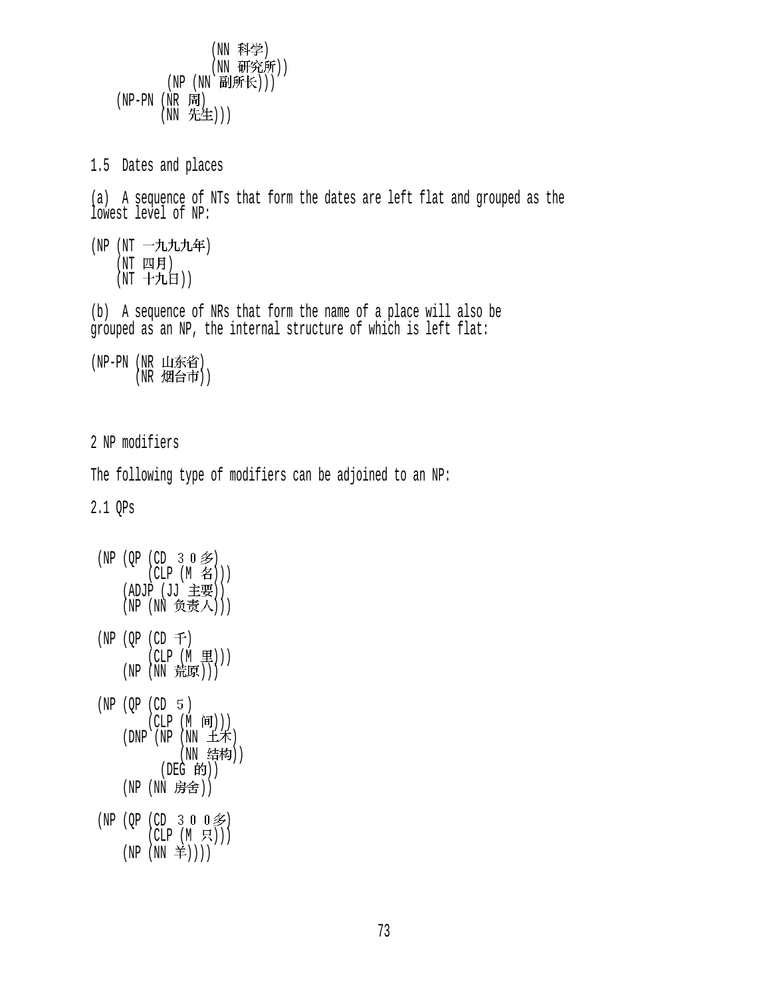(NN 科学) (NN 研究所))  $(NP (NN \t{Biff} \mathcal{H})))$  $(NP-PN(NR)$ (NN 先生))) 1.5 Dates and places (a) A sequence of NTs that form the dates are left flat and grouped as the lowest level of NP: (NP (NT 一九九九年)  $(NT \quad \Box\Box \quad H)$  $(NT + HH))$ (b) A sequence of NRs that form the name of a place will also be grouped as an NP, the internal structure of which is left flat: (NP-PN (NR 山东省) (NR 烟台市)) 2 NP modifiers The following type of modifiers can be adjoined to an NP: 2.1 QPs  $(NP (QP (CD 3 0 3))$  $(CLP (M \n4))$ (ADJP (JJ 主要)) (NP (NN 负责人)))  $(NP (QP (CD F))$  $(CLP(M \t\t\mathbb{E})))$  $(NP(NN$  荒原 $)))$  $(NP (QP (CD 5))$  $(CLP(M \nvert \mathbf{H})))$  $(DNP)(NP(NN \pm \kappa))$ (NN 结构)) (DEG 的)) (NP (NN 房舍))  $(NP (QP (CD 3 0 0 2))$  $(CLP(M H),))$  $(NP(NN  $\neq$ )))$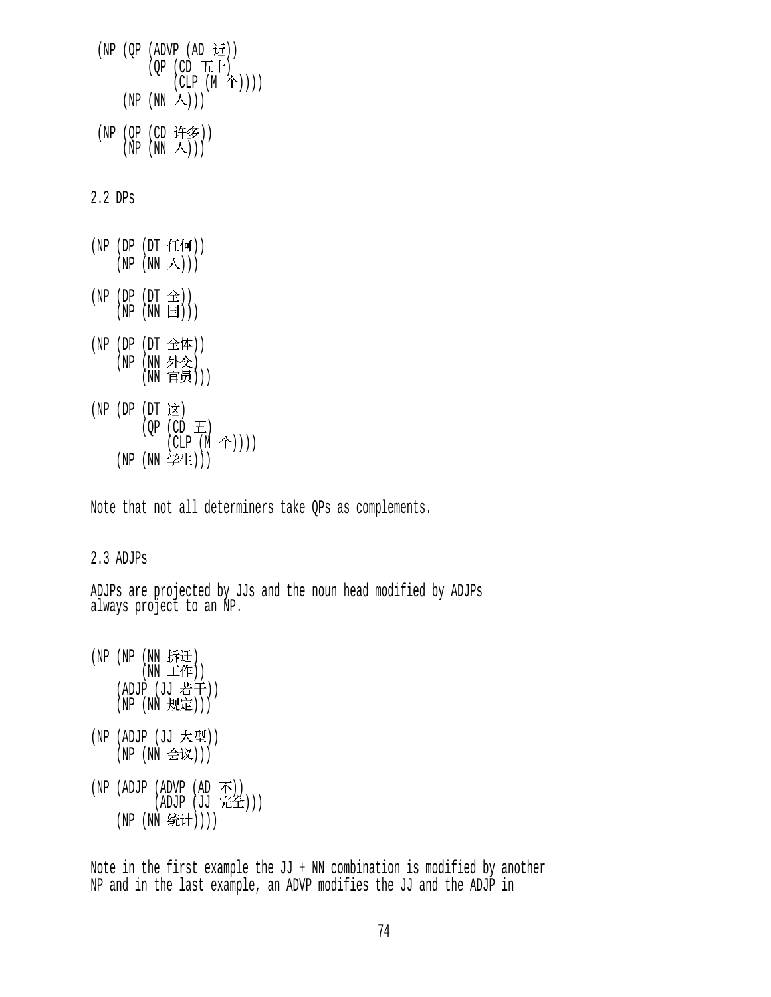|         | (NP (QP (ADVP (AD 近))<br>$(QP (CD \pm+)$<br>$(CLP(M \hat{\uparrow}))))$     |
|---------|-----------------------------------------------------------------------------|
|         | (NP (NN 人)))                                                                |
|         | (NP (QP (CD 许多))<br>(NP (NN 人)))                                            |
| 2.2 DPs |                                                                             |
|         | (NP (DP (DT 任何))<br>(NP (NN 人)))                                            |
|         | (NP (DP (DT 全))<br>(NP (NN 国)))                                             |
|         | (NP (DP (DT 全体))<br>(NP (NN 外交)<br>(NN 官员)))                                |
|         | (NP (DP (DT 这)<br>$(QP$ (CD $\overline{H}$ )<br>$(CLP(M \hat{\uparrow}))))$ |
|         | (NP (NN 学生)))                                                               |

Note that not all determiners take QPs as complements.

## 2.3 ADJPs

ADJPs are projected by JJs and the noun head modified by ADJPs always project to an NP.

 $(NP (NP (NN DFTE))$  $(NN \perp T)$ (ADJP (JJ 若干))  $(NP (NN)$ 规定 $))$ (NP (ADJP (JJ 大型)) (NP (NN 会议)))  $(NP (ADUP (ADVP (AD A)))$ (ADJP (JJ 元全))) (NP (NN 统计))))

Note in the first example the JJ + NN combination is modified by another NP and in the last example, an ADVP modifies the JJ and the ADJP in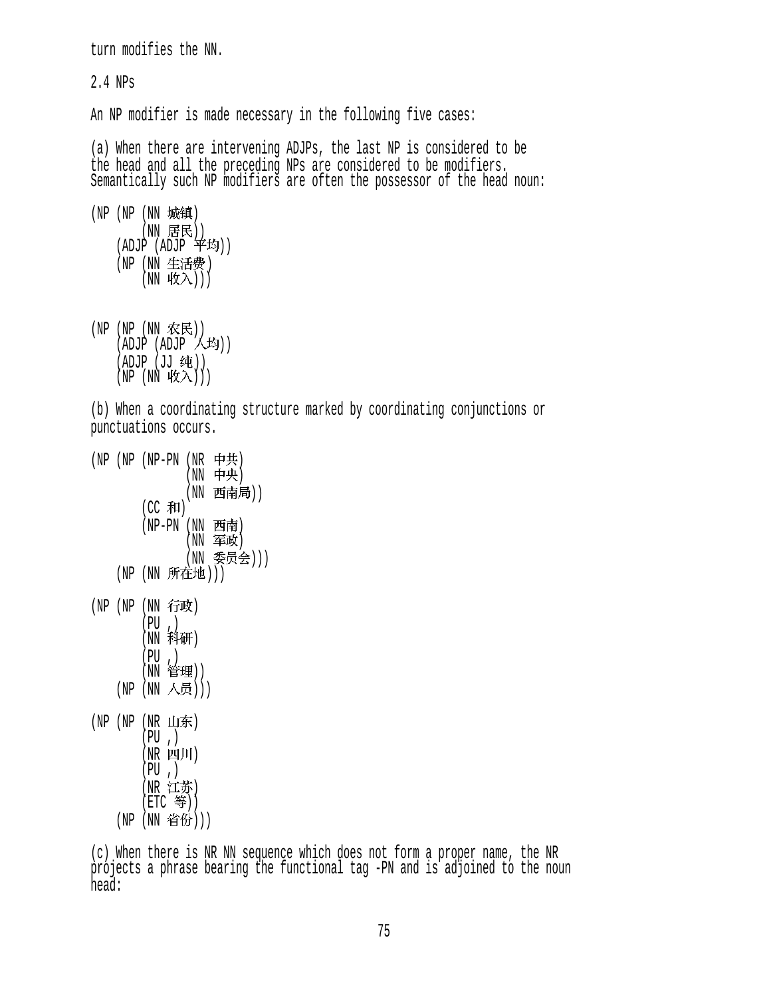```
turn modifies the NN. 
2.4 NPs 
An NP modifier is made necessary in the following five cases:
(a) When there are intervening ADJPs, the last NP is considered to be 
the head and all the preceding NPs are considered to be modifiers.
Semantically such NP modifiers are often the possessor of the head noun: 
(NP (NP (NN 城镇)
        (NN 居民))
    (ADJP (ADJP <math>辛均))(NP (NN 生活费)
        (\overline{\text{NN}} \ \overline{\text{W}} \lambda))(NP (NP (NN \tRe)(ADJP (ADJP (Ay))(ADJP (JJ 纯))
    (NP(NN \rvert W\lambda)))(b) When a coordinating structure marked by coordinating conjunctions or 
punctuations occurs. 
(NP (NP (NP-PN (NR 中共)
                (NN 中央)
                (NN 西南局))
        (CC 和)
        (NP-PN (NN 西南)
                (NN \ncong K)(NN 委员会)))
    (NP (NN 所在地)))
(NP (NP (NN <math>f</math>) (PU ,) 
        (NN 科研)
 (PU ,) 
(NN 官埋))
    (NP (NN 人员)))
(NP(NP(NR H<math>\hat{F})) (PU ,) 
        (NR \quad 21)(PU, )(NR 江苏)
        (ETC \;  等 ))(NP (NN 省份)))
(c) When there is NR NN sequence which does not form a proper name, the NR 
projects a phrase bearing the functional tag -PN and is adjoined to the noun
```
head: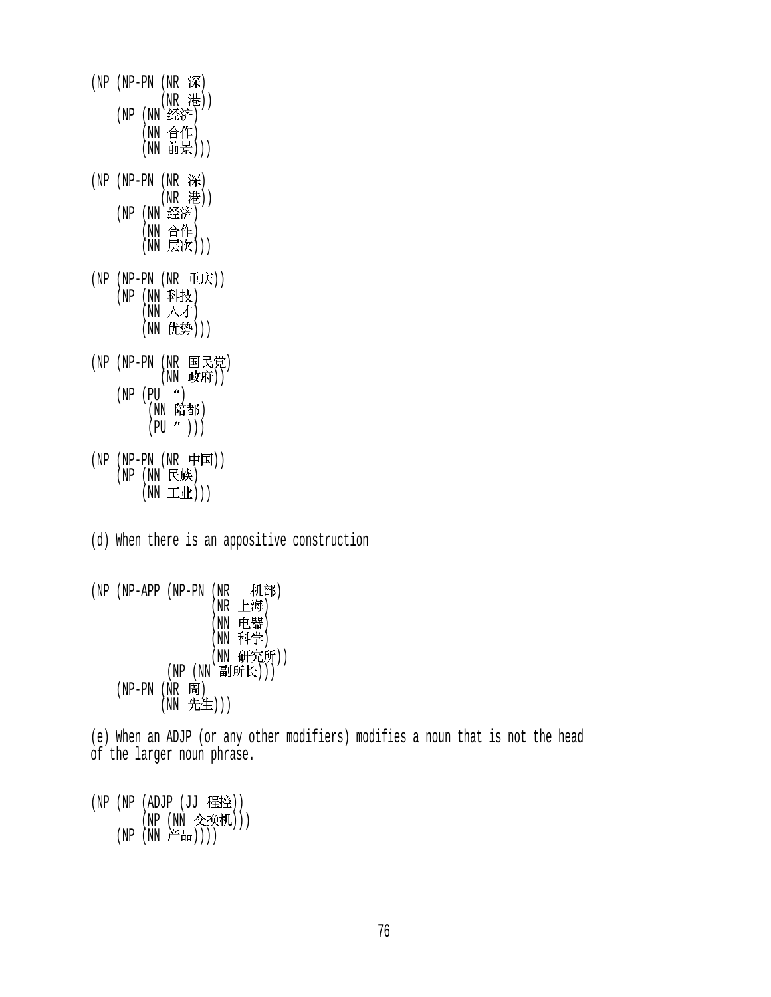- (NP (NP-PN (NR 深) (NR 港)) (NP (NN 经济) (NN 合作)  $(NN$  前景 $))$ (NP  $(NP-PN$  (NR 深) (NR 港)) (NP (NN 经济) (NN 合作) (NN 层次)))  $(NP (NP-PN (NR 12E))$ (NP (NN 科技)  $(NN \land \overline{\mathcal{F}})$ (NN 优势))) (NP (NP-PN (NR 国民党) (NN 政府))  $(NP (PU''))$ <sup>'</sup>(NN 陪都)  $(PU'')$ )) (NP (NP-PN (NR 中国)) (NP (NN 民族)  $(NN \pm 1/k))$
- (d) When there is an appositive construction
- $(NP APP)$   $(NP PN)$   $(NR \rightarrow NL$  $(NR \tImes \mathbf{F})$ (NN 电器) (NN 科学) (NN 研究所)) (NP (NN 副所长)))  $(NP-PN(NR)$ (NN 先生)))

(e) When an ADJP (or any other modifiers) modifies a noun that is not the head of the larger noun phrase.

(NP (NP (ADJP (JJ 程控)) (NP (NN 交换机)))  $(NP(NN \ncong H)))$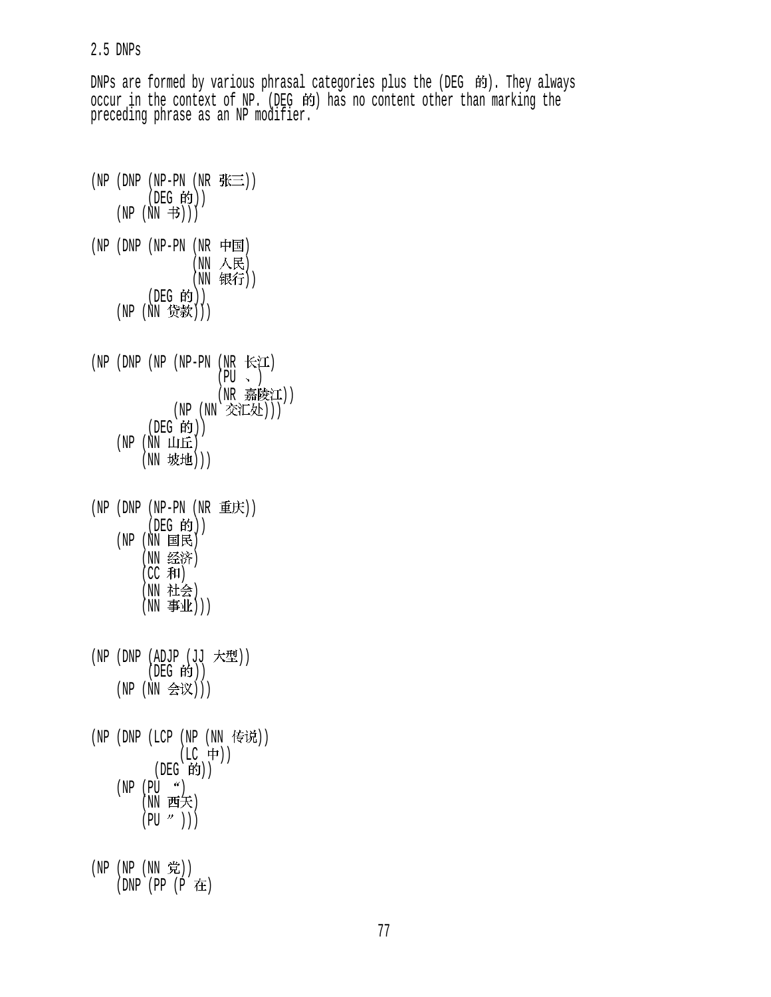#### 2.5 DNPs

DNPs are formed by various phrasal categories plus the (DEG 的). They always occur in the context of NP. (DEG 的) has no content other than marking the preceding phrase as an NP modifier.

```
(NP (DNP (NP-PN (NR <math>\# \equiv)</math>)).(DEG 的))
    (NP (NN \#)))(NP (DNP (NP-PN (NR 中国)
                 (NN \land R)(NN 银行))(DEG 的))
    (NP(NN 贷款))(NP (DNP (NP (NP-PN (NR \star)
                      (PU \sim )(NR 嘉陵江))
              (NP (NN 交汇处)))
         (DEG 的))
    (NP(NN \; \perp \!\!\! \perp \; \mathbf{f} \mathbf{f}))(NN 坡地)))
(NP (DNP (NP-PN (NR(DEG 的))
    (NP(NN \tB)(NN 经济)
         (CC #I)(NN 社会)
        (NN \oplus \mathbb{1}))
(NP (DNP (ADJP (JJ \t#)(DEG 的)(NP (NN 会议)))
(NP (DNP (LCP (NP (NN 传说))
              (LC + 1)(DEG 的))(NP (PU <math>^{\prime\prime})(NN 西天)(PU'')))
(NP (NP (NN 党))
     (DNP (PP (P )
```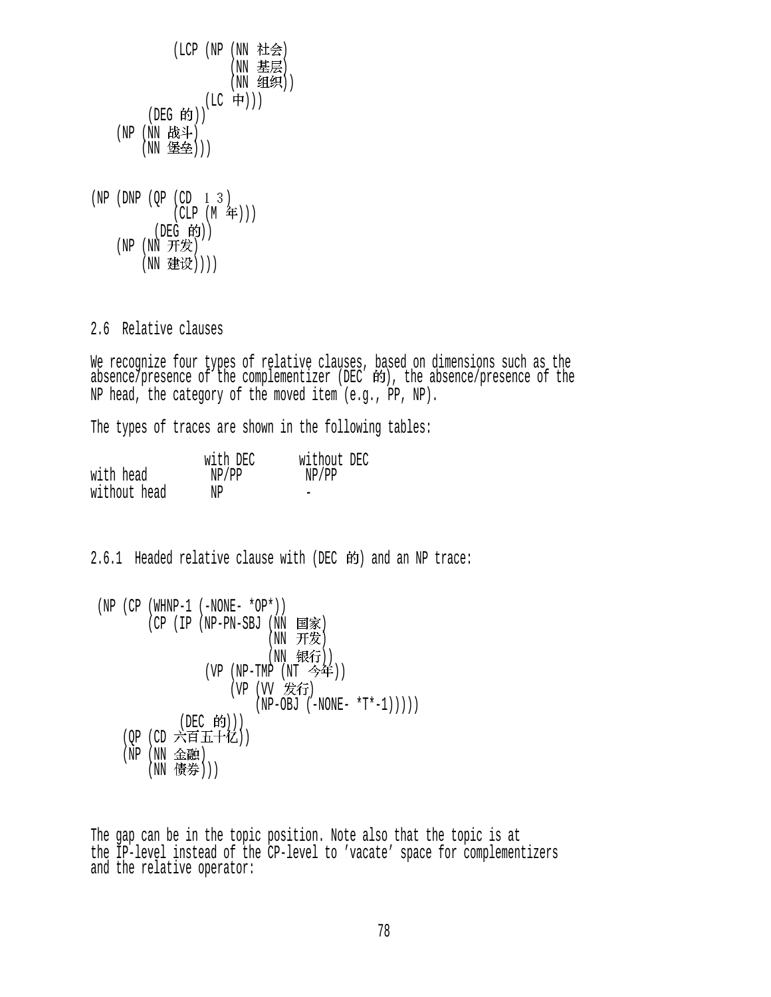(LCP (NP (NN 社会)  $(NN \t{E};$  $(NN 499)$  $(\text{LC} \oplus))$  $($ DEG 的)) (NP (NN 战斗) (NN 堡垒))) (NP (DNP ( $QP$  (CD  $1 \quad 3$ )  $(CLP (M 4))$ (DEG 的)) (NP (NN 开发) (NN 建设))))

2.6 Relative clauses

We recognize four types of relative clauses, based on dimensions such as the absence/presence of the complementizer (DEC 的), the absence/presence of the NP head, the category of the moved item (e.g., PP, NP).

The types of traces are shown in the following tables:

|              | with DEC | without DEC |
|--------------|----------|-------------|
| with head    | NP/PP    | NP/PP       |
| without head | NP       |             |

2.6.1 Headed relative clause with (DEC 的) and an NP trace:

```
(NP (CP (WHNP-1 (-NONE- *OP*)))(CP (IP (NP-PN-SBJ (NN 国家)
                        (NN 开发)
                        (NN 银行))
               (VP (NP-TMP (NT 今年))
                   (VP (VV 发行)
                      (NP-OBJ (-NONE- *T*-1)))))(DEC 的)))
   (QP (CD 六百五十亿))
   (NP (NN 金融)
       (NN 债券)))
```
The gap can be in the topic position. Note also that the topic is at the IP-level instead of the CP-level to 'vacate' space for complementizers and the relative operator: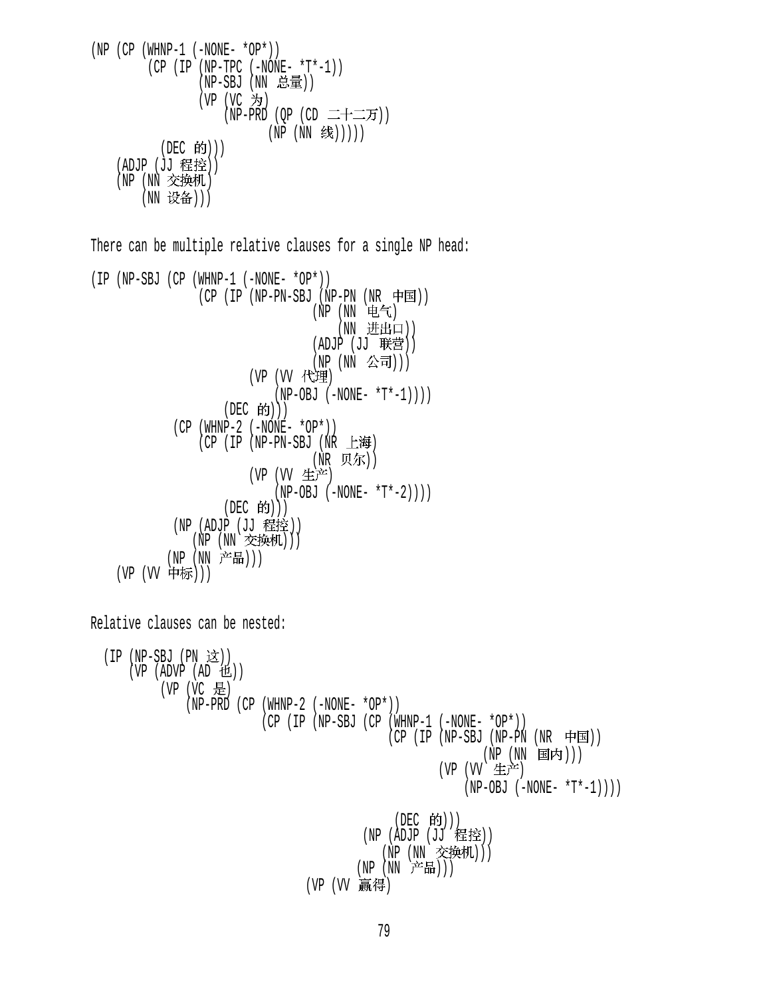(NP (CP (WHNP-1 (-NONE- \*OP\*)) (CP (IP (NP-TPC (-NONE- \*T\*-1)) (NP-SBJ (NN )) (VP (VC ) (NP-PRD (QP (CD )) (NP (NN ))))) (DEC ))) (ADJP (JJ )) (NP (NN ) (NN )))

There can be multiple relative clauses for a single NP head:

```
(IP (NP-SBJ (CP (WHNP-1 (-NONE- *OP*)) 
                 (CP (IP (NP-PN-SBJ (NP-PN (NR \nleftrightarrow \nexists))(NP)(NN(E5))(NN 进出口))
                                  (ADJP (JJ \t#style))(NP (NN 公司)))
                        (VP (VV 代理)
                             (NP-OBJ (-NONE- *T*-1))(DEC 的))(CP (WHNP-2 (-NONE- *OP*)))(CP (IP (NP-PN-SBJ (NR 上海)
                                  (NR 贝尔))
                        (VP (W 生产)
                             (NP-OBJ (-NONE- *T*-2)))(DEC 的))(NP (ADJP (JJ 程控))
               (NP(NN \times H)/N)(NP (NN 产品)))
    (VP (VV 中标)))
```
Relative clauses can be nested:

\n
$$
\begin{array}{ll}\n \text{(IP (NP-SBJ (PN \t& i)))} \\
 \text{(VP (ADVP (AD t& i))} \\
 \text{(VP (VC & j))} \\
 \text{(NP-PRD (CP (WHNP-2 (-NONE - *OP*)))} \\
 \text{(CP (IP (NP-SBJ (CP (WHNP-1 (-NONE - *OP*))))))} \\
 \text{(CP (IP (NP-SBJ (NP-SBJ (NP-PN (MR \t& j)))))} \\
 \text{(VP (VV \t& j) + \text{(NP (NN \t& j) + \text{(NP (NN \t& j) + \text{(NP (NN \t& j) + \text{(NP (NN \t& j) + \text{(NP (NN \t& j) + \text{(NP (NN \t& j) + \text{(NP (NN \t& j) + \text{(NP (NN \t& j) + \text{(NP (NN \t& j) + \text{(NP (NN \t& j) + \text{(NP (NN \t& j) + \text{(NP (NN \t& j) + \text{(NP (NN \t& j) + \text{(NP (NN \t& j) + \text{(NP (NN \t& j) + \text{(NP (NN \t& j) + \text{(NP (NN \t& j) + \text{(NP (NN \t& j) + \text{(NP (NN \t& j) + \text{(NP (NN \t& j) + \text{(NP (NN \t& j) + \text{(NP (NN \t& j) + \text{(NP (NN \t& j) + \text{(NP (NN \t& j) + \text{(NP (NN \t& j) + \text{(NP (NN \t& j) + \text{(NP (NN \t& j) + \text{(NP (NN \t& j) + \text{(NP (NN \t& j) + \text{(NP (NN \t& j) + \text{(NP (NN \t& j) + \text{(NP (NN \t& j) + \text{(NP (NN \t& j) + \text{(NP (NN \t& j) + \text{(NP (NN \t& j) + \text{(NP (NN \t& j) + \text{(NP (NN \t& j) + \text{(NP (NN \t& j) + \text{(NP (NN \t& j) + \text{(NP (NN \t& j) + \text{(NP (NN \t& j) + \text{(NP (NN \t& j) + \text{(NP (NN \t& j) + \text
$$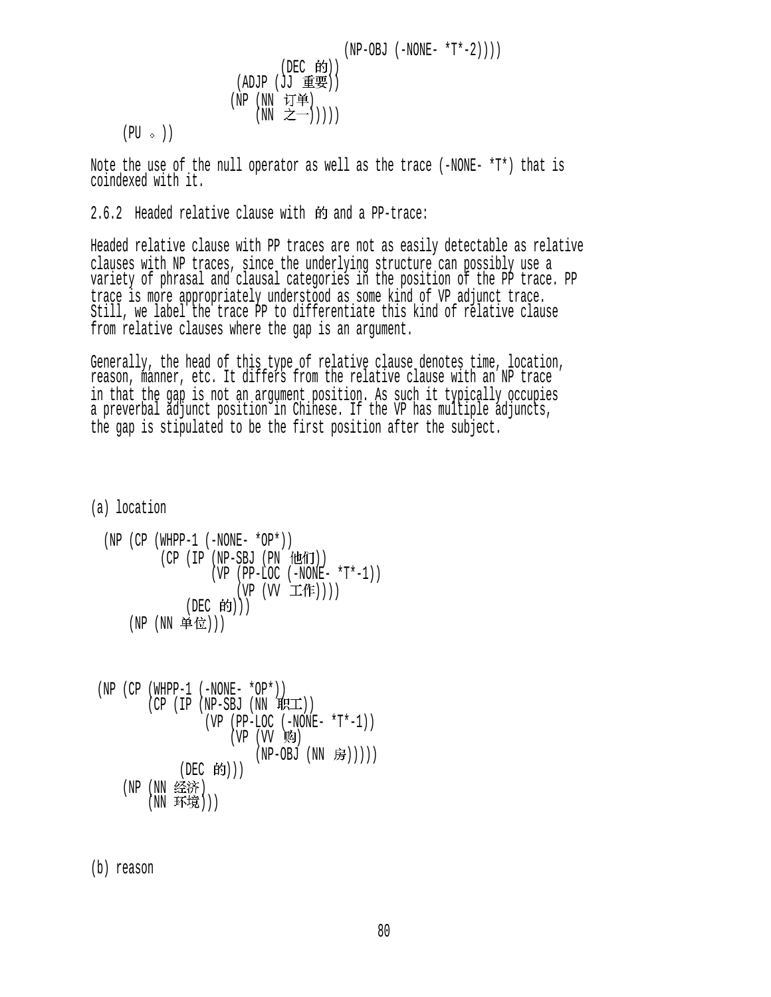$$
(\text{NP}-\text{OBJ } (-\text{NONE- *T*-2})))
$$
\n
$$
(\text{ADJP } (\text{JJ } \text{f} \text{f} \text{f} \text{f}))
$$
\n
$$
(\text{ND } (\text{NN } \text{I} \text{f} \text{f} \text{f} \text{f}))
$$
\n
$$
(\text{NN } \text{f} \text{f} \text{f} \text{f})
$$
\n
$$
(\text{NN } \text{f} \text{f} \text{f} \text{f}))
$$

 $(PU \circ)$ 

Note the use of the null operator as well as the trace (-NONE- \*T\*) that is coindexed with it.

2.6.2 Headed relative clause with 的 and a PP-trace:

Headed relative clause with PP traces are not as easily detectable as relative clauses with NP traces, since the underlying structure can possibly use a variety of phrasal and clausal categories in the position of the PP trace. PP trace is more appropriately understood as some kind of VP adjunct trace. Still, we label the trace PP to differentiate this kind of relative clause from relative clauses where the gap is an argument.

Generally, the head of this type of relative clause denotes time, location, reason, manner, etc. It differs from the relative clause with an NP trace in that the gap is not an argument position. As such it typically occupies a preverbal adjunct position in Chinese. If the VP has multiple adjuncts, the gap is stipulated to be the first position after the subject.

(a) location

$$
\begin{array}{ll}\n\text{(NP (CP (WHPP-1 (-NONE- *OP*)))}\\ \n& (CP (IP (NP-SBJ (PN ftLfij))\\ \n& (VP (PP-LOC (-NONE- *T*-1))\\ \n& (VP (VV - L'fF))))\\ \n& (DEC fij)))\n\end{array}
$$

 (NP (CP (WHPP-1 (-NONE- \*OP\*)) (CP (IP (NP-SBJ (NN )) (VP (PP-LOC (-NONE- \*T\*-1)) (VP (VV ) (NP-OBJ (NN ))))) (DEC ))) (NP (NN ) (NN )))

(b) reason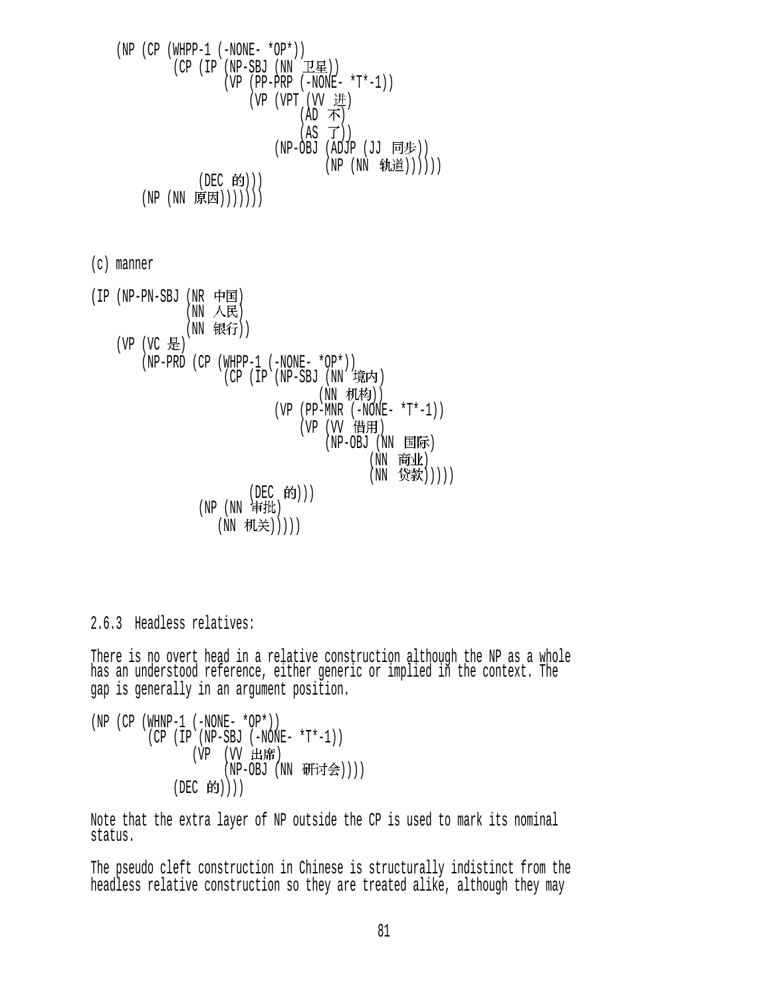$(NP (CP (WHPP-1 (-NONE- *OP*)))$  $(CP (IP (NP-SBJ (NN  $\pm \mathbb{Z})$ ))$  $(VP (PP-PRP (-NONE- *T*-1)))$  $(VP (VPT (VV H))$  $(AD \; \pi)$  $(AS \ \vec{J}))$ (NP-OBJ (ADJP (JJ 同步)) (NP (NN 轨道)))))) (DEC 的))) (NP (NN 原因)))))))

(c) manner

 $(IP (NP-PN-SBJ (NR \nleftrightarrow E))$  $(NN \times R)$ (NN 银行)) (VP (VC 是)  $(NP-PRD (CP (WHPP-1 (-NONE- *OP*)))$ (CP (IP (NP-SBJ (NN 境内) (NN 机构))  $(VP (PP-MNR (-NONE- *T*-1)))$ (VP (VV 借用)  $(NP-OBJ$   $(NN \quad \blacksquare$ 际 (NN 商业) (NN 贷款))))) (DEC 的)))  $(NP(NN \nexists H))$ (NN 机关)))))

2.6.3 Headless relatives:

There is no overt head in a relative construction although the NP as a whole has an understood reference, either generic or implied in the context. The gap is generally in an argument position.

 $(NP (CP (WHNP-1 (-NONE- *OP*)))$  (CP (IP (NP-SBJ (-NONE- \*T\*-1)) (VP (VV 出席)  $(NP-OBJ (NN H\rightarrow\rightarrow\rightarrow))$  $(DEC$  的 $))$ )

Note that the extra layer of NP outside the CP is used to mark its nominal status.

The pseudo cleft construction in Chinese is structurally indistinct from the headless relative construction so they are treated alike, although they may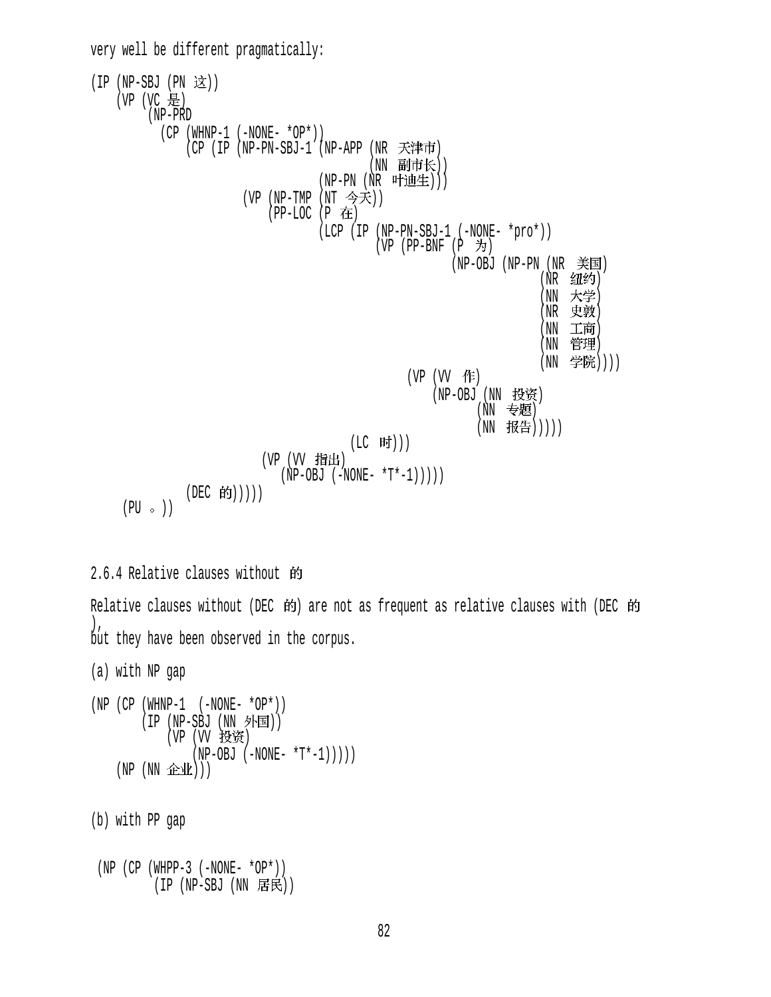very well be different pragmatically:  $(IP (NP-SBJ (PN   $\overline{\mathcal{B}}$ )))$ (VP (VC 是) (NP-PRD  $(CP (WHNP-1 (-NONE- *OP*)))$ (CP (IP (NP-PN-SBJ-1 (NP-APP (NR 天津市) (NN 副市长))  $(NP-PN$   $(NR$  叶迪生))) (VP (NP-TMP (NT 今天))  $(PP-LOC (P$  在 (LCP (IP (NP-PN-SBJ-1 (-NONE- \*pro\*))  $(VP$  (PP-BNF  $(P \nightharpoonup)$ )  $(NP-OBJ$   $(NP-PN$   $(NR \t\equiv E)$ (NR 纽约)  $(NN \times \mathcal{F})$  (NR )  $(NN - 1.1$ 可  $(NN$  官埋 ) (NN 学院))))  $(VP (VV f$ (NP-OBJ (NN 投资) (NN 专题) (NN 报告))))) (LC 时))) (VP (VV 指出)  $(NP-OBJ (-NONE- *T*-1)))))$ (DEC 的)))))  $(PU \circ )$ 

### 2.6.4 Relative clauses without

Relative clauses without (DEC  $\dot{p}$ ) are not as frequent as relative clauses with (DEC  $\dot{p}$ )  $\left| \right|$ , but they have been observed in the corpus.

(a) with NP gap

 $(NP (CP (WHNP-1 (-NONE- *OP*)))$  $(IP (NP-SBJ (NN$ 外国 $))$ (VP (VV 投资)  $(NP-OBJ (-NONE- *T*-1))))$  $(NP(NN \tA\&\tM)))$ 

(b) with PP gap

```
(NP (CP (WHPP-3 (-NONE- *OP*)))(IP (NP-SBJ (NN <math>\overline{F}R)</math>))
```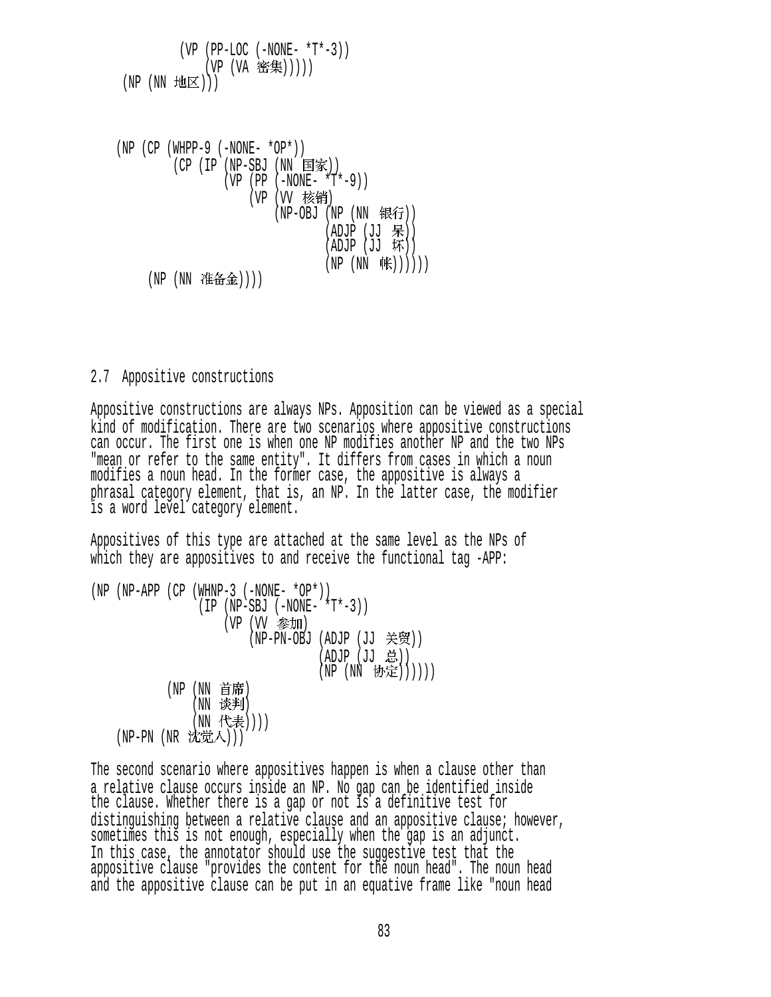$(VP (PP-LOC (-NONE- *T*-3)))$ (VP (VA 密集)))))  $(NP(NN) \times E)$ 

 $(NP (CP (WHPP-9 (-NONE- *OP*)))$  $(CP (IP (NP-SBJ (NN Σ家)))$  $(VP (PP (-NONE- *T*-9)))$ (VP (VV 核销) (NP-OBJ (NP (NN 银行))  $(ADJP (JJ \; R))$  $(\overline{ADJP} (\overline{JJ} \ \overline{W}))$  $(NP (NN \nexists K))))$ (NP (NN 准备金))))

2.7 Appositive constructions

Appositive constructions are always NPs. Apposition can be viewed as a special kind of modification. There are two scenarios where appositive constructions can occur. The first one is when one NP modifies another NP and the two NPs "mean or refer to the same entity". It differs from cases in which a noun modifies a noun head. In the former case, the appositive is always a phrasal category element, that is, an NP. In the latter case, the modifier is a word level category element.

Appositives of this type are attached at the same level as the NPs of which they are appositives to and receive the functional tag -APP:

(NP (NP-APP (CP (WHNP-3 (-NONE- \*OP\*))  $(IP (NP-SBJ (-NONE- *T*-3)))$ (VP (VV 参加) (NP-PN-OBJ (ADJP (JJ 关贸))  $(ADJP (JJ \; \dot{\mathbb{E}}))$  $(NP (NN \; \, \, \mathfrak{h}\oplus\hspace{-0.12cm} \overline{E}))))$ (NP (NN 首席) (NN 谈判) (NN 代表)))) (NP-PN (NR 沈觉人)))

The second scenario where appositives happen is when a clause other than a relative clause occurs inside an NP. No gap can be identified inside the clause. Whether there is a gap or not is a definitive test for distinguishing between a relative clause and an appositive clause; however, sometimes this is not enough, especially when the gap is an adjunct. In this case, the annotator should use the suggestive test that the appositive clause "provides the content for the noun head". The noun head and the appositive clause can be put in an equative frame like "noun head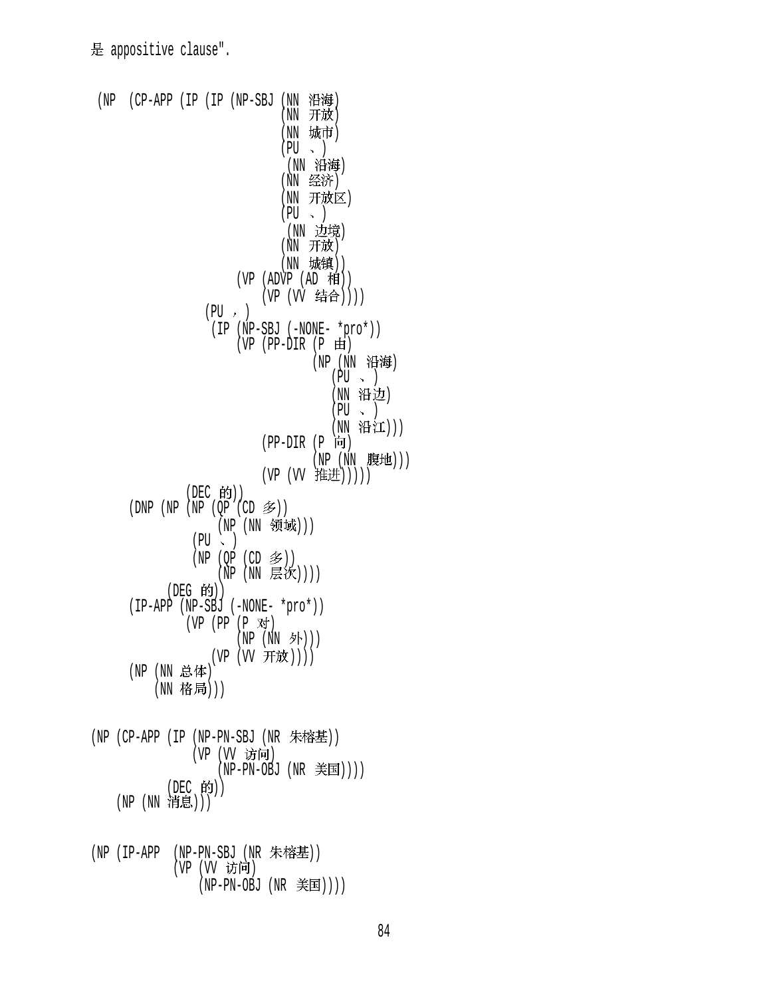```
(NP (CP-APP (IP (IP (NP-SBJ (NN 沿海)
                                (NN 开放)
                                (NN 城市)
                                (PU \sim )(NN 沿海)
                                (NN 经济)
                                (NN 开放区)
                                (PU \sim )(NN 边境)
                                (NN 开放)
                                (NN 城镇))
                        (VP (ADVP (AD #))(VP (VV 结合))))
                   (PU, ) (IP (NP-SBJ (-NONE- *pro*)) 
                        (VP (PP-DIR (P \oplus))
                                     (NP (NN 沿海)
                                        (PU \sim )(NN 沿边)
                                        (PU \sim )(NN 沿江)))
                             (PP-DIR (P 6))(NP (NN 腹地)))
                             (VP (VV 推进)))))
                (DEC 的))
      (DNP (NP (NP (QP (CD \hat{\mathscr{F}}))
                     (NP (NN 领域)))
                 (PU \sim )(NP (QP (CD \n&))(\tilde{\text{NP}} (NN 层次))))
             (DEG 的))
       (IP-APP (NP-SBJ (-NONE- *pro*)) 
               (VP (PP (P 对)
                        (NP (NN \nightharpoonup))
                    (VP (VV 开放))))
      (NP (NN 总体)
          (NN 格局)))
(NP (CP-APP (IP (NP-PN-SBJ (NR <math>\nleftrightarrow</math> (VP (VV 访问)
                     (NP-PN-OBJ (NR \equiv \equiv \equiv 1)))(DEC 的))
    (NP (NN 消息)))
(NP (IP-APP (NP-PN-SBJ (NR 朱榕基))
              (VP (VV 访问)
                  (NP-PN-OBJ (NR 美国))))
```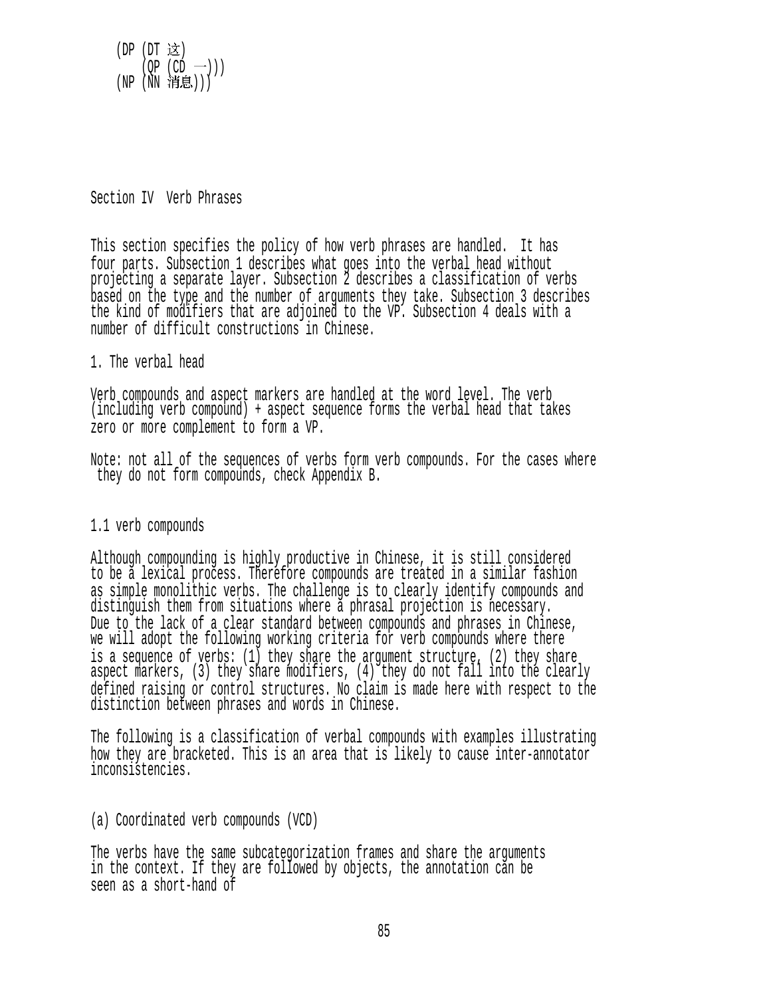

## Section IV Verb Phrases

This section specifies the policy of how verb phrases are handled. It has four parts. Subsection 1 describes what goes into the verbal head without projecting a separate layer. Subsection 2 describes a classification of verbs based on the type and the number of arguments they take. Subsection 3 describes the kind of modifiers that are adjoined to the VP. Subsection 4 deals with a number of difficult constructions in Chinese.

## 1. The verbal head

Verb compounds and aspect markers are handled at the word level. The verb (including verb compound) + aspect sequence forms the verbal head that takes zero or more complement to form a VP.

Note: not all of the sequences of verbs form verb compounds. For the cases where they do not form compounds, check Appendix B.

### 1.1 verb compounds

Although compounding is highly productive in Chinese, it is still considered to be a lexical process. Therefore compounds are treated in a similar fashion as simple monolithic verbs. The challenge is to clearly identify compounds and distinguish them from situations where a phrasal projection is necessary. Due to the lack of a clear standard between compounds and phrases in Chinese, we will adopt the following working criteria for verb compounds where there is a sequence of verbs: (1) they share the argument structure, (2) they share aspect markers, (3) they share modifiers, (4) they do not fall into the clearly defined raising or control structures. No claim is made here with respect to the distinction between phrases and words in Chinese.

The following is a classification of verbal compounds with examples illustrating how they are bracketed. This is an area that is likely to cause inter-annotator inconsistencies.

(a) Coordinated verb compounds (VCD)

The verbs have the same subcategorization frames and share the arguments in the context. If they are followed by objects, the annotation can be seen as a short-hand of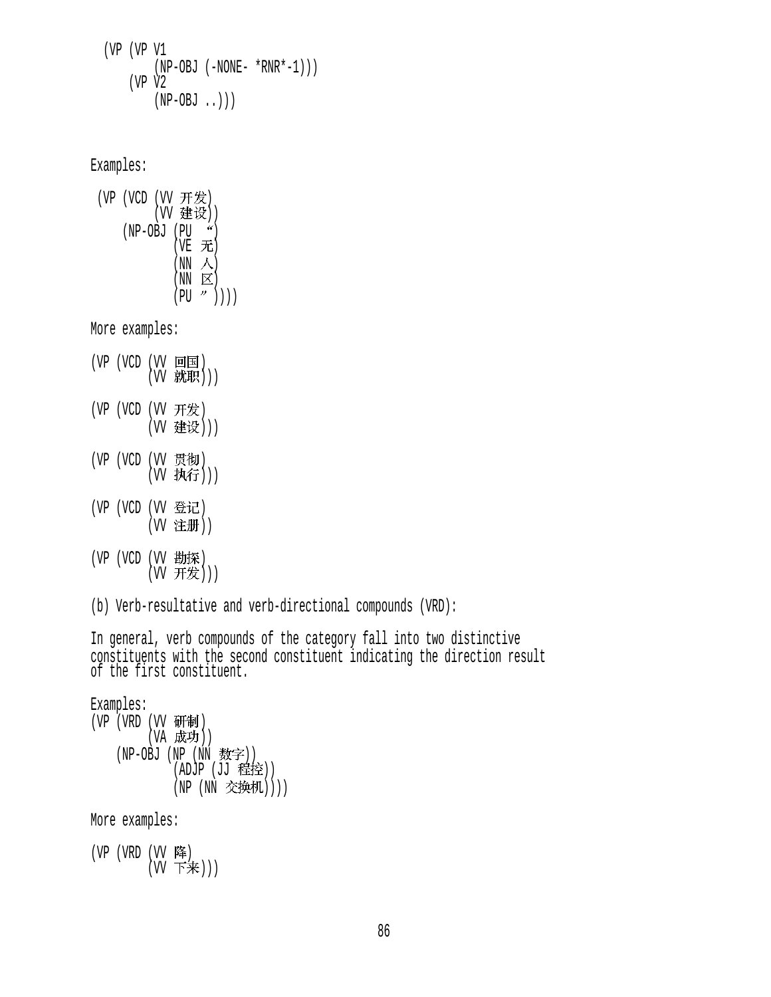(VP (VP V1  $(NP-OBJ (-NONE- *RNR*-1)))$  (VP V2  $(NP-OBJ \ldots))$ 

Examples:

 $(VP (VCD (VV H)E)$ (W 建设))  $(NP-OBJ (PU  $^{\prime\prime})$$  $(VEE)$  $(NN \land N)$  $(NN \quad \boxed{\triangleright}$  $(PU " )))$ 

More examples:

- (VP (VCD (VV 回国)  $(VV$  就职 $))$
- (VP (VCD (VV 开发) (W 建设)))
- (VP (VCD (VV 贯彻) (W 执行)))
- (VP (VCD (VV 登记) (W 注册))
- (VP (VCD (VV 勘探)  $(W$  开发 $))$

(b) Verb-resultative and verb-directional compounds (VRD):

In general, verb compounds of the category fall into two distinctive constituents with the second constituent indicating the direction result of the first constituent.

Examples: (VP (VRD (VV 研制) (VA 成功))  $(NP-OBJ (NP (NN **数字**$  $(DJ)$   $(EE)$ (NP (NN 交换机))))

More examples:

 $(VP (VRD (VV)$ 降  $(W$  下来 $))$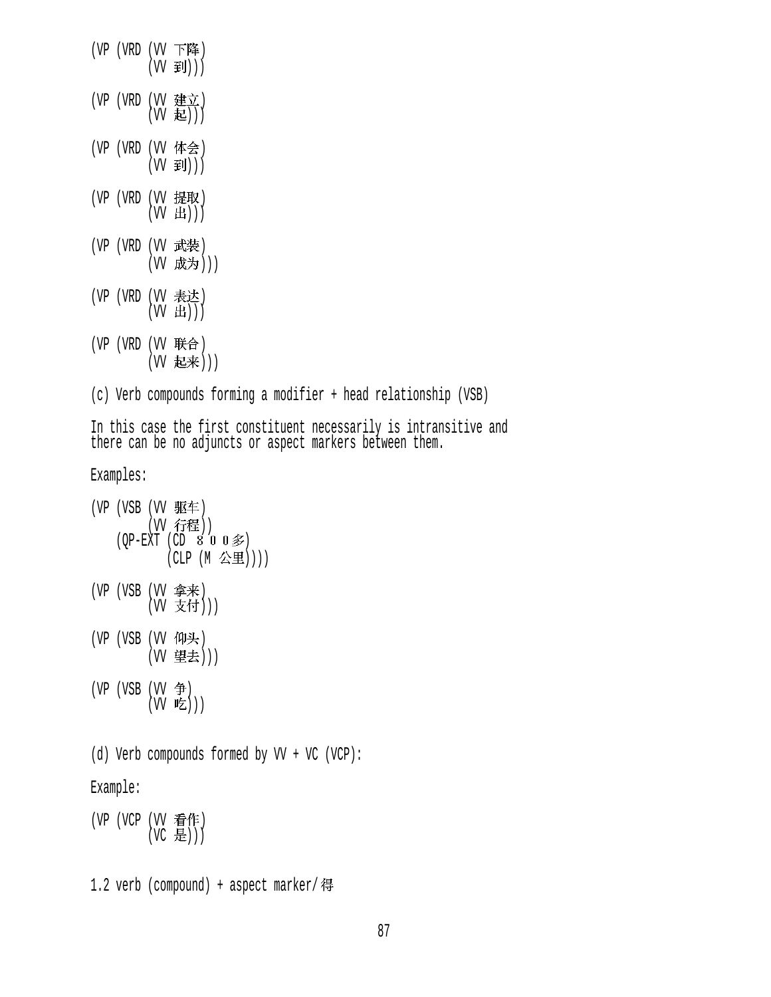$(VP (VRD (VV F$ 降  $(VV \ncong J))$ (VP (VRD (VV 建立)  $(W \tanh)$ )  $(VP (VRD (VV$ 体会 $))$  $(VV \ncong J))$ (VP (VRD (VV 掟取 )  $(VV$   $E$  ))) (VP (VRD (VV 武装) (W 成为)))  $(VP (VRD (VV \neq \pm 1))$  $(W H))$  $(VP (VRD (VV 联合))$ (W 起来))) (c) Verb compounds forming a modifier + head relationship (VSB) In this case the first constituent necessarily is intransitive and there can be no adjuncts or aspect markers between them. Examples: (VP (VSB (VV 驱车) (W 行程))  $(QP-EXT$  (CD 8 0 0  $\hat{\mathcal{F}}$ ) (CLP (M 公里)))) (VP (VSB (VV 争米 )  $(VV \times 1)$ )) (VP (VSB (VV 仰头) (W 望去)))  $(VP (VSB (VV 4))$  $(W$  吃)) (d) Verb compounds formed by VV + VC (VCP): Example: (VP (VCP (VV 看作)  $(VC \t B))$ 1.2 verb (compound) + aspect marker/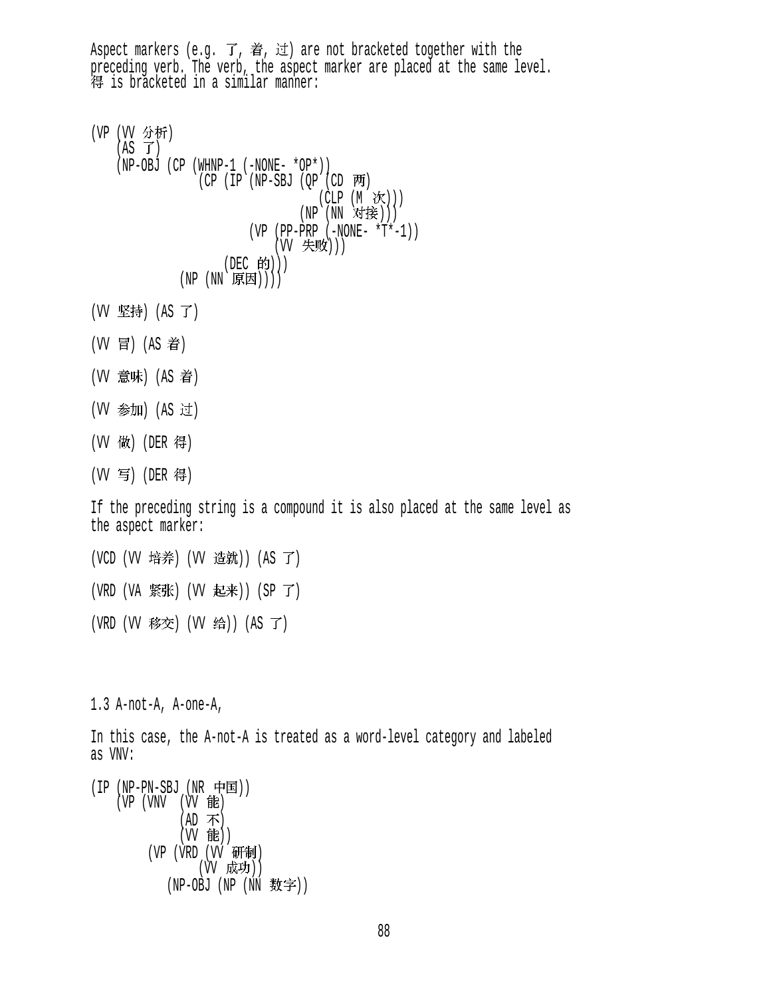Aspect markers (e.g. 了, 着, 过) are not bracketed together with the preceding verb. The verb, the aspect marker are placed at the same level.<br>得 is bracketed in a similar manner: (VP (VV 分析)  $(AS \tJ)$  (NP-OBJ (CP (WHNP-1 (-NONE- \*OP\*))  $(CP$  (IP (NP-SBJ (OP (CD  $\overline{P}$ ) (CLP (M 次))) (NP (NN 对接))) (VP (PP-PRP (-NONE- \*T\*-1)) (W 失败))) (DEC 的)))  $(NP (NN \times E))$ (W 坚持) (AS 了) (W 冒) (AS 着) (W 意味) (AS 着) (W 参加) (AS 过) (VV 做) (DER 得) (W 写) (DER 得) If the preceding string is a compound it is also placed at the same level as the aspect marker: (VCD (W 培养) (W 造就)) (AS 了) (VRD (VA 紧张) (VV 起来)) (SP 了) (VRD (W 移交) (W 给)) (AS 了) 1.3 A-not-A, A-one-A, In this case, the A-not-A is treated as a word-level category and labeled as VNV:  $(IP(NP-PN-SBJ(NR \; \dot{\mathcal{F}}^{\mathbf{E}})))$  $(VP (VNV (VV)$ 能  $(AD \; \pi)$  $(W$  能 $))$ (VP (VRD (VV 研制) (W 成功)) (NP-OBJ (NP (NN 数字))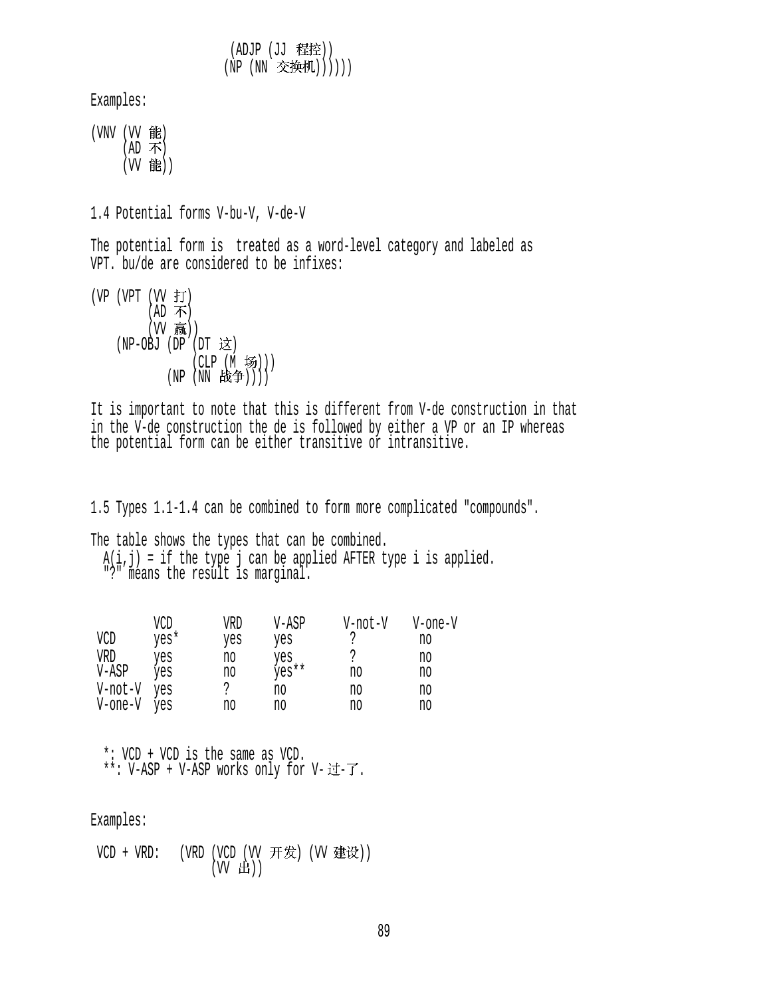(ADJP (JJ 程控)) (NP (NN 交换机))))))

Examples:

(VNV (VV 能)  $(AD \; \pi)$ (W 能))

1.4 Potential forms V-bu-V, V-de-V

The potential form is treated as a word-level category and labeled as VPT. bu/de are considered to be infixes:

 $(VP (VPT (VV f))$  $(AD \; \pi)$ (W 赢))  $(NP-OBJ (DP (DT \; x))$ (CLP (M 场)))  $(NP(NN \& #)))$ 

It is important to note that this is different from V-de construction in that in the V-de construction the de is followed by either a VP or an IP whereas the potential form can be either transitive or intransitive.

1.5 Types 1.1-1.4 can be combined to form more complicated "compounds".

The table shows the types that can be combined.  $A(1, j)$  = it the type  $j$  can be applied AFTER type i is applied. "?" means the result is marginal.

|         | VCD  | VRD | V-ASP | V-not-V | V-one-V |
|---------|------|-----|-------|---------|---------|
| VCD     | yes* | yes | yes   | 2       | no      |
| VRD     | yes  | no  | yes   | ာ       | no      |
| V-ASP   | ves  | no  | yes** | no      | no      |
| V-not-V | yes  |     | no    | no      | no      |
| V-one-V | yes  | no  | no    | no      | no      |

 \*: VCD + VCD is the same as VCD.  $***:$  V-ASP + V-ASP works only for V- 过-了.

Examples:

 $VCD + VRD:$  (VRD (VCD (VV 开发) (VV 建设))  $(W H)$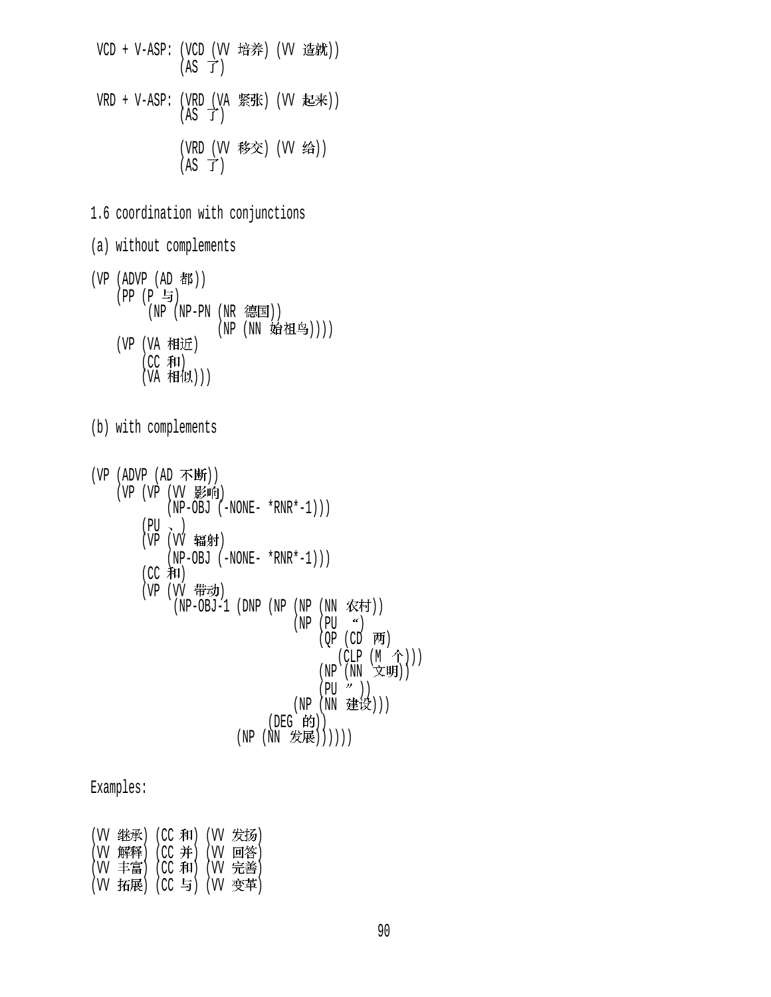VCD + V-ASP: (VCD (VV 培养) (VV 造就))  $(AS \ \vec{J})$ VRD + V-ASP:  $(VPD_{\text{V}} \$  紧张)  $(VV \tlet\#))$  $(AS \ \vec{J})$ (VRD (VV 移交) (VV 给))  $(AS \ \overrightarrow{J})$ 

- 1.6 coordination with conjunctions
- (a) without complements
- $(VP (ADVP (AD #))$ (PP (P 与)  $\hat{N}(NP - PN (NR \; \circled$ 国 $))$ (NP (NN 始祖鸟)))) (VP (VA 相近)  $(CC \cdot \overline{A}H)$ (VA 1\*日1以))
- (b) with complements

| (VP (ADVP (AD 不断))              |
|---------------------------------|
| (VP (VP (VV 影响)                 |
| $(NP-OBJ (-NONE- *RNR*-1)))$    |
| (PU 、 )                         |
| (VP (VV 辐射)                     |
| $(NP-OBJ (-NONE- *RNR*-1)))$    |
| (CC 和)                          |
| (VP (VV 带动)                     |
| (NP-OBJ-1 (DNP (NP (NP (NN 农村)) |
| (NP (PU "))                     |
| (QP (CD 两)                      |
| $(CLP(M \hat{\uparrow})))$      |
| (NP (NN 文明))                    |
| (PU'')                          |
| (NP (NN 建设)))                   |
| (DEG 的))                        |
| (NN 发展))))))<br>(NP             |

## Examples:

|  | (VV 继承) (CC 和) (VV 发扬) |  |
|--|------------------------|--|
|  | (W 解释) (CC 并) (W 回答)   |  |
|  | (W 丰富) (CC 和) (W 完善)   |  |
|  | (W 拓展) (CC 与) (W 变革)   |  |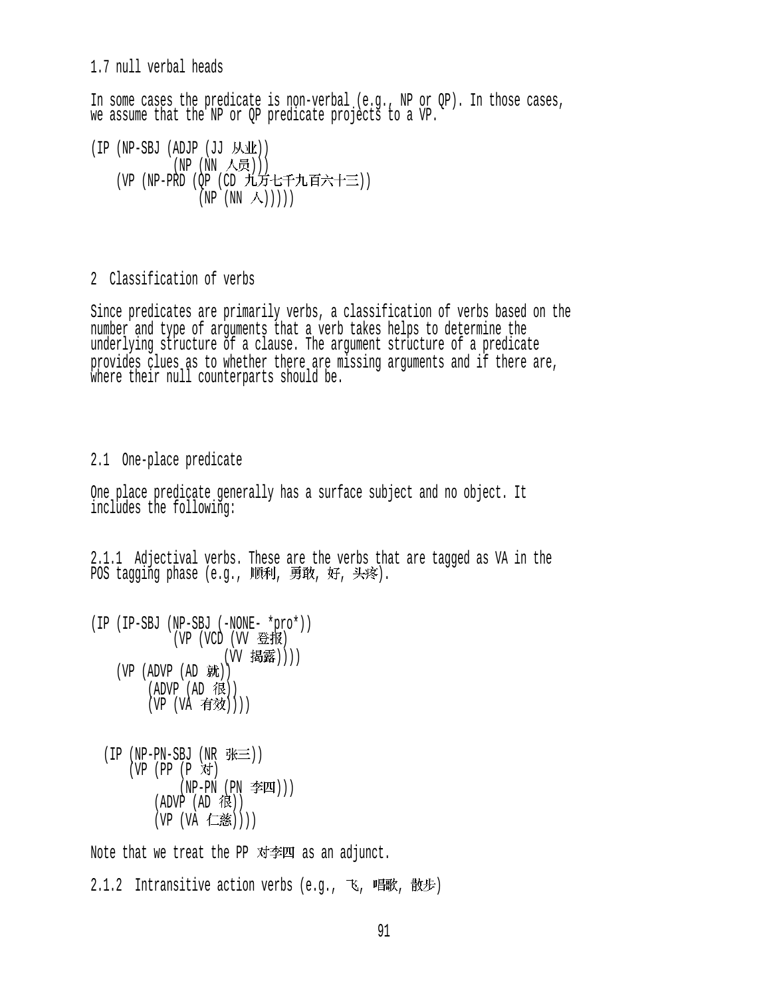1.7 null verbal heads

In some cases the predicate is non-verbal (e.g., NP or QP). In those cases, we assume that the NP or QP predicate projects to a VP.

 $(IP (NP-SBJ (ADJP (JJ MW)).$  $(NP (NN \wedge 5))$ (VP (NP-PRD (OP (CD 九万七千九百六十三))  $(NP(NN \wedge)))$ 

2 Classification of verbs

Since predicates are primarily verbs, a classification of verbs based on the number and type of arguments that a verb takes helps to determine the underlying structure of a clause. The argument structure of a predicate provides clues as to whether there are missing arguments and if there are, where their null counterparts should be.

2.1 One-place predicate

One place predicate generally has a surface subject and no object. It includes the following:

2.1.1 Adjectival verbs. These are the verbs that are tagged as VA in the POS tagging phase (e.g., 顺利, 勇敢, 好, 头疼).

```
(IP (IP-SBJ (NP-SBJ (-NONE- *pro*)) 
             (VP (VCD (VV 登报)
                      (W 揭露))))
    (VP (ADVP (AD H)))(ADVP (AD 1E))(VP (VA \t{f} \t{f} \t{f})))
```

```
(IP(NP-PN-SBJ(NR \# \equiv))(VP (PP (P \times T))(NP-PN (PN \cong I)))
        (ADVP (AD 1)(VP (VA 仁慈))))
```
Note that we treat the PP  $\vec{x}$   $\vec{p}$  as an adjunct.

 $2.1.2$  Intransitive action verbs (e.g., 飞, 唱歌, 散步)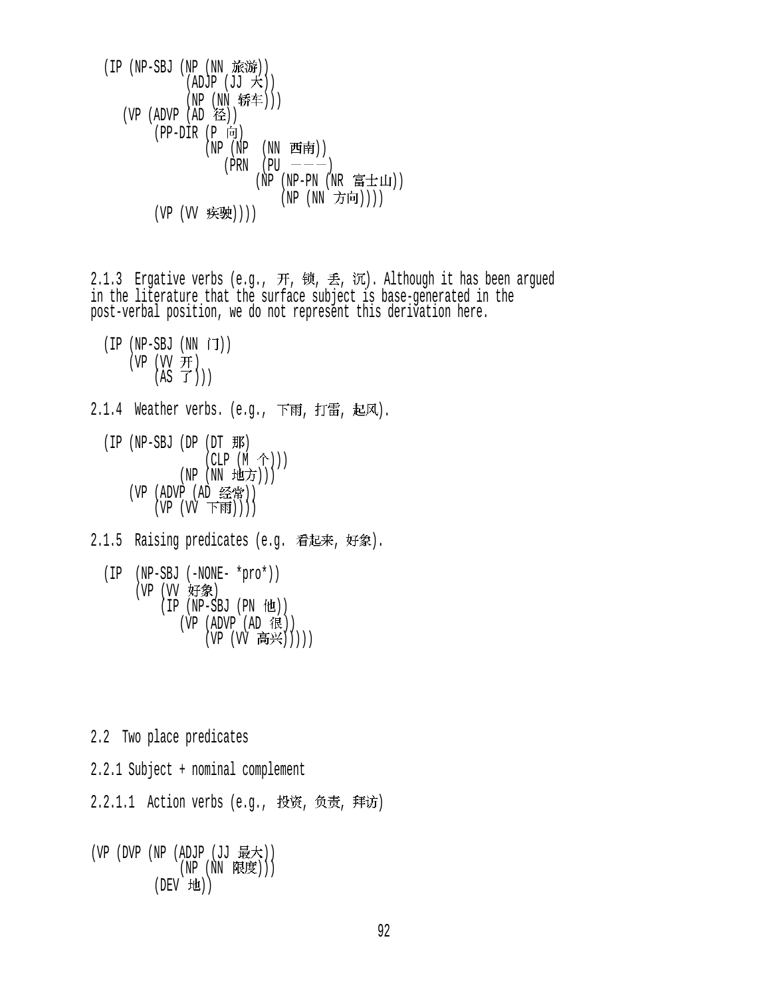$(IP (NP-SBJ (NP (NN in \n *í**)))$  $(ADJP (JJ \nleftrightarrow))$ (NP (NN 轿车)))  $(VP (ADVP (AD \&))$  $(PP-DIR (P 6))$  $(NP (NP (NN H\vec{F}))$  $(PRN | PU$   $---)$ (NP (NP-PN (NR 富士山)) (NP (NN 方向)))) (VP (VV 疾驶))))

2.1.3 Ergative verbs (e.g., 开, 锁, 丢, 沉). Although it has been argued in the literature that the surface subject is base-generated in the post-verbal position, we do not represent this derivation here.

```
(IP (NP-SBJ (NN iJ))(VP (VV \nrightarrow H)(AS \ \vec{J}))
```
 $2.1.4$  Weather verbs. (e.g., 下雨, 打雷, 起风).

 $(IP (NP-SBJ (DP (DT \#K))$  $(CLP (M \hat{\wedge}))$  $(NP$   $(NN$  地方 $))$ ) (VP (ADVP (AD 经常))  $(VP (VV Fbb)))$ 

2.1.5 Raising predicates (e.g. 看起来, 好象).

```
 (IP (NP-SBJ (-NONE- *pro*)) 
    (VP (VV 好象)
         (IP (NP-SBJ (PN 12))(VP (ADVP (AD 很))
               (VP (VV 高兴)))))
```
2.2 Two place predicates 2.2.1 Subject + nominal complement 2.2.1.1 Action verbs (e.g., 投资, 负责, 拜访)  $(VP (DVP (NP (ADJP (JJ 最大)))$  $(NP(NN R. E))$  $(DEV H1)$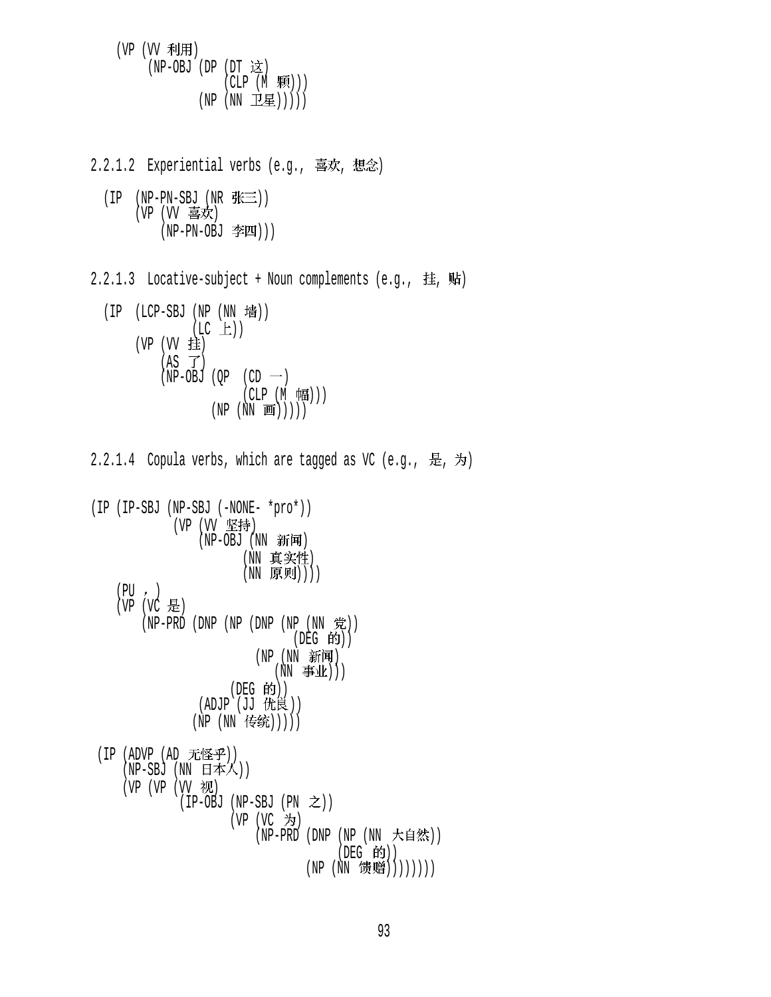$(VP (W \# H))$ (NP-OBJ (DP  $(DT \times)$  $(CLP (M \quad \mathbb{R}))($  $(NP (NN I \underline{E})))))$ 

 $2.2.1.2$  Experiential verbs (e.g., 喜欢, 想念)  $(IP$  (NP-PN-SBJ (NR  $f\ddot{\text{t}}\equiv$ )) (VP (VV 喜欢) (NP-PN-OBJ 李四)))  $2.2.1.3$  Locative-subject + Noun complements (e.g., 挂, 贴)  $(IP (LCP-SBJ (NP (NN 11)$  $(LC \tL))$  $(VP (W 1 1 1 1)$  $(AS \ \overrightarrow{J})$  $(NP-OBJ (QP (CD \tightharpoonup))$  $(CLP (M \quad \sqrt{4H})))$  $(NP (NN \textbf{H})))$ 2.2.1.4 Copula verbs, which are tagged as VC (e.g., 是, 为) (IP (IP-SBJ (NP-SBJ (-NONE- \*pro\*)) (VP (VV 坚持)  $(NP-OBJ$   $(NN$  新闻) (NN 真实性) (NN 原则))))  $(PU, )$  $(VP (VC \tfrac{1}{10})$  $(NP-PRD (DNP (NP (DNP (NP (NN  $\hat{\mathcal{H}})$ )$ (DEG 的))  $(NP(NN \ \, \widetilde{\mathfrak{M}}\mathfrak{m}))$  $(NN \oplus \mathcal{L})$ )  $($ DEG 的 $)$  $)$ (ADJP (JJ 优良)) (NP (NN 传统))))) (IP (ADVP (AD 无怪乎)) (NP-SBJ (NN 日本人))  $(VP (VP (VV) \times W))$  $(IP-OBJ (NP-SBJ (PN  $\geq$ ))$  $(VP (VC \n5)$ (NP-PRD (DNP (NP (NN 大自然)) (DEG 的)) (NP (NN 馈赠))))))))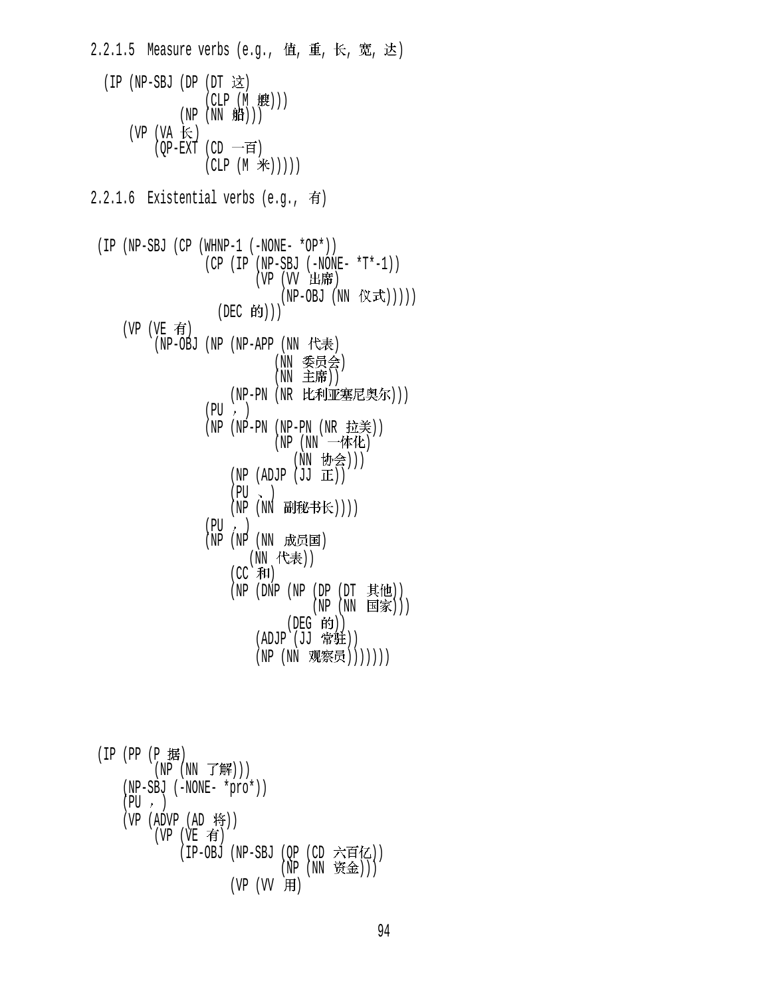$2.2.1.5$  Measure verbs (e.g., 值, 重, 长, 宽, 达)  $(IP (NP-SBJ (DP (DT  $\dot{\mathbf{\Sigma}}$ ))$  $(CLP(M \t#))$  $(NP(NN$  船)))  $(VP (VA \nleftrightarrow)$  $(QP-EXT$  (CD 一百)  $(CLP (M \#)))$  $2.2.1.6$  Existential verbs (e.g., 有)  $(IP (NP-SBJ (CP (WHNP-1 (-NONE- *OP*)))$  $(CP (IP (NP-SBJ (-NONE- *T*-1)))$  $(VP)$   $(VV)$  出席 )  $(NP-OBJ (NN \t(X\vec{\mathbf{x}})))$ (DEC 的)))  $(VP (VE \t{f})$ (NP-OBJ (NP (NP-APP (NN 代表) (NN 委员会) (NN 主席)) (NP-PN (NR 比利亚塞尼奥尔)))  $(PU, )$ (NP (NP-PN (NP-PN (NR 拉美)) (NP (NN 一体化) (NN 协会)))  $(NP (ADJP (JJ  $\mathbb{H})$ ))$  $(PU \sim )$ (NP (NN 副秘书长))))  $(PU, )$  (NP (NP (NN ) (NN 代表))  $(CC$  和 $)$  $(NP (DNP (NP (DP (DT \t{#t})))))$  $(NP(NN \tB)$ ) (DEG 的)) (ADJP (JJ 常驻)) (NP (NN 观察员)))))))  $(IP (PP (P 1#))$  $(WP(WN T#)))$  (NP-SBJ (-NONE- \*pro\*))  $(PU, )$  $(VP (ADVP (AD 19))$  $(VP (VE \t{f})$ (IP-OBJ (NP-SBJ (OP (CD 六百亿))  $(NP(NN \mathcal{K}_\pm))$  $(VP (W H)$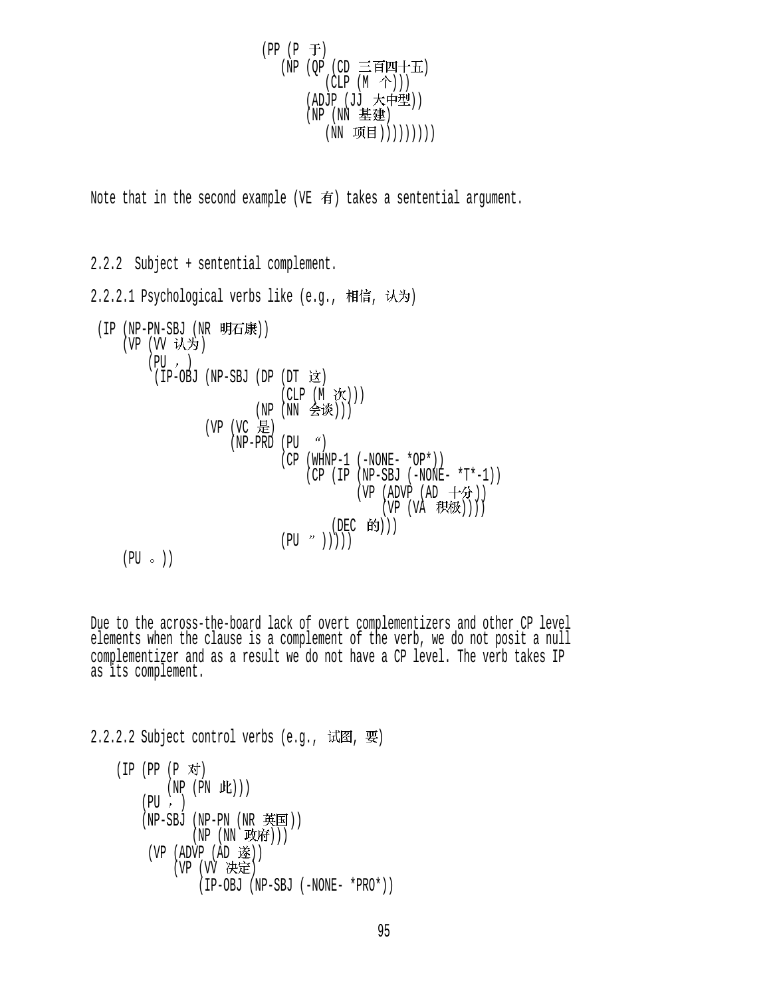$$
\begin{array}{c} \text{(PP (P \ F))} \\ \text{(NP (QP (CD \ \equiv \text{F} \text{I} \text{I} \text{I} \text{+} \text{H}))} \\ \text{(CLP (M \ \hat{\text{+)}}))} \\ \text{(ADJP (JJ \ \text{K} \text{+} \text{I} \text{#}))} \\ \text{(NP (NN \ \text{E} \text{E})) \\ \text{(NN \ \text{I} \text{H} \text{I})))))))))\end{array}
$$

Note that in the second example (VE  $\vec{\mathbf{f}}$ ) takes a sentential argument.

2.2.2 Subject + sentential complement.  $2.2.2.1$  Psychological verbs like (e.g., 相信, 认为) (IP (NP-PN-SBJ (NR 明石康)) (VP (VV 认为)  $(PU, )$  $(IP-OBJ$   $(NP-SBJ$   $(DP$   $(DT \times X))$ (CLP (M 次))) (NP (NN 会谈))) (VP (VC 是)  $(NP-PRD (PU<sup>o</sup>))$  (CP (WHNP-1 (-NONE- \*OP\*)) (CP (IP (NP-SBJ (-NONE- \*T\*-1)) (VP (ADVP (AD 十分))  $(VP (VA H (W)))$ (DEC 的)))  $(PU \t'')))$ )  $(PU \circ )$ 

Due to the across-the-board lack of overt complementizers and other CP level elements when the clause is a complement of the verb, we do not posit a null complementizer and as a result we do not have a CP level. The verb takes IP as its complement.

 $2.2.2.2$  Subject control verbs (e.g., 试图, 要)

(IP (PP (P 对)  $(NP (PN IL))$  $(PU, )$  $(NP-SBJ$   $(NP-PN$   $(NR \n  $\n \n *+* EE))$$  $(NP(NN \times \text{U})))$  $(VP (ADVP (AD >))$ (VP (VV 决定) (IP-OBJ (NP-SBJ (-NONE- \*PRO\*))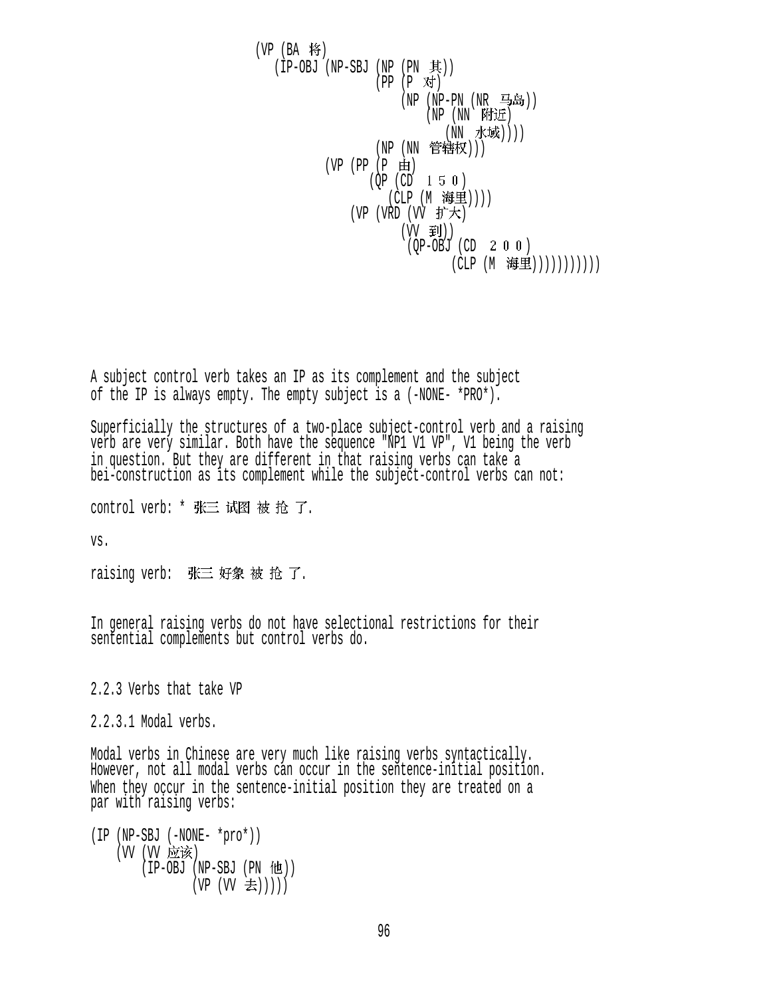$(VP$   $(BA \nmid \mathcal{F})$  $(IP-OBJ (NP-SBJ (NP (PN  $\#$ )))$  $(PP (P \n{N})$ (NP (NP-PN (NR 马岛))  $(NP (NN)$ 附近 (NN 水域)))) (NP (NN 管辖权)))  $(VP (PP (P \nleftrightarrow))$  $(OP (CD 1 5 0))$ (CLP (M 海里)))) (VP  $(VRD$   $(VV$  扩大)  $(VV \quad \tilde{\mathbf{F}})$ )  $(QP-OBJ (CD 2 0 0)$ (CLP (M 海里))))))))))))

A subject control verb takes an IP as its complement and the subject of the IP is always empty. The empty subject is a (-NONE- \*PRO\*).

Superficially the structures of a two-place subject-control verb and a raising verb are very similar. Both have the sequence "NP1 V1 VP", V1 being the verb in question. But they are different in that raising verbs can take a bei-construction as its complement while the subject-control verbs can not:

control verb: \* 张三 试图 被 抢 了.

vs.

raising verb: 张三 好象 被 抢 了.

In general raising verbs do not have selectional restrictions for their sentential complements but control verbs do.

2.2.3 Verbs that take VP

2.2.3.1 Modal verbs.

Modal verbs in Chinese are very much like raising verbs syntactically. However, not all modal verbs can occur in the sentence-initial position. When they occur in the sentence-initial position they are treated on a par with raising verbs:

```
(IP (NP-SBJ (-NONE- *pro*)) 
     (VV (VV 应该)
          (IP-OBJ (NP-SBJ (PN <math>\cdot</math> <b>tt</b>))(VP (VV \n\equiv)))))
```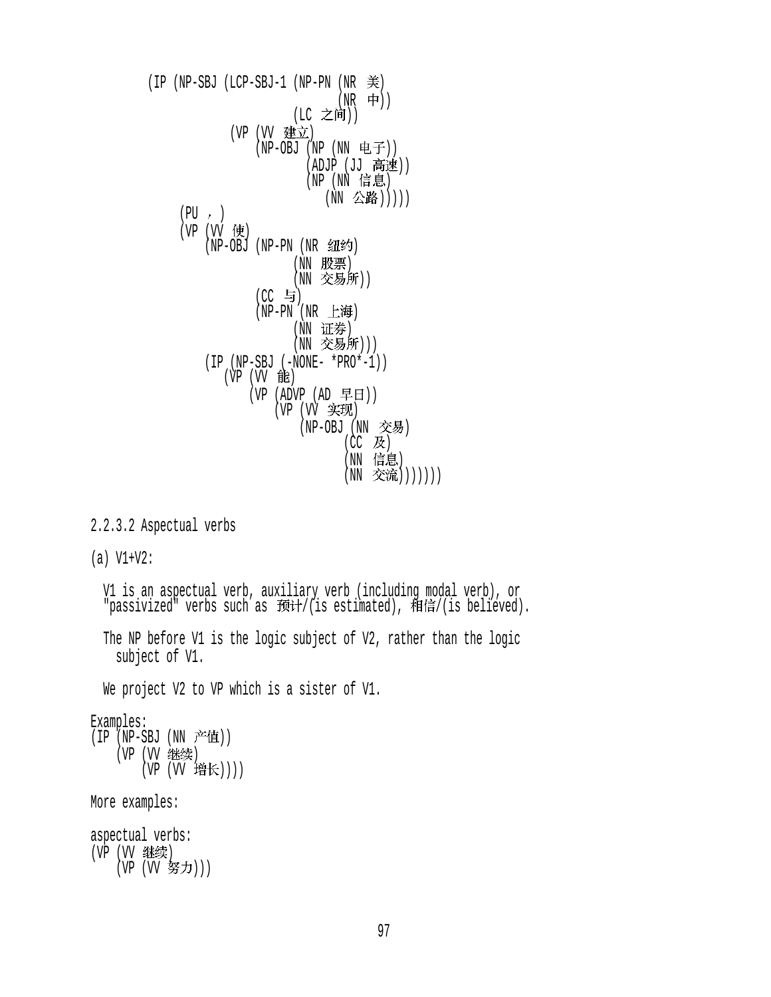$(IP (NP-SBJ (LCP-SBJ-1 (NP-PN (NR  $\#$ ))$  $(NR$  中)) (LC 之间)) (VP (VV 建立) (NP-OBJ (NP (NN 电子)) ーンの「ADJP(JJ 同地)」  $(NP)(NN \t{IF.} \t{E})$ (NN 公路)))))  $(PU, )$ (VP (VV 使) (NP-OBJ (NP-PN (NR 纽约) (NN 股票) (NN 交易所))  $(EC \t\t\exists)$  $(NP-PN$   $(NR$  上海) (NN 证券) (NN 交易所))) (IP (NP-SBJ (-NONE- \*PRO\*-1)) (VP (VV 能)  $(VP (ADVP (AD FH))$ (VP (VV 实现) (NP-OBJ (NN 交易)  $(CC$  及) (NN 信息) (NN 交流))))))) 2.2.3.2 Aspectual verbs (a) V1+V2: V1 is an aspectual verb, auxiliary verb (including modal verb), or "passivized" verbs such as 预计/(is estimated), 相信/(is believed). The NP before V1 is the logic subject of V2, rather than the logic subject of V1. We project V2 to VP which is a sister of V1. Examples: (IP (NP-SBJ (NN 产值)) (VP (VV 继续) (VP (W 增长)))) More examples:

aspectual verbs: (VP (VV 继续)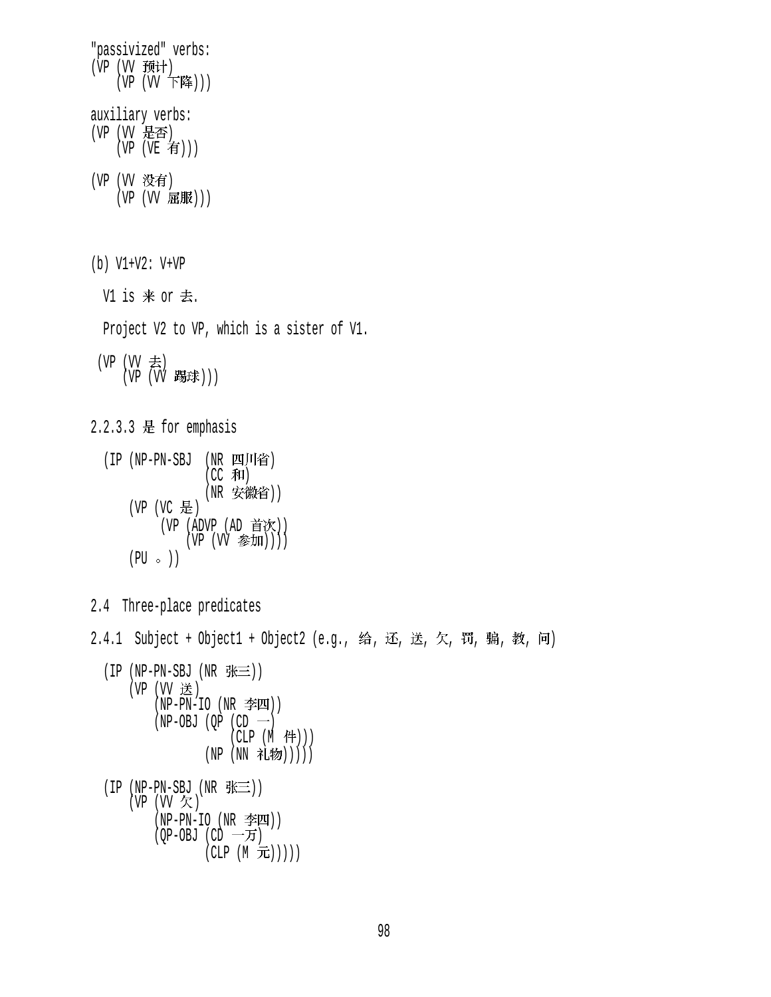"passivized" verbs: (VP (VV 预计)  $(VP (VV F$ 降 $)))$ auxiliary verbs: (VP (VV 是否)  $(VP (VE \t{f}))$ (VP (VV 没有) (VP (VV 屈服)))

- (b) V1+V2: V+VP
	- V1 is  $#$  or  $#$ .
	- Project V2 to VP, which is a sister of V1.
- (VP  $(W \not\equiv)$ (VP (VV 踢球)))

2.2.3.3 是 for emphasis

- (IP (NP-PN-SBJ (NR 四川省)  $(CC$  和) (NR 安徽省)) (VP (VC 是) (VP (ADVP (AD 首次))  $(VP (VV \cong \text{JIII})))$  $(PU \circ)$
- 2.4 Three-place predicates
- 2.4.1 Subject + Object1 + Object2 (e.g., 给, 还, 送, 欠, 罚, 骗, 教, 问)
	- $(IP (NP-PN-SBJ (NR  $\frac{R}{N} \equiv$ )))$  $(VP (VV E))$  $(NP-PN-IO (NR  $\cong$$  $(NP-OBJ (QP (CD -))$  $(CLP(M _f+)$ (NP (NN 礼物)))))

 $(IP (NP-PN-SBJ (NR \# \equiv))$  $(VP (VV \notimes)$  $(NP-PN-IO (NR  $\cong$  M))$  $(QP-OBJ$   $(CD \rightarrow$ 万  $(CLP(M \nightharpoonup\overline{L})))$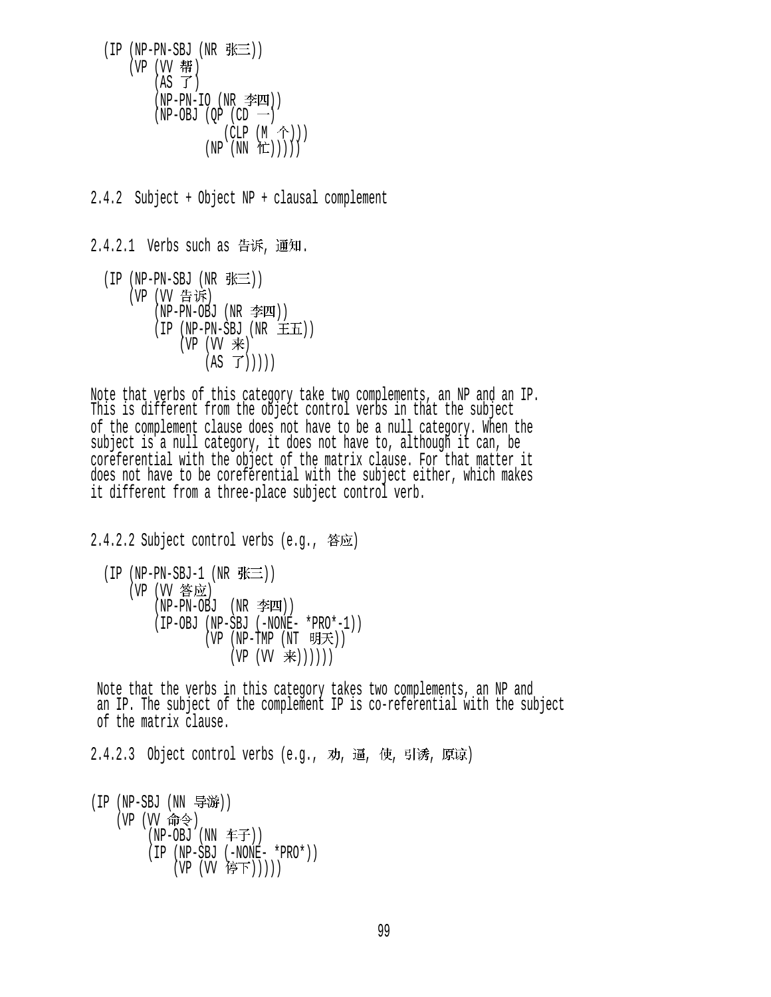$(IP (NP-PN-SBJ (NR  $\# \equiv$ )))$ (VP (VV 帮)  $(AS \ \vec{J})$  $(NP-PN-IO (NR \cong I))$  $(NP-OBJ (OP (CD \tightharpoonup))$  $(CLP (M \hat{\wedge}))$  $(NP (NN T))$ 

2.4.2 Subject + Object NP + clausal complement

 $2.4.2.1$  Verbs such as 告诉, 通知.  $(IP(NP-PN-SBJ(NR \# \equiv))$ (VP (VV 告诉)  $(NP-PN-OBJ$   $(NR \cong I)$  $(IP (NP-PN-SBJ (NR \pm \pm))$  $(VP (W \neq))$  $(AS \ \vec{J})))$ 

Note that verbs of this category take two complements, an NP and an IP. This is different from the object control verbs in that the subject of the complement clause does not have to be a null category. When the subject is a null category, it does not have to, although it can, be coreferential with the object of the matrix clause. For that matter it does not have to be coreferential with the subject either, which makes it different from a three-place subject control verb.

 $2.4.2.2$  Subject control verbs (e.g., 答应)

 $(IP(NP-PN-SBJ-1(NR \# \equiv))$ (VP (VV 答应) (NP-PN-OBJ (NR )) (IP-OBJ (NP-SBJ (-NONE- \*PRO\*-1))  $(VP (NP-TMP (NT \; \theta)$  $(VP (VV \neq)))))$ 

 Note that the verbs in this category takes two complements, an NP and an IP. The subject of the complement IP is co-referential with the subject of the matrix clause.

2.4.2.3 Object control verbs (e.q., 劝, 逼, 使, 引诱, 原谅)

 $(IP (NP-SBJ (NN  \frac{1}{2}$ 游 $))$ (VP (W 命令) (NP-OBJ (NN 车子)) (IP (NP-SBJ (-NONE- \*PRO\*)) (VP (VV 停下)))))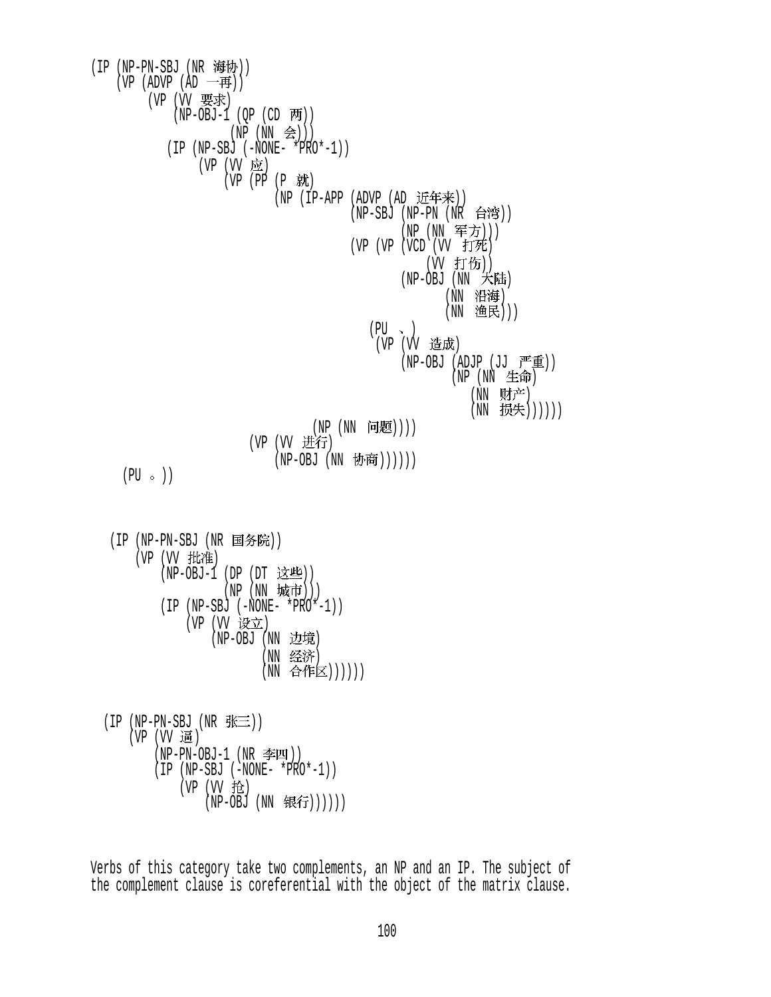(IP (NP-PN-SBJ (NR 海协)) (VP (ADVP (AD 一再)) (VP (VV 要求)  $(NP-OBJ-1 (QP (CD \overline{M})))$  $(NP(NN \text{ } \triangleq)))$  (IP (NP-SBJ (-NONE- \*PRO\*-1)) (VP (VV 应)  $(VP (PP (P \nightharpoonup)$ (NP  $(IP-APP (ADVP (AD )E#)$ ) (NP-SBJ (NP-PN (NR 台湾)) (NP (NN 军方)))  $(VP (VP (VCD (VV  $\text{fTE})$$ (W 打伤))  $(NP-OBJ$   $(NN \nightharpoonup Kff)$ (NN 沿海) (NN 渔民)))  $(PU \sim )$ (VP (VV 造成)  $(NP-OBJ (ADJP (JJ  $\overline{P}^{\text{m}}\hat{\mathbf{\Xi}}))$$  $(NP (NN £ $\theta$ )$ (NN 财产) (NN 损失))))))  $(NP(NN \quad \text{rH}(\mathbb{R})))$ (VP (VV 进行) (NP-OBJ (NN 协商))))))  $(PU \circ )$ 

(IP (NP-PN-SBJ (NR 国务院)) (VP (VV 批准) (NP-OBJ-1 (DP  $(DT \times E)$ )  $(NP(NN \; \; \text{tr} \bar{\mathbf{m}})))$  (IP (NP-SBJ (-NONE- \*PRO\*-1)) (VP (VV 设立) (NP-OBJ (NN 边境) (NN 经济) (NN 合作区))))))

$$
(IP (NP-PN-SBJ (NR \tfrac{2K=}{\pm}))
$$
\n
$$
(VP (VV \tfrac{1}{\pm})
$$
\n
$$
(NP-PN-OBJ-1 (NR \tfrac{2K=1}{\pm}) )
$$
\n
$$
(IP (NP-SBJ (-NONE- *PRO*-1))
$$
\n
$$
(VP (VV \tfrac{1}{12})
$$
\n
$$
(NP-OBJ (NN \tfrac{1}{12}))))))
$$

Verbs of this category take two complements, an NP and an IP. The subject of the complement clause is coreferential with the object of the matrix clause.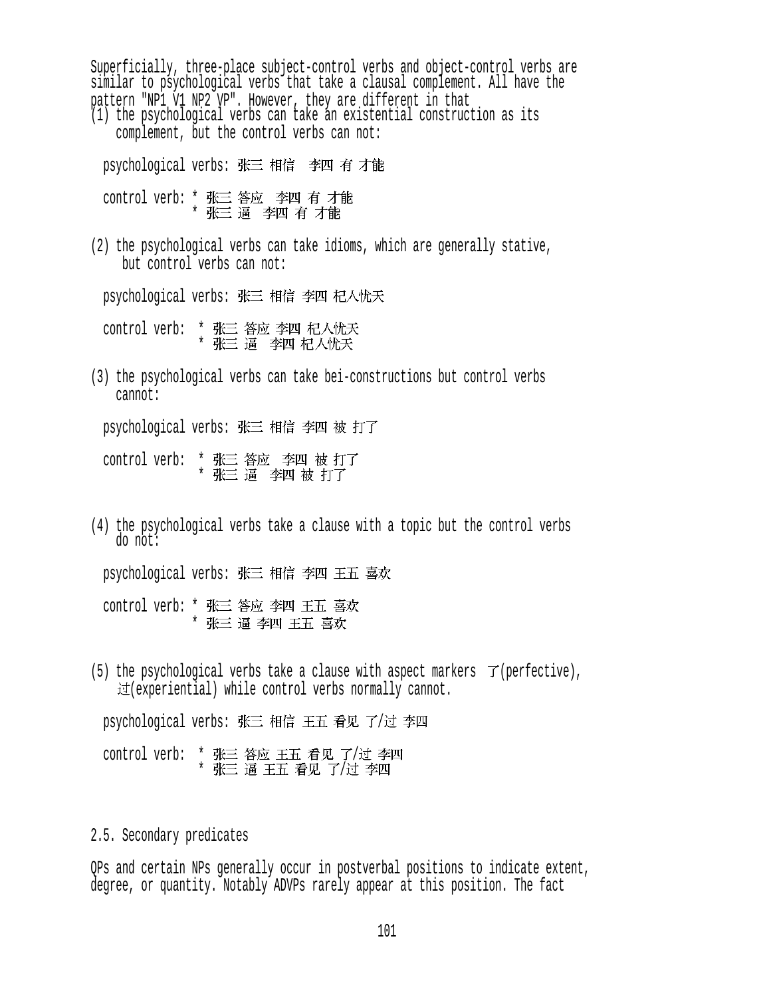Superficially, three-place subject-control verbs and object-control verbs are similar to psychological verbs that take a clausal complement. All have the pattern "NP1 V1 NP2 VP". However, they are different in that (1) the psychological verbs can take an existential construction as its complement, but the control verbs can not: psychological verbs: 张三 相信 李四 有 才能 control verb: \* 张三 答应 李四 有 才能<br>\* 张三 逼 李四 有 才能 (2) the psychological verbs can take idioms, which are generally stative, but control verbs can not: psychological verbs: 张三 相信 李四 杞人忧天 control verb: \* \* (3) the psychological verbs can take bei-constructions but control verbs cannot: psychological verbs: 张三 相信 李四 被 打了 control verb: \* 张三 答应 李四 被 打了<br>\* 张三 逼 李四 被 打了

(4) the psychological verbs take a clause with a topic but the control verbs do not: psychological verbs: 张三 相信 李四 王五 喜欢

control verb: \* 张三 答应 李四 王五 喜欢 \*

(5) the psychological verbs take a clause with aspect markers  $\mathcal{T}$  (perfective),  $\mathcal{F}$  (experiential) while control verbs normally cannot.

psychological verbs: 张三 相信 王五 看见 了/过 李四

control verb: \* 张三 答应 王五 看见 了/过 李四 \* 张三 逼 王五 看见 了/过 李四

#### 2.5. Secondary predicates

QPs and certain NPs generally occur in postverbal positions to indicate extent, degree, or quantity. Notably ADVPs rarely appear at this position. The fact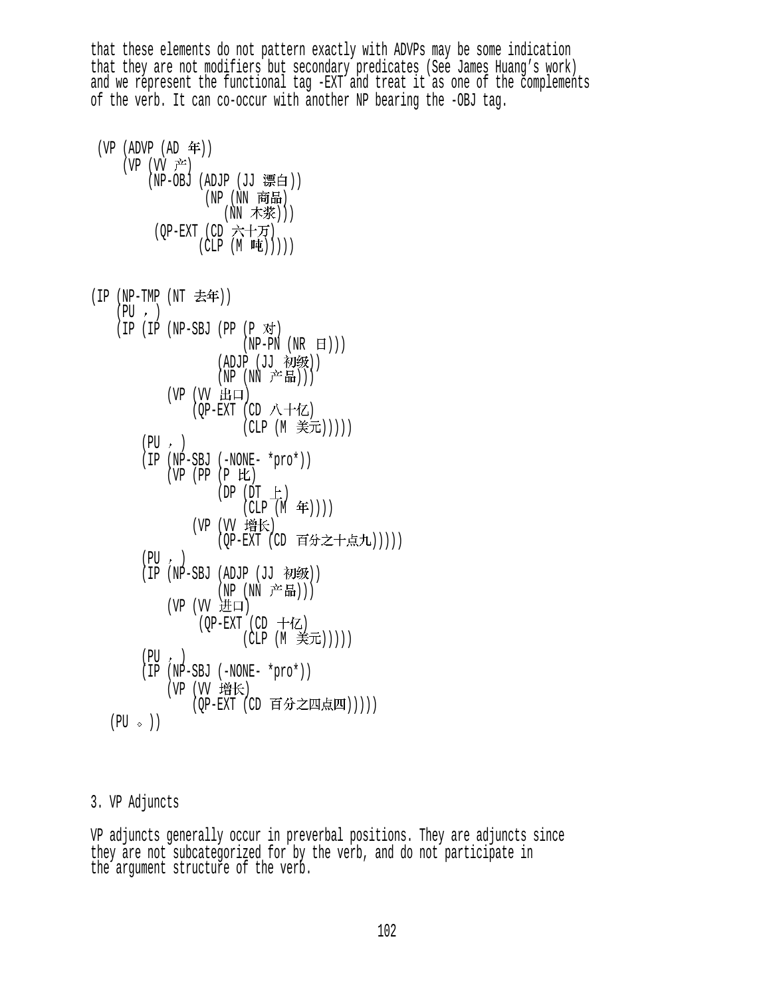that these elements do not pattern exactly with ADVPs may be some indication that they are not modifiers but secondary predicates (See James Huang's work) and we represent the functional tag -EXT and treat it as one of the complements of the verb. It can co-occur with another NP bearing the -OBJ tag.

| (VP (ADVP (AD 年))<br>(VP (VV 产) | (NP-OBJ (ADJP (JJ 漂白))<br>(NP (NN 商品)<br>(NN 木浆)))<br>(QP-EXT (CD 六十万)<br>(CLP $(M \nightrightarrows)))$ )      |
|---------------------------------|-----------------------------------------------------------------------------------------------------------------|
| (IP                             | (NP-TMP (NT 去年))                                                                                                |
| (PU, )                          | $(IP (IP (NP-SBJ (PP (P \n{N})$                                                                                 |
|                                 | $(NP-PN(NR \quad H)))$<br>(ADJP (JJ 初级))<br>(NP (NN 产品)))<br>(VP (VV 出口)<br>(QP-EXT (CD 八十亿)<br>(CLP (M 美元))))) |
| (PU, )<br>(IP                   | $(NP-SBJ (-NONE- *pro*))$                                                                                       |
|                                 | $(P$ 比<br>(VP (PP<br>$(DP (DT \pm)$<br>$(CLP(M \n4F))))$                                                        |
|                                 | (VP (VV 增长)<br>(QP-EXT (CD 百分之十点九)))))                                                                          |
| (PU, )<br>(IP                   | (NP-SBJ<br>(ADJP (JJ 初级))                                                                                       |
|                                 | (NP (NN 产品)))<br>(VP (VV 进口)<br>(QP-EXT (CD 十亿)<br>(CLP (M 美元)))))                                              |
| (PU<br>(IP                      | $\,$ , $\,$<br>$(NP-SBJ (-NONE- *pro*))$<br>(VP (VV 增长)<br>(QP-EXT (CD 百分之四点四)))))                              |
| $(PU \circ)$                    |                                                                                                                 |

# 3. VP Adjuncts

VP adjuncts generally occur in preverbal positions. They are adjuncts since they are not subcategorized for by the verb, and do not participate in the argument structure of the verb.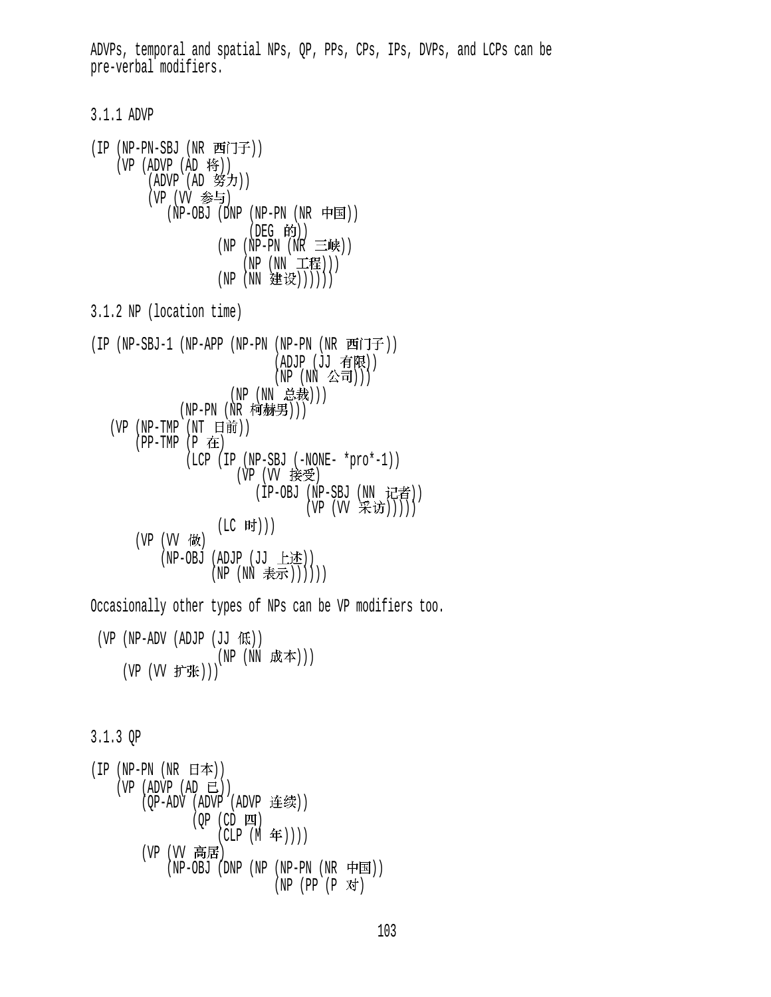ADVPs, temporal and spatial NPs, QP, PPs, CPs, IPs, DVPs, and LCPs can be pre-verbal modifiers.

3.1.1 ADVP

(IP (NP-PN-SBJ (NR 西门子)) (VP (ADVP (AD 将))  $(ADVP (AD 337))$ (VP (W 参与)  $(NP-OBJ$  (DNP  $(NP-PN$   $(NR$   $\Box$ F  $($ DEG 的 $)$  $)$  $(NP (NP-PN (NR \equiv M))$ (NP (NN 工程)))  $(NP(NN \t\t\&\t\t\&))))$ 3.1.2 NP (location time) (IP (NP-SBJ-1 (NP-APP (NP-PN (NP-PN (NR 西门子))  $(ADJP (JJ 4R))$  $(NP (NN &$ (NP (NN 总裁))) (NP-PN (NR 柯赫男)))  $(VP (NP-TMP (NT H)))$  $(PP-TMP (P$  在 (LCP (IP (NP-SBJ (-NONE- \*pro\*-1)) (VP (VV 接受) (IP-OBJ (NP-SBJ (NN 记者)) (VP (VV 采访)))))  $(LC$  时 $))$  $(VP (VV$ 做 (NP-OBJ (ADJP  $(JJ \pm \text{t}E))$ ) (NP (NN 表示)))))) Occasionally other types of NPs can be VP modifiers too.  $(VP (NP-ADV (ADJP (JJ (K)))$  $(NP(NN K\neq)))$ 

(VP (VV 扩张)))

3.1.3 QP

```
(IP (NP-PN (NR H本)))(VP (ADVP (AD E))(QP-ADV (ADVP (ADVP 连续))
                 (OP (CD \quad \Box I)(CLP (M \nleftrightarrow))(VP (VV 高居)
             (NP-OBJ (DNP (NP (NP-PN (NR 中国))
                               (NP (PP (P 对)
```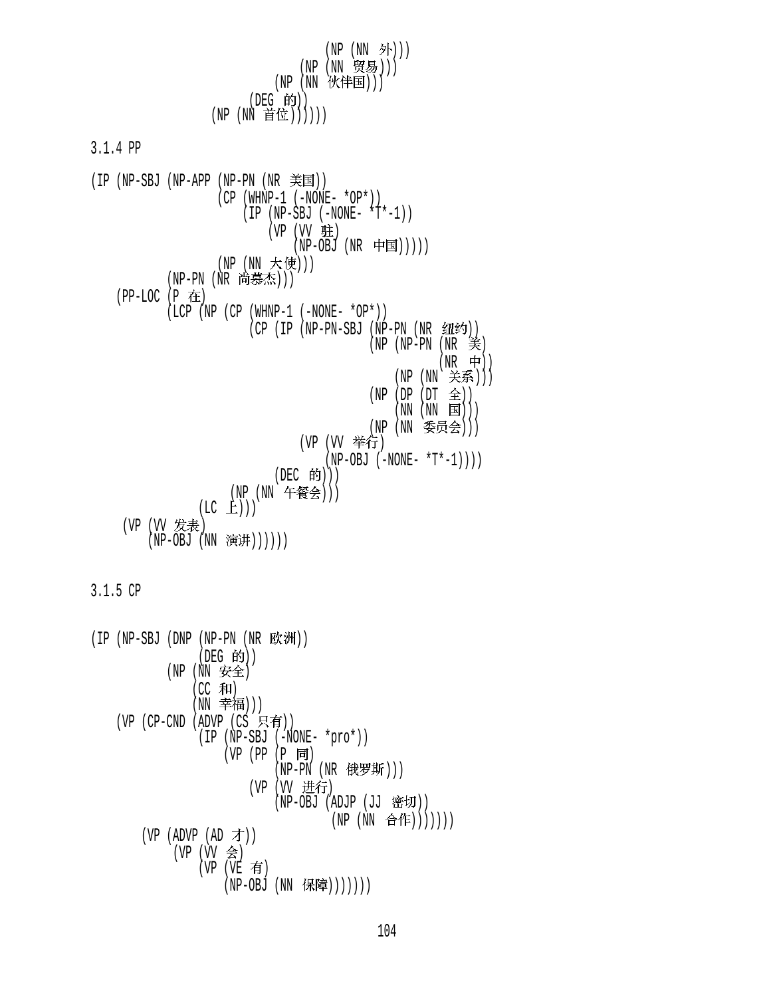$(NP (NN \nightharpoonup)$ ) (NP (NN 贸易)))  $(NP$   $(NN$  伙伴国 $)))$ (DEG 的))  $(NP (NN if ①))))$ 

3.1.4 PP

 $(IP (NP-SBJ (NP-APP (NP-PN (NR  $\cong \equiv \equiv$ )))$  (CP (WHNP-1 (-NONE- \*OP\*))  $(IP (NP-SBJ (-NONE- *T*-1))$ (VP (VV 驻)  $(NP-OBJ (NR$  中国 $))))$ (NP (NN 大使))) (NP-PN (NR 尚慕杰)))  $(PP-LOC (P$ 在  $(LCP (NP (CP (WHNP-1 (-NONE- *OP*)))$ (CP (IP (NP-PN-SBJ (NP-PN (NR 纽约)) (NP (NP-PN (NR 美)  $(NR$  中))  $(NP(NN \not\equiv \text{F}\text{F}))$  $(NP (DP (DT  $\hat{\pm}$ )))$  $(NN (NN \t{S}))$ (NP (NN 委员会))) (VP (VV 举行)  $(NP-OBJ (-NONE- *T*-1)))$ (DEC 的))) (NP (NN 午餐会)))  $(LC \t{E}))$ (VP (VV 发表) (NP-OBJ (NN 演讲))))))

3.1.5 CP

 $(IP (NP-SBJ (DNP (NP-PN (NR  $\mathbb{K}\mathbb{M})))$$ (DEG 的))  $(NP(NN \nsubseteq \nsubseteq$  $(CC$  和 $)$ (NN 幸福)))  $(VP$  (CP-CND (ADVP (CS 只有)) (IP (NP-SBJ (-NONE- \*pro\*)) (VP (PP (P 同)  $(NP-PN$   $(NR$  俄罗斯 $)))$ (VP (VV 进行) (NP-OBJ (ADJP (JJ 密切)) (NP (NN 合作)))))))  $(VP (ADVP (AD \not\rightarrow))$ (VP (VV 会)  $(VP (VE \t{f})$ (NP-OBJ (NN 保障)))))))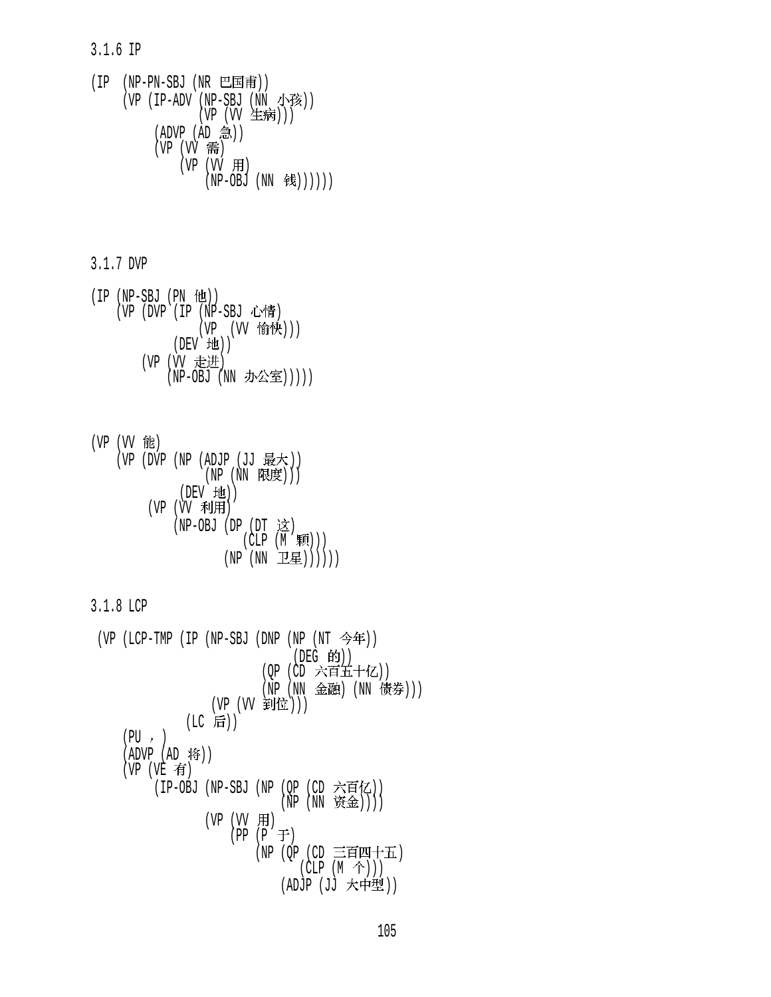3.1.6 IP

 $(IP$   $(NP-PN-SBJ$   $(NR \tE\text{F})$ (VP  $(IP-ADV$  (NP-SBJ  $(NN \mathcal{F}\mathcal{B}))$ (VP (VV 生病)))  $(ADVP (AD 9)$  $(VP (W$  需)  $(VP (W H)$  $(NP-OBJ (NN \tcong)))))$ 

3.1.7 DVP

 $(IP (NP-SBJ (PN  $ftt)$ ))$ (VP (DVP (IP (NP-SBJ 心情) (VP (VV 愉快)))  $(DEV H)$ ) (VP (VV 走进) (NP-OBJ (NN 办公室)))))

\n
$$
(VP (VV ⑤E)
$$
\n
$$
(VP (DVP (NP (ADJP (JJ ⑤2)W))
$$
\n
$$
(NP (NN ②E) ))
$$
\n
$$
(VE (VV ⑦H) H)
$$
\n
$$
(VP (VV ⑦H) H)
$$
\n
$$
(NP-OBJ (DP (DT  X2) (CLP (M ④M)))
$$
\n
$$
(NP (NN  L2E)))))
$$
\n

3.1.8 LCP

```
(VP (LCP-TMP (IP (NP-SBJ (DNP (NP (NT \hat{\mathcal{S}}年))
                               (DEG 的))
                          (OP (CD 六百五十亿))
                          (NP (NN 金融) (NN 债券)))
                  (VP (VV 到位)))
             (LC 后))
    (PU, )(ADVP (AD 19))(VP (VE \t{f})(IP-OBJ (NP-SBJ (NP (QP (CD 六百亿))
                             (NP (NN \; 资金))))
                 (VP (VV 用)
                     (PP (P \neq)(NP (OP (CD 三百四十五)
                               (CLP(M \hat{\uparrow}))) (ADJP (JJ ))
```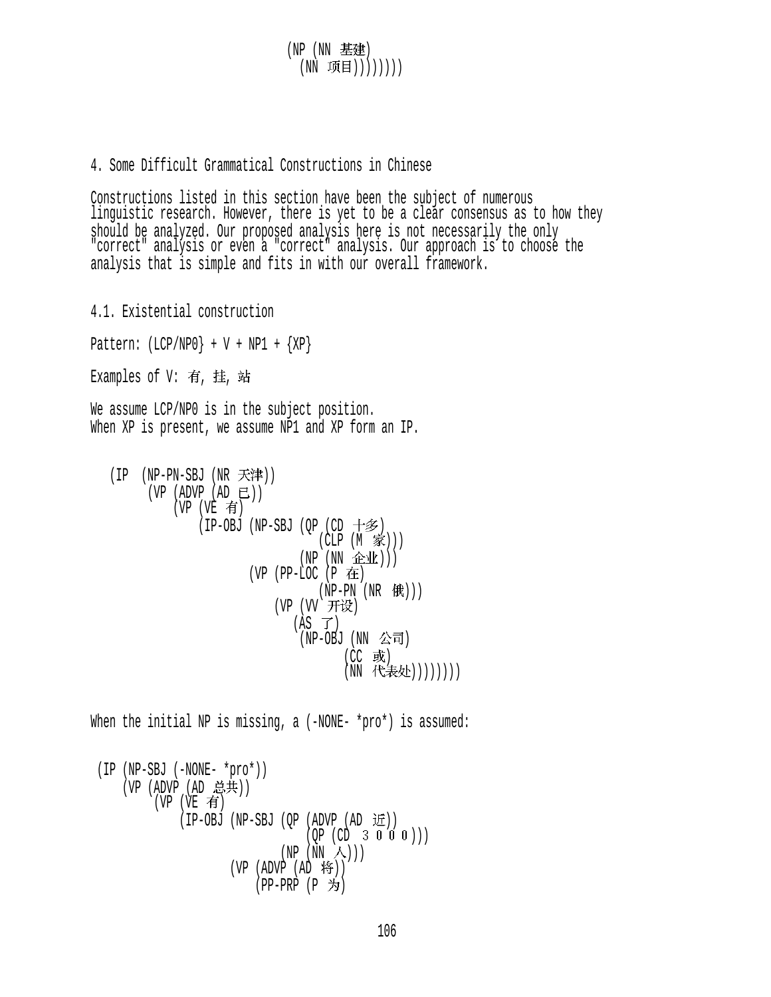(NP (NN ) (NN 项目))))))))

4. Some Difficult Grammatical Constructions in Chinese

Constructions listed in this section have been the subject of numerous linguistic research. However, there is yet to be a clear consensus as to how they should be analyzed. Our proposed analysis here is not necessarily the only "correct" analysis or even a "correct" analysis. Our approach is to choose the analysis that is simple and fits in with our overall framework.

4.1. Existential construction Pattern:  $(LCP/NPO$  + V + NP1 +  ${XP}$ Examples of  $V:$  有, 挂, 站 We assume LCP/NPO is in the subject position. When XP is present, we assume NP1 and XP form an IP.  $(IP$  (NP-PN-SBJ (NR 天津))  $(VP (ADVP (AD E))$  $(VP (VE \t{f})$ (IP-OBJ (NP-SBJ (QP (CD 十多)  $(CLP (M \tilde{\mathcal{K}})))$  $(NP (NN \t#1))$  $(VP$  (PP-LOC  $(P \oplus E)$  $(NP-PN (NR (H))$ 

(VP (VV 开设)  $(AS \ \mathcal{T})$  $(NP-OBJ$   $(NN \triangle \vec{\mathsf{\Pi}})$  $(CC$  或) (NN 代表处))))))))

When the initial NP is missing, a (-NONE- \*pro\*) is assumed:

```
 (IP (NP-SBJ (-NONE- *pro*)) 
    (VP (ADVP (AD 总共))
          (VP (VE \t{f})(IP-OBJ (NP-SBJ (QP (ADVP (AD <math>\overline{11})</math>))(QP (CD 3 0 0 0)))(NP (NN A)))(VP (ADVP (AD 19))(PP-PRP (P <i>+</i>)
```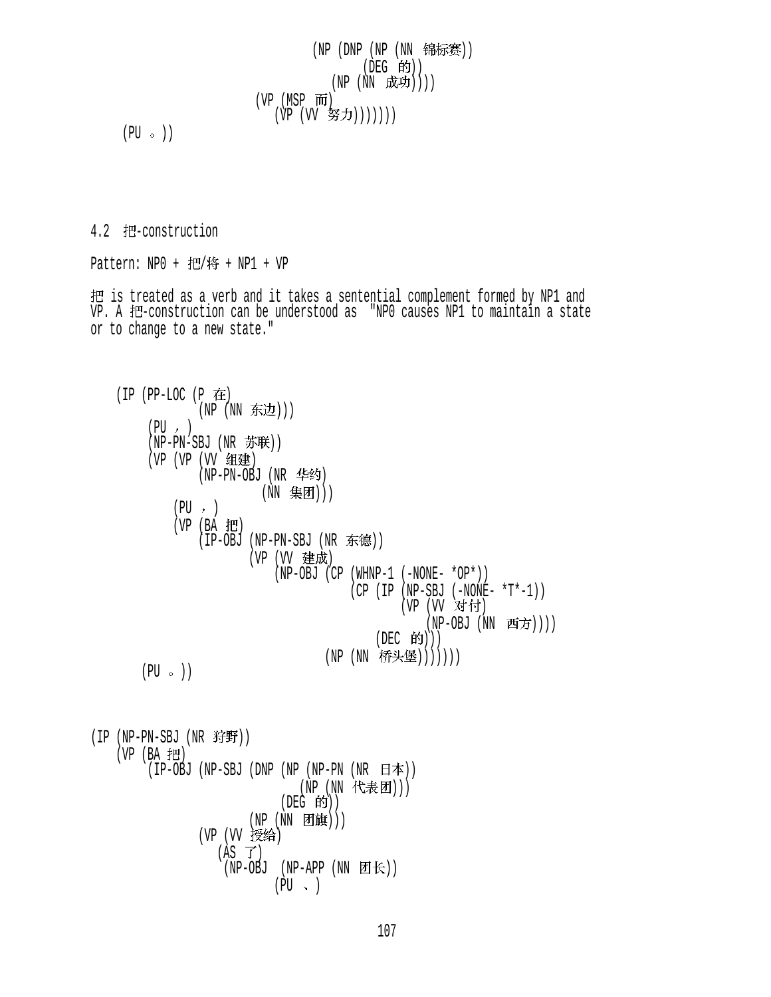$(NP (DNP (NP (NN$ (DEG 的))  $(NP (NN R)$  $(VP (MSP \overline{m})$ (VP (VV 努力)))))))

 $(PU \circ)$ 

4.2 把-construction

Pattern:  $NP0 +  H  / #   +  NP1   +  VP$ 

把 is treated as a verb and it takes a sentential complement formed by NP1 and VP. A 把-construction can be understood as "NPO causes NP1 to maintain a state or to change to a new state."

```
(IP (PP-LOC (P <math>\pm</math>))(NP (NN 东边)))
         (PU, )(NP-PN-SBJ (NR H#H))(VP (VP (VV 组建)
                 (NP-PN-OBJ (NR 华约)
                           (NN 集团)))
             (PU, )(VP (BA H))(IP-OBJ (NP-PN-SBJ (NR \text{ #H}))(VP (VV 建成)
                             (NP-OBJ (CP (WHNP-1 (-NONE- *OP*))
                                         (CP (IP (NP-SBJ (-NONE- *T*-1)))(VP (VV 对付)
                                                      (NP-OBJ (NN Ðf/))(DEC 的)))(NP (NN 桥头堡)))))))
        (PU \circ )(IP (NP-PN-SBJ (NR 3f)(VP (BA 把
         (IP-OBJ (NP-SBJ (DNP (NP (NP-PN (NR H\#)))(NP (NN 代表团)))
                              (DEG 的))(NP(NN \quad \text{[m]})))(VP (VV 授给)
                    (AS \ \mathcal{T})(NP-OBJ (NP-APP (NN \nI E))
```
 $(PU \sim )$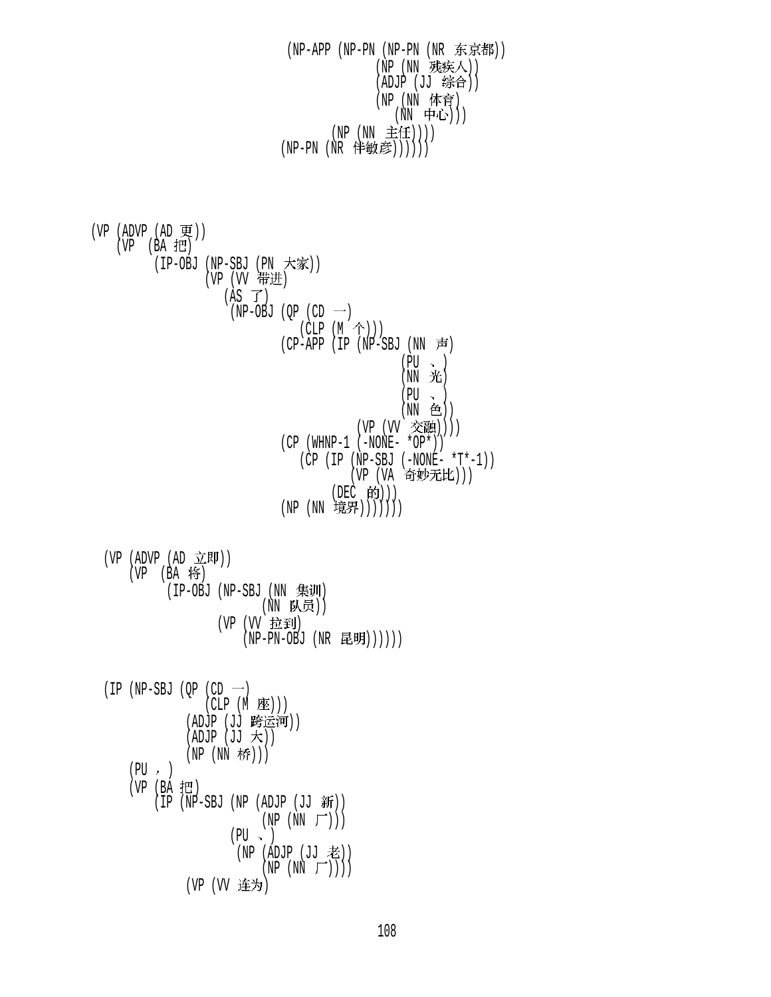(NP-APP (NP-PN (NP-PN (NR 东京都)) (NP (NN 残疾人))  $(ADJP (JJ$  综合 $))$ (NP (NN 体育) (NN 中心)))  $(NP (NN  $\pm f(E)))$$ (NP-PN (NR 伴敏彦))))))

 $(VP (ADVP (AD )$  $(VP (BA H))$ (IP-OBJ (NP-SBJ (PN 大豕)) (VP (VV 1可2世)  $(AS \ \vec{J})$  $(NP-OBJ (QP (CD -))$  $(CLP (M \tbinom{\frown}{}) )$  $(CP-APP (IP (NP-SBJ (NN  $\overline{\overline{F}})$$  $(PU \sim )$  $(NN \nightharpoonup \mathcal{H})$  $(PU \sim )$  $(NN \oplus))$ (VP (VV 交融))))  $(CP (WHNP-1 (-NONE- *OP*)))$  (CP (IP (NP-SBJ (-NONE- \*T\*-1)) (VP (VA 奇妙无比))) (DEC 的)))  $(NP (NN  t$ 镜界 $))))))$  $(VP (ADVP (AD \times E \parallel))$  $(VP$   $(BA \nmid \mathbf{f})$ (IP-OBJ (NP-SBJ (NN 集训) (NN 队员)) (VP (VV 拉到)  $(NP-PN-OBJ (NR E!U)))))$ (IP (NP-SBJ (OP (CD  $\rightarrow$ )  $(CLP (M \times))$ (ADJP (JJ 跨运河))  $(ADJP (JJ \nmid \n\digamma))$  $(NP(NN$  桥 $)))$  $(PU, )$ (VP (BA 把)  $(IP (NP-SBJ (NP (ADJP (JJ  $\frac{2}{3}H$ )))$  $(NP(NN_F))$  $(PU \sim )$  $(NP (ADJP (JJ  $\nless$ ))$  $(NP (NN \top)))$ (VP (VV 连为)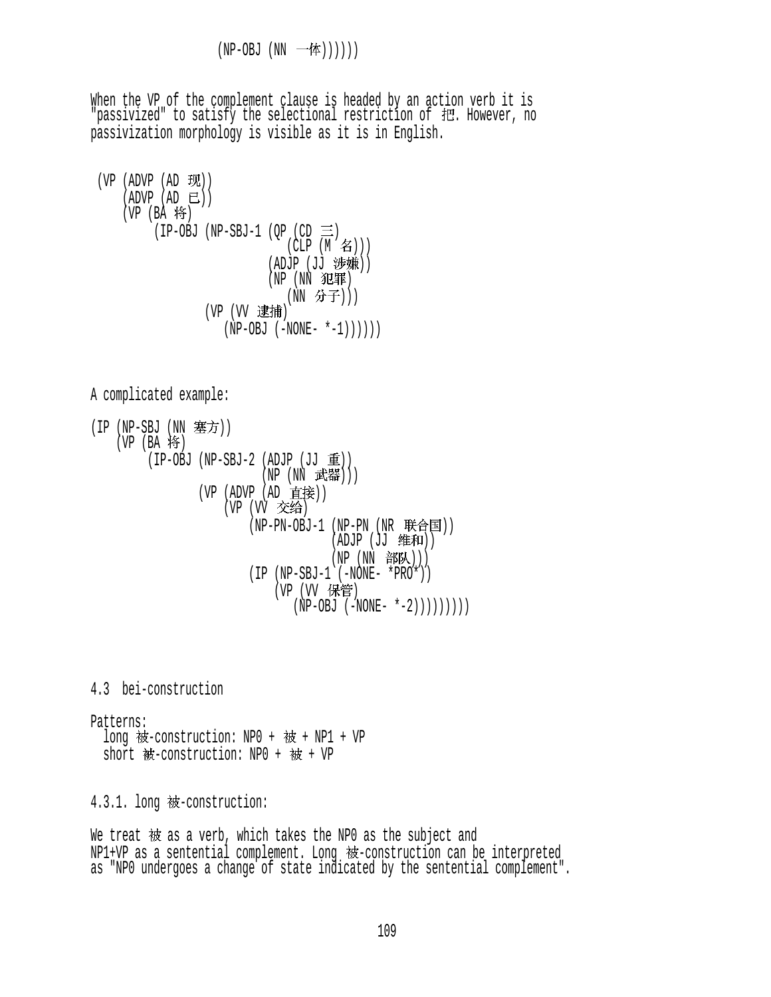When the VP of the complement clause is headed by an action verb it is "passivized" to satisfy the selectional restriction of 把. However, no passivization morphology is visible as it is in English.

\n
$$
\begin{array}{ll}\n \text{(VP (AD U) } & \text{(AD U) } & \text{(AD U) } \\
 \text{(ADVP (B) } & \text{(NP - S)} & \text{(VP (CP U) } & \text{(NP - S)} \\
 \text{(IP - O)} & \text{(NP - S)} & \text{(CLP (M A))} \\
 \text{(ADJP (JJ  \# \text{#}))} & \text{(NP (NN  \# \text{#}))} \\
 \text{(NP (NN  \# \text{#})} & \text{(NN  \# \text{#})} \\
 \text{(VP (VV  \text{#} \text{#})} & \text{(NP - O)} & \text{(–NONE - * -1))))\n \end{array}
$$
\n

A complicated example:

(IP (NP-SBJ (NN 塞方)) (VP (BA 将)  $(IP-OBJ (NP-SBJ-2 (ADJP (JJ  $\bar{I}I$ )))$  (NP (NN )))  $(VP (ADVP (AD E#E))$ (VP (VV 交给) (NP-PN-OBJ-1 (NP-PN (NR 联合国))  $(ADJP (JJ  #和))$  $(NP(NN \t{B}^{\text{H}}))$  $(IP (NP-SBJ-1 ( -NONE- *PRO*)))$ (VP (VV 保管)  $(NP-OBJ (-NONE- *-2))))))))$ 

4.3 bei-construction

Patterns: long 被-construction: NP0 + 被 + NP1 + VP short  $\frac{1}{2}$  -construction: NPO +  $\frac{1}{2}$  + VP

4.3.1. long 被-construction:

We treat 被 as a verb, which takes the NPO as the subject and NP1+VP as a sentential complement. Long 被-construction can be interpreted as "NP0 undergoes a change of state indicated by the sentential complement".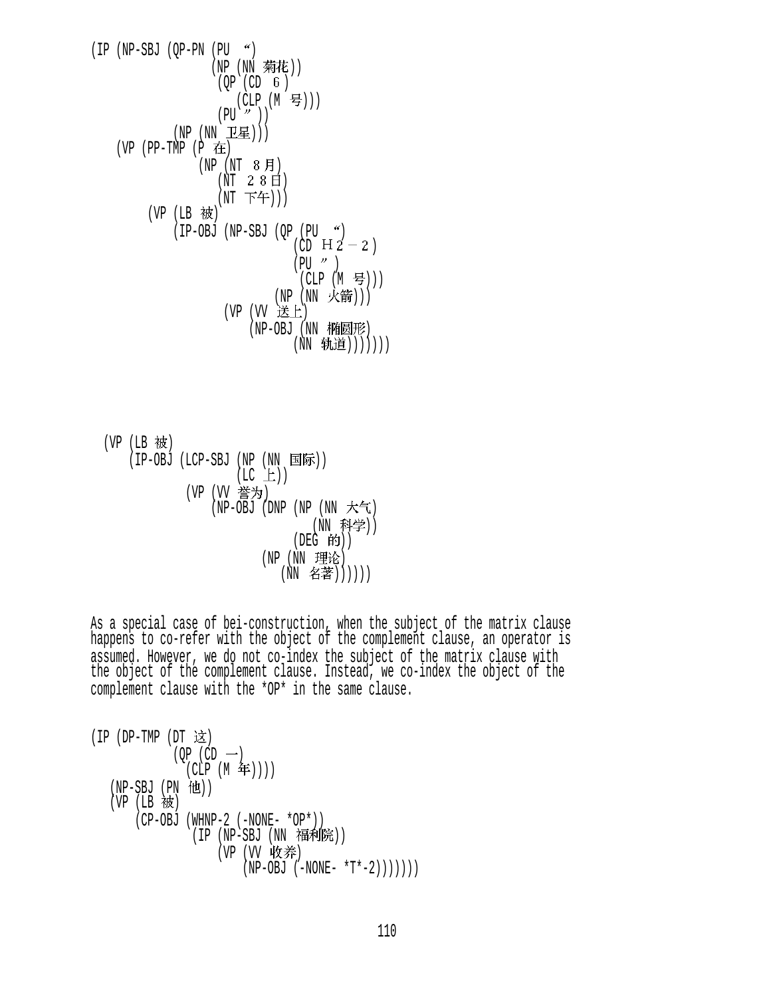(IP (NP-SBJ (QP-PN (PU ) (NP (NN )) (QP (CD ) (CLP (M ))) (PU )) (NP (NN ))) (VP (PP-TMP (P ) (NP (NT ) (NT ) (NT ))) (VP (LB ) (IP-OBJ (NP-SBJ (QP (PU ) (CD ) (PU ) (CLP (M ))) (NP (NN ))) (VP (VV ) (NP-OBJ (NN ) (NN )))))))

(VP (LB 被)

\n(IP-OBJ (LCP-SBJ (NP (NN 国ച) (LC L))

\n(VP (VV 紊为)

\n(NP-OBJ (DNP (NP (NN \n 
$$
\uparrow
$$
 K) (NN \n  $\uparrow$  (NN \n  $\uparrow$  K) (DEG \n  $\uparrow$  (NN \n  $\downarrow$  (NP (NN \n  $\uparrow$  K) (DEG \n  $\uparrow$  (NN \n  $\uparrow$  (NN \n  $\uparrow$  (NN \n  $\uparrow$  (NN \n  $\uparrow$  (NN \n  $\uparrow$  (NN \n  $\uparrow$  (NN \n  $\uparrow$  (NN \n  $\uparrow$  (NN \n  $\uparrow$  (NN \n  $\uparrow$  (NN \n  $\uparrow$  (NN \n  $\uparrow$  (NN \n  $\uparrow$  (NN \n  $\uparrow$  (NN \n  $\uparrow$  (NN \n  $\uparrow$  (NN \n  $\uparrow$  (NN \n  $\uparrow$  (NN \n  $\uparrow$  (NN \n  $\uparrow$  (NN \n  $\uparrow$  (NN \n  $\uparrow$  (NN \n  $\uparrow$  (NN \n  $\uparrow$  (NN \n  $\uparrow$  (NN \n  $\uparrow$  (NN \n  $\uparrow$  (NN \n  $\uparrow$  (NN \n  $\uparrow$  (NN \n  $\uparrow$  (NN \n  $\uparrow$  (NN \n  $\uparrow$  (NN \n  $\uparrow$  (NN \n <math display="</p>

As a special case of bei-construction, when the subject of the matrix clause happens to co-refer with the object of the complement clause, an operator is assumed. However, we do not co-index the subject of the matrix clause with the object of the complement clause. Instead, we co-index the object of the complement clause with the \*OP\* in the same clause.

```
(IP (DP-TMP (DT 这)
               (OP (CD - )(CLP (M \nleftrightarrow)))
   (NP-SBJ (PN 111))(VP (LB 被)
        (CP-OBJ (WHNP-2 (-NONE- *OP*))
                  (IP (NP-SBJ (NN #H+H<math>\hat{F}^2</math>)))(VP (VV 收养)
                            (NP-OBJ (-NONE- *T*-2)))))))
```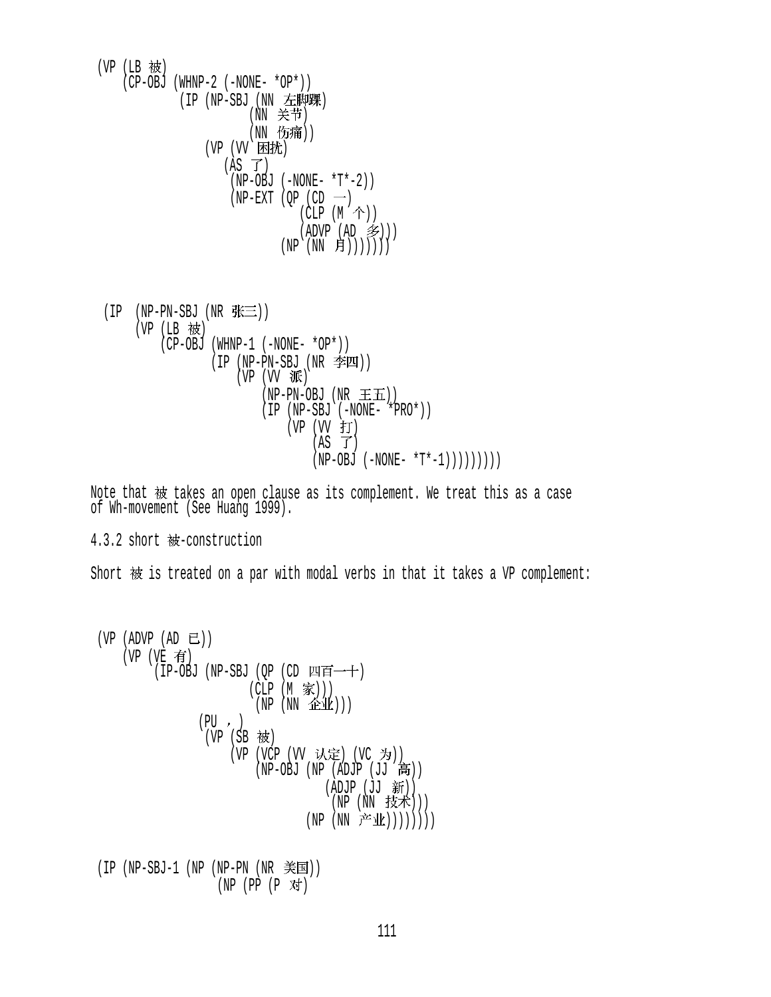(VP (LB 被) (CP-OBJ (WHNP-2 (-NONE- \*OP\*)) (IP (NP-SBJ (NN 左脚踝) (NN 关节) (NN 伤痛)) (VP (VV 困扰)  $(AS \ \vec{J})$  $(NP-OBJ$   $(-NONE- *T*-2))$  $(NP-EXT (QP (CD -))$  $(CLP (M \tbinom{\wedge}{})$  $(ADVP (AD \; \mathcal{F}))$  $(NP (NN \quad \fbox{f}))))))$ 

 $(IP$  (NP-PN-SBJ (NR  $# \equiv$ ))  $(VP$  (LB 被) (CP-OBJ (WHNP-1 (-NONE- \*OP\*))  $(IP (NP-PN-SBJ (NR  $\cong$  M))$  $(VP (VV \times \overline{W}))$  $(NP-PN-OBJ (NR \pm \mathbf{H}))$  (IP (NP-SBJ (-NONE- \*PRO\*))  $(VP (VV f))$  $(AS \ \mathcal{T})$  $(NP-OBJ (-NONE- *T*-1))))))))$ 

Note that 被 takes an open clause as its complement. We treat this as a case of Wh-movement (See Huang 1999).

4.3.2 short 被-construction

Short  $\#$  is treated on a par with modal verbs in that it takes a VP complement:

 (VP (ADVP (AD )) (VP (VE ) (IP-OBJ (NP-SBJ (QP (CD ) (CLP (M ))) (NP (NN ))) (PU ) (VP (SB ) (VP (VCP (VV ) (VC )) (NP-OBJ (NP (ADJP (JJ )) (ADJP (JJ )) (NP (NN ))) (NP (NN ))))))))

 $(IP (NP-SBJ-1 (NP (NP-PN (NR \; \tilde{\#}E)))$  $(NP (PP (P \times \nabla f))$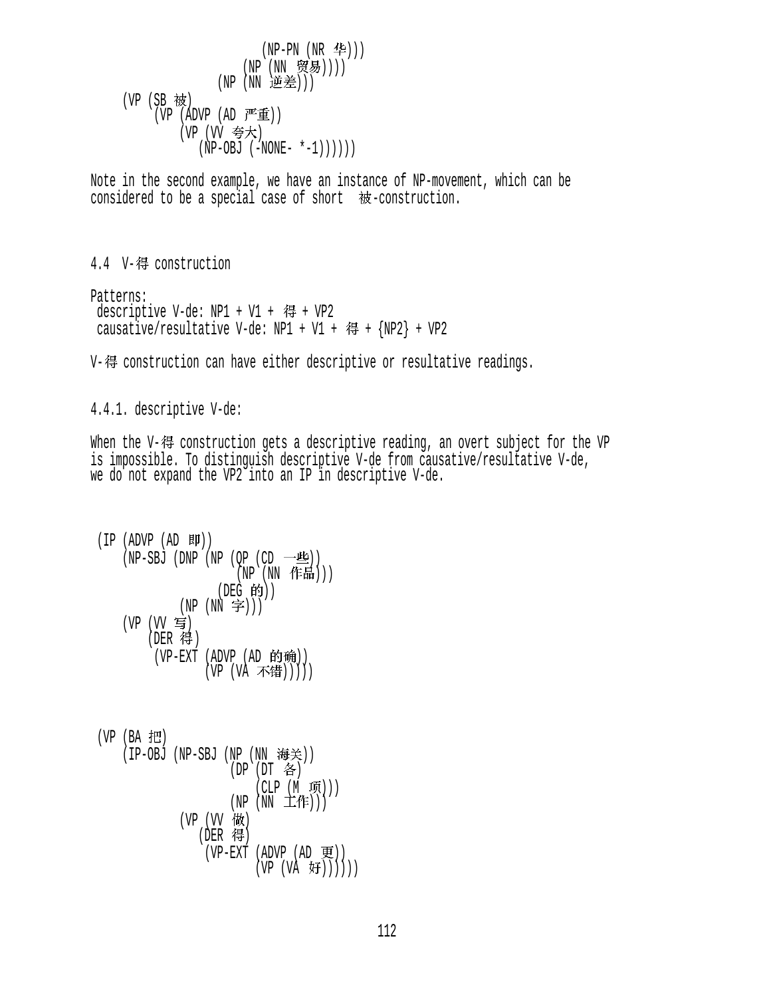```
(NP-PN (NR 4e))(NP (NN 贸易))))
             (NP (NN 逆差)))
(VP (SB 被)
    (VP (ADVP (AD F#)(VP (VV 夸大)
          (NP-OBJ (-NONE- *-1)))))
```
Note in the second example, we have an instance of NP-movement, which can be considered to be a special case of short  $\dot{\mathcal{E}}$ -construction.

4.4 V-得 construction

Patterns: descriptive V-de: NP1 + V1 + 得 + VP2 causative/resultative V-de: NP1 + V1 + 得 +  $\{NP2\}$  + VP2

V-得 construction can have either descriptive or resultative readings.

4.4.1. descriptive V-de:

When the V-得 construction gets a descriptive reading, an overt subject for the VP is impossible. To distinguish descriptive V-de from causative/resultative V-de, we do not expand the VP2 into an IP in descriptive V-de.

```
(IP (ADVP (AD <math>W</math>)))(NP-SBJ (DNP (NP (QP (CD \t— 4)))
                       (NP)(NN (f#H)))(DEG 的))(NP(NN \ncong)))(VP (VV 写)
        (DER 得)
         (VP-EXT (ADVP (AD 的确))
                  (VP (VA 不错)))))
```
 $(VP$   $(BA$  把 (IP-OBJ (NP-SBJ (NP (NN 海关))  $(DP (DT  $\hat{B}$ )$  $(CLP (M \times))$  $(NP(NN Iff)))$  $(VP (VV$  做 (DER 得)  $(VP-EXT (ADVP (AD )$  $(VP (VA \; \text{F}))))))$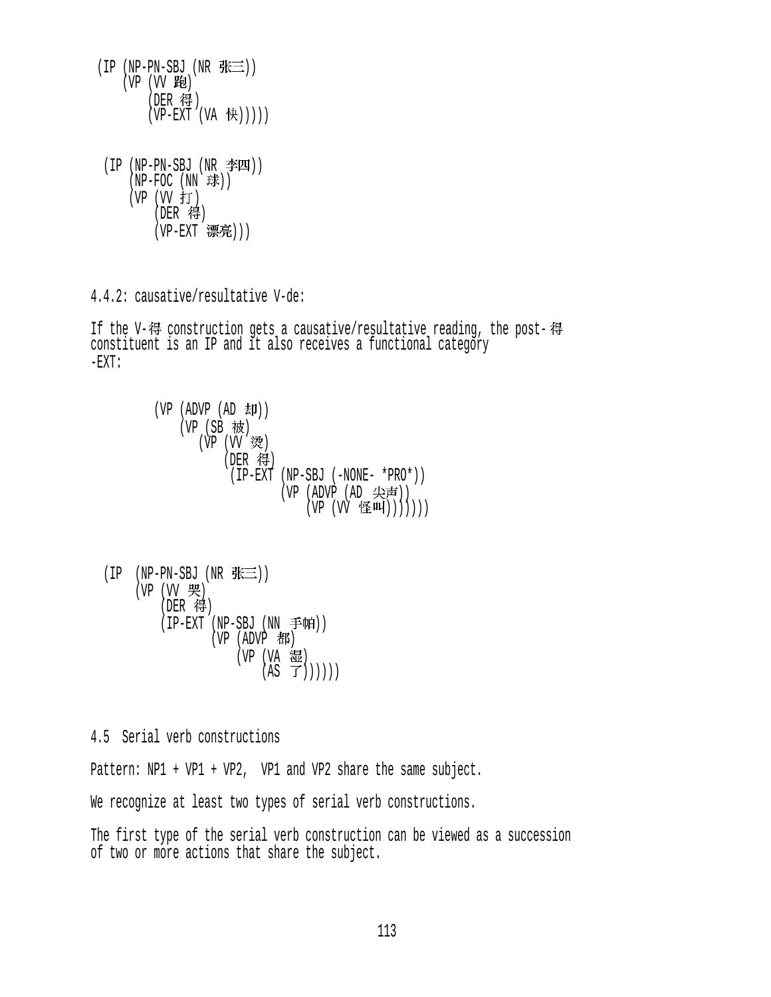- $(IP (NP-PN-SBJ (NR  $\frac{R}{N} \equiv$ )))$  $(VP (VV B))$ (DER 得)  $(VP-EXT (VA (H)))))$
- $(IP (NP-PN-SBJ (NR  $\cong$  M))$  $(NP-FOC(NN \times \mathbb{R}))$ (VP (VV 打)  $($ DER 得 $)$ (VP-EXT 漂亮)))

4.4.2: causative/resultative V-de:

If the V-得 construction gets a causative/resultative reading, the post-得 constituent is an IP and it also receives a functional category  $\Gamma$ X $\Gamma$ :

```
(VP (ADVP (AD H))(VP(SB被)
      (VP (VV 烫)
          (DER 得)
            (IP-EXT (NP-SBJ (-NONE- *PRO*)) 
                   (VP (ADVP (AD 尖声))
                       (VP (VV \leq W)))))
```

```
(IP (NP-PN-SBJ (NR # \equiv))
       (VP (VV 哭)
             (DER 得)
            (IP-EXT (NP-SBJ (NN \neq \text{fr}))(VP (ADVP \t{#}K))(VP (VA <math>\overline{3E}</math>)(AS \ \vec{f})))))
```
4.5 Serial verb constructions

Pattern: NP1 + VP1 + VP2, VP1 and VP2 share the same subject.

We recognize at least two types of serial verb constructions.

The first type of the serial verb construction can be viewed as a succession of two or more actions that share the subject.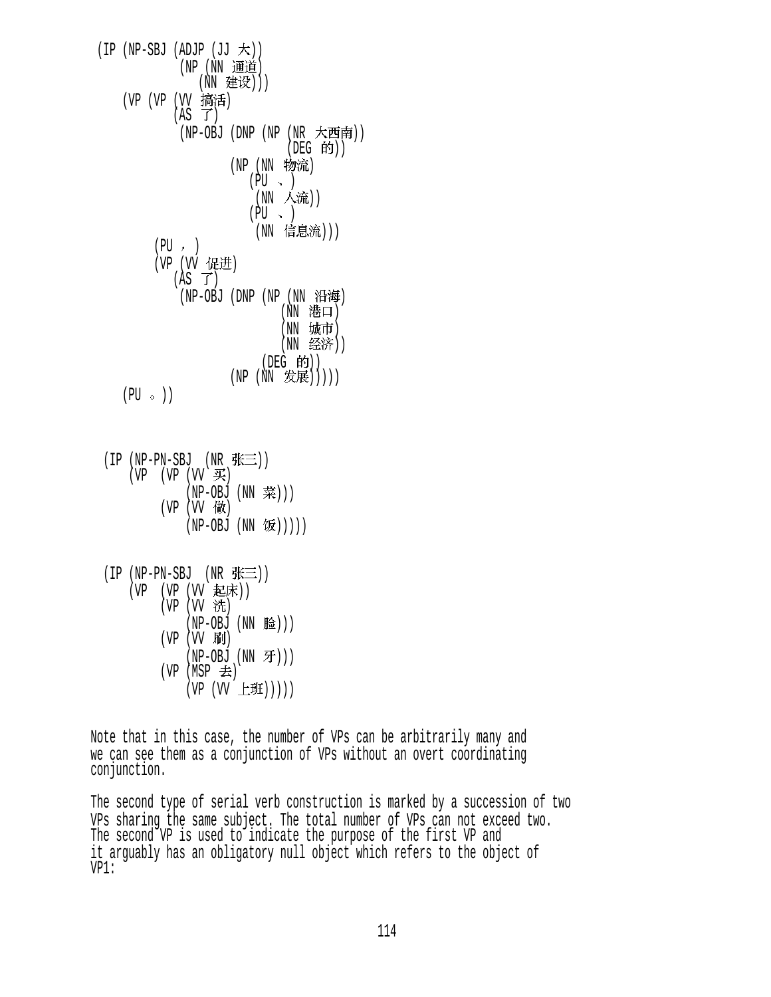$(IP (NP-SBJ (ADJP (JJ  $\nabla$ )))$ (NP (NN 通道) (NN 建设))) (VP (VP (VV 搞活)  $(AS \ \vec{J})$  (NP-OBJ (DNP (NP (NR ))  $($ DEG 的 $)$  $)$ (NP (NN 物流)  $(\overline{PU} \rightarrow )$ (NN 人流))  $(PU \sim )$ (NN 信息流)))  $(PU, )$ (VP (VV 促进)  $(AS \vec{J})$ (NP-OBJ (DNP (NP (NN 沿海) (NN 港口) (NN 城市) (NN 经济)) (DEG 的))  $(NP(NN \t#E))))$  $(PU \circ )$ 

|  | $(IP (NP-PN-SBJ (NR \frac{P}{P} \equiv 1))$ |                    |
|--|---------------------------------------------|--------------------|
|  | (VP (VP (VV K))                             |                    |
|  | (NP-OBJ (NN 菜)))                            |                    |
|  | (VP (VV 做)                                  |                    |
|  |                                             | (NP-OBJ (NN 饭))))) |

| (IP (NP-PN-SBJ (NR 张三)) |             |  |                     |
|-------------------------|-------------|--|---------------------|
| (VP (VP (VV 起床))        |             |  |                     |
|                         | (VP (VV 洗)  |  |                     |
|                         |             |  | (NP-OBJ (NN 脸)))    |
|                         | (VP (VV 刷)  |  |                     |
|                         |             |  | $(NP-OBJ (NN \tF))$ |
|                         | (VP (MSP 去) |  |                     |
|                         |             |  | (VP (VV 上班)))))     |

Note that in this case, the number of VPs can be arbitrarily many and we can see them as a conjunction of VPs without an overt coordinating conjunction.

The second type of serial verb construction is marked by a succession of two VPs sharing the same subject. The total number of VPs can not exceed two. The second VP is used to indicate the purpose of the first VP and it arguably has an obligatory null object which refers to the object of VP1: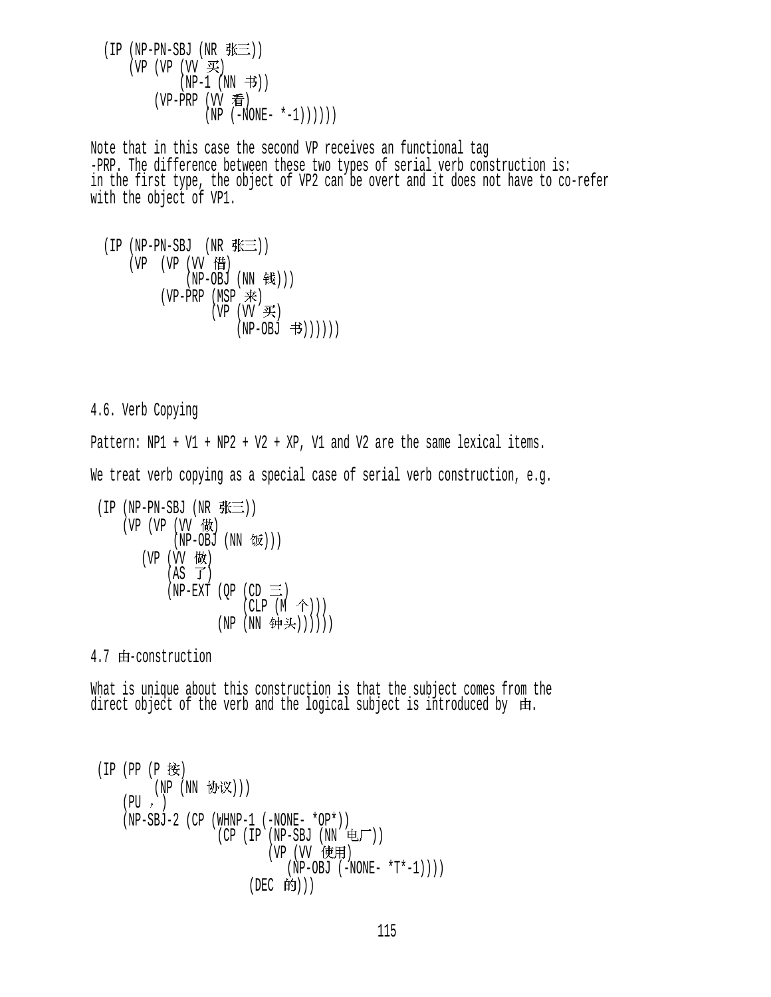$(IP (NP-PN-SBJ (NR  $\# \equiv$ )))$ (VP (VP  $(W \ncong)$  $(NP-1$   $(NN \tightrightarrows))$  $(VP-PRP (VV$ 看  $(NP (-NONE- *-1)))))$ 

Note that in this case the second VP receives an functional tag -PRP. The difference between these two types of serial verb construction is: in the first type, the object of VP2 can be overt and it does not have to co-refer with the object of VP1.

```
(IP (NP-PN-SBJ (NR <math>\# \equiv</math>)))(VP (VP (VV f<sup>#</sup>))(NP-OBJ (NN钱)))
            (VP-PRP (MSP \ddot{\mathcal{R}})
                       (VP (VVK))(NP-OBJ 书))))))
```
4.6. Verb Copying

Pattern:  $NP1 + VI + NP2 + V2 + XP$ , V1 and V2 are the same lexical items.

We treat verb copying as a special case of serial verb construction, e.g.

$$
(IP (NP-PN-SBJ (NR \nbrace{\equiv}) )
$$
\n
$$
(VP (VP (VV \nbrace{\text{W}}) (NP-OBJ (NN \nbrace{\text{W}})))
$$
\n
$$
(VP (VV \nbrace{\text{W}}) (NP - BJ (NN \nbrace{\text{W}})) )
$$
\n
$$
(NP - EXT (QP (CD \nbrace{\text{CLP}} (M \nbrace{\text{W}}))))))
$$
\n
$$
(NP (NN \nbrace{\text{W}} \nbrace{\text{W}})))))
$$

 $\mathcal{L}^{\mathcal{L}}$ 

 $4.7$   $\pm$ -construction

What is unique about this construction is that the subject comes from the direct object of the verb and the logical subject is introduced by 由.

```
(IP (PP (P 按)
        (NP (NN 协议)))
    (PU, )(NP-SBJ-2 (CP (WHNP-1 (-NONE- *OP*))
                   (CP (IP (NP-SBJ (NN <math>\nabla)</math>)))(VP (VV 使用)
                               (NP-OBJ (-NONE- *T*-1)))(DEC 的)))
```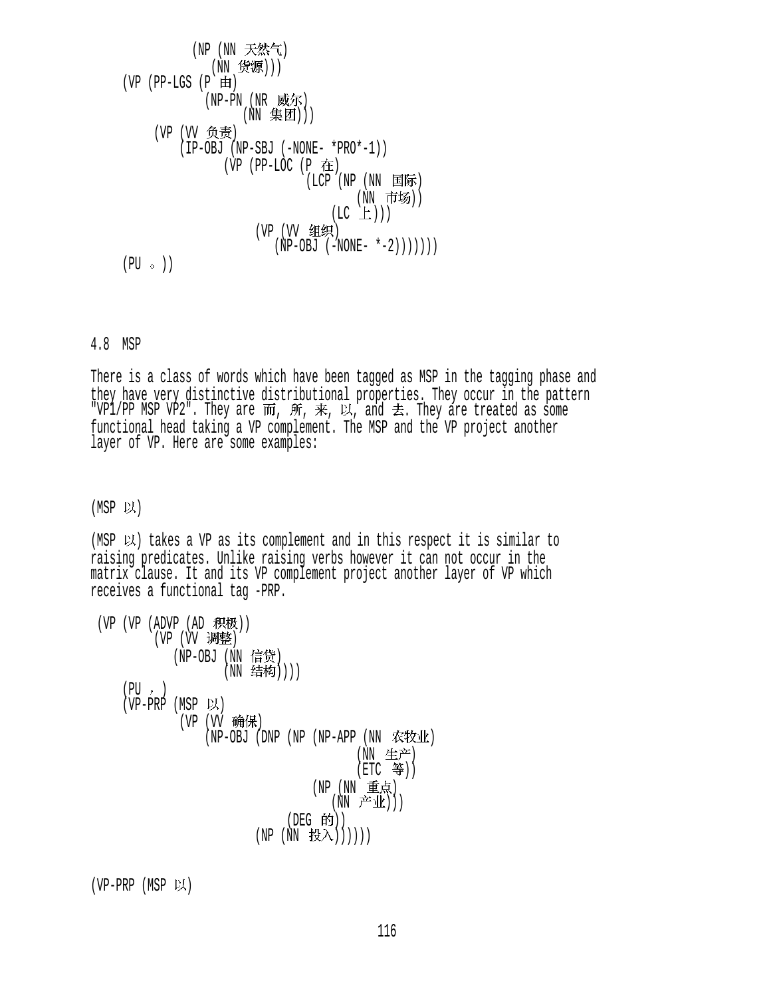$$
\begin{array}{c}\n\text{(NP (NN \tilde{f}, \tilde{f}^k \tilde{f}^k))} \\
\text{(NN \tilde{f}^k \tilde{f}^k \tilde{f}^j))} \\
\text{(VP (PP-LGS (P \tilde{H})\n (NP-PN (NR \tilde{g}^k \tilde{f}^k))))} \\
\text{(VP (VV \tilde{f}^k \tilde{f}^k \tilde{f}^k \tilde{f}^k \tilde{f}^k \tilde{f}^k \tilde{f}^k \tilde{f}^k \tilde{f}^k \tilde{f}^k \tilde{f}^k \tilde{f}^k \tilde{f}^k \tilde{f}^k \tilde{f}^k \tilde{f}^k \tilde{f}^k \tilde{f}^k \tilde{f}^k \tilde{f}^k \tilde{f}^k \tilde{f}^k \tilde{f}^k \tilde{f}^k \tilde{f}^k \tilde{f}^k \tilde{f}^k \tilde{f}^k \tilde{f}^k \tilde{f}^k \tilde{f}^k \tilde{f}^k \tilde{f}^k \tilde{f}^k \tilde{f}^k \tilde{f}^k \tilde{f}^k \tilde{f}^k \tilde{f}^k \tilde{f}^k \tilde{f}^k \tilde{f}^k \tilde{f}^k \tilde{f}^k \tilde{f}^k \tilde{f}^k \tilde{f}^k \tilde{f}^k \tilde{f}^k \tilde{f}^k \tilde{f}^k \tilde{f}^k \tilde{f}^k \tilde{f}^k \tilde{f}^k \tilde{f}^k \tilde{f}^k \tilde{f}^k \tilde{f}^k \tilde{f}^k \tilde{f}^k \tilde{f}^k \tilde{f}^k \tilde{f}^k \tilde{f}^k \tilde{f}^k \tilde{f}^k \tilde{f}^k \tilde{f}^k \tilde{f}^k \tilde{f}^k \tilde{f}^k \tilde{f}^k \tilde{f}^k \tilde{f}^k \tilde{f}^k \tilde{f}^k \tilde{f}^k \tilde{f}^k \tilde{f}
$$

## 4.8 MSP

There is a class of words which have been tagged as MSP in the tagging phase and they have very distinctive distributional properties. They occur in the pattern "VP1/PP MSP VP2". They are  $\mathsf{m},\ \mathscr{H},\ \mathscr{L},\ \mathsf{and}\ \mathscr{\preceq}.$  They are treated as some functional head taking a VP complement. The MSP and the VP project another layer of VP. Here are some examples:

 $(MSP$  以)

(MSP  $\cup$ ) takes a VP as its complement and in this respect it is similar to raising predicates. Unlike raising verbs however it can not occur in the matrix clause. It and its VP complement project another layer of VP which receives a functional tag -PRP.

| (VP (VP (ADVP (AD 积极))<br>(VP (VV 调整)            |
|--------------------------------------------------|
| (NP-OBJ (NN 信贷)<br>(NN 结构))))                    |
| $(PU, \cdot)$<br>(VP-PRP (MSP 以)                 |
| (VP (VV 确保)<br>(NP-OBJ (DNP (NP (NP-APP (NN 农牧业) |
| (NN 生产)<br>(ETC 等))                              |
| (NP (NN 重点)<br>(NN 产业)))                         |
| (DEG 的))<br>(NN 投入)))))<br>(NP                   |

 $(VP-PRP (MSP \cup)$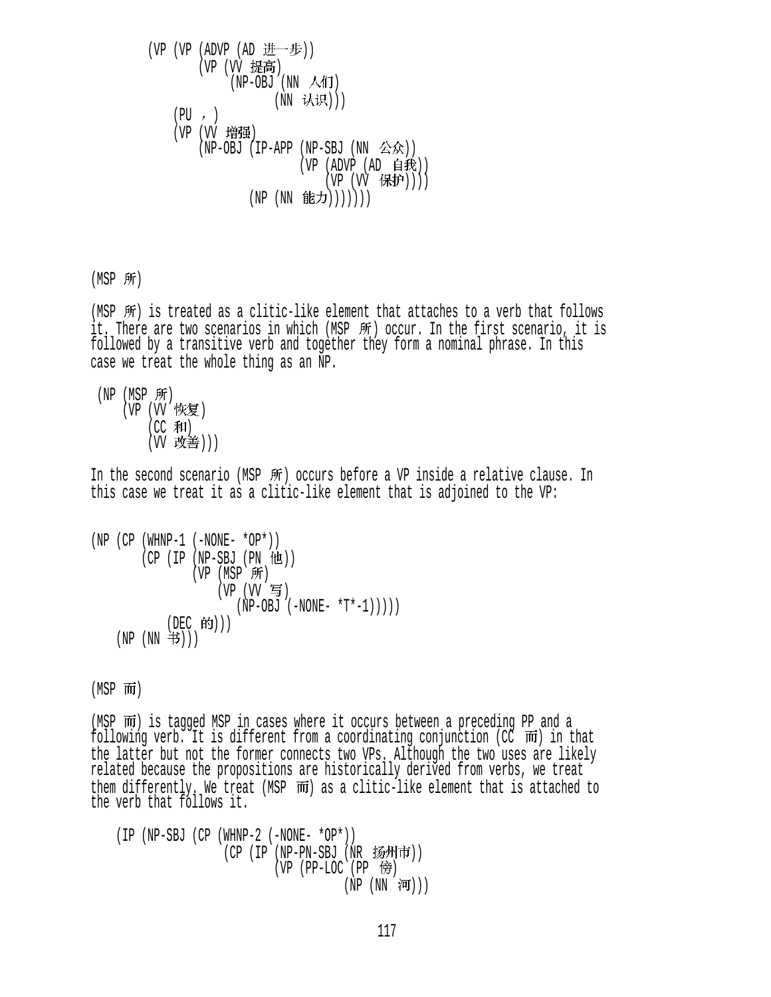\n
$$
(VP (VP (ADVP (AD \t# \t# \t# \t#)))
$$
\n
$$
(VP (VV \t# \t# \t# \t#)))
$$
\n
$$
(PU, \cdot)
$$
\n
$$
(VP (VV \t# \t# \t#)))
$$
\n
$$
(VP (VV \t# \t# \t#)))
$$
\n
$$
(VP (AP - OBJ (IP - APP (NP - SBJ (NN \t# \t#))))))
$$
\n
$$
(NP (NN \t# \t# \t#))))))
$$
\n
$$
(NP (NN \t# \t# \t#))))))
$$
\n

 $(MSP$  所)

(MSP  $\mathfrak{M}$ ) is treated as a clitic-like element that attaches to a verb that follows it. There are two scenarios in which (MSP 所) occur. In the first scenario, it is followed by a transitive verb and together they form a nominal phrase. In this case we treat the whole thing as an NP.

 $(NP (MSP \text{ff}))$ (VP (W 恢复)  $(CC$  和 $)$ (W 改善)))

In the second scenario (MSP 所) occurs before a VP inside a relative clause. In this case we treat it as a clitic-like element that is adjoined to the VP:

```
(NP (CP (WHNP-1 (-NONE- *OP*)))(CP (IP (NP-SBJ (PN (HI)))
               (VP (MSP 所)
                   (VP (W 4)(NP-OBJ (-NONE- *T*-1)))))
            (DEC 的)))
   (NP(NN \#)))
```
 $(MSP$   $\overline{m}$ )

(MSP  $\overline{m}$ ) is tagged MSP in cases where it occurs between a preceding PP and a following verb. It is different from a coordinating conjunction (CC  $\overline{m}$ ) in that the latter but not the former connects two VPs. Although the two uses are likely related because the propositions are historically derived from verbs, we treat them differently. We treat (MSP  $\overline{m}$ ) as a clitic-like element that is attached to the verb that follows it.

 (IP (NP-SBJ (CP (WHNP-2 (-NONE- \*OP\*))  $(CP$  (IP (NP-PN-SBJ (NR 扬州市)) (VP  $(PP-LOC$   $(PP \ \hat{E})$ )  $(NP (NN \nvert \overline{m})))$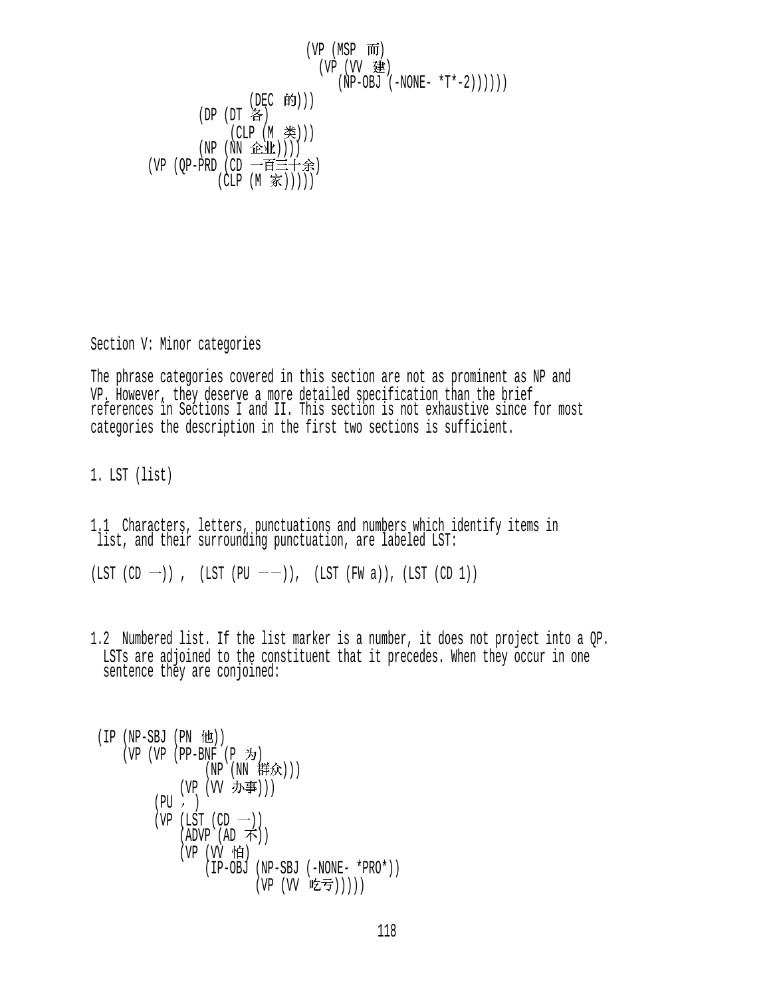$$
(\text{VP} (\text{MSP} \ \overline{m})
$$
\n
$$
(\text{VP} (\text{VV} \ \overline{m})
$$
\n
$$
(\text{NP} (\text{VV} \ \overline{m})
$$
\n
$$
(\text{NP} (\text{UV} \ \overline{m})
$$
\n
$$
(\text{DEC} \ \text{f} \text{f})))
$$
\n
$$
(\text{DP} (\text{DT} \ \text{f} \text{f}))
$$
\n
$$
(\text{CLP} (\text{M} \ \text{f} \text{f})))
$$
\n
$$
(\text{NP} (\text{NN} \ \text{f} \text{f} \text{f} \text{f})))
$$
\n
$$
(\text{VP} (\text{QP-PRD} (\text{CD} \ \rightarrow \overline{m} \equiv + \text{f} \text{f} \text{f}))
$$
\n
$$
(\text{CLP} (\text{M} \ \overline{m})))
$$

Section V: Minor categories

The phrase categories covered in this section are not as prominent as NP and VP. However, they deserve a more detailed specification than the brief references in Sections I and II. This section is not exhaustive since for most categories the description in the first two sections is sufficient.

1. LST (list)

1.1 Characters, letters, punctuations and numbers which identify items in list, and their surrounding punctuation, are labeled LST:

 $(LST (CD -))$ ,  $(LST (PU --))$ ,  $(LST (FW a))$ ,  $(LST (CD 1))$ 

1.2 Numbered list. If the list marker is a number, it does not project into a QP. LSTs are adjoined to the constituent that it precedes. When they occur in one sentence they are conjoined:

$$
(IP (NP-SBJ (PN 111))\n(VP (VP-BNF (P 为)\n(NN 1117))\n(VP (VV 1774))\n(VP (UV 1774))\n(VP (LST (CD —))\n(ADVP (AD 75))\n(VP (VV 111)\n(IP-OBJ (NP-SBJ (-NONE- *PRO*)))\n(VP (VV 1257)))))
$$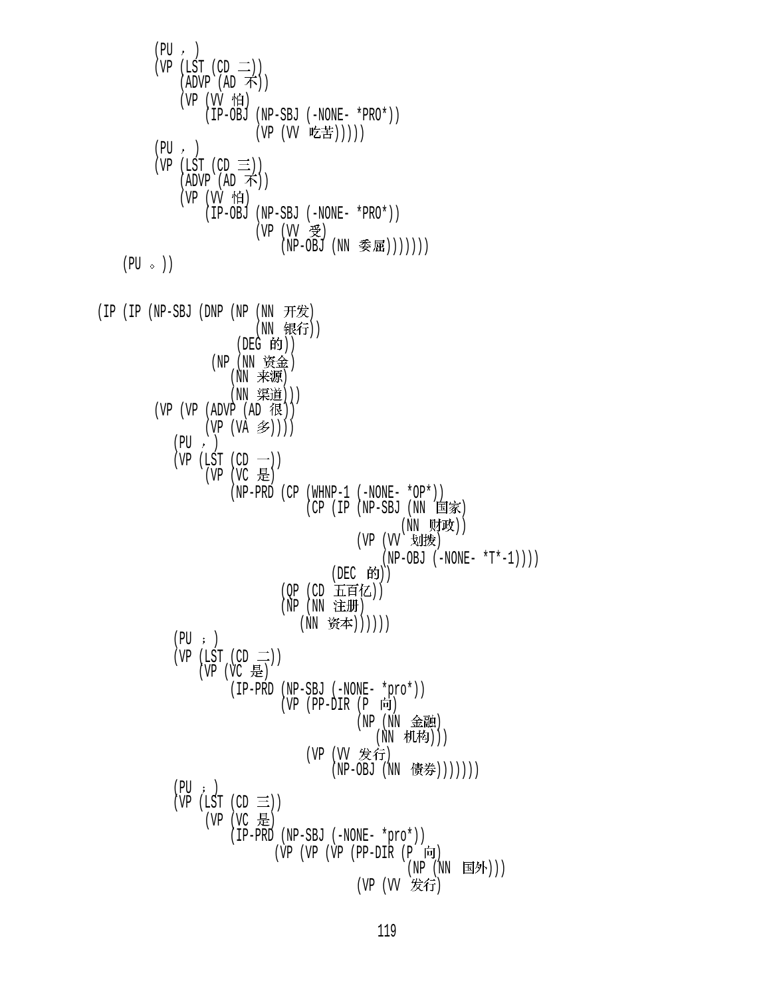$$
(PP (IST (CD = 1))\n(VP (LST (CD = 1))\n(VP (C) 107-5)1\n(VP (C) 107-5)3\n(VP (C) 107-5)4\n(VP (V 107-5)3\n(VP (C) 107-5)1\n(VP (C) 107-5)1\n(VP (C) 107-5)3\n(VP (C) 107-5)3\n(VP (C) 107-5)4\n(VP (C) 107-5)5\n(VP (C) 107-5)5\n(VP (C) 107-5)5\n(UP (C) 107-5)5\n(UP (C) 107-5)5\n(UP (C) 107-5)1\n(UP (C) 107-5)1\n(UP (C) 107-5)1\n(UP (C) 107-5)1\n(UP (C) 107-5)1\n(UP (C) 107-5)1\n(UP (C) 107-5)1\n(UP (C) 107-5)1\n(UP (C) 107-5)1\n(UP (C) 107-5)1\n(UP (C) 107-5)1\n(UP (C) 107-5)1\n(UP (C) 107-5)1\n(UP (C) 107-5)1\n(UP (C) 107-5)1\n(UP (C) 107-5)1\n(UP (C) 107-5)1\n(UP (C) 107-5)1\n(UP (C) 107-5)1\n(UP (C) 107-5)1\n(UP (C) 107-5)1\n(UP (C) 107-5)1\n(UP (C) 107-5)1\n(UP (C) 107-5)1\n(UP (C) 107-5)1\n(UP (C) 107-5)1\n(UP (C) 107-5)1\n(UP (C) 107-5)1\n(UP (C) 107-5)1\n(UP (C) 107-5)1\n(UP (C) 107-5)1\n(UP (C) 107-5)
$$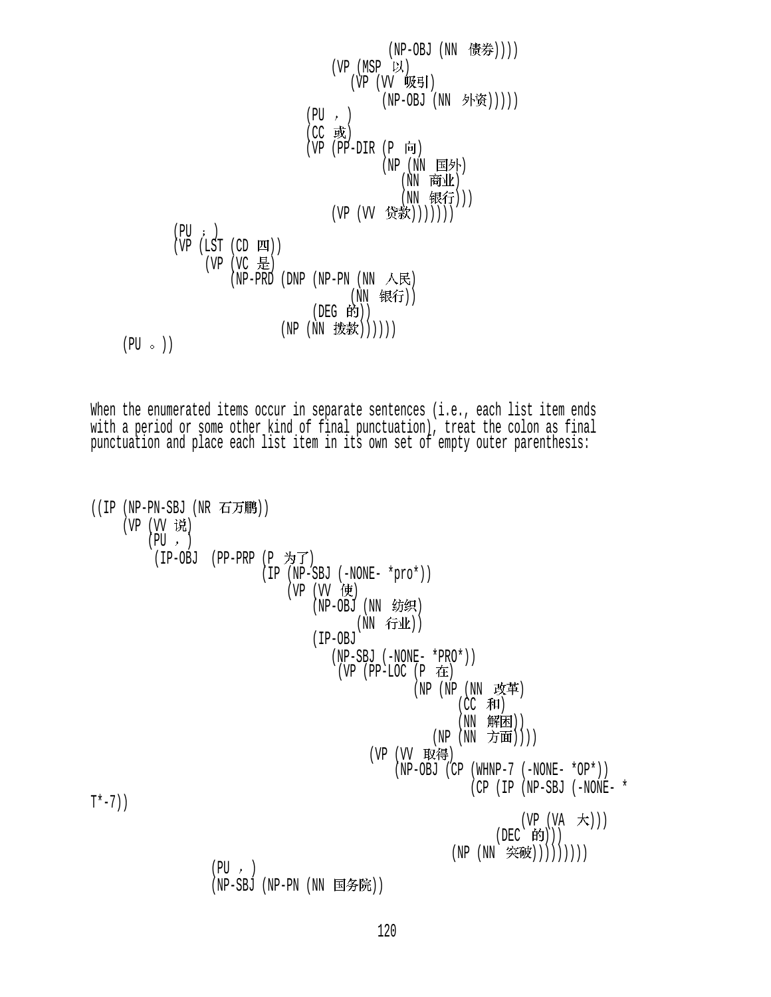(NP-OBJ (NN )))) (VP (MSP ) (VP (VV ) (NP-OBJ (NN ))))) (PU ) (CC ) (VP (PP-DIR (P ) (NP (NN ) (NN ) (NN ))) (VP (VV ))))))) (PU ) (VP (LST (CD )) (VP (VC ) (NP-PRD (DNP (NP-PN (NN ) (NN )) (DEG )) (NP (NN )))))) (PU ))

When the enumerated items occur in separate sentences (i.e., each list item ends with a period or some other kind of final punctuation), treat the colon as final punctuation and place each list item in its own set of empty outer parenthesis:

```
((IP (NP-PN-SBJ (NR H)(VP (VV 说)
          (PU, )(IP-OBJ (PP-PRP (P )\nrightarrow T) (IP (NP-SBJ (-NONE- *pro*)) 
                                 (VP (VV 使)
                                      (NP-OBJ(NN 纺织)
                                             (NN 行业))
                                       (IP-OBJ 
                                          (NP-SBJ (-NONE- *PRO*)) 
                                          (VP (PP-LOC (P \pm)
                                                       (NP (NP (NN \; \; \text{ (CC 和)
                                                               (NN 解困))
                                                          (NP (NN 方面))))
                                                (VP (VV 取得)
                                                    (NP-OBJ (CP (WHNP-7 (-NONE- *OP*))
                                                                  (CP (IP (NP-SBJ (-NONE- *
T*-7))
                                                                         (VP (VA \t#))(DEC 的)))
                                                             (NP (NN \tilde{\mathcal{R}}(\tilde{\mathcal{R}}))))))(PU, )(NP-SBJ (NP-PN (NN 国务院))
```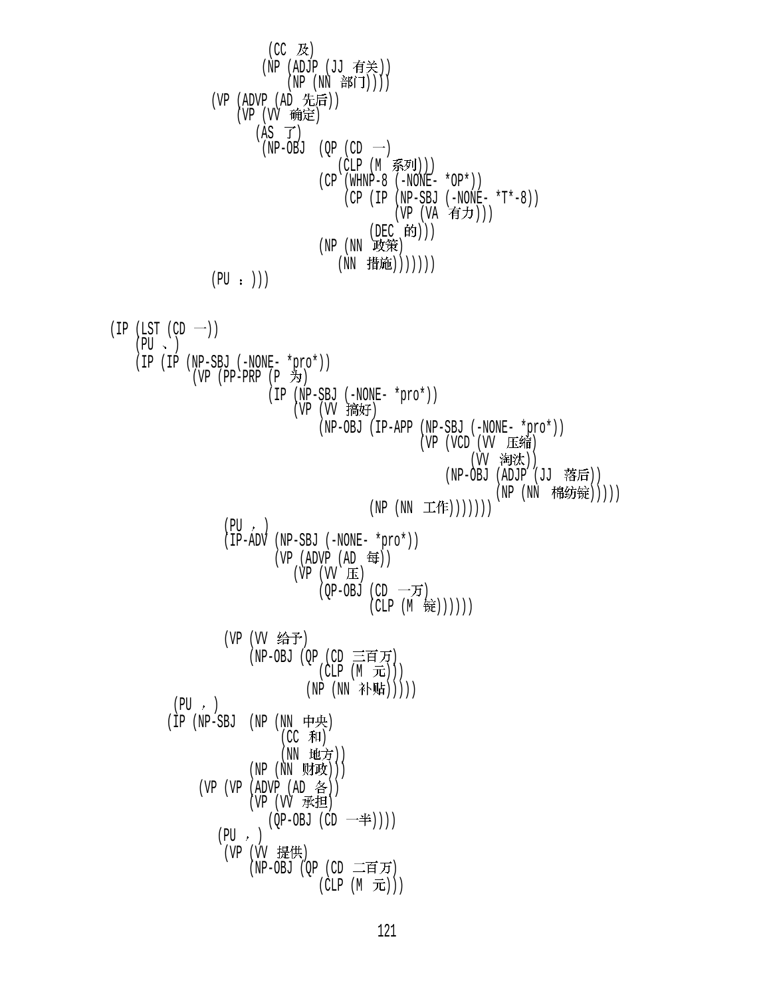$$
(CC & B) \quad (W2 & (ADTP (JJ) 45 \n#0))\n(WP (MD (M) 45 \n#0))\n(WP (ND (MD 45 \n#0))\n(WP (ND 45 \n#0))\n(CP (MD 45 \n#0))\n(CP (MD 5 \n#0))\n(CP (MD 5 \n#0))\n(CP (ND 5 \n#0))\n(CP (ND 5 \n#0))\n(DP (N) 45 \n#0))\n(DP (N) 45 \n#0))\n(DP (N) 45 \n#0)\n(DP (N) 45 \n#0)\n(DP (N) 45 \n#0)\n(DP (N) 45 \n#0)\n(DP (N) 45 \n#0)\n(DP (N) 45 \n#1)\n(DP (N) 45 \n#1)\n(DP (N) 45 \n#1)\n(DP (N) 45 \n#1)\n(DP (N) 45 \n#1)\n(DP (N) 45 \n#1)\n(DP (N) 45 \n#1)\n(DP (N) 45 \n#1)\n(DP (N) 45 \n#1)\n(DP (N) 45 \n#1)\n(DP (N) 45 \n#1)\n(DP (N) 45 \n#1)\n(DP (N) 45 \n#1)\n(DP (N) 45 \n#1)\n(DP (N) 45 \n#1)\n(DP (N) 45 \n#1)\n(DP (N) 45 \n#1)\n(DP (N) 45 \n#1)\n(DP (N) 45 \n#1)\n(DP (N) 45 \n#1)\n(DP (N) 45 \n#1)\n(DP (N) 45 \n#1)\n(DP (N) 45 \n#1)\n(DP (N) 45 \n#1)\n(DP (N) 45 \n#1)\n(DP (N) 45 \n#1)\n(DP (N) 45 \n#1)\n(DP (N) 45 \n#1)\n(DP (N) 45 \n#1)\n(DP (N) 45 \n#1)\n(DP (
$$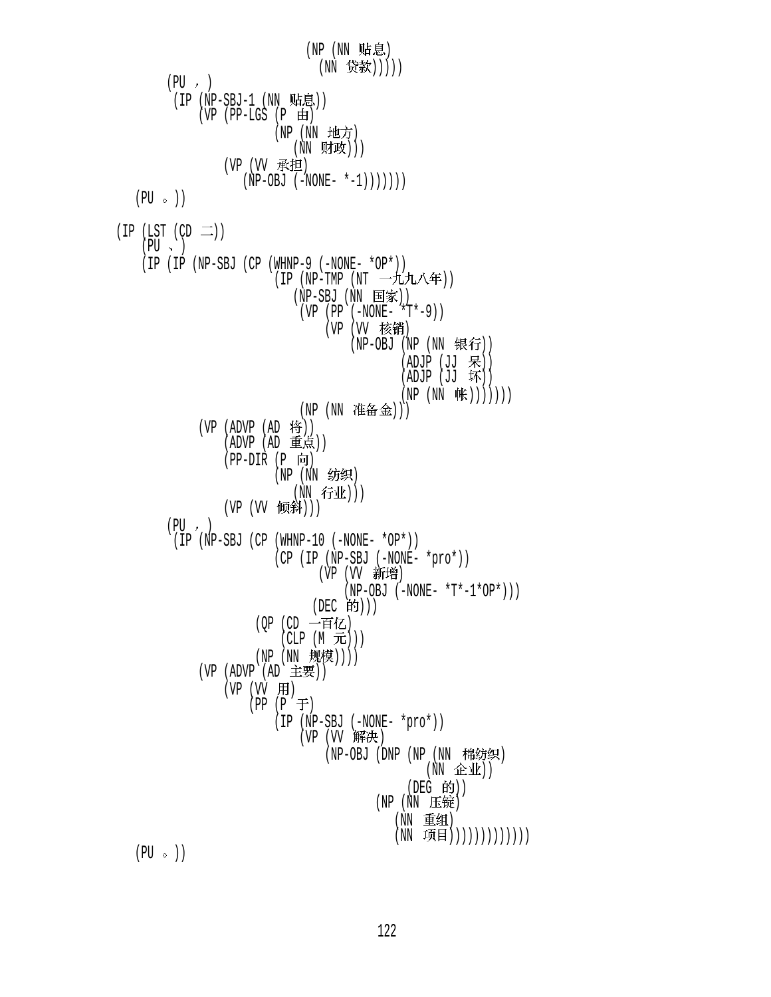(NP (NN 贴息) (NN 贷款)))))  $(PU, )$  $(IP(NP-SBJ-1(NN)$ 贴目)  $(VP$  (PP-LGS  $(P \n\text{H})$ (NP (NN 地方) (NN 财政))) (VP (VV 承担)  $(NP-OBJ (-NONE- *-1)))))$  $(PU \circ)$  $(IP (LST (CD  $\square$ ))$  $(PU \sim )$  (IP (IP (NP-SBJ (CP (WHNP-9 (-NONE- \*OP\*)) (IP (NP-TMP (NT 一九九八年)) (NP-SBJ (NN 国家)) (VP (PP (-NONE- \*T\*-9)) (VP (VV 核销) (NP-OBJ (NP (NN 银行))  $(ADJP (JJ R))$  $(ADJP (JJ K))$  $(NP (NN \nexists K))))))$ (NP (NN 准备金)))  $(VP (ADVP (AD \n#))$  $(ADVP (AD \t\t\text{f}, \td)$  $(PP-DIR (P  $\Box$ ))$  (NP (NN ) (NN 行业))) (VP (VV 倾斜)))  $(PU, )$  (IP (NP-SBJ (CP (WHNP-10 (-NONE- \*OP\*)) (CP (IP (NP-SBJ (-NONE- \*pro\*)) (VP (VV 新增)  $(NP-OBJ (-NONE- *T*-1*OP*))$ (DEC 的))) (QP (CD 一百亿)  $(CLP(M\text{ }\overline{\mathcal{F}})))$ (NP (NN 规模)))) (VP (ADVP (AD 主要))  $(VP (W H))$  $(PP (P \neq)$  (IP (NP-SBJ (-NONE- \*pro\*)) (VP (VV 解决) (NP-OBJ (DNP (NP (NN 棉纺织)  $(NN \quad \triangle \Psi)$  $($ DEG 的 $)$  $)$ (NP (NN 压锭) (NN 重组) (NN 项目))))))))))))))  $(PU \circ )$ 

122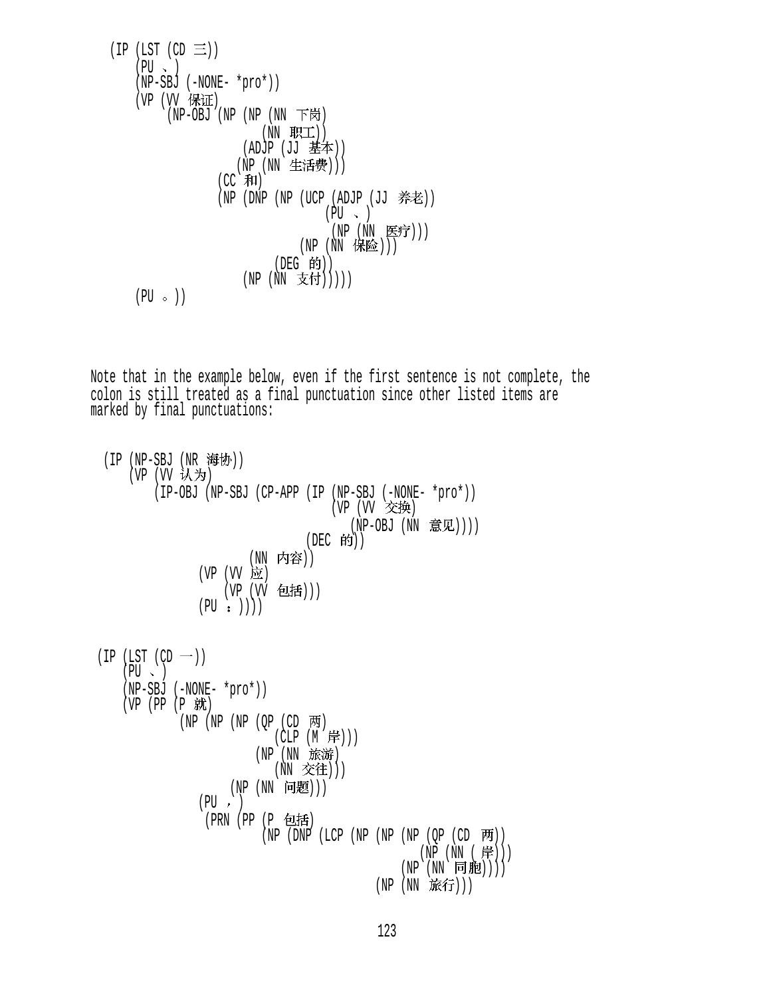(IP (LST (CD )) (PU ) (NP-SBJ (-NONE- \*pro\*)) (VP (VV ) (NP-OBJ (NP (NP (NN ) (NN )) (ADJP (JJ )) (NP (NN ))) (CC ) (NP (DNP (NP (UCP (ADJP (JJ )) (PU ) (NP (NN ))) (NP (NN ))) (DEG )) (NP (NN ))))) (PU ))

Note that in the example below, even if the first sentence is not complete, the colon is still treated as a final punctuation since other listed items are marked by final punctuations:

(IP (NP-SBJ (NR 海协)) (VP  $(W \t M)$ ) (IP-OBJ (NP-SBJ (CP-APP (IP (NP-SBJ (-NONE- \*pro\*)) (VP (VV 交换) (NP-OBJ (NN 意见))))  $(DEC$  的 $))$ (NN 内容)) (VP (VV 应) (VP (VV 包括)))  $(PU : )$  $(IP (LST (CD -))$ 

$$
\begin{array}{ll}\n\text{(PU > )} \\
\text{(NP-SBJ (-NONE- *pro*))} \\
\text{(VP (PP (P t) t)} \\
\text{(NP (NP (NP (QP (CD 7t)))))} \\
\text{(NP (NN 15t 37t))} \\
\text{(NP (NN 15t 37t))}) \\
\text{(NP (NN 15t 37t))}) \\
\text{(PP (NN (PP (P 15t 4)))))} \\
\text{(PP (NN (PP (NP (NP (NP (NP (QP (CD 7t))))))))} \\
\text{(NP (NN (PP))}) \\
\text{(NP (NN (P)))))} \\
\text{(NP (NN (P))}) \\
\text{(NP (NN 15t 5))})\n\end{array}
$$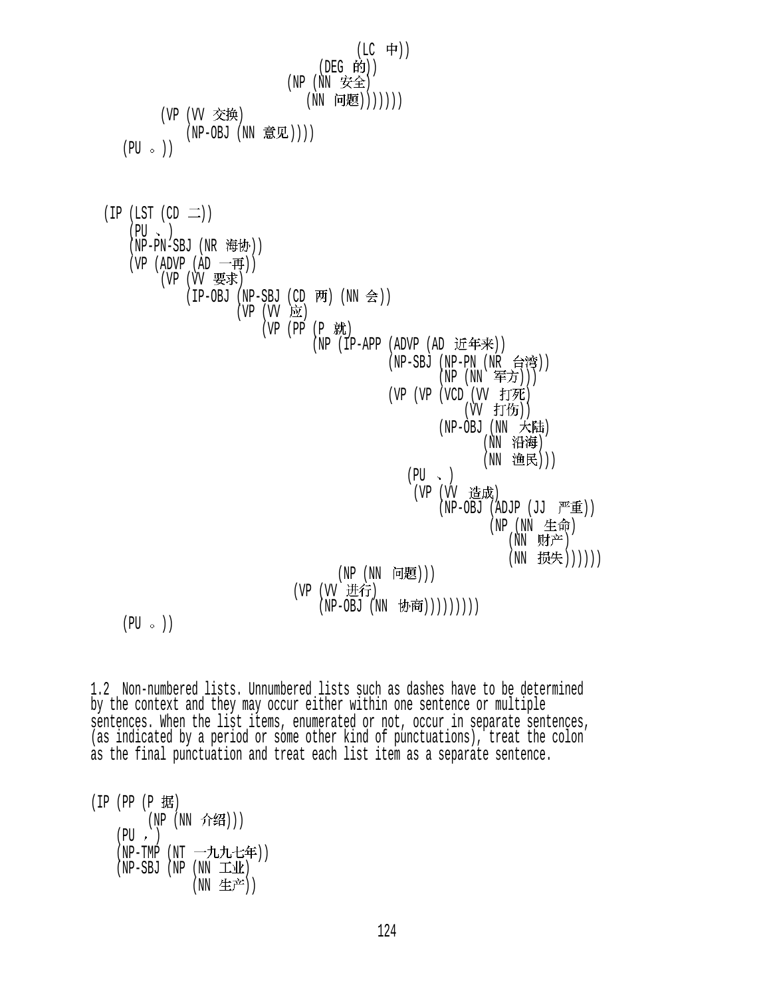$(LC + 1)$  $($ DEG 的 $)$  $)$  $(NP (NN \n  $\nabla$ 全$ (NN 问题))))))) (VP (VV 交换) (NP-OBJ (NN 意见))))  $(PU \circ )$  $(IP (LST (CD  $\square$ ))$  $(PU \sim )$ (NP-PN-SBJ (NR 海协)) (VP (ADVP (AD 一再))  $(VP (W \not\equiv \rightrightarrows \rightrightarrows)$  $(IP-OBJ (NP-SBJ (CD \overline{m}) (NN \hat{\div}) )$  $(VP (VV \nightharpoonup)$ (VP (PP (P 就) (NP (IP-APP (ADVP (AD 近年来))  $(NP-SBJ$   $(NP-PN$   $(NR$  台湾 $))$ (NP (NN 军方)))  $(VP (VP (VCD (VV f) \mathcal{F})))$ (W 打伤))  $(NP-OBJ (NN \nightharpoonup \nightharpoonup \nightharpoonup \nightharpoonup \nightharpoonup \nightharpoonup \nightharpoonup \nightharpoonup \nightharpoonup \nightharpoonup \nightharpoonup \nightharpoonup \nightharpoonup \nightharpoonup \nightharpoonup \nightharpoonup \nightharpoonup \nightharpoonup \nightharpoonup \nightharpoonup \nightharpoonup \nightharpoonup \nightharpoonup \nightharpoonup \nightharpoonup \nightharpoonup \nightharpoonup \nightharpoonup \nightharpoonup \nightharpoonup \nightharpoonup \nightharpoonup \nightharpoonup \nightharpoonup \nightharpoonup \n$ (NN 沿海) (NN 渔民)))  $(PU \sim )$ (VP (VV 造成)  $(NP-OBJ (ADJP (JJ  $\overline{P^E} \overline{\mathbf{\pm}}))$$ (NP (NN 生命)  $(NN$  财产) (NN 损失))))))  $(NP(NN \nvert \nvert H)$ (VP (VV 进行)  $(NP-OBJ (NN \; \, \overline{D}(\overline{P}))))))))$ 

 $(PU \circ)$ 

1.2 Non-numbered lists. Unnumbered lists such as dashes have to be determined by the context and they may occur either within one sentence or multiple sentences. When the list items, enumerated or not, occur in separate sentences, (as indicated by a period or some other kind of punctuations), treat the colon as the final punctuation and treat each list item as a separate sentence.

 $(IP (PP (P 1 \n#))$ (NP (NN 介绍)))  $(PU, )$  $(NP-TMP (NT -\text{11.1}t)$  $(NP-SBJ (NP (NN \pm 11))$ (NN 生产))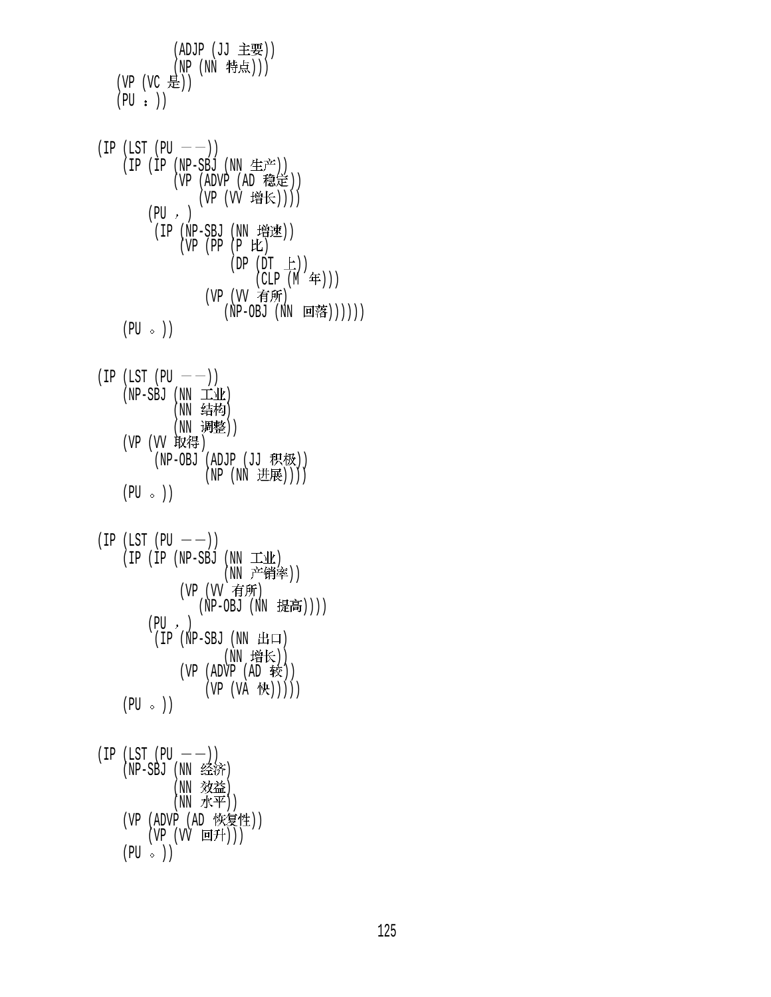$(ADJP (JJ = E)$ (NP (NN 特点))) (VP  $(VC \neq)$ )  $(PU : )$ 

 $(IP (LST (PU —))$  $(IP (IP (NP-SBJ (NN 4E<sup>2</sup>)))$  $(VP (ADVP (AD \t&E))$ (VP (VV 增长))))  $(PU, )$  $(IP (NP-SBJ (NN 4$  $(VP (PP (P E))$  $(DP(DT \pm))$  $(CLP(N^2 \oplus))$ (VP (VV 有所)  $(NP-OBJ (NN \quad \Box$ ( )))))  $(PU \circ)$ 

 $(IP (LST (PU —))$  $(NP-SBJ$   $(NN \pm 1)$ (NN 结构) (NN 调整)) (VP (VV 取得) (NP-OBJ (ADJP  $(JJ \tmathbb{R} \tmathbb{W}))$ (NP (NN 进展))))  $(PU \circ )$ 

```
(IP (LST (PU —))(IP (IP (NP-SBJ (NN T4k))(NN 产销率))
             (VP (VV 有所)
               (NP-OBJ (NN \t#\bar{e}))))
        (PU, )(IP (NP-SBJ (NN H<sub>II</sub>))(NN 增长))
             (VP (ADVP (AD 1)(VP (VA 快)))))
   (PU \circ)
```
 $(IP (LST (PU —))$  $(NP-SBJ$  ( $NN \triangleq$ 济) (NN 效益)  $(NN \nightharpoonup \nightharpoonup \nightharpoonup \nightharpoonup \nightharpoonup \nightharpoonup \nightharpoonup \nightharpoonup \nightharpoonup \nightharpoonup \nightharpoonup \nightharpoonup \nightharpoonup \nightharpoonup \nightharpoonup \nightharpoonup \nightharpoonup \nightharpoonup \nightharpoonup \nightharpoonup \nightharpoonup \nightharpoonup \nightharpoonup \nightharpoonup \nightharpoonup \nightharpoonup \nightharpoonup \nightharpoonup \nightharpoonup \nightharpoonup \nightharpoonup \nightharpoonup \nightharpoonup \nightharpoonup \nightharpoonup \nightharpoonup \$ (VP (ADVP (AD 恢复性)) (VP (VV 回升)))  $(PU \circ )$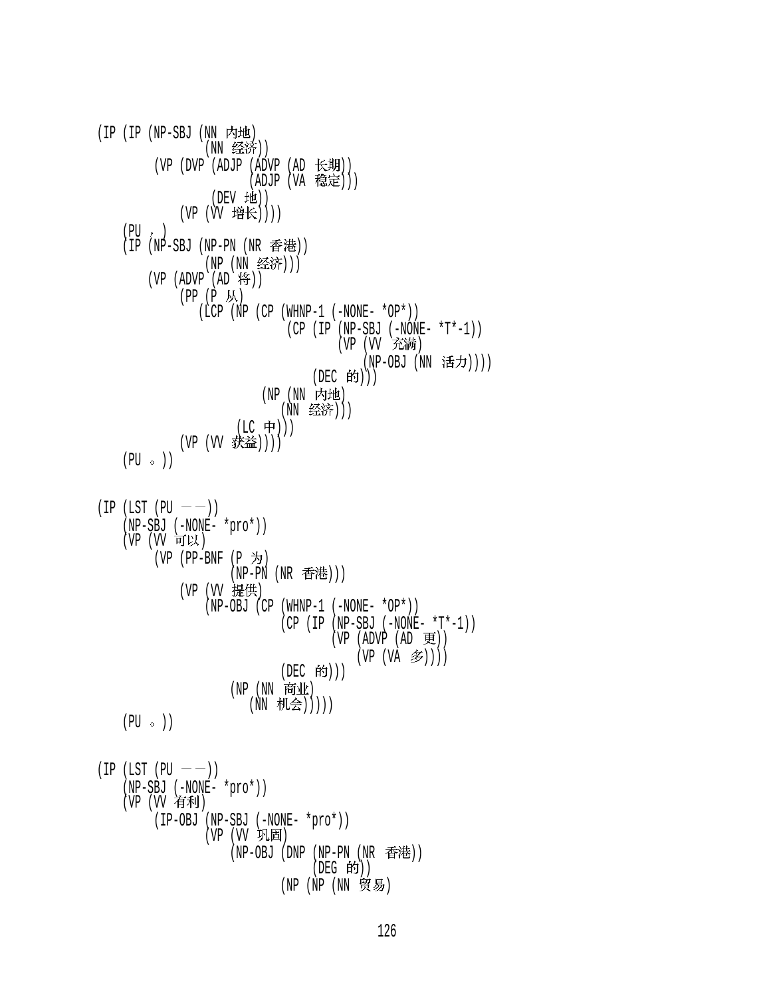$(IP (IP (NP-SBJ (NN rH))$ (NN 经济)) (VP (DVP (ADJP (ADVP (AD 长期))  $(ADJP (VA | 稳定 $))$$  $(DEV$  地 $))$ (VP (VV 增长))))  $(PU, )$ (IP (NP-SBJ (NP-PN (NR 香港)) (NP (NN 经济))) (VP  $(ADVP (AD 19))$  $(PP (P \nightharpoonup \nightharpoonup \nightharpoonup \nightharpoonup \nightharpoonup \nightharpoonup \nightharpoonup \nightharpoonup \nightharpoonup \nightharpoonup \nightharpoonup \nightharpoonup \nightharpoonup \nightharpoonup \nightharpoonup \nightharpoonup \nightharpoonup \nightharpoonup \nightharpoonup \nightharpoonup \nightharpoonup \nightharpoonup \nightharpoonup \nightharpoonup \nightharpoonup \nightharpoonup \nightharpoonup \nightharpoonup \nightharpoonup \nightharpoonup \nightharpoonup \nightharpoonup \nightharpoonup \nightharpoonup \nightharpoonup \nightharpoon$ (LCP (NP (CP (WHNP-1 (-NONE-  $*$ OP $*)$ )  $(CP (IP (NP-SBJ (-NONE- *T*-1)))$ (VP (VV 充满) (NP-OBJ (NN 活力))))  $(DEC$  的 $))$ (NP (NN 内地) (NN 经济)))  $(LC$  中 $)))$ (VP (VV 获益))))  $(PU \circ)$  $(IP (LST (PU —))$  (NP-SBJ (-NONE- \*pro\*)) (VP (VV 可以) (VP (PP-BNF  $(P \nightharpoonup)$ )  $(NP-PN(NR \oplus \text{Ftt})))$ (VP (VV 提供) (NP-OBJ (CP (WHNP-1 (-NONE- \*OP\*)) (CP (IP (NP-SBJ (-NONE- \*T\*-1))  $(VP (ADVP (AD E))$  $(VP (VA \n3)$ (DEC 的)))  $(NP(NN \; \tilde{F}^{\text{th}})$ (NN 机会)))))  $(PU \circ)$  $(IP (LST (PU —))$  (NP-SBJ (-NONE- \*pro\*)) (VP (VV 有利) (IP-OBJ (NP-SBJ (-NONE- \*pro\*)) (VP (VV 巩固) (NP-OBJ (DNP (NP-PN (NR 香港))  $($ DEG 的 $)$  $)$ (NP (NP (NN 贸易)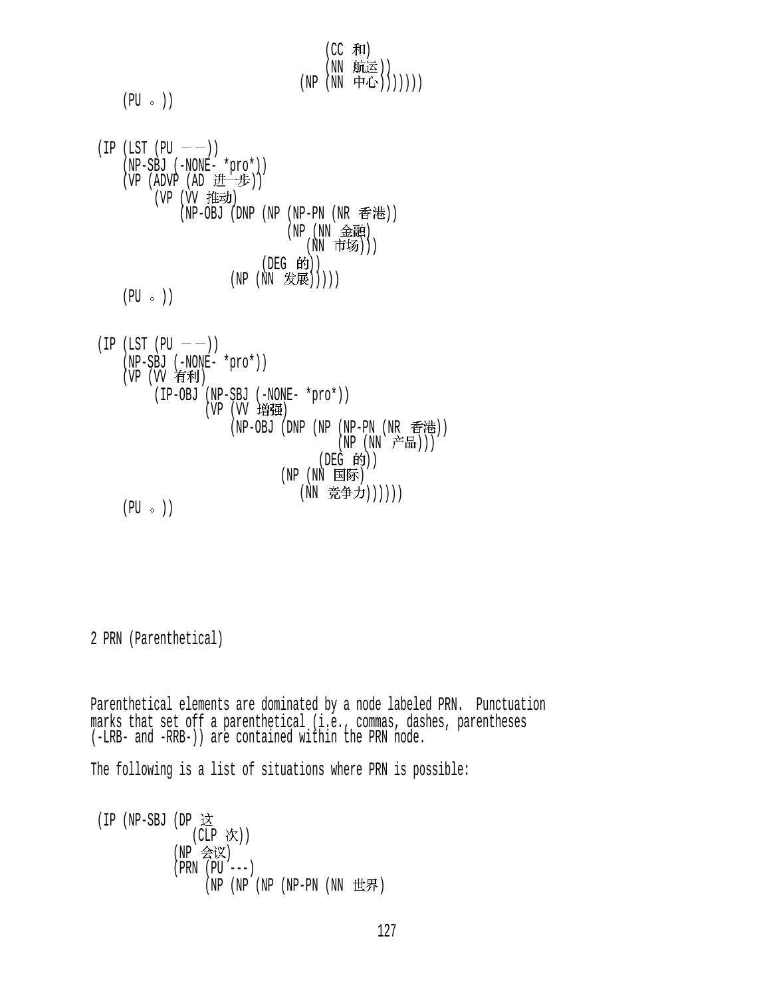$(CC$  和) (NN 航运)) (NP (NN 中心)))))))  $(PU \circ)$  $(IP (LST (PU —))$  (NP-SBJ (-NONE- \*pro\*)) (VP (ADVP (AD 进一步)) (VP (VV 推动) (NP-OBJ (DNP (NP (NP-PN (NR 香港))  $(NP(NN \t\& H)$ (NN 市场))) (DEG 的))  $(NP (NN \nexists \mathcal{B}(\mathbb{R})))$  $(PU \circ)$  $(IP (LST (PU —))$  (NP-SBJ (-NONE- \*pro\*))  $(VP (VV 97)$  (IP-OBJ (NP-SBJ (-NONE- \*pro\*)) (VP (VV 增强) (NP-OBJ (DNP (NP (NP-PN (NR 香港)) (NP (NN 产品)))  $($ DEG 的 $)$  $)$ (NP (NN 国际) (NN 竞争力))))))  $(PU \circ)$ 

2 PRN (Parenthetical)

Parenthetical elements are dominated by a node labeled PRN. Punctuation marks that set off a parenthetical (i.e., commas, dashes, parentheses (-LRB- and -RRB-)) are contained within the PRN node.

The following is a list of situations where PRN is possible:

 (IP (NP-SBJ (DP  $(CLP$  次)) (NP 会议) (PRN (PU ---)  $(NP (NP NP NP - PN (NN HF))$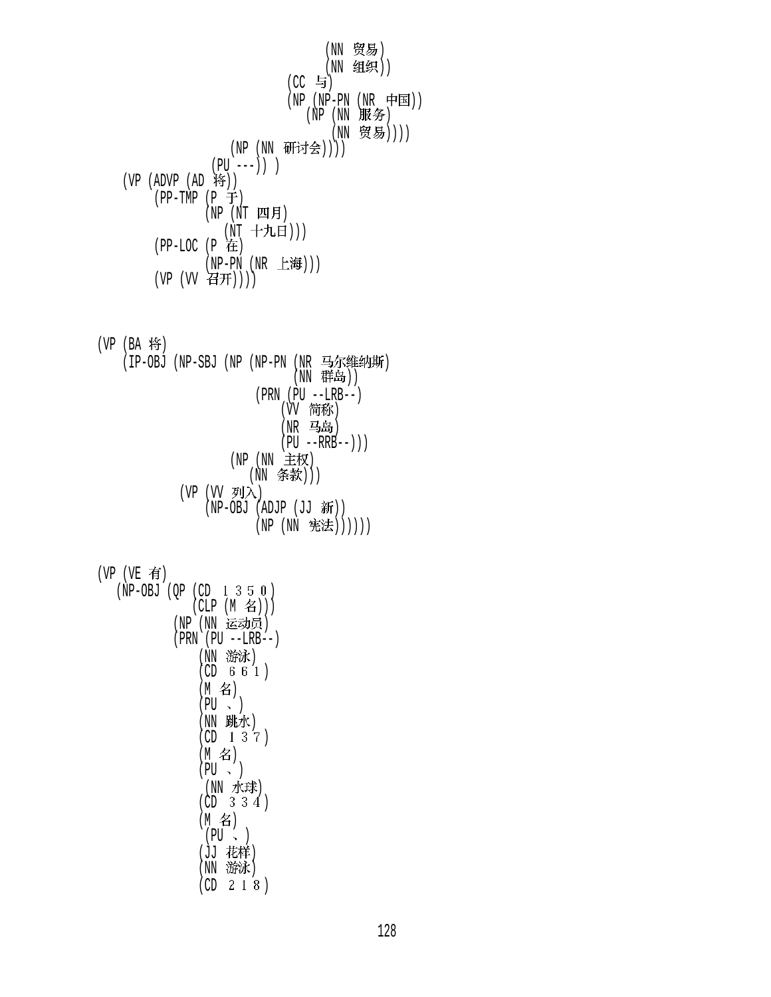(NN 贸易) (NN 组织))  $(CC$  与)  $(NP (NP-PN (NR \noplus)$  $(NP(NN)$ 服务) (NN 贸易)))) (NP (NN 研讨会))))  $(PU --- )$ ) ) (VP  $(ADVP (AD 19))$  $(PP-TMP (P \oplus)$  $(NP (NT 29F))$ (NT 十九日)))  $(PP-LOC (P \tdiv E))$ (NP-PN (NR 上海)))  $(VP (VV \n 4H)))$ 

 $(VP (BA 4)$ (IP-OBJ (NP-SBJ (NP (NP-PN (NR 马尔维纳斯) (NN 群岛)) (PRN (PU --LRB--) (W 简称)  $(NR$  马岛)  $(PU - RRB--))$  $(NP(NN \pm \frac{1}{2}N))$ (NN 条款))) (VP (VV 列入)  $(NP-OBJ (ADJP (JJ  $\frac{2}{3}f$ )))$ (NP (NN 宪法))))))

 $(VP (VE \t{f})$ 

 $(NP-OBJ (QP (CD 1 3 5 0)$  $(CLP (M \n4))$ (NP (NN 运动员) (PRN (PU --LRB--) (NN 游泳)  $(CD \t6 \t6 \t1)$ (M名)  $(PU \sim )$ (NN 跳水)  $(CD \t1 \t3 \t7)$  $(M \nvert \mathcal{Z})$  $(PU \sim)$ (NN 水球)  $(CD \ 3 \ 3 \ 4)$ (M 名)  $(PU \sim )$ (JJ 花样) (NN 游泳)  $(CD \ 2 \ 1 \ 8)$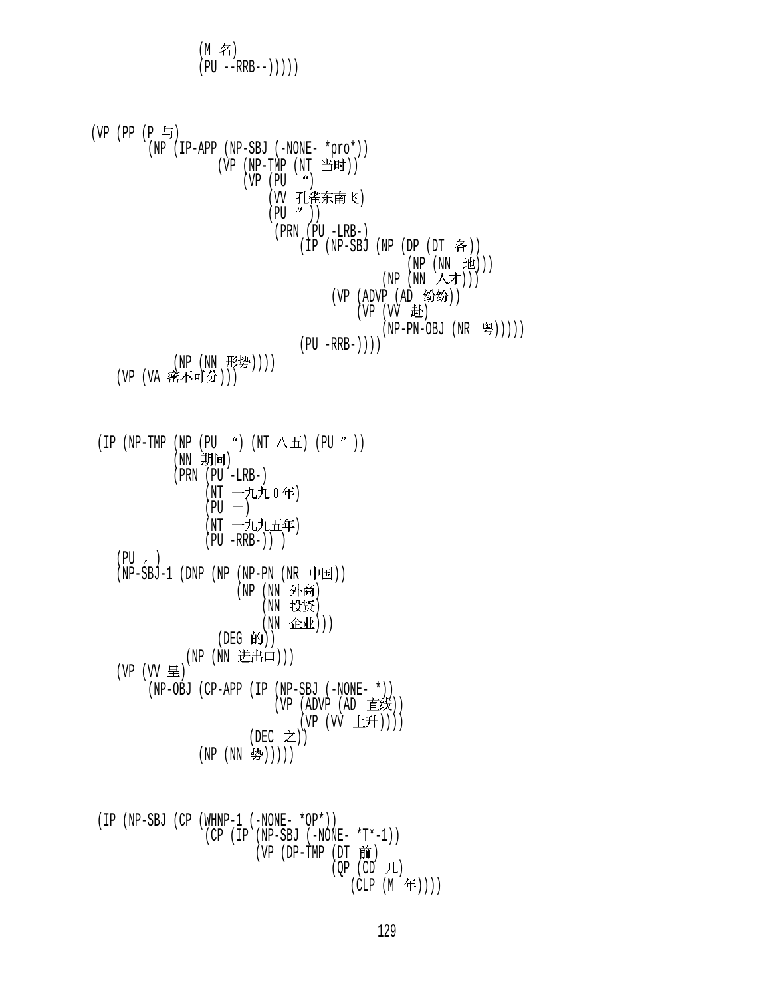$$
(PU - RRB - 1))))
$$
\n
$$
(VP (PP (P \t{=} 3)
$$
\n
$$
(VP (NP \t{=} 2) - P) (NP - SBI (NNNE - *pro*))
$$
\n
$$
(VP (NP \t{=} 3) - P) (NP \t{=} 3) (NP \t{=} 3) (NP (DP \t{=} 4))
$$
\n
$$
(VP (NP \t{=} 1) - RP)
$$
\n
$$
(PP (NP \t{=} 3) (NP (DP \t{=} 4)) )
$$
\n
$$
(VP (NP \t{=} 4))
$$
\n
$$
(VP (NP \t{=} 5))
$$
\n
$$
(VP (NP \t{=} 5))
$$
\n
$$
(VP (NP \t{=} 5))
$$
\n
$$
(VP (NP \t{=} 5))
$$
\n
$$
(VP (NP \t{=} 5))
$$
\n
$$
(VP (NP \t{=} 5))
$$
\n
$$
(VP (NP \t{=} 5))
$$
\n
$$
(VP (NP \t{=} 5))
$$
\n
$$
(VP (NP \t{=} 5))
$$
\n
$$
(VP (NP \t{=} 5))
$$
\n
$$
(VP (NP \t{=} 5))
$$
\n
$$
(VP (NP \t{=} 5))
$$
\n
$$
(VP (NP \t{=} 5))
$$
\n
$$
(VP \t{=} 5)
$$
\n
$$
(VP \t{=} 5)
$$
\n
$$
(VP \t{=} 5)
$$
\n
$$
(VP (NP \t{=} 5)
$$
\n
$$
(VP (NP \t{=} 5)
$$
\n
$$
(VP (NP \t{=} 5)
$$
\n
$$
(VP (NP \t{=} 5)
$$
\n
$$
(VP (NP \t{=} 5)
$$
\n
$$
(VP (NP \t{=} 5)
$$
\n
$$
(VP (NP \t{=} 5)
$$
\n
$$
(VP (NP \t{=} 5)
$$
\n
$$
(VP (NP \t{=} 5)
$$
\n
$$
(VP (NP \t{=} 5)
$$
\n
$$
(VP (NP \t{=} 5)
$$
\n
$$
(VP (NP \t{=} 5)
$$
\n
$$
(VP (NP \t{=} 5)
$$
\n
$$
(
$$

 $(\text{CLP} \mid (\text{M} \mid \text{4F}))$ 

 $(M \quad 2)$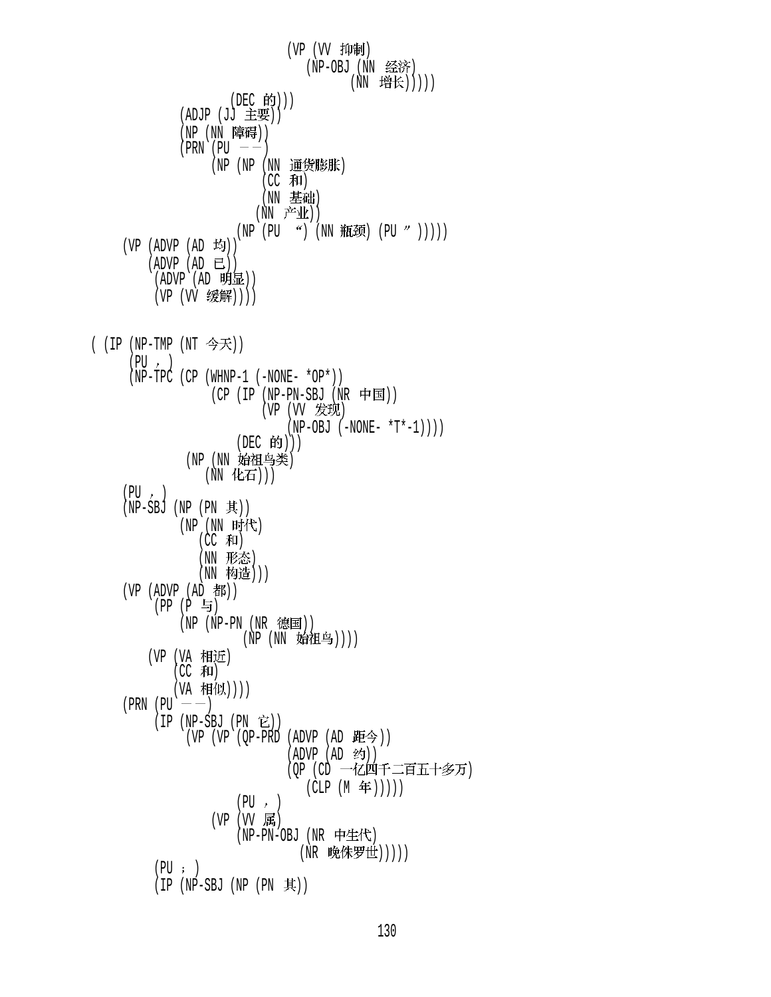(VP (VV 抑制) (NP-OBJ (NN 经济) (NN 增长))))) (DEC 的)))  $(ADJP (JJ \pm 1)(D))$ (NP (NN 障碍))  $(PRN$   $(PU$   $--)$ (NP (NP (NN 通货膨胀)  $(CC$  和) (NN 基础)  $(NN \rightrightarrows \rightrightarrows \rightrightarrows \rightrightarrows \rightrightarrows$  $(NP (PU ") (NN #E#) (PU ")))$  $(VP (ADVP (AD 19))$  $(ADVP (AD E))$  (ADVP (AD )) (VP (VV 缓解)))) (  $(IP (NP-TMP (NT  $\hat{\mathcal{F}}\mathcal{F}) )$$  $(PU, )$  $(NP-TPC$  (CP (WHNP-1 (-NONE- \*OP\*))  $(CP (IP (NP-PN-SBJ (NR \noplus \nightharpoonup E)))$ (VP (VV 发现)  $(NP-OBJ (-NONE- *T*-1)))$ (DEC 的))) (NP (NN 始祖鸟类) (NN 化石)))  $(PU, )$  $(NP-SBJ (NP (PN \t{F}))$  $(NP(NN_F)$ (CC 和) (NN 形态) (NN 构造)))  $(VP (ADVP (AD B))$  $(PP (P 5)$ (NP (NP-PN (NR 德国)) (NP (NN 始祖鸟)))) (VP (VA 相近)  $(CC$  和) (VA 相似))))  $(PRN (PU —))$  $(IP (NP-SBJ (PN E))$ (VP (VP (QP-PRD (ADVP (AD  $E \circled{F}$ ))  $(ADVP (AD$ (OP (CD 一亿四千二百五十多万)  $(CLP (M \nleftrightarrow)))))$  $(PU, )$ (VP  $(W$  属) (NP-PN-OBJ (NR 中生代) (NR 晚侏罗世)))))  $(PU; )$  $(IP (NP-SBJ (NP (PN \t{R}))$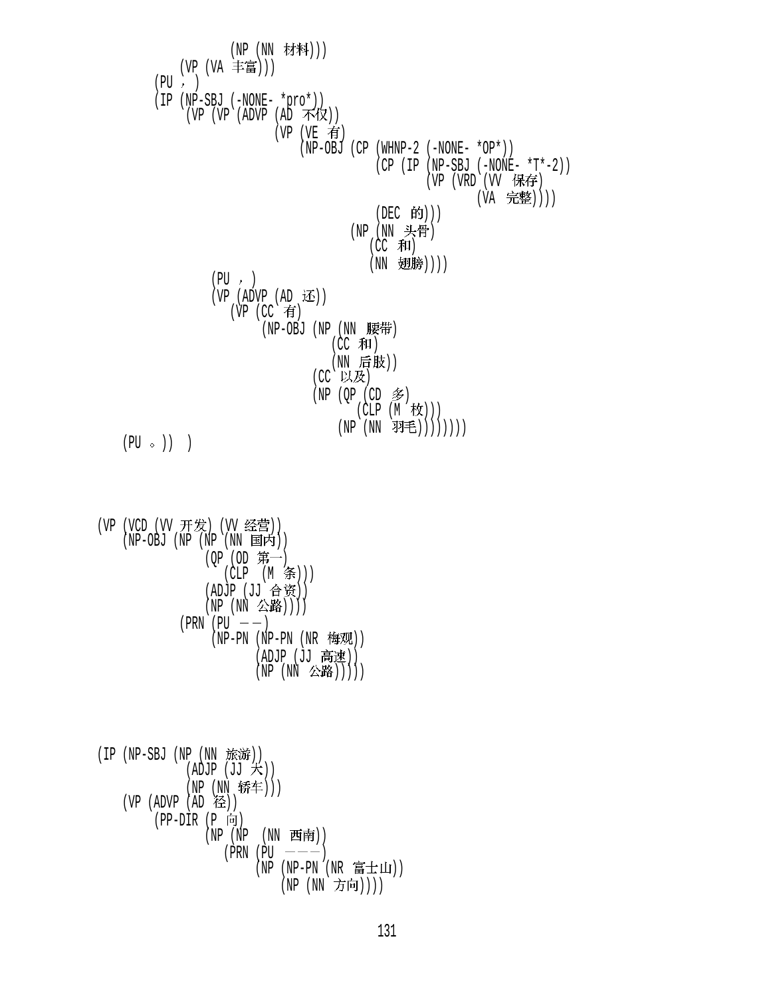(NP (NN 材料))) (VP (VA 丰富)))  $(PU, )$  (IP (NP-SBJ (-NONE- \*pro\*)) (VP (VP (ADVP  $(A\bar{D} \rightarrow \bar{K} \sqrt{\chi})$ )  $(VP (VE \t{f})$  (NP-OBJ (CP (WHNP-2 (-NONE- \*OP\*)) (CP (IP (NP-SBJ (-NONE- \*T\*-2)) (VP (VRD (VV 保存) (VA 完整))))  $(DEC$  的 $)))$  $(NP(NN) \not \rightarrow \dagger)$ (CC 和) (NN 翅膀))))  $(PU, )$ (VP (ADVP  $(AD \times)$ )  $(VP$   $(CC$  有  $(NP-OBJ$   $(NP (NN \tbox{\n $\overline{F}F)$$ (CC 和) (NN 后肢)) (CC 以及)  $(NP (OP (CD \n$))$  $(CLP(M \nvert \nvert k))$ (NP (NN 羽毛))))))))  $(PU \circ)$ ) )

(VP (VCD (VV 开发) (VV 经营))  $(NP-OBJ$   $(NP (NP (NN EJ)$  $(QP (OD \, #)$ (CLP (M 条))) (ADJP (JJ 合资)) (NP (NN 公路))))  $(PRN (PU —))$  $(NP-PN(NP-PN(NR \tfrac{kT}{N}))$  $(ADJP (JJ \; ĝ速))$ 

 $(NP (NN \triangle \mathbb{R}))))$ 

 $(IP (NP-SBJ (NP (NN *í*))))$  $(ADDJP(JJ \nmid \nabla))$ (NP (NN 轿车)))  $(VP (ADVP (AD Æ))$  $(PP-DIR (P 6)$  $(NP (NP (NN H\vec{F}))$  $(PRN | PU$   $---)$  $(NP - PN (NR T##1))$ (NP (NN 方向))))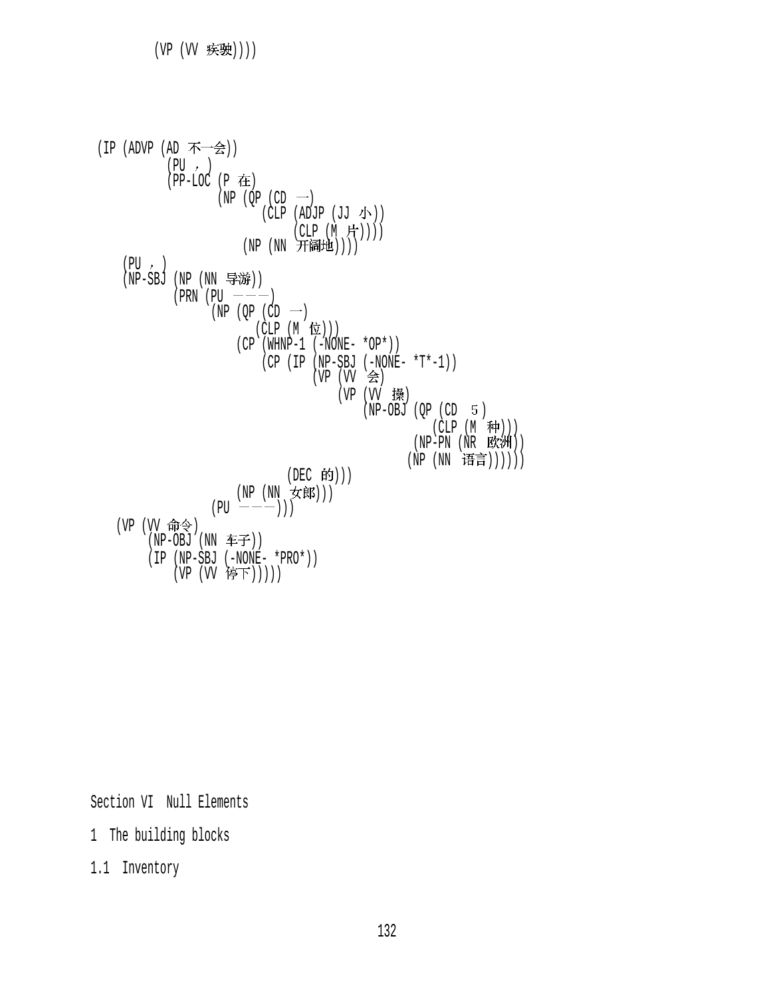

Section VI Null Elements

1 The building blocks

1.1 Inventory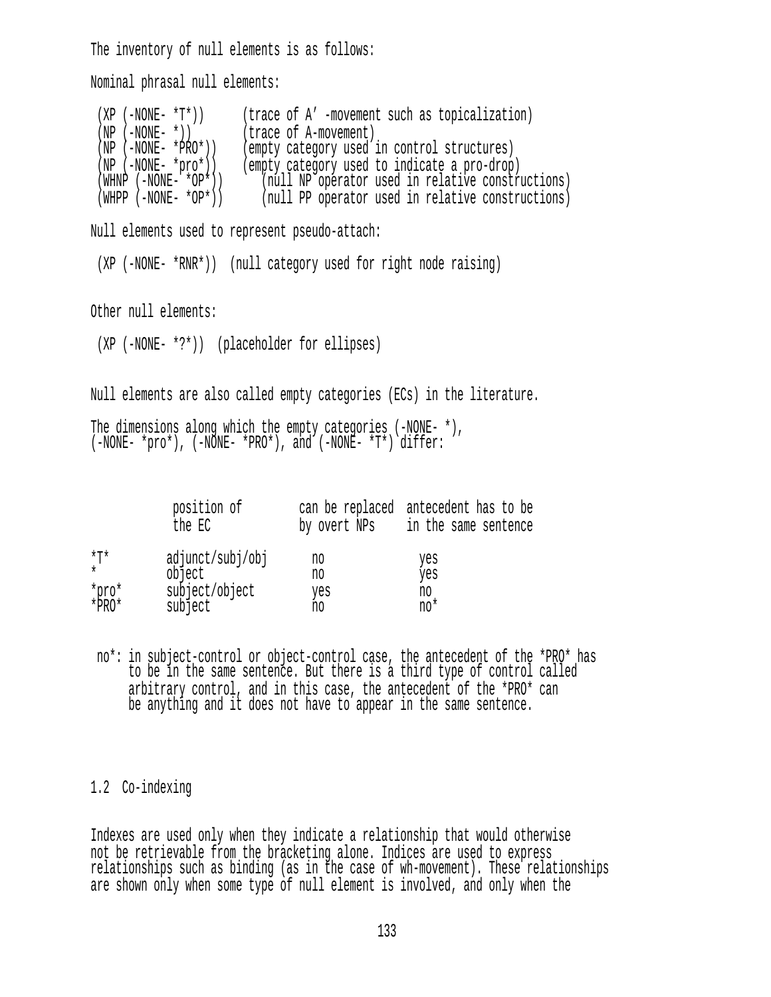The inventory of null elements is as follows:

Nominal phrasal null elements:

(XP (-NONE-  $*T^*$ )) (trace of A' -movement such as topicalization)<br>(NP (-NONE-  $*$ )) (trace of A-movement) (NP (-NONE- \*)) (trace of A-movement)<br>(NP (-NONE- \*PRO\*)) (empty category used: (NP (-NONE- \*PRO\*)) (empty category used in control structures)<br>(NP (-NONE- \*pro\*)) (empty category used to indicate a pro-drop<br>(WHNP (-NONE- \*OP\*)) (null NP operator used in relative consti (empty category used to indicate a pro-drop)  $\lceil \text{null} \rceil$  (null NP operator used in relative constructions) (WHPP (-NONE- \*OP\*)) (null PP operator used in relative constructions) Null elements used to represent pseudo-attach: (XP (-NONE- \*RNR\*)) (null category used for right node raising) Other null elements: (XP (-NONE- \*?\*)) (placeholder for ellipses) Null elements are also called empty categories (ECs) in the literature. The dimensions along which the empty categories (-NONE- \*), (-NONE- \*pro\*), (-NONE- \*PRO\*), and (-NONE- \*T\*) differ:

|                | position of<br>the EC      | by overt NPs | can be replaced antecedent has to be<br>in the same sentence |
|----------------|----------------------------|--------------|--------------------------------------------------------------|
| *T*<br>$\star$ | adjunct/subj/obj<br>object | no<br>no     | yes<br>yes                                                   |
| *pro*<br>*PRO* | subject/object<br>subject  | yes<br>no    | no<br>no*                                                    |

 no\*: in subject-control or object-control case, the antecedent of the \*PRO\* has to be in the same sentence. But there is a third type of control called arbitrary control, and in this case, the antecedent of the \*PRO\* can be anything and it does not have to appear in the same sentence.

1.2 Co-indexing

Indexes are used only when they indicate a relationship that would otherwise not be retrievable from the bracketing alone. Indices are used to express relationships such as binding (as in the case of wh-movement). These relationships are shown only when some type of null element is involved, and only when the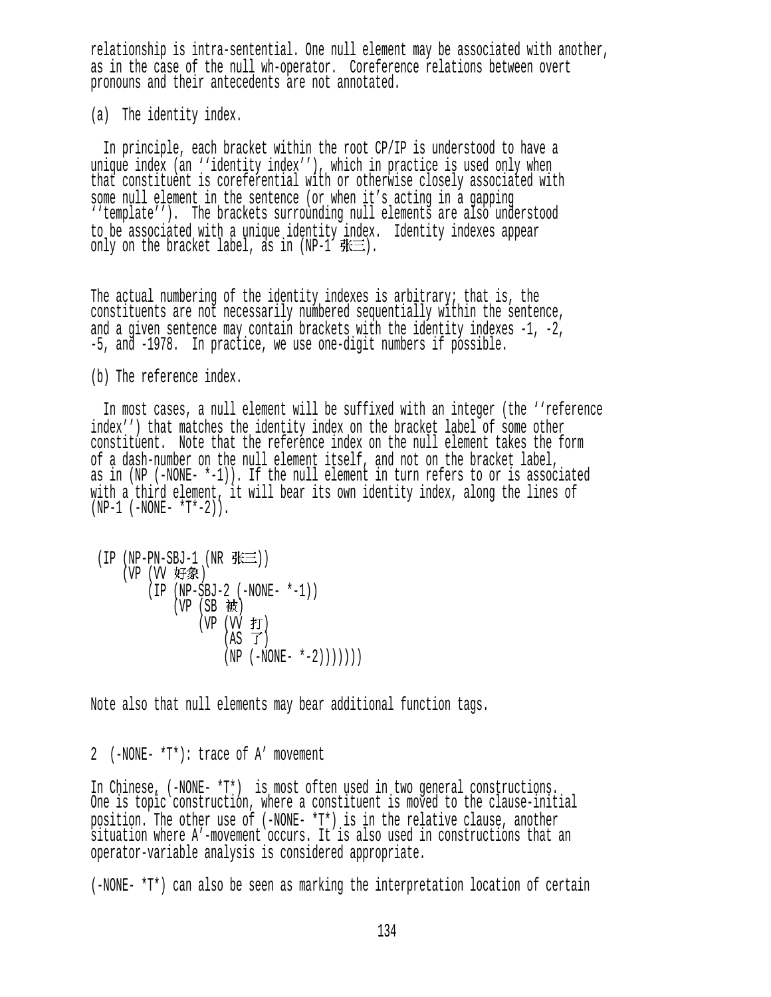relationship is intra-sentential. One null element may be associated with another, as in the case of the null wh-operator. Coreference relations between overt pronouns and their antecedents are not annotated.

(a) The identity index.

 In principle, each bracket within the root CP/IP is understood to have a unique index (an ''identity index''), which in practice is used only when that constituent is coreferential with or otherwise closely associated with some null element in the sentence (or when it's acting in a gapping ''template''). The brackets surrounding null elements are also understood to be associated with a unique identity index. Identity indexes appear only on the bracket label, as in (NP-1  $\# \equiv$ ).

The actual numbering of the identity indexes is arbitrary; that is, the constituents are not necessarily numbered sequentially within the sentence, and a given sentence may contain brackets with the identity indexes -1, -2, -5, and -1978. In practice, we use one-digit numbers if possible.

(b) The reference index.

 In most cases, a null element will be suffixed with an integer (the ''reference index'') that matches the identity index on the bracket label of some other constituent. Note that the reference index on the null element takes the form of a dash-number on the null element itself, and not on the bracket label, as in (NP (-NONE- \*-1)). If the null element in turn refers to or is associated with a third element, it will bear its own identity index, along the lines of  $(NP-1$  ( $-NONE T^*-2$ )).

```
(IP (NP-PN-SBJ-1 (NR <math>\# \equiv</math>)))(VP (VV 好象)
        (IP (NP-SBJ-2 (-NONE- *-1)) 
           (VP(SB被)
(VP (VV fJ))(AS \t J)(NP (-NONE- *-2))))))))
```
Note also that null elements may bear additional function tags.

2 (-NONE- \*T\*): trace of A' movement

In Chinese, (-NONE- \*T\*) is most often used in two general constructions. One is topic construction, where a constituent is moved to the clause-initial position. The other use of (-NONE- \*T\*) is in the relative clause, another situation where A'-movement occurs. It is also used in constructions that an operator-variable analysis is considered appropriate.

(-NONE- \*T\*) can also be seen as marking the interpretation location of certain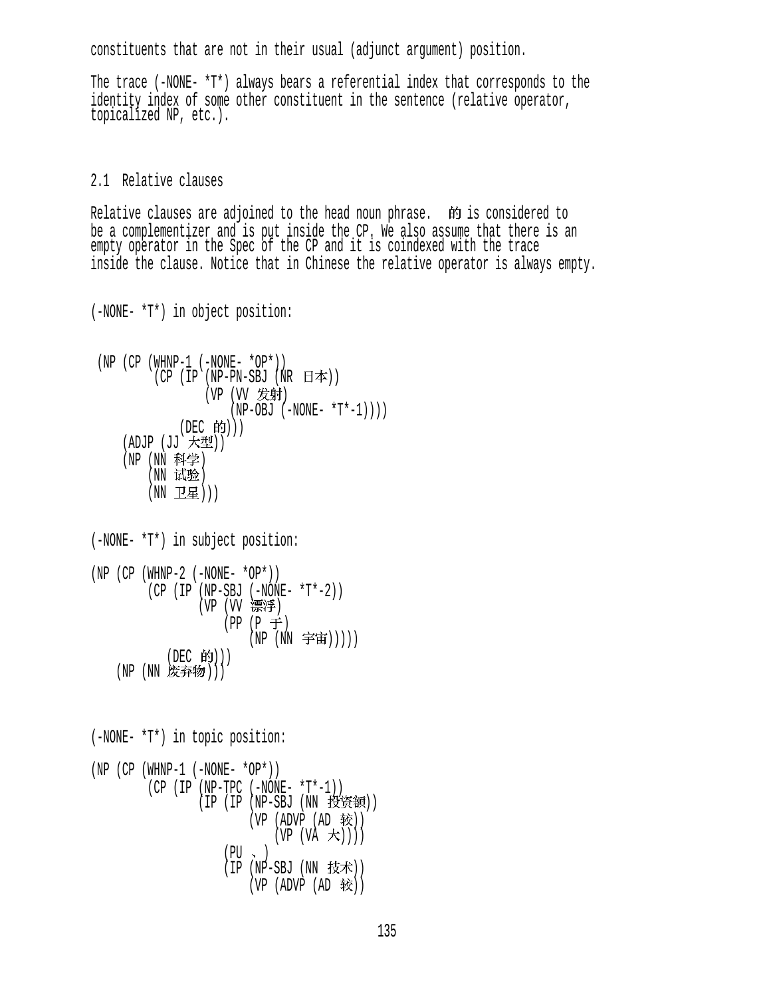constituents that are not in their usual (adjunct argument) position.

The trace (-NONE- \*T\*) always bears a referential index that corresponds to the identity index of some other constituent in the sentence (relative operator, topicalized NP, etc.).

## 2.1 Relative clauses

Relative clauses are adjoined to the head noun phrase.  $\dot{m}$  is considered to be a complementizer and is put inside the CP. We also assume that there is an empty operator in the Spec of the CP and it is coindexed with the trace inside the clause. Notice that in Chinese the relative operator is always empty.

(-NONE- \*T\*) in object position:

```
(NP (CP (WHNP-1 (-NONE- *OP*)))(CP (IP (NP-PN-SBJ (NR H\#)))(VP (VV 发射)
                   (NP-OBJ (-NONE- *T*-1)))(DEC 的)))
   (ADJP (JJ 大型))
   (NP (NN 科学)
       (NN试验)
       (NN 卫星)))
```

```
(-NONE- *T*) in subject position: 
(NP (CP (WHNP-2 (-NONE- *OP*))) (CP (IP (NP-SBJ (-NONE- *T*-2)) 
(VP (VV ) (<del>宗?字</del>)
                  (PP (P \neq)(NP (NN 宇宙)))))
          (DEC 的))(NP(NN)度弃物)
```
(-NONE- \*T\*) in topic position:  $(NP (CP (WHNP-1 (-NONE- *OP*)))$  (CP (IP (NP-TPC (-NONE- \*T\*-1)) (IP (IP (NP-SBJ (NN 投资额))  $(VP (ADVP (AD 1)$  $(VP (VA \nightharpoonup t))$  $(PU \sim )$  $(IP(NP-SBJ(NN t)$  $(VP (ADVP (AD 1)$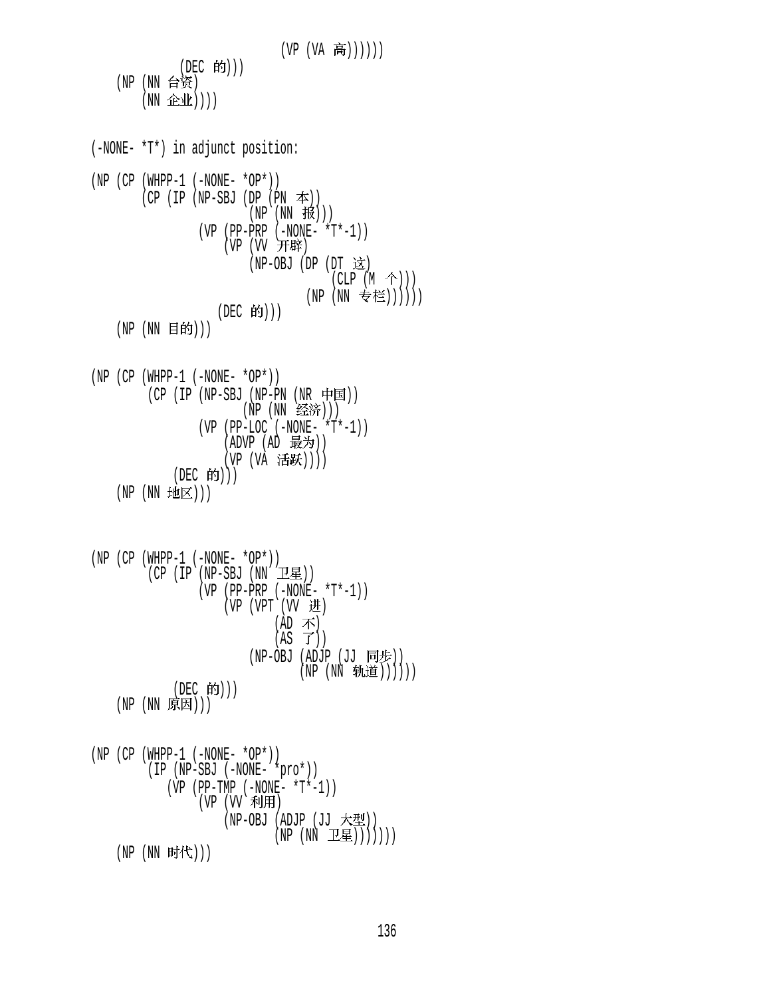$(VP (VA \tilde{\overline{B}}))))$ (DEC 的))) (NP  $(NN \; \hat{\leftrightarrow} \; \hat{\mathfrak{R}})$  $(NN \triangleq k))$ (-NONE- \*T\*) in adjunct position:  $(NP (CP (WHPP-1 (-NONE- *OP*)))$  $(CP (IP (NP-SBJ (DP (PN  $\neq$ )))$  $(NP(NN#W)))$  $(VP (PP-PRP (-NONE- *T*-1)))$ (VP (W 开辟)  $(NP-OBJ$  (DP  $(DT \times)$ )  $(CLP (M \tbinom{\wedge}{})$ (NP (NN 专栏)))))) (DEC 的)))  $(NP(NN \tBf))$  $(NP (CP (WHPP-1 (-NONE- *OP*)))$  $(CP (IP (NP-SBJ (NP-PN (NR \noplus \text{F}))$ (NP (NN 经济)))  $(VP (PP-LOC (-NONE- *T*-1)))$  $(ADVP (AD$  最为 $))$ (VP (VA 活跃))))  $(DEC$  的 $))$  $(NP(NN 19E)))$  $(NP (CP (WHPP-1 (-NONE- *OP*)))$  $(CP (IP (NP-SBJ (NN ZE))$  $(VP (PP-PRP (-NONE- *T*-1)))$  $(VP (VPT (VV H)))$  $(AD \; \bar{\wedge})$  $(AS \ \vec{J}))$ (NP-OBJ (ADJP  $(JJ \quad \Box \oplus \rightarrow$ )) (NP (NN 轨道)))))) (DEC 的)))  $(NP(NN_F;E))$  $(NP (CP (WHPP-1 (-NONE- *OP*))$  (IP (NP-SBJ (-NONE- \*pro\*))  $(VP (PP-TMP (-NONE- *T*-1))$ (VP (VV 利用) (NP-OBJ (ADJP (JJ 大型))  $(NP (NN I \underline{E})))))$ 

 $(NP(NN_F H^2))$ 

136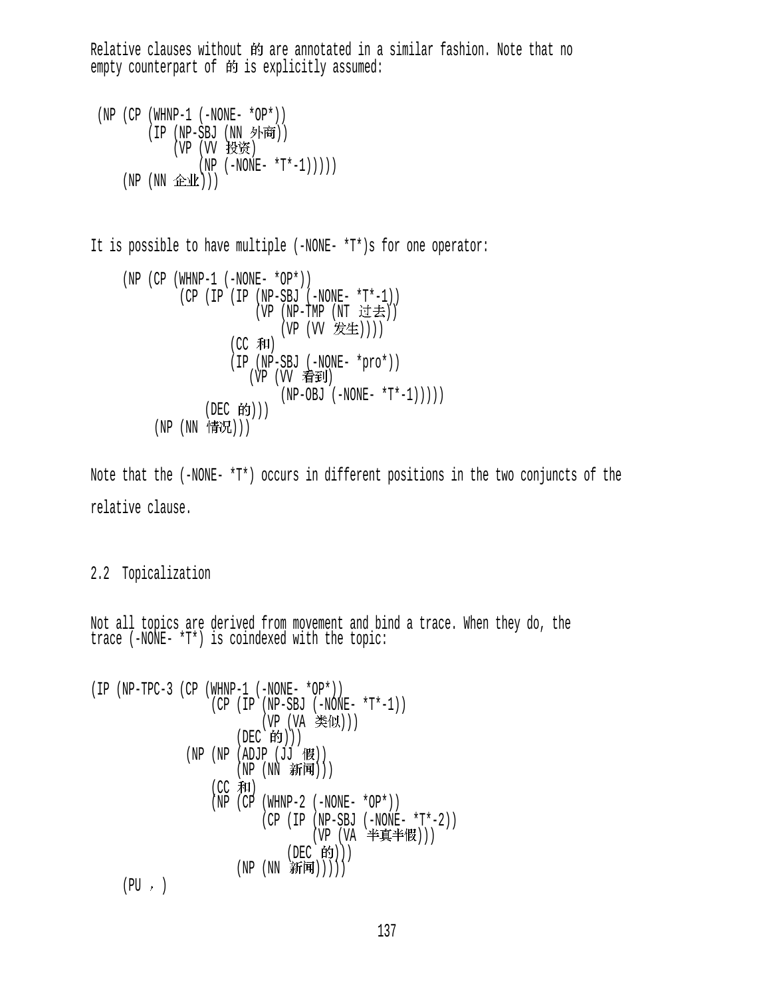Relative clauses without 的 are annotated in a similar fashion. Note that no empty counterpart of 的 is explicitly assumed:

```
(NP (CP (WHNP-1 (-NONE- *OP*)))(IP (NP-SBJ (NN 外商))
             (VP (VV 投资)
                 (NP (-NONE- *T*-1)))))(NP(NN \triangle \mathcal{W})))
```
It is possible to have multiple (-NONE- \*T\*)s for one operator:

\n
$$
(NP (CP (WHNP-1 (-NONE- *OP*)))
$$
\n
$$
(CP (IP (IP (NP-SBJ (-NONE- *T*-1)))
$$
\n
$$
(VP (NP-THP (NT i±±))
$$
\n
$$
(VP (VV 754))
$$
\n
$$
(CP (IP -SBJ (-NONE - *pro*)))
$$
\n
$$
(VP (VP 7540)
$$
\n
$$
(VP (VP 7540)
$$
\n
$$
(VP (VP 7540)
$$
\n
$$
(NP (NP-OBJ (-NONE - *T*-1)))))
$$
\n
$$
(DEC 640))
$$
\n
$$
(NP (NN 1570))
$$
\n

Note that the (-NONE- \*T\*) occurs in different positions in the two conjuncts of the relative clause.

## 2.2 Topicalization

Not all topics are derived from movement and bind a trace. When they do, the trace (-NONE- \*T\*) is coindexed with the topic:

(IP (NP-TPC-3 (CP (WHNP-1 (-NONE- \*OP\*)) (CP (IP (NP-SBJ (-NONE- \*T\*-1)) (VP (VA ))) (DEC ))) (NP (NP (ADJP (JJ )) (NP (NN ))) (CC ) (NP (CP (WHNP-2 (-NONE- \*OP\*)) (CP (IP (NP-SBJ (-NONE- \*T\*-2)) (VP (VA ))) (DEC ))) (NP (NN )))))

 $(PU, \cdot)$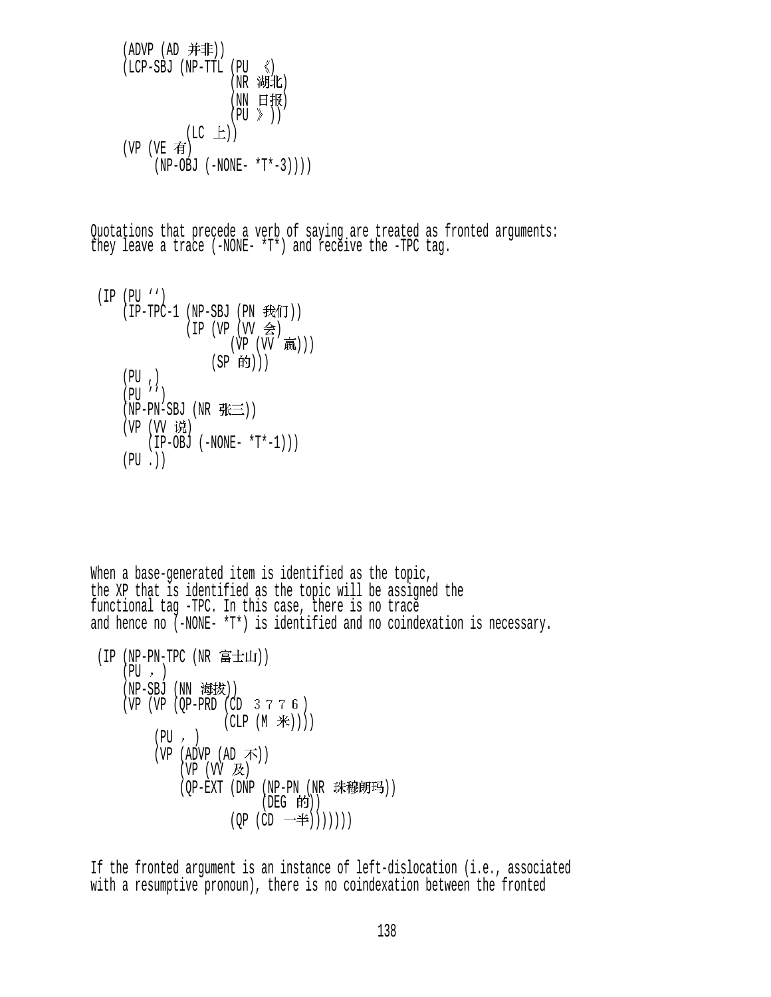```
(ADVP (AD <math>\# 非))(LCP-SBJ (NP-TTL (PU <(NR 湖北)
                  (NN 日报)
                 (PU \n\geq ))(LC \tL))(VP (VE \t{f})(NP-OBJ (-NONE- *T*-3)))
```
Quotations that precede a verb of saying are treated as fronted arguments: they leave a trace (-NONE- \*T\*) and receive the -TPC tag.

 (IP (PU '')  $(IP-TPC-1$  (NP-SBJ (PN 我们))  $(IP (VP (VV \Leftrightarrow))$ (VP (VV 赢))) (SP 的)))  $(PU, )$  (PU '')  $(NP-PN-SBJ (NR \# \equiv))$ (VP (VV 说)  $(IP-OBJ (-NONE- *T*-1)))$  $(PU, )$ 

When a base-generated item is identified as the topic, the XP that is identified as the topic will be assigned the functional tag -TPC. In this case, there is no trace and hence no (-NONE- \*T\*) is identified and no coindexation is necessary.

```
(IP (NP-PN-TPC (NR \t\t\hat{\mathbf{a}} \pm \mathbf{\mu}))(PU, )(NP-SBJ (NN 海拔))
    (VP (VP (OP-PRD (CD 3 7 7 6))(CLP (M \#)))(PU, )(VP (ADVP (AD \cdot \vec{\mathcal{F}}))(VP (VV K))(OP-EXT (DNP (NP-PN (NR 珠穆朗玛))
                              (DEG 的))(QP (CD —#))))))
```
If the fronted argument is an instance of left-dislocation (i.e., associated with a resumptive pronoun), there is no coindexation between the fronted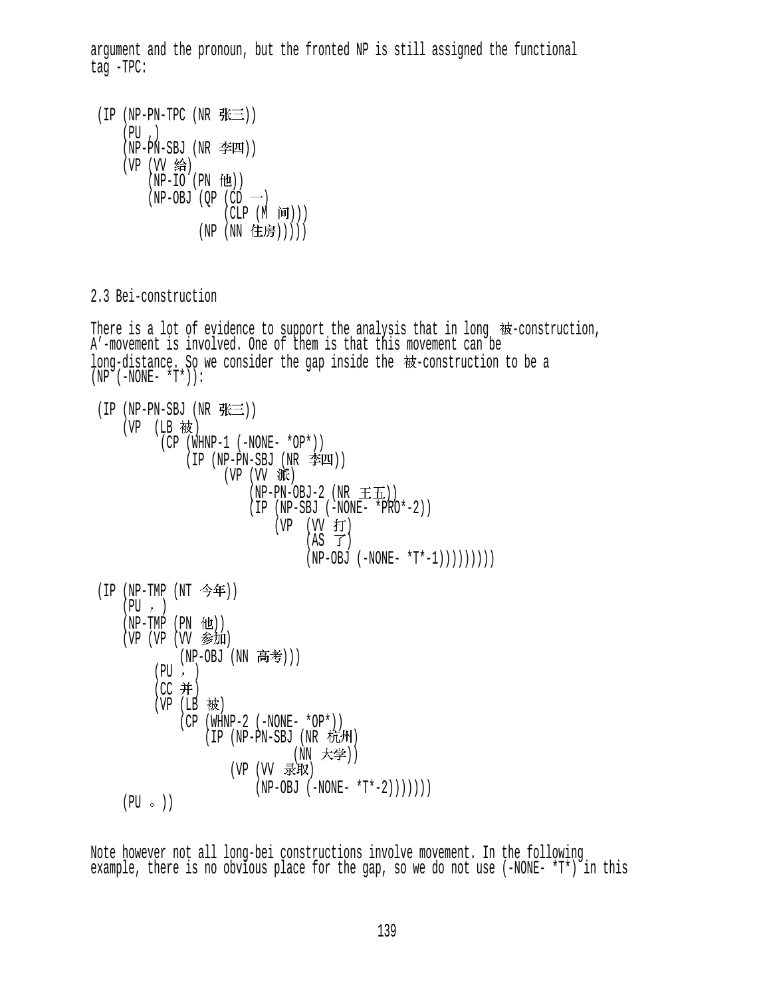argument and the pronoun, but the fronted NP is still assigned the functional tag -TPC:

 $(IP(NP-PN-TPC(NR)K\equiv))$  $(PU, )$  $(NP-PN-SBJ (NR  $\cong$  ))$ (VP (VV 给)  $(NP-IO$  (PN  $#I)$ )  $(NP-OBJ (QP (CD -))$  $(CLP(M \; \bar{H})))$ (NP (NN 住房)))))

2.3 Bei-construction

There is a lot of evidence to support the analysis that in long  $\#$ -construction, A'-movement is involved. One of them is that this movement can be long-distance. So we consider the gap inside the  $\mathcal{W}$ -construction to be a  $(NP^-(-NONE- *T^*)$  : (IP (NP-PN-SBJ (NR  $\mathcal{H}\equiv$ ))

```
(VP (LB 被)
          (CP (WHNP-1 (-NONE- *OP*)))(IP (NP-PN-SBJ (NR <math>\text{)})
                     (VP (VV \times \overline{W}))(NP-PN-OBJ-2 (NR \pm \text{H})) (IP (NP-SBJ (-NONE- *PRO*-2)) 
                               (VP (W f)(AS \tJ)(NP-OBJ (-NONE- *T*-1))))))))(IP (NP-TMP (NT <math>\diamond</math>年)))(PU, )(NP-TMP (PN 12))(VP (VP (VV 参加)
              (NP-OBJ (NN 高考)))
         (PU, )(CC 并)
         (VP (LB 被)
              (CP (WHNP-2 (-NONE- *OP*)))(IP (NP-PN-SBJ (NR t_H))(NN 大学))
                       (VP (VV 录取)
                           (NP-OBJ (-NONE- *T*-2)))))))
    (PU \circ)
```
Note however not all long-bei constructions involve movement. In the following example, there is no obvious place for the gap, so we do not use  $(-NONE- *T*)$  in this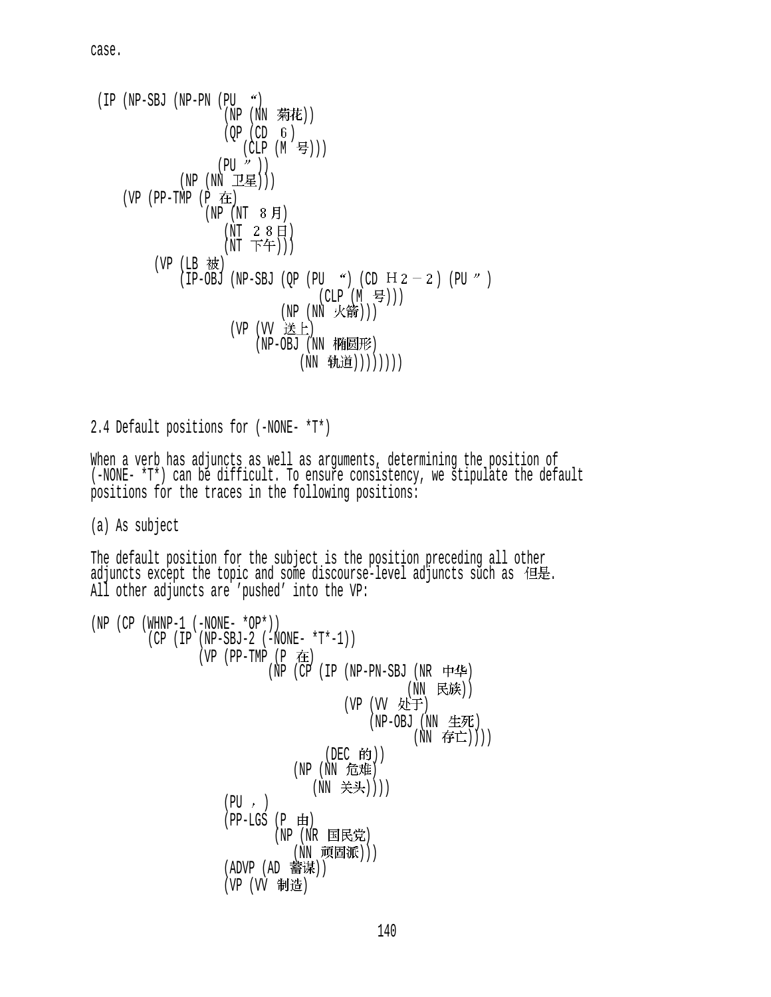case.

```
(IP (NP-SBJ (NP-PN (PU <math>^{\prime\prime}</math>)))(NP (NN 菊花))
                       (OP (CD 6)(CLP (M 号)))
                      (PU'')(NP(NN \tI\!\tI\!\tI\!\tI\!\tI\!\tI)) (VP (PP-TMP (P ) 
                    (NP (NT 8月))(NT 2 8 H)(NT \top f))
          (VP (LB 被)
               (\text{IP-OBJ (NP-SBJ (QP (PU 'C) (CD H 2 – 2) (PU 'C)(CLP (M <math>\exists</math>)))(NP (NN 火箭)))
                         (VP (VV 送上)
                              (NP-OBJ (NN 椭圆形)
                                      (NN 轨道))))))))
```
2.4 Default positions for (-NONE- \*T\*)

When a verb has adjuncts as well as arguments, determining the position of (-NONE- \*T\*) can be difficult. To ensure consistency, we stipulate the default positions for the traces in the following positions:

(a) As subject

The default position for the subject is the position preceding all other adjuncts except the topic and some discourse-level adjuncts such as 但是.<br>All other adjuncts are 'pushed' into the VP:

```
(NP (CP (WHNP-1 (-NONE- *OP*)))(CP (IP (NP-SBJ-2 (-NONE- *T*-1)))(VP (PP-TMP (P \oplus)(NP (CP (IP (NP-PN-SBJ (NR \n+4)(NN 民族))
                                         (VP (VV 处于)
                                             (NP-OBJ (NN \tdiv K)(NN 存亡))))
                                      (DEC 的))
                                (NP (NN 危难)
                                   (NN 关头))))
                     (PU, )(PP-LGS (P \nleftrightarrow)(NP (NR 国民党)
                                (NN 顽固派)))
                     (ADVP (AD \t\frac{1}{2})(VP (VV 制造)
```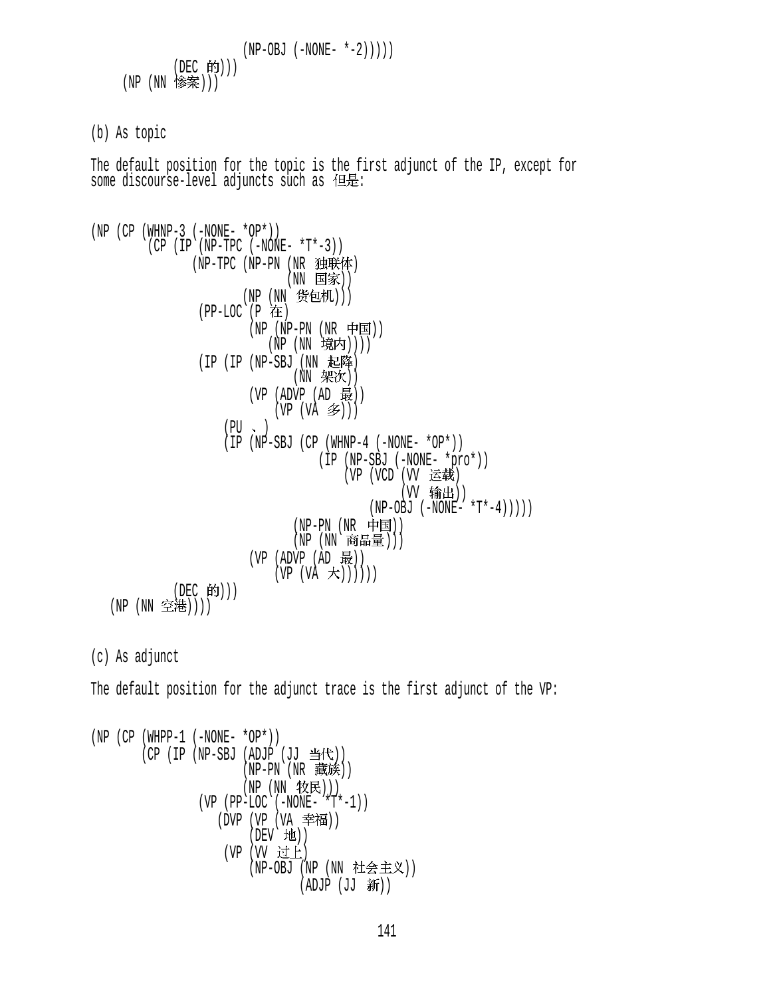(NP-OBJ (-NONE- \*-2))))) (DEC ))) (NP (NN )))

(b) As topic

The default position for the topic is the first adjunct of the IP, except for some discourse-level adjuncts such as  $\leftarrow$   $\leftarrow$   $\leftarrow$  :

```
(NP (CP (WHNP-3 (-NONE- *OP*)))(CP (IP (NP-TPC (-NONE- *T*-3)))(NP-TPC (NP-PN (NR 独联体)
                               (NN 国家))
                        (NP (NN 货包机)))
                 (PP-LOC (P \tH)(NP (NP-PN (NR 中国))
                           (NP (NN 境内))))
                 (IP (IP (NP-SBJ (NN 起降)
                                (NN \# X)(VP (ADVP (AD 4E))(VP (VA \n3)(PU \sim ) (IP (NP-SBJ (CP (WHNP-4 (-NONE- *OP*)) 
                                     (IP (NP-SBJ (-NONE- *pro*)) 
                                        (VP (VCD (VV 运载)
                                                 (VV 输出))
                                            (NP-OBJ ( -NONE- ' *T* -4))))
                                (NP-PN (NR 中国))(NP (NN 商品量)))
                         (VP (ADVP (AD 1)(VP (VA \nightharpoonup t)))))(DEC 的)))
   (NP (NN 空港))))
(c) As adjunct
```
The default position for the adjunct trace is the first adjunct of the VP:

(NP (CP (WHPP-1 (-NONE- \*OP\*)) (CP (IP (NP-SBJ (ADJP (JJ )) (NP-PN (NR )) (NP (NN ))) (VP (PP-LOC (-NONE- \*T\*-1)) (DVP (VP (VA )) (DEV )) (VP (VV ) (NP-OBJ (NP (NN )) (ADJP (JJ ))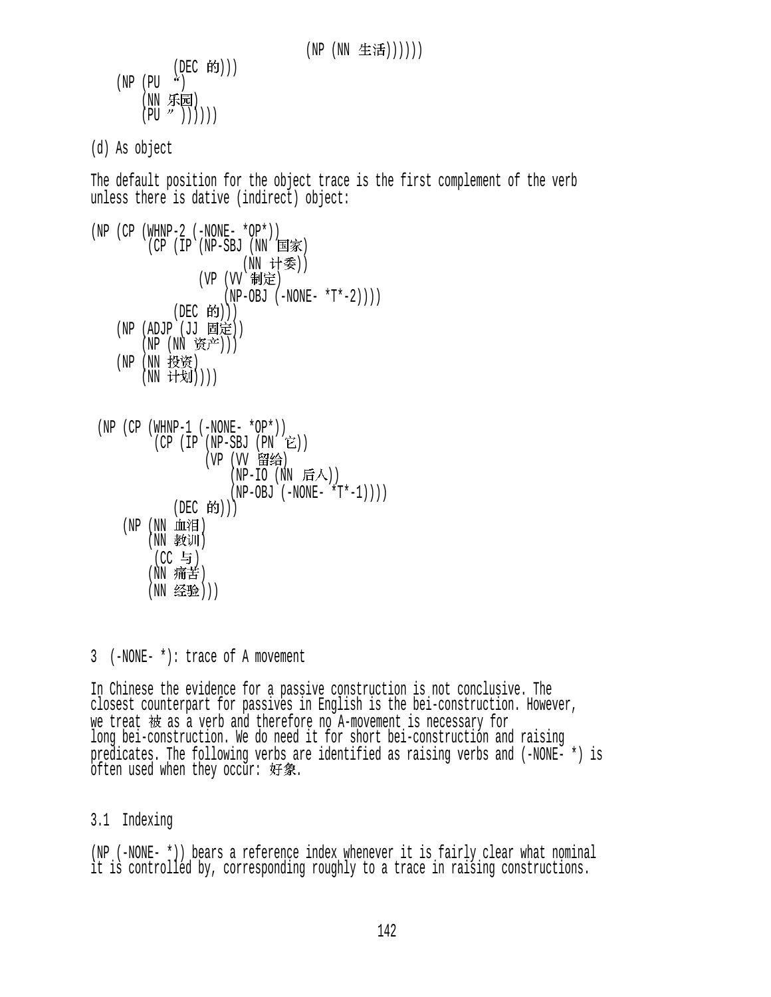```
(DEC 的)))
(NP (PU <i>^{\lambda}</i>)(NN 乐园)
     (PU''')))))
```
(d) As object

The default position for the object trace is the first complement of the verb unless there is dative (indirect) object:

```
(NP (CP (WHNP-2 (-NONE- *OP*)) 
        (CP (IP (NP-SBJ (NN 国家)
                     (NN 计委))
               (VP (VV 制定)
                   (NP-OBJ (-NONE- *T*-2)))(DEC 的)))(NP (ADJP (JJ 固定))
       (NP (NN 资产)))
   (NP (NN 投资)
       (NN 计划))))
```

```
(NP (CP (WHNP-1 (-NONE- *OP*)))(CP (IP (NP-SBJ (PN E)))(VP (VV 留给)
                   (NP-IO (NN 后人))
                   (NP-OBJ (-NONE- *T*-1)))(DEC 的))(NP (NN 血泪)
       (NN 教训)
        (CC 与)
       (NN 痛苦)
       (NN 经验)))
```
3 (-NONE- \*): trace of A movement

In Chinese the evidence for a passive construction is not conclusive. The closest counterpart for passives in English is the bei-construction. However, we treat 被 as a verb and therefore no A-movement is necessary for<br>long bei-construction. We do need it for short bei-construction and raising predicates. The following verbs are identified as raising verbs and (-NONE- \*) is  $o$ ften used when they occur: 好象.

## 3.1 Indexing

(NP (-NONE- \*)) bears a reference index whenever it is fairly clear what nominal it is controlled by, corresponding roughly to a trace in raising constructions.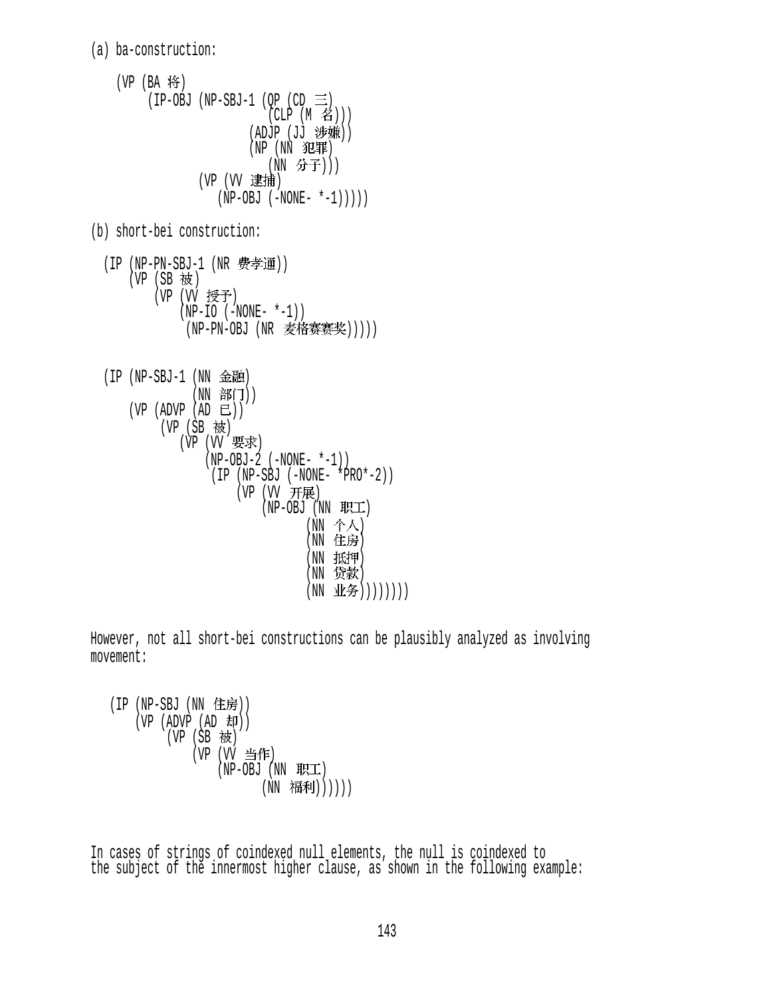(a) ba-construction:

```
(VP (BA \nmid \mathbf{\hat{F}})(IP-OBJ (NP-SBJ-1 (QP (CD \equiv))(CLP (M \n4))(ADJP (JJ 涉嫌))
                           (NP (NN 犯罪)
                              (NN 分子)))
                  (VP (VV 逮捕)
                      (NP-OBJ (-NONE- *-1))))) 
(b) short-bei construction: 
  (IP (NP-PN-SBJ-1 (NR <math>\frac{R}{P}孝通))
      (VP(SB被)
          (VP (VV 授予)
               (NP-IO (-NONE- *-1))(NP-PN-OBJ (NR 麦格赛赛奖)))))
```

```
(IP (NP-SBJ-1 (NN  \n  <b>£</b>   \n  <b>û</b>   \n  <b>②</b>   \n  <b>④</b>   \n  <b>④</b>   \n  <b>④</b>   \n  <b>④</b>   \n  <b>④</b>   \n  <b>④</b>   \n  <b>④</b>   \n  <b>④</b>   \n  <b>④</b>   \n  <b>④</b>   \n  <b>④</b>   \n  <b>④</b>   \n  <b>④</b>   \n  <b>④</b>   \n  <b(NN 部门))
         (VP (ADVP (AD E))(VP(SB被)
                           (VP (W 要求)
                                    (NP-OBJ-2 (-NONE- *-1)) (IP (NP-SBJ (-NONE- *PRO*-2)) 
                                               (VP (VV 开展)
                                                        (NP-OBJ (NN RTE)(NN \, \hat{\uparrow} \hat{\uparrow})(NN 住房)
                                                                        (NN 抵押)
                                                                        (NN 贷款)
                                                                        (NN 业务))))))))
```
However, not all short-bei constructions can be plausibly analyzed as involving movement:

```
(IP (NP-SBJ (NN 14)(VP (ADVP (AD H))(VP (SB 被)
            (VP (VV 当作)
                (NP-OBJ (NN H\!F\!T)(NN 福利))))))
```
In cases of strings of coindexed null elements, the null is coindexed to the subject of the innermost higher clause, as shown in the following example: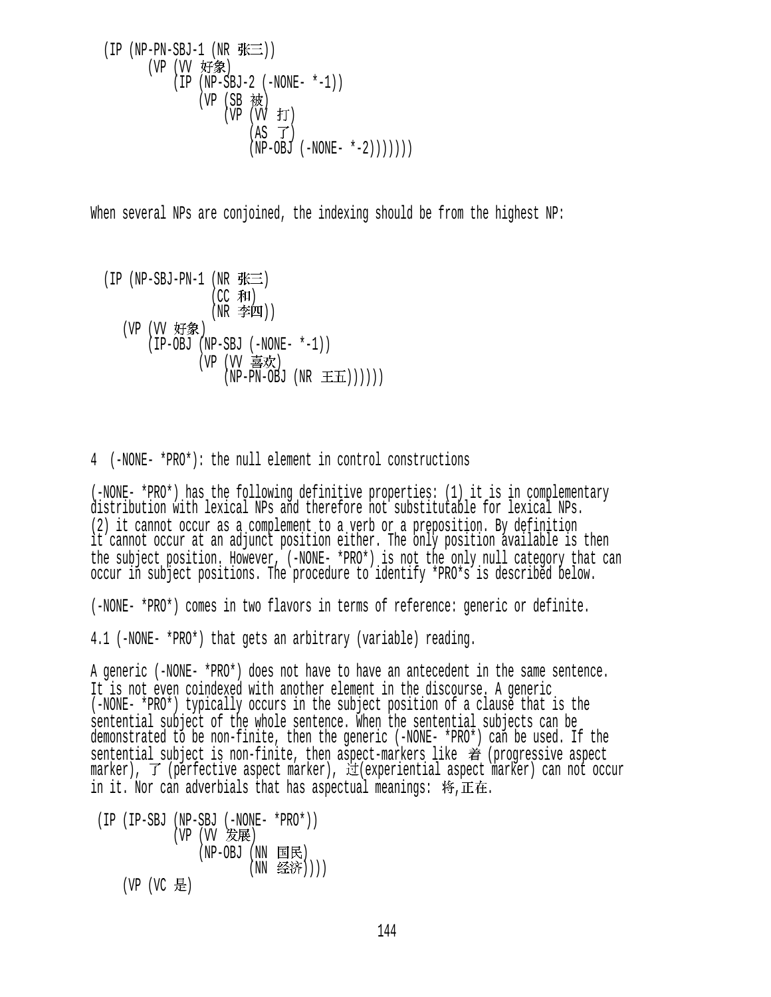$$
(IP (NP-PN-SBJ-1 (NR JK ...)))\n(VP (VV Yf *%)\n(IP (NP-SBJ-2 (-NONE- *-1))\n(VP (SB &t)\n(VP (VV JT)\n(AS T)\n(NP-OBJ (-NONE- *-2))))))))
$$

When several NPs are conjoined, the indexing should be from the highest NP:

(IP (NP-SBJ-PN-1 (NR  $\mathcal{H} \equiv$ )  $(CC$  和)  $(NR \cong 1)$ (VP (VV 好象) (IP-OBJ (NP-SBJ (-NONE- \*-1)) (VP (VV 喜欢)  $(NP-PN-OBJ (NR \pm \mathbf{H})))$ 

4 (-NONE- \*PRO\*): the null element in control constructions

(-NONE- \*PRO\*) has the following definitive properties: (1) it is in complementary distribution with lexical NPs and therefore not substitutable for lexical NPs. (2) it cannot occur as a complement to a verb or a preposition. By definition it cannot occur at an adjunct position either. The only position available is then the subject position. However, (-NONE- \*PRO\*) is not the only null category that can occur in subject positions. The procedure to identify \*PRO\*s is described below.

(-NONE- \*PRO\*) comes in two flavors in terms of reference: generic or definite.

4.1 (-NONE- \*PRO\*) that gets an arbitrary (variable) reading.

A generic (-NONE- \*PRO\*) does not have to have an antecedent in the same sentence. It is not even coindexed with another element in the discourse. A generic (-NONE- \*PRO\*) typically occurs in the subject position of a clause that is the sentential subject of the whole sentence. When the sentential subjects can be demonstrated to be non-finite, then the generic (-NONE- \*PRO\*) can be used. If the sentential subject is non-finite, then aspect-markers like  $\hat{\vec{\pi}}$  (progressive aspect  $m$ arker),  $\vec{J}$  (perfective aspect marker),  $\vec{H}$  (experiential aspect marker) can not occur in it. Nor can adverbials that has aspectual meanings:  $\mathcal{F}, \mathbb{E} \in \mathcal{F}$ .

 (IP (IP-SBJ (NP-SBJ (-NONE- \*PRO\*)) (VP (VV )  $(NP-OBJ$   $(NN \tB]$ 民) (NN 经济))))  $(VP (VC \tfrac{1}{10})$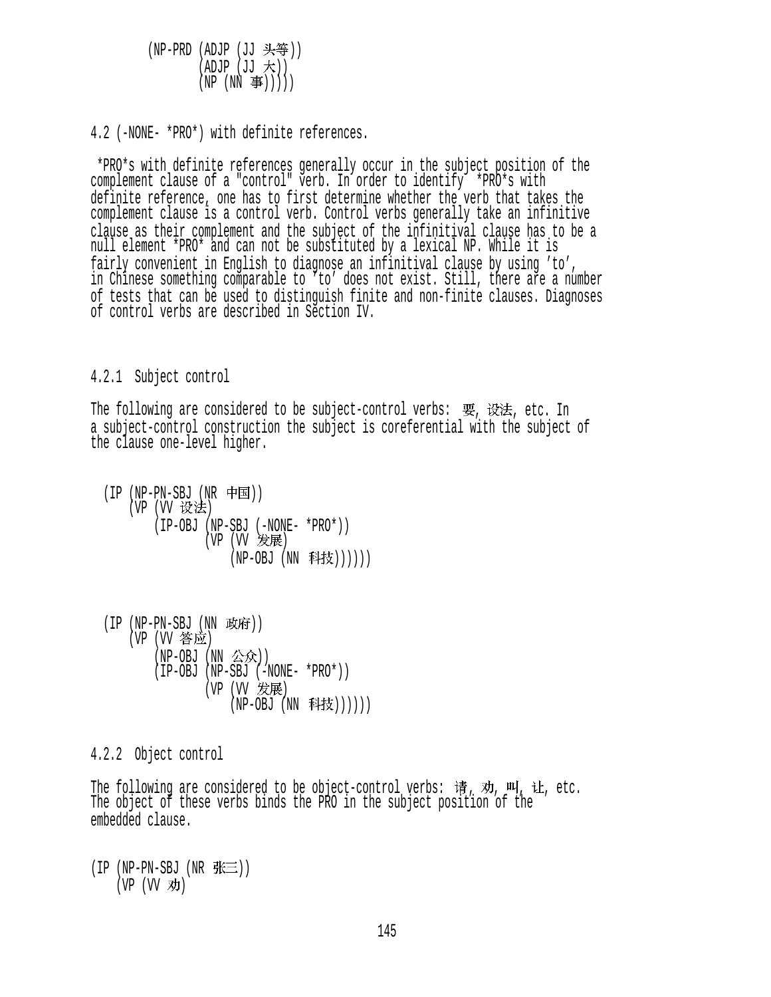(NP-PRD (ADJP (JJ 头等))  $(ADJP (JJ \nmid \nightharpoonup))$  $(NP (NN \ncong)))$ )

4.2 (-NONE- \*PRO\*) with definite references.

 \*PRO\*s with definite references generally occur in the subject position of the complement clause of a "control" verb. In order to identify  $*PRO*$ s with definite reference, one has to first determine whether the verb that takes the complement clause is a control verb. Control verbs generally take an infinitive clause as their complement and the subject of the infinitival clause has to be a null element \*PRO\* and can not be substituted by a lexical NP. While it is fairly convenient in English to diagnose an infinitival clause by using 'to', in Chinese something comparable to 'to' does not exist. Still, there are a number of tests that can be used to distinguish finite and non-finite clauses. Diagnoses of control verbs are described in Section IV.

4.2.1 Subject control

The following are considered to be subject-control verbs: 要, 设法, etc. In a subject-control construction the subject is coreferential with the subject of the clause one-level higher.

 $(IP (NP-PN-SBJ (NR \nleftrightarrow \nexists))$ (VP (VV 设法) (IP-OBJ (NP-SBJ (-NONE- \*PRO\*)) (VP (VV ) (NP-OBJ (NN 科技))))))

 $(IP (NP-PN-SBJ (NN K)$ (VP (VV 答应) (NP-OBJ (NN 公众))  $(IP-OBJ (NP-SBJ (-NONE- *PRO*)))$ (VP (VV 发展) (NP-OBJ (NN 科技))))))

4.2.2 Object control

The following are considered to be object-control verbs: 请, 劝, 叫, 让, etc. The object of these verbs binds the PRO in the subject position of the embedded clause.

(IP (NP-PN-SBJ (NR  $\mathcal{H}\equiv$ ))  $(VP (W)$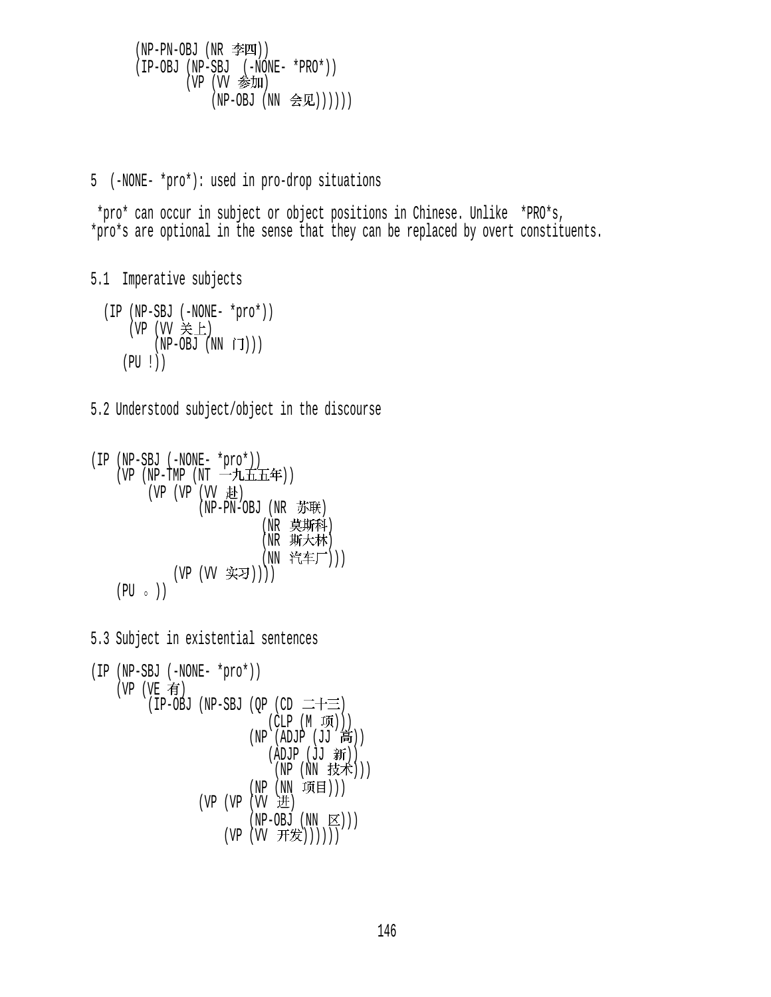(NP-PN-OBJ (NR )) (IP-OBJ (NP-SBJ (-NONE- \*PRO\*))  $(VP (VV \triangleq \frac{1}{2})$  $(NP-OBJ (NN < \mathbb{R}())))))$ 

5 (-NONE- \*pro\*): used in pro-drop situations

 \*pro\* can occur in subject or object positions in Chinese. Unlike \*PRO\*s, \*pro\*s are optional in the sense that they can be replaced by overt constituents.

5.1 Imperative subjects

 (IP (NP-SBJ (-NONE- \*pro\*)) (VP  $(W \not\equiv \pm)$  $(NP-OBJ (NN \tilde{J})))$ (PU !))

5.2 Understood subject/object in the discourse

```
(IP (NP-SBJ (-NONE- *pro*)) 
   (VP (NP-TMP (NT - LLHH))(VP (VP (VV t).(NP-PN-OBJ (NR \t{B}^*))(NR 莫斯科)
                          (NR 斯大林)
                          (NN 汽车厂)))
            (VP (VV 实习))))
   (PU \circ)
```
5.3 Subject in existential sentences

```
(IP (NP-SBJ (-NONE- *pro*)) 
    (VP (VE \t{f})(IP-OBJ (NP-SBJ (QP (CD \equiv+\equiv)
                                 (CLP(M\ \overline{M})))(NP (ADJP (JJ \t5))(ADJP (JJ  <math>3\frac{1}{2}T</math>)))(NP (NN \# \n})(NP (NN 项目)))
                    (VP (VP (VV H))(NP-OBJ (NN \times))(VP (W \#\n))))
```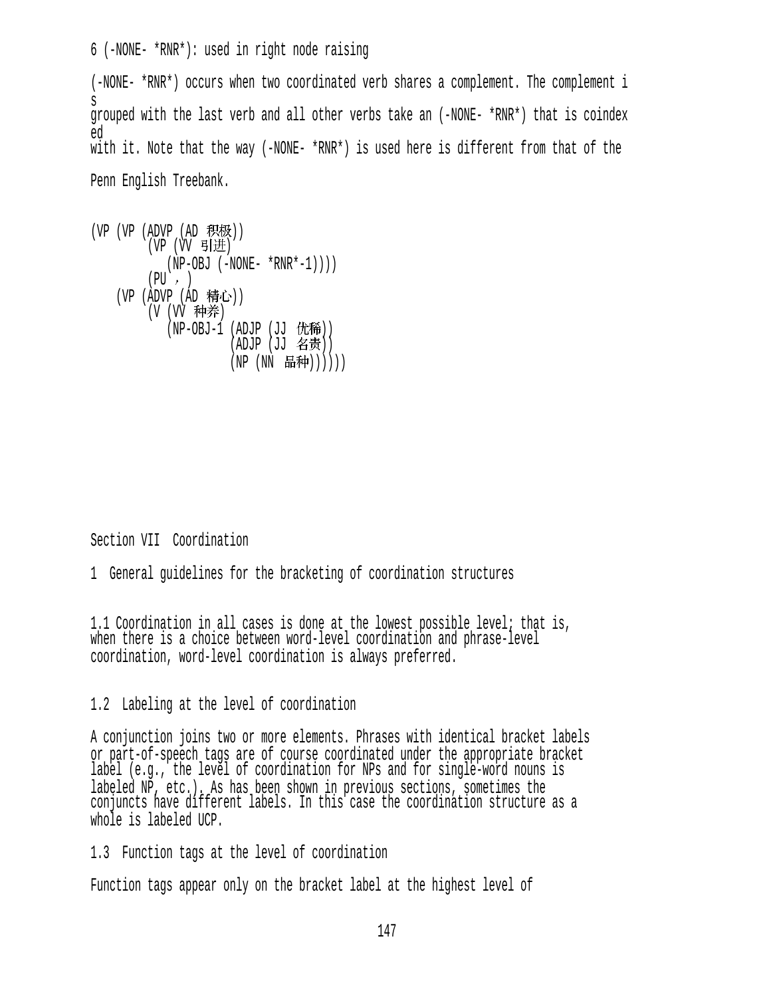6 (-NONE- \*RNR\*): used in right node raising

(-NONE- \*RNR\*) occurs when two coordinated verb shares a complement. The complement i s grouped with the last verb and all other verbs take an (-NONE- \*RNR\*) that is coindex ed with it. Note that the way (-NONE- \*RNR\*) is used here is different from that of the Penn English Treebank.

```
(VP (VP (ADVP (AD R R E)))(VP (VV 引进)
          (NP-OBJ (-NONE- *RNR*-1)))(PU, )(VP (ADVP (AD 精心))
        (V (VV 种养)
          (NP-OBJ-1 (ADJP (JJ 优稀))
                    (ADJP (JJ 45))(NP (NN 品种))))))
```
Section VII Coordination

1 General guidelines for the bracketing of coordination structures

1.1 Coordination in all cases is done at the lowest possible level; that is, when there is a choice between word-level coordination and phrase-level coordination, word-level coordination is always preferred.

#### 1.2 Labeling at the level of coordination

A conjunction joins two or more elements. Phrases with identical bracket labels or part-of-speech tags are of course coordinated under the appropriate bracket label (e.g., the level of coordination for NPs and for single-word nouns is labeled NP, etc.). As has been shown in previous sections, sometimes the conjuncts have different labels. In this case the coordination structure as a whole is labeled UCP.

1.3 Function tags at the level of coordination

Function tags appear only on the bracket label at the highest level of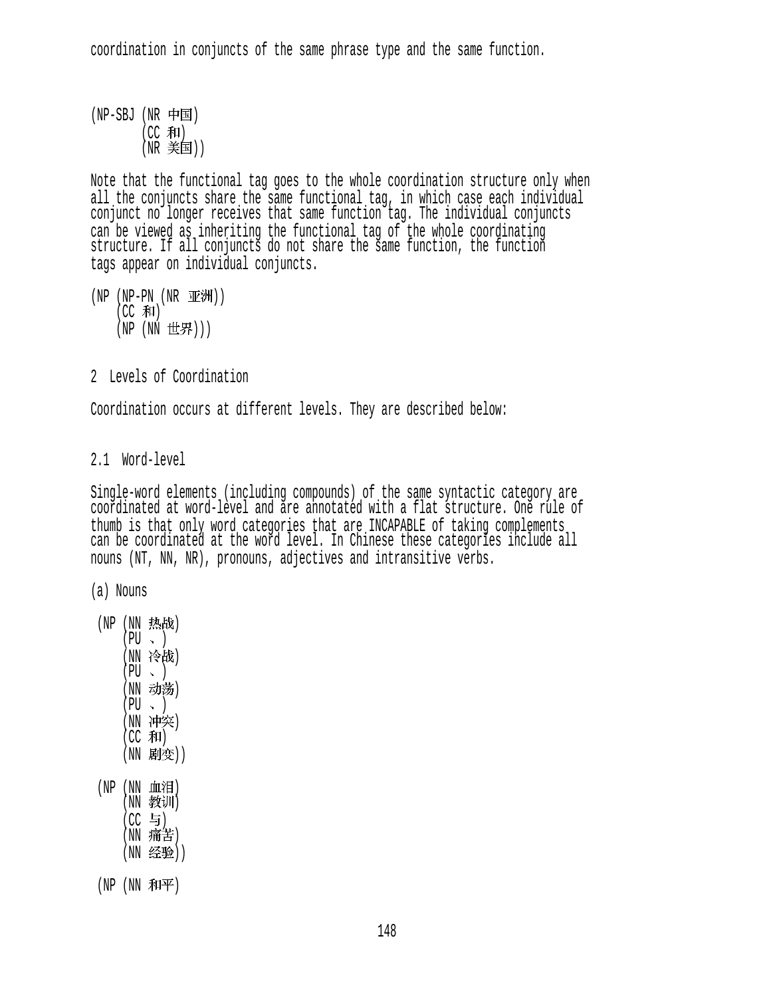coordination in conjuncts of the same phrase type and the same function.

 $(NP-SBJ (NR \text{ +}E))$ (CC 和)  $(NR \; \equiv \equiv \equiv 1)$ 

Note that the functional tag goes to the whole coordination structure only when all the conjuncts share the same functional tag, in which case each individual conjunct no longer receives that same function tag. The individual conjuncts can be viewed as inheriting the functional tag of the whole coordinating structure. If all conjuncts do not share the same function, the function tags appear on individual conjuncts.

(NP (NP-PN (NR 亚洲))  $(CC$  和) (NP (NN 世界)))

2 Levels of Coordination

Coordination occurs at different levels. They are described below:

2.1 Word-level

Single-word elements (including compounds) of the same syntactic category are coordinated at word-level and are annotated with a flat structure. One rule of thumb is that only word categories that are INCAPABLE of taking complements can be coordinated at the word level. In Chinese these categories include all nouns (NT, NN, NR), pronouns, adjectives and intransitive verbs.

(a) Nouns

(NP (NN 热战)  $(PU, )$ (NN 冷战)  $(PU \sim )$ (NN 动荡)  $(PU \sim )$ (NN 冲突)  $(CC$   $#I)$ (NN 剧变))  $(NP(NN)$ 血泪 (NN 教训)

> $(CC \; \exists)$ (NN 痛苦) (NN 经验))

 $(NP(NN \t{ATF})$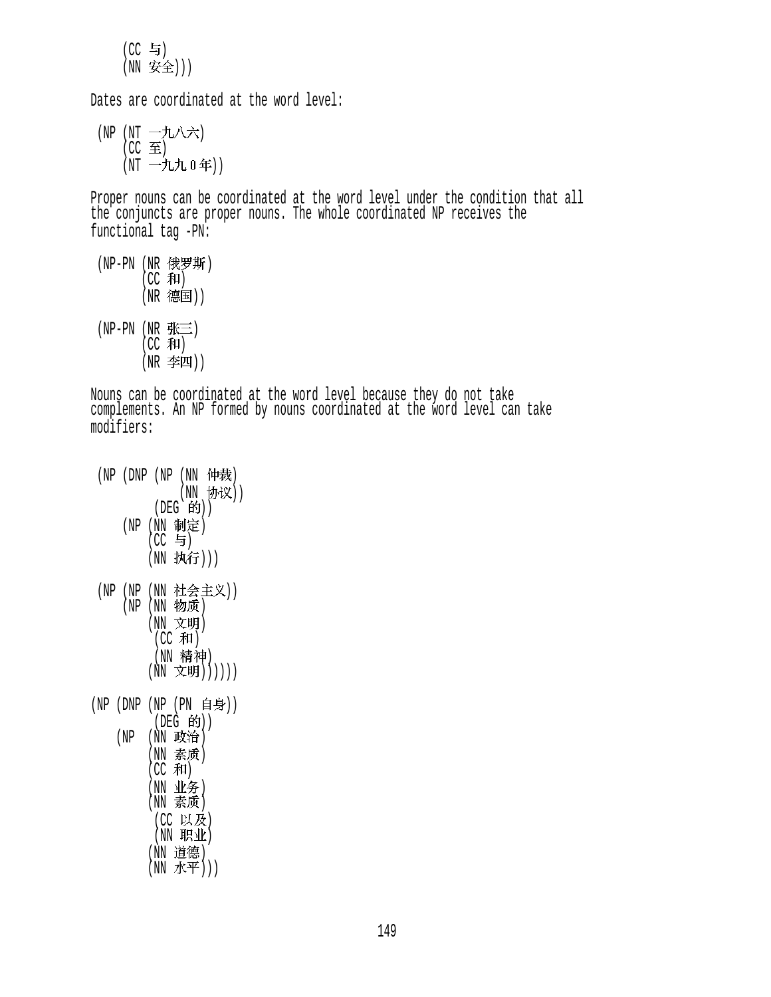$(CC = 5)$ (NN 安全)))

Dates are coordinated at the word level:

(NP (NT 一九八六)  $(CC \ncong)$ (NT 一九九 0年))

Proper nouns can be coordinated at the word level under the condition that all the conjuncts are proper nouns. The whole coordinated NP receives the functional tag -PN:

(NP-PN(NR 1玫歹——另T)  $(CC \cdot \overline{A}H)$ (NR 德国))  $(NP-PN(NR)$  $(CC \bar{A}I)$ (NR 李四))

Nouns can be coordinated at the word level because they do not take complements. An NP formed by nouns coordinated at the word level can take modifiers:

|          | (NP(DNP(NP(NN 仲裁)                 |
|----------|-----------------------------------|
|          | (NN 协议))                          |
|          | (DEG 的))                          |
|          | (NP (NN 制定)                       |
|          | (CC 与)                            |
|          | (NN 执行)))                         |
|          |                                   |
|          | (NP (NP (NN 社会主义))<br>(NP (NN 物质) |
|          | (NN 文明)                           |
|          | (CC 和)                            |
|          | (NN 精神)                           |
|          | (NN 文明)))))                       |
|          |                                   |
| (NP (DNP | (NP (PN 自身))                      |
|          | (DEG 的))                          |
| (NP      | (NN 政治)                           |
|          | (NN 素质)                           |
|          | (CC 和)                            |
|          | (NN 业务)<br>(NN 素质)                |
|          |                                   |
|          | (CC 以及)<br>(NN 职业)                |
|          | (NN 道德)                           |
|          | (NN 水平)))                         |
|          |                                   |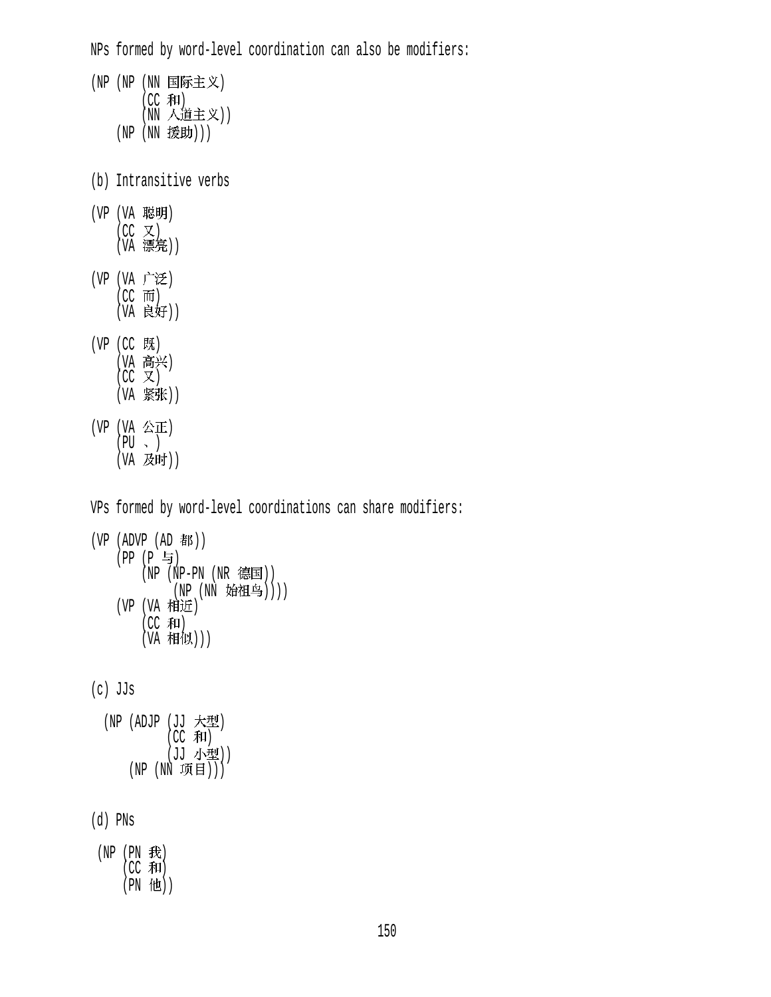NPs formed by word-level coordination can also be modifiers: (NP (NP (NN 国际主义)  $(CC \nvert \mathcal{F}$ (NN 人道主义)) (NP (NN 援助))) (b) Intransitive verbs (VP (VA 聪明)  $(CC \times)$ (VA 璟完)) (VP (VA 广泛)  $(CC$   $\overline{m})$ (VA 良好)) (VP (CC 既) (VA 高兴)  $(CC \times)$ (VA 紧张))  $(VP (VA \&E))$  $(PU \sim )$ (VA 及时)) VPs formed by word-level coordinations can share modifiers:  $(VP (ADVP (AD #))$ (PP (P 与)  $(NP (NP-PN (NR$ 德国)) (NP (NN 始祖鸟)))) (VP (VA 相近)  $(CC \cdot \overline{A}H)$ (VA 1\*日1以)) (c) JJs (NP (ADJP (JJ 大型)  $(CC$  和 (JJ 小型))  $(NP (NN \n  $\mathfrak{m} | H))$$ (d) PNs  $(NP (PN E))$  $(CC$  和)  $(PN$  他 $))$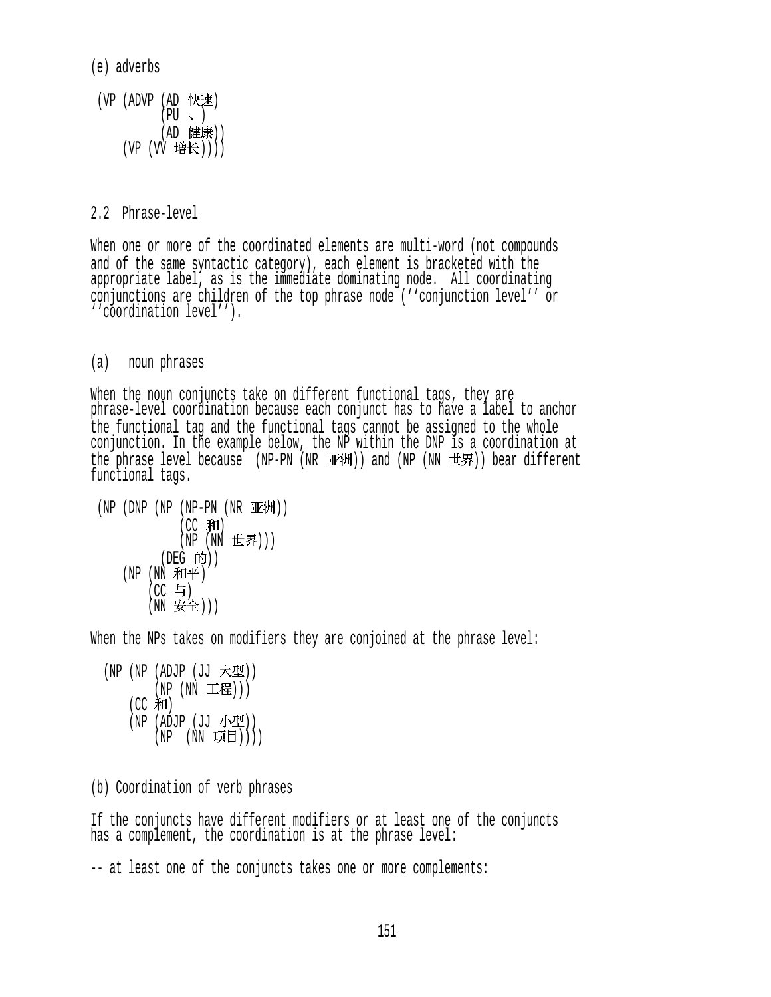(e) adverbs

```
(VP (ADVP (AD 快速)
         (PU \sim )(AD 健康))
   (VP (VV 增长))))
```
2.2 Phrase-level

When one or more of the coordinated elements are multi-word (not compounds and of the same syntactic category), each element is bracketed with the appropriate label, as is the immediate dominating node. All coordinating conjunctions are children of the top phrase node (''conjunction level'' or ''coordination level'').

(a) noun phrases

When the noun conjuncts take on different functional tags, they are phrase-level coordination because each conjunct has to have a label to anchor the functional tag and the functional tags cannot be assigned to the whole conjunction. In the example below, the NP within the DNP is a coordination at the phrase level because (NP-PN (NR 亚洲)) and (NP (NN 世界)) bear different functional tags.

```
(NP (DNP (NP (NP-PN (NR <math>\exists E</math>))))(CC \#I)(NP(NN H#F)))(DEG 的))
     (NP(NN \t{A\mathcal{F}}))(CC \t{5})(NN 安全)))
```
When the NPs takes on modifiers they are conjoined at the phrase level:

 $(NP (NP (ADJP (JJ \times 2))$ (NP (NN 工程)))  $(CC \bar{A}I)$ (NP (ADJP (JJ 小型))  $(NP (NN \noplus H)))$ 

(b) Coordination of verb phrases

If the conjuncts have different modifiers or at least one of the conjuncts has a complement, the coordination is at the phrase level:

-- at least one of the conjuncts takes one or more complements: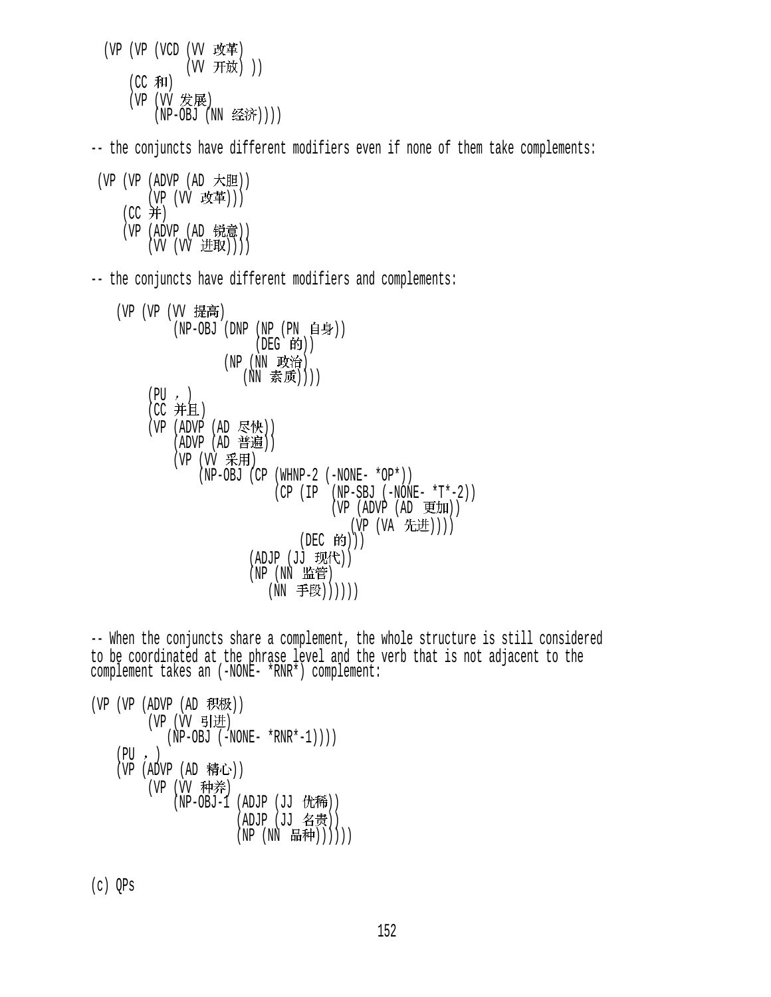$(VP (VP (VCD (VV \; \; \&\; \mp))$ (W 开放)) (CC 和) (VP (VV 发展)  $(NP-OBJ$   $(NN \leq \hat{F})))$ -- the conjuncts have different modifiers even if none of them take complements:  $(VP (VP (ADVP (AD H))$ (VP (VV 改革)))  $(CC#)$ (VP (ADVP (AD 锐意)) (VV (VV 进取)))) -- the conjuncts have different modifiers and complements: (VP (VP (VV 提高)  $(NP-OBJ$  (DNP  $(NP (PN \iff \exists \quad \exists p))$  $($ DEG 的 $)$  $)$ (NP (NN 政治) (NN 素质))))  $(PU, )$  $(CC$  并且) (VP (ADVP (AD 尽快))  $(ADVP (AD f#3)$ (VP (VV 采用)  $(NP-OBJ$  (CP (WHNP-2 (-NONE- \*OP\*))  $(CP (IP (NP-SBJ (-NONE- *T*-2)))$  $(VP (ADVP (AD E H))$ (VP (VA 先进))))  $(DEC$  的 $)))$ (ADJP (JJ 现代)) (NP (NN 监管) (NN 手段)))))) -- When the conjuncts share a complement, the whole structure is still considered to be coordinated at the phrase level and the verb that is not adjacent to the complement takes an (-NONE- \*RNR\*) complement:

```
(VP (VP (ADVP (AD R R)(VP (W \; \; \exists \; | \; \pm)(NP-OBJ (-NONE- *RNR*-1)))(PU, )(VP (ADVP (AD  精心))(VP (VV 种养)
             (NP-OBJ-1 (ADJP (JJ 优稀))
                       (ADJP (JJ 名贵))
                       (NP(NN H#))))))
```
(c) QPs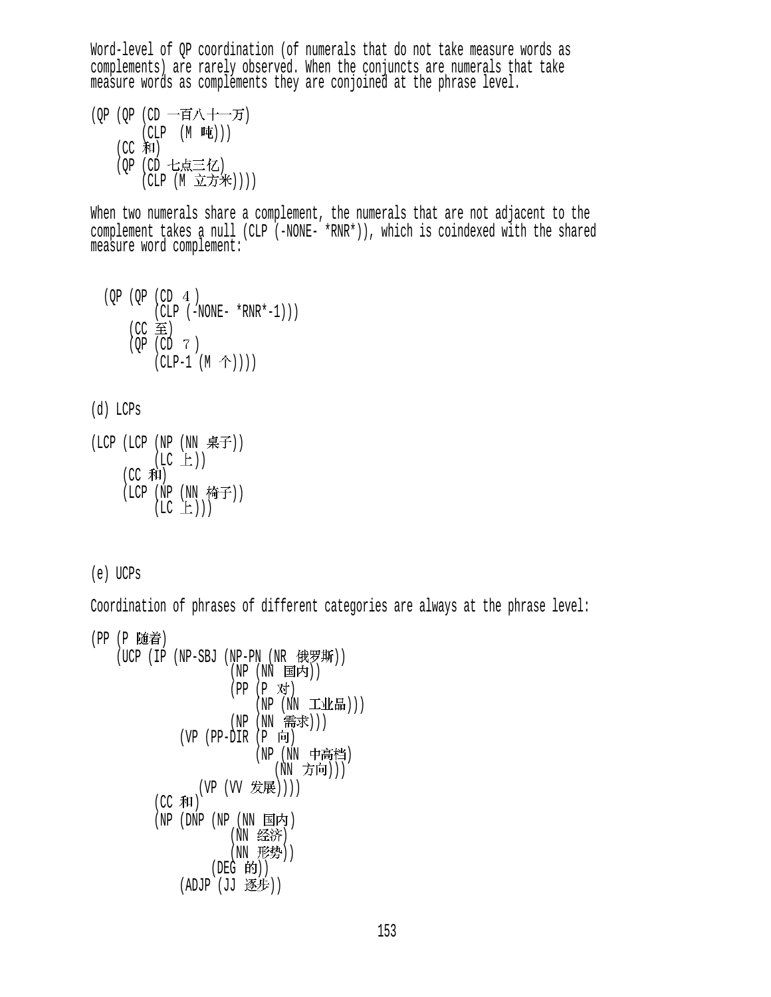Word-level of QP coordination (of numerals that do not take measure words as complements) are rarely observed. When the conjuncts are numerals that take measure words as complements they are conjoined at the phrase level.

(OP (OP (CD 一百八十一万)  $(CLP (M, \nleftrightarrow \rightarrow))$  $(CC$  和 $)$ (QP (CD 七点三亿) (CLP (M 立方米))))

When two numerals share a complement, the numerals that are not adjacent to the complement takes a null (CLP (-NONE- \*RNR\*)), which is coindexed with the shared measure word complement:

$$
(\text{QP} \quad (\text{QP} \quad (\text{CD} \quad 4 \quad )
$$
  
\n
$$
(\text{CLP} \quad (-\text{NONE-} \quad * \text{RNR} * -1)))
$$
  
\n
$$
(\text{CC} \quad \widehat{\Xi})
$$
  
\n
$$
(\text{QP} \quad (\text{CD} \quad 7 \quad )
$$
  
\n
$$
(\text{CLP-1} \quad (\text{M} \quad \hat{\Upsilon}))))
$$

(d) LCPs

(LCP (LCP (NP (NN )) (LC )) (CC ) (LCP (NP (NN )) (LC )))

(e) UCPs

Coordination of phrases of different categories are always at the phrase level:

```
(PP (P 随着)
    (UCP (IP (NP-SBJ (NP-PN (NR t) \# \mathcal{F}))
                      (NP(NN \tBf))(PP (P 对)
                          (NP (NN I)(NP (NN 需求)))
              (VP (PP-DIR (P \nvert \nvert)(NP (NN 中高档)
                              (NN 方向)))
                 (VP (VV 发展))))
          (CC 和)
          (NP) (DNP (NP) (\overline{NN}) 国内)
                      (NN 经济)
                      (NN 形势))
                   (DEG 的))(ADJP (JJ  <math>
```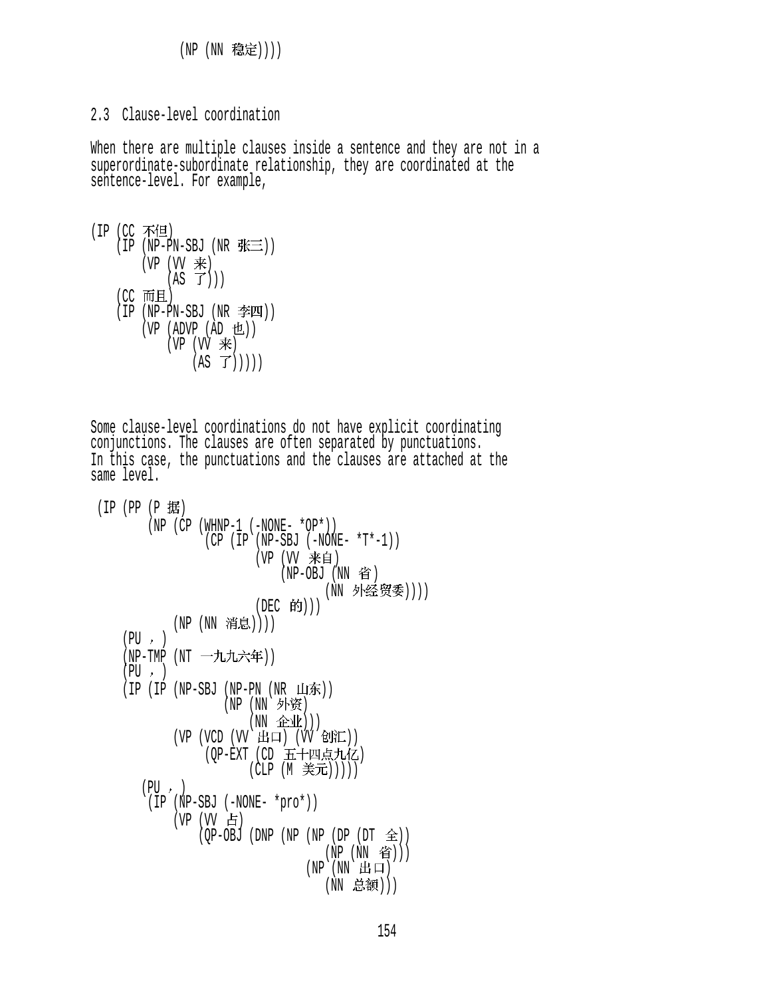```
(NP (NN 稳定))))
```

```
2.3 Clause-level coordination
```
When there are multiple clauses inside a sentence and they are not in a superordinate-subordinate relationship, they are coordinated at the sentence-level. For example,

```
(IP (CC 不但)
    (IP (NP-PN-SBJ (NR 张三))
        (VP (W \neq))(S \mid T))
    (CC 而且)
    (IP (NP-PN-SBJ (NR 2)(VP (ADVP (AD 12))(VP (W \neq))(AS \ \vec{J})))
```
Some clause-level coordinations do not have explicit coordinating conjunctions. The clauses are often separated by punctuations. In this case, the punctuations and the clauses are attached at the same level.

```
(IP (PP (P 据)
        (NP (CP (WHNP-1 (-NONE- *OP*))) (CP (IP (NP-SBJ (-NONE- *T*-1)) 
                         (VP (VV 来自)
                             (NP-OBJ(NN _f))(NN 外经贸委))))
                         (DEC 的)))
            (NP (NN 消息))))
    (PU, )(NP-TMP (NT 一九九六年))
    (PU, )(IP (IP (NP-SBJ (NP-PN (NR H)(NP (NN 外资)
                        (NN \quad \triangle \mathcal{W}))(VP (VCD (W HPi) (W \dot{E})))(OP-EXT (CD 五十四点九亿)
                        (CLP (M 美元)))))
       (PU, ) (IP (NP-SBJ (-NONE- *pro*)) 
            (VP (W _f))(QP-OBJ (DNP (NP (NP (DP (DT \hat{\pm}))
                                    (NP (NN 省)))
                                 (NP(NN H<sub>H</sub>(NN 总额)))
```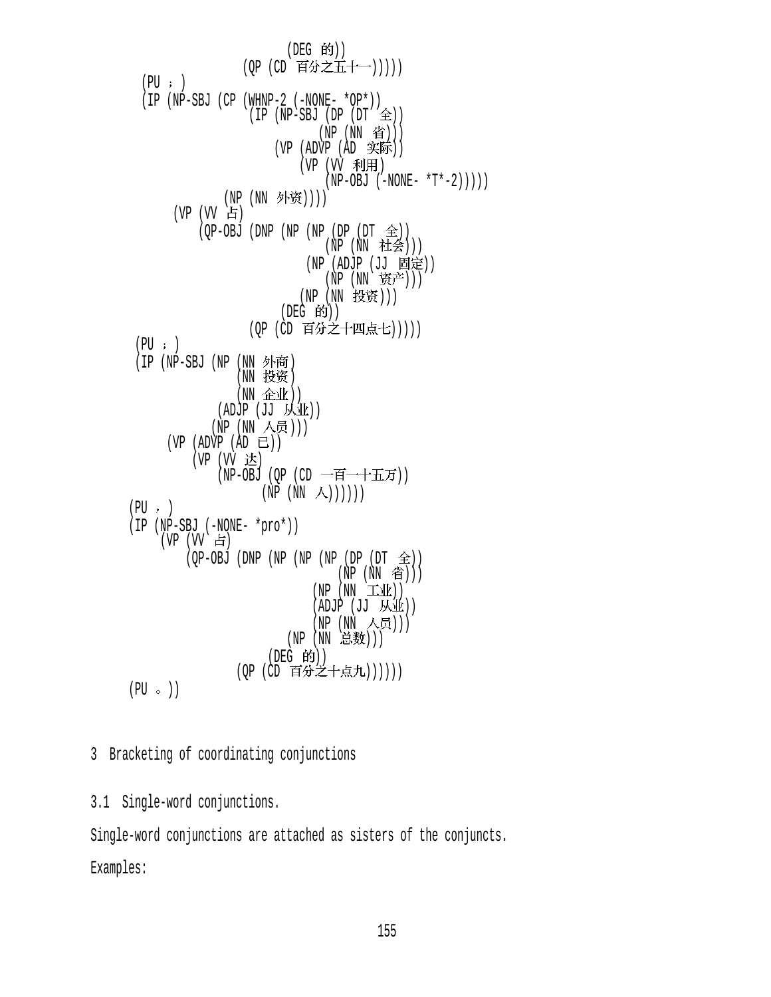$($ DEG 的 $))$ (QP (CD 百分之五十一)))))  $(PU; )$  (IP (NP-SBJ (CP (WHNP-2 (-NONE- \*OP\*))  $(IP (NP-SBJ (DP (DT  $\triangle$ )))$ (NP (NN 省)))  $(VP (ADVP (AD \; 96))$  $(VP (VV HH))$  $(NP-OBJ (-NONE- *T*-2))$ ))) (NP (NN 外资))))  $(VP (W H)$  $(QP-OBJ$  (DNP (NP (NP (DP (DT  $\hat{\pm}$ )) (NP (NN 社会))) (NP (ADJP (JJ 固定))  $(NP (NN \tilde{S}^{\pm}))$ (NP (NN 投资)))  $($ DEG 的 $)$  $)$ (QP (CD 百分之十四点七)))))  $(PU; )$ (IP (NP-SBJ (NP (NN 外商) (NN 投资)  $(NN \ \hat{\mathbb{R}} \mathcal{L})$  $(ADJP (JJ M\underline{W}) )$  $(NP (NN \wedge 5))$  $(VP (ADVP (AD E))$ (VP (VV 达) (NP-OBJ (QP (CD 一百一十五万))  $(NP (NN \wedge)))))$  $(PU, )$  (IP (NP-SBJ (-NONE- \*pro\*)) (VP (VV 占)  $(QP-OBJ$  (DNP (NP (NP (NP (DP (DT  $\hat{\mathfrak{D}}$ )) (NP (NN 省)))  $(NP (NN \pm 1/k))$  $(ADJP (JJ M\underline{\Psi}) )$ (NP (NN 人员))) (NP (NN 总数)))  $($ DEG 的 $)$  $)$ (OP (CD 百分之十点九))))))  $(PU \circ )$ 

3 Bracketing of coordinating conjunctions

3.1 Single-word conjunctions.

Single-word conjunctions are attached as sisters of the conjuncts. Examples: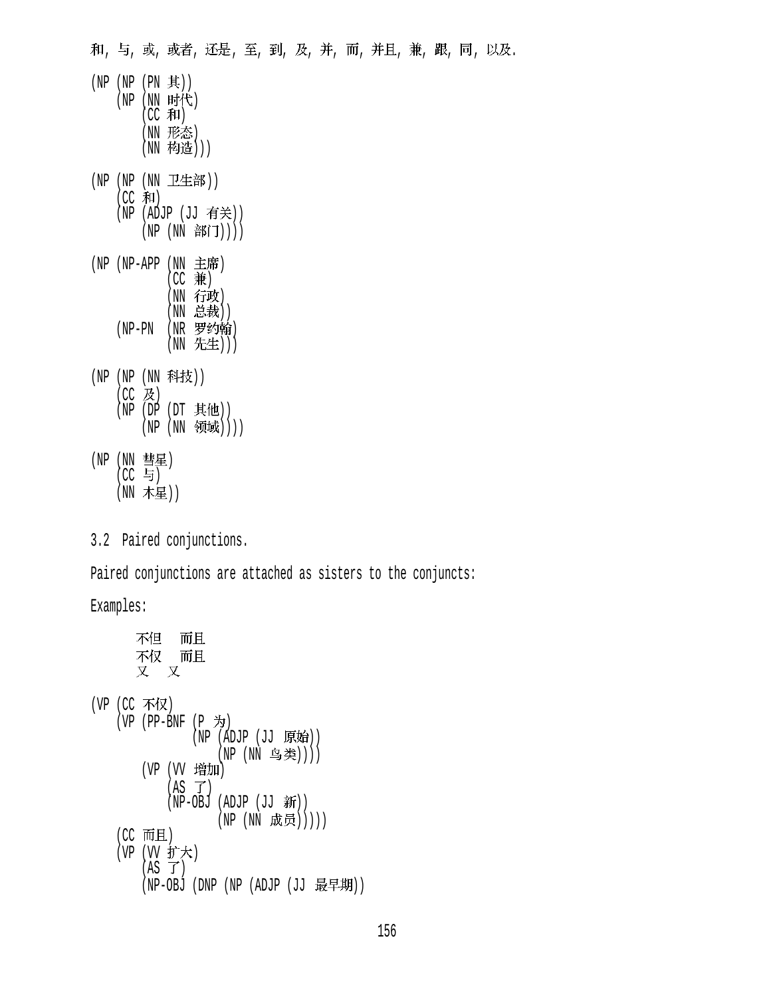和,与,或,或者,还是,至,到,及,并,而,并且,兼,跟,同,以及.

- $(NP (NP (PN 1))$  $(NP (NN H$ 代  $(CC$  和) (NN 形态) (NN 构造))) (NP (NP (NN 卫生部))  $(CC \n#1)$ (NP (ADJP (JJ 有关)) (NP (NN 部门)))) (NP (NP-APP (NN 主席)  $(CC #)$ (NN 行政) (NN 总裁)) (NP-PN (NR 罗约翰) (NN 先生))) (NP (NP (NN 科技))  $(CC$  及)  $(NP (DP (DT \#t\&))$ (NP (NN 领域)))) (NP (NN 彗星)  $|CC$  与 $|$ 
	- (NN 木星))
- 3.2 Paired conjunctions.

Paired conjunctions are attached as sisters to the conjuncts:

Examples:

```
不但
            而且
      不仅  而且
      又 又
(VP (CC 不仅)
   (VP (PP-BNF (P \nightharpoondown)(NP (ADJP (JJ 原始))(NP (NN 乌类))))
       (VP (VV 增加)
           (AS \tJ)(NP-OBJ (ADJP (JJ 新))
                   (NP (NN 成员)))))
   (CC 而且)(VP (VV 扩大)
       (AS \ \mathcal{T})(NP-OBJ (DNP (NP (ADJP (JJ 最早期))
```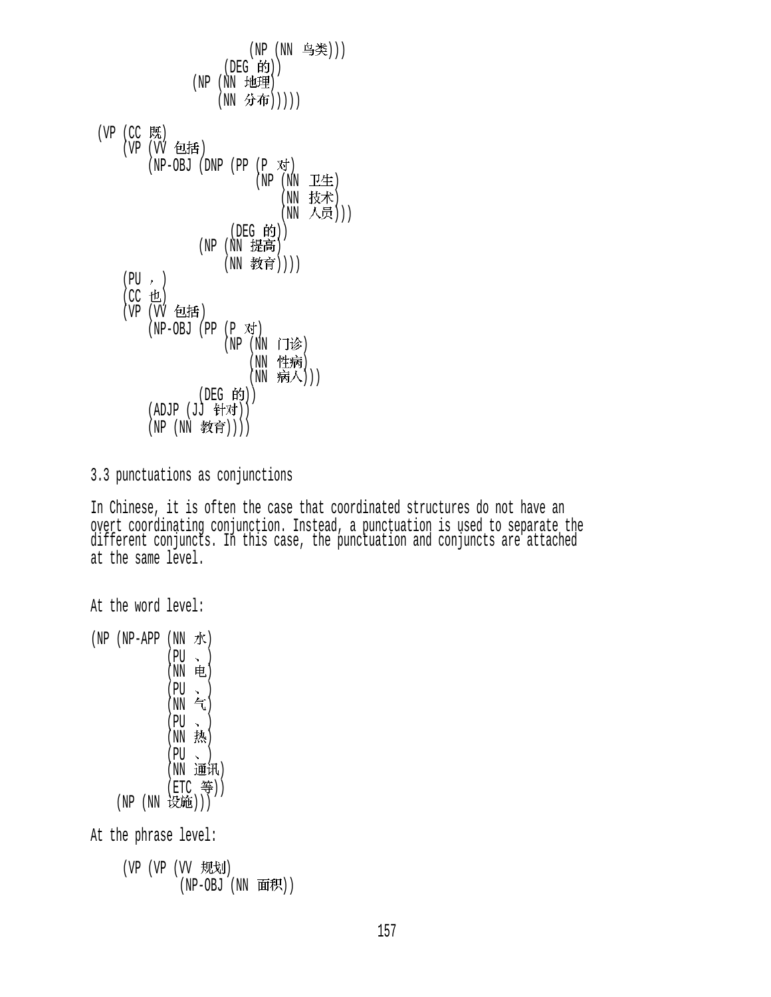(NP (NN 鸟类))) (DEG 的))  $(NP(NN) 111)$ (NN 分布)))))  $(VP$   $(CC$  既 (VP (VV 包括)  $(NP-OBJ (DNP (PP (P  $\overline{X}f$ ))$  $(NP (NN TE))$ (NN 技术) (NN 人员)))  $($ DEG 的 $)$  $)$  $(NP)$   $(\overline{NN})$  提高) (NN 教育))))  $(PU, )$  $(CC$ 也) (VP (VV 包括)  $(NP-OBJ (PP (P \nabla)$  $(NP (NN \Pi)$ (NN 性病)  $(NN \quad \overline{m} \wedge))$ (DEG 的)) (ADJP (JJ 针对)) (NP (NN 教育))))

3.3 punctuations as conjunctions

In Chinese, it is often the case that coordinated structures do not have an overt coordinating conjunction. Instead, a punctuation is used to separate the different conjuncts. In this case, the punctuation and conjuncts are attached at the same level.

```
At the word level: 
(NP - APP (NN \nightharpoonup K) (PU ) 
               (NN 电)
               (PU \sim )(NN \quad \infty)(PU \sim )(NN, \frac{1}{2N})(PU \sim )(NN 通讯)
                (ETC 等))
     (NP (NN 设施)))
At the phrase level: 
      (VP (VP (VV) \t, HU \t)(NP-OBJ (NN 面积))
```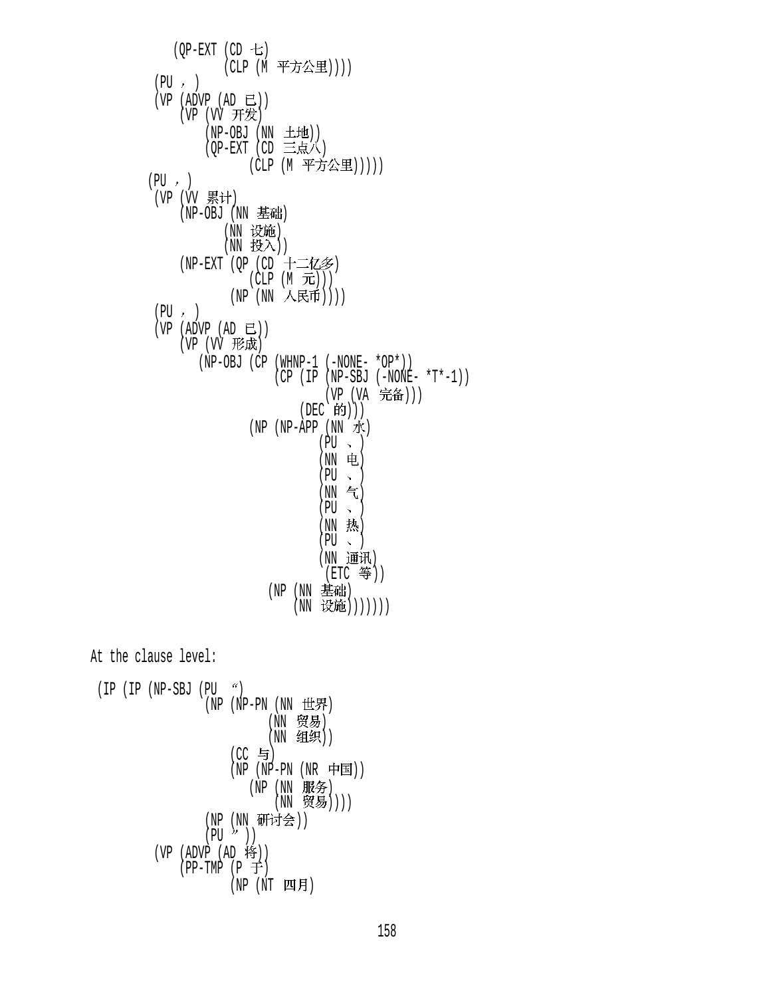158

\n
$$
\begin{array}{c}\n \text{(IP (NP-SBJ (PU \text{''}))}\n & \text{(NP (NP-PN (NN tH)H))}\n & \text{(NN tH)}\n & \text{(NN tH)}\n & \text{(NN tH)}\n & \text{(NN tH)}\n & \text{(NN tH)}\n & \text{(NP (NP-PN (NR tH))})\n & \text{(NP (NN tH)H)}\n & \text{(NP (NN tH)H)}\n & \text{(NP (NN tH)H)}\n & \text{(NP (NN tH)H)}\n & \text{(NP (NN tH)H)}\n & \text{(NP (NP (NP T H))}\n & \text{(NP (NT H))}\n & \text{(NP (NT H))}\n \end{array}
$$
\n

At the clause level:

 $(QP-EXT$   $(CD + E)$ (CLP (M 平方公里))))  $(PU, )$  $(VP (ADVP (AD E))$  $(VP (VV H#E))$  $(NP-OBJ (NN ± H))$  $(QP-EXT$  (CD 三点人) (CLP (M 平方公里)))))  $(PU, )$ (VP (VV 累计)  $(NP-OBJ$   $(NN \t{B\ddot{a}})$ (NN 设施)  $(NN \# \lambda))$  $(NP-EXT$  (QP (CD  $T=12\gg$ )  $(CLP (M \quad \mathcal{F}L)))$ (NP (NN 人民币))))  $(PU, )$  $(VP (ADVP (AD E))$ (VP (VV 形成) (NP-OBJ (CP (WHNP-1 (-NONE- \*OP\*))  $(CP (IP (NP-SBJ (-NONE- *T*-1)))$ (VP (VA 完备)))  $(DEC$  的 $))$  $(NP - APP (NN \nightharpoonup K)$  $(PU \sim )$  $(NN$  电)  $(PU \sim )$  $(NN \tbinom{2}{3}$  $(PU \sim )$  $(NN \cdot \frac{1}{2N})$  $(PU \sim )$ (NN 通讯) (ETC 等)) (NP (NN 基础) (NN 设施)))))))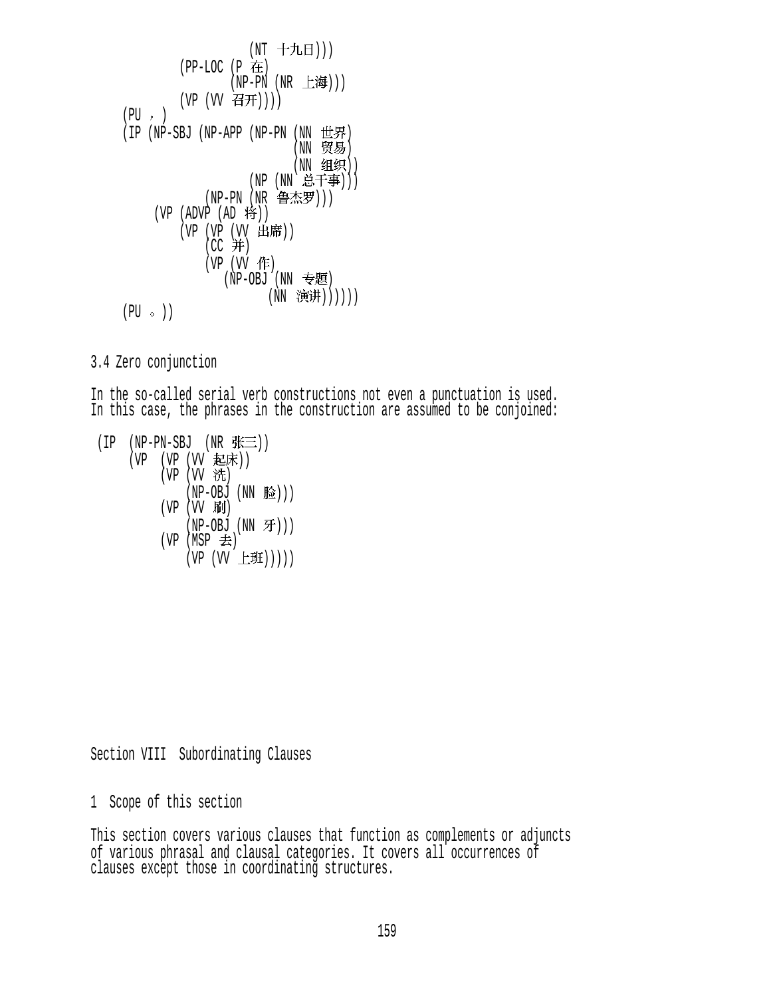```
(NT 十九日)))
            (PP-LOC (P 在
                   (NP-PN (NR_t_H))(VP (W 4H)))(PU, )(IP (NP-SBJ (NP-APP (NP-PN (NN 14)(NN 贸易)
                            (NN 组织))
                      (NP (NN \dot{\triangle} \pm \dot{\equiv} 1))(NP-PN (NR 鲁杰罗)))
        (VP (ADVP (AD 19))(VP(VP(VV 凸/市))
(CC \neq T)(VP (VV 作)
                  (NP-OBJ)(NN = E)(NN 演讲))))))
    (PU \circ )
```
3.4 Zero conjunction

In the so-called serial verb constructions not even a punctuation is used. In this case, the phrases in the construction are assumed to be conjoined:

 $(IP$  (NP-PN-SBJ (NR  $N\equiv$ )) (VP (VP (VV 起床))  $(VP (VV H))$  $(NP-OBJ (NN &)$ )  $(VP (VV \quad \mathbf{FJ})$  $(NP-OBJ (NN  $\mathcal{F}$ )))$ (VP (MSP  $\pm$ )  $(VP (VV \pm H)))$ 

Section VIII Subordinating Clauses

1 Scope of this section

This section covers various clauses that function as complements or adjuncts of various phrasal and clausal categories. It covers all occurrences of clauses except those in coordinating structures.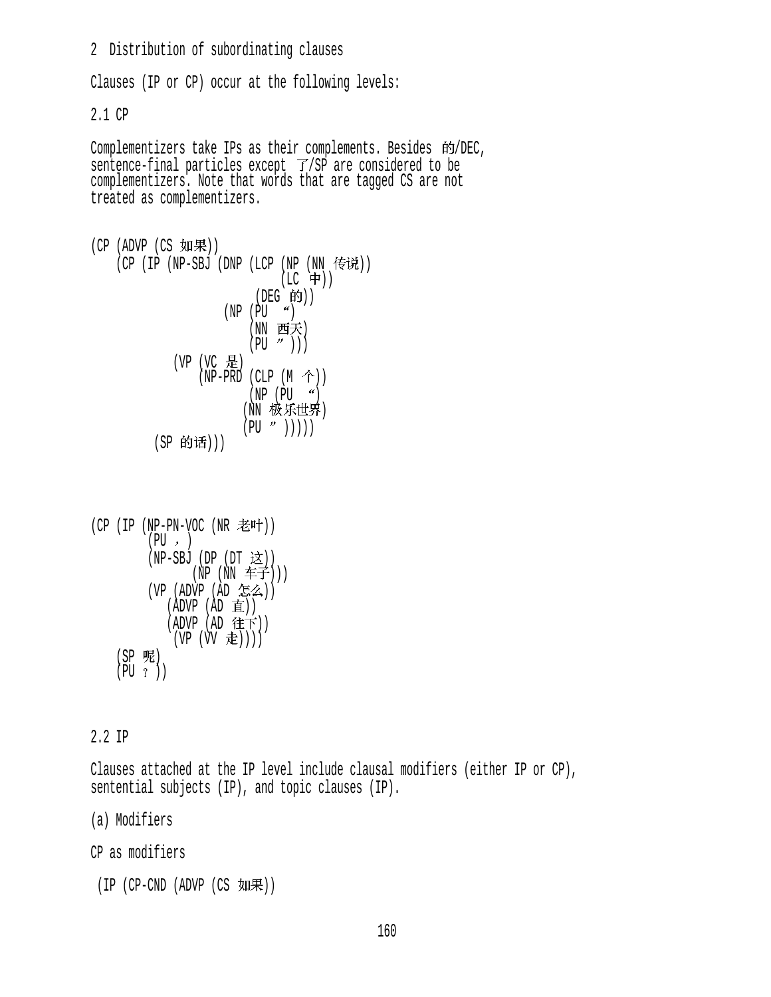2 Distribution of subordinating clauses

Clauses (IP or CP) occur at the following levels:

2.1 CP

Complementizers take IPs as their complements. Besides 的/DEC, sentence-final particles except  $\overline{f}/\overline{SP}$  are considered to be complementizers. Note that words that are tagged CS are not treated as complementizers.

```
(CP (ADVP (CS <math>(CP (IP (NP-SBJ (DNP (LCP (NP (NN) \t{#})))(LC + 1)(DEG 的))(NP (PU <math>^{\prime\prime})(NN 西天)
                                (PU'')))
                 (VP (VC \tfrac{1}{10})(NP-PRD (CLP (M <math>\uparrow</math>)))(NP (PU <sup>4</sup>)(NN 极乐世界)
                               (PU \nightharpoonup'))))
             (SP 的话)))
```

```
(CP (IP (NP-PN-VOC (NR 120))(PU, )(NP-SBJ (DP (DT \; \dot{\mathcal{Z}}))(NP (NN \pm F))(VP (ADVP (AD 54)) (ADVP (AD )) 
            (ADVP (AD 往下))(VP (VV 走))))
    (SP 呢)
   (PU ?)
```
## 2.2 IP

Clauses attached at the IP level include clausal modifiers (either IP or CP), sentential subjects (IP), and topic clauses (IP).

(a) Modifiers

CP as modifiers

 $(IP (CP-CND (ADVP (CS  $YI\!I\!F))$$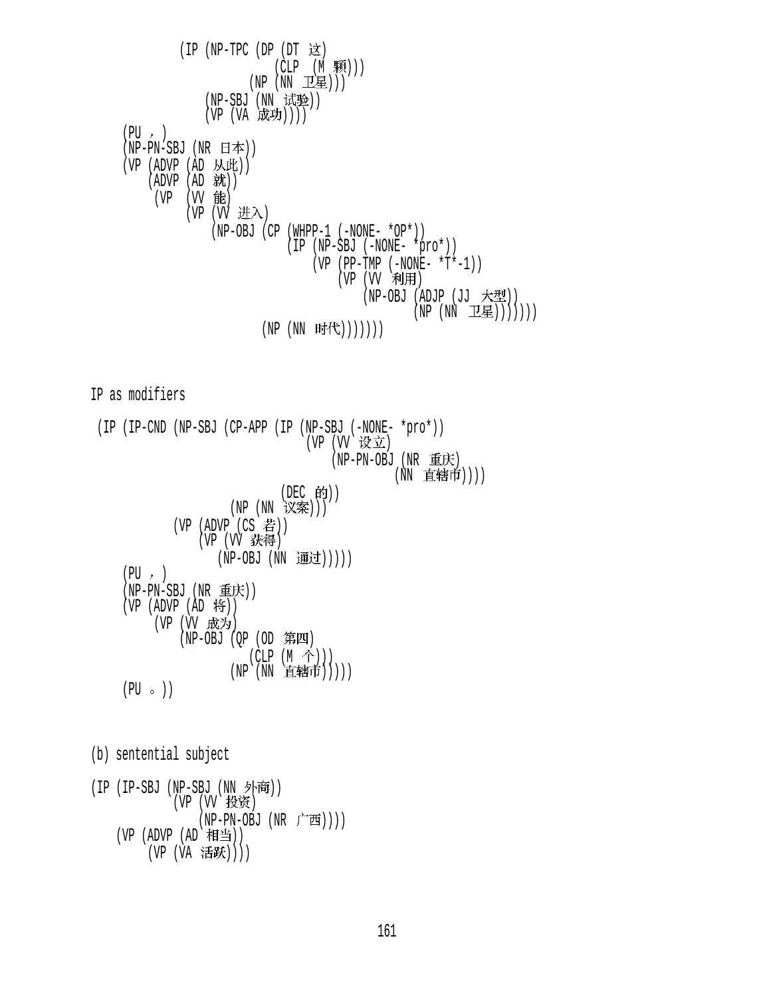$(IP (NP-TPC (DP (DT \times))$  $(CLP (M, \overline{R})))$  $(NP(NN \tI \tI \tI \tI \tI))$ (NP-SBJ (NN 试验))  $(VP (VA K)$  $(PU, )$  $(NP-PN-SBJ (NR H$ 本 $))$  $(VP (ADVP (AD JML)))$  $(ADVP (AD$  就)) (VP (VV 能)  $(VP (W H \lambda)$  (NP-OBJ (CP (WHPP-1 (-NONE- \*OP\*)) (IP (NP-SBJ (-NONE- \*pro\*)) (VP (PP-TMP (-NONE-  $*T*-1$ ))  $(VP (VV HH))$  $(NP-OBJ (ADJP (JJ \times \times \times))$  $(NP (NN 111)$  $(NP (NN Fif ())))))$ 

IP as modifiers

 (IP (IP-CND (NP-SBJ (CP-APP (IP (NP-SBJ (-NONE- \*pro\*)) (VP (VV 设立)  $(NP-PN-OBJ$   $(NR \t\t\equiv K)$ (NN 直辖市)))) (DEC 的)) (NP (NN 议案)))  $(VP (ADVP (CS$  若 $))$ (VP (VV 获得) (NP-OBJ (NN 通过)))))  $(PU, )$ (NP-PN-SBJ (NR 重庆))  $(VP (ADVP (AD 19))$ (VP (VV 成为)  $(NP-OBJ (QP (OD  $\ncong$  H))$  $(CLP (M \hat{\uparrow})))$  $(NP)(NN E$  (猪市))))  $(PU \circ )$ 

(b) sentential subject

(IP (IP-SBJ (NP-SBJ (NN 外商)) (VP (VV 投资) (NP-PN-OBJ (NR 广西)))) (VP  $(ADVP (AD H)$ ) (VP (VA 活跃))))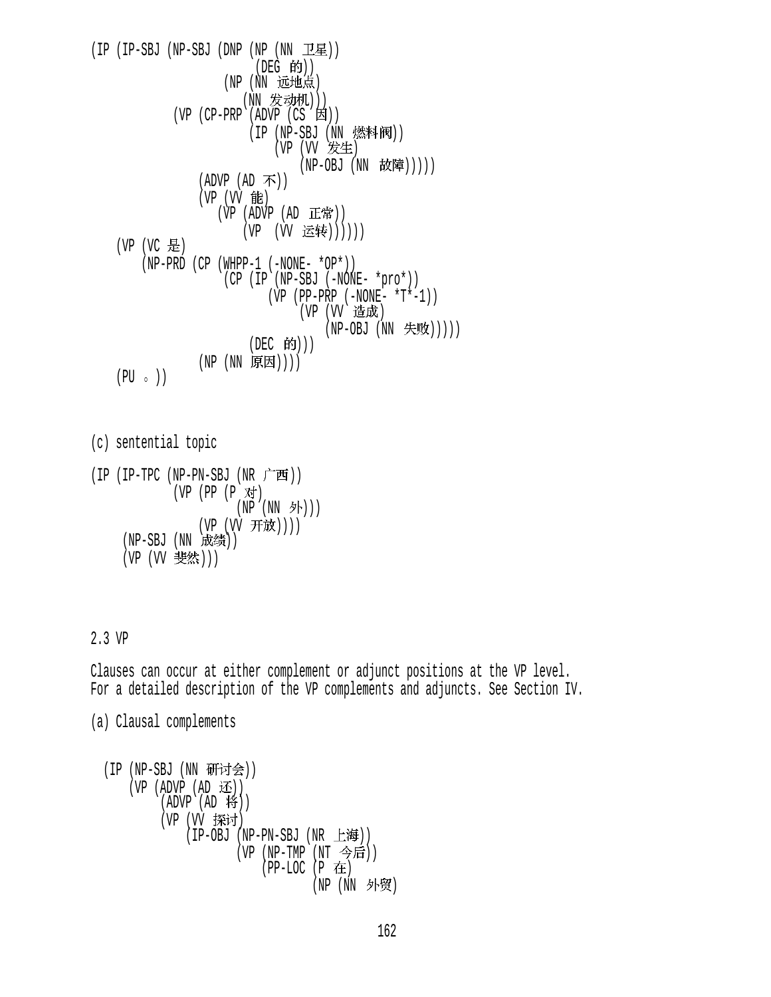$(IP (IP-SBJ (NP-SBJ (DNP (NP (NN  $\mathbb{L}\mathbb{E})$ )))$  $($ DEG 的 $)$  $)$ (NP (NN 远地点) (NN 发动机)))  $(VP$  (CP-PRP (ADVP (CS  $\boxtimes$ ))  $(IP (NP-SBJ (NN, \n)$ (VP (VV 发生) (NP-OBJ (NN 故障)))))  $(ADVP (AD \, \overline{\Lambda}))$ (VP (VV 能)  $(VP (ADVP (AD EF))$ (VP (VV 运转))))))  $(VP (VC \tfrac{1}{10})$  (NP-PRD (CP (WHPP-1 (-NONE- \*OP\*)) (CP (IP (NP-SBJ (-NONE- \*pro\*))  $(VP (PP-PRP (-NONE- *T*-1)))$ (VP (VV 造成)  $(NP-OBJ (NN \nleftrightarrow)$ (DEC 的))) (NP (NN 原因))))  $(PU \circ )$ 

```
(c) sentential topic 
(IP (IP-TPC (NP-PN-SBJ (NR r<sup>+</sup>^-))(VP (PP (P 对)
```

```
(NP (NN 外)))
           (VP (VV 开放))))
(NP-SBJ(NN \R(绩))
(VP (VV 斐然)))
```
## 2.3 VP

Clauses can occur at either complement or adjunct positions at the VP level. For a detailed description of the VP complements and adjuncts. See Section IV.

(a) Clausal complements

```
(IP (NP-SBJ (NN 研讨会))
   (VP (ADVP (AD Æ))(ADVP (AD 19))(VP (VV 探讨)
            (IP-OBJ (NP-PN-SBJ (NR 上海))
                   (VP (NP-TMP (NT 今后))
                      (PP-LOC (P 在
                              (NP (NN 外贸)
```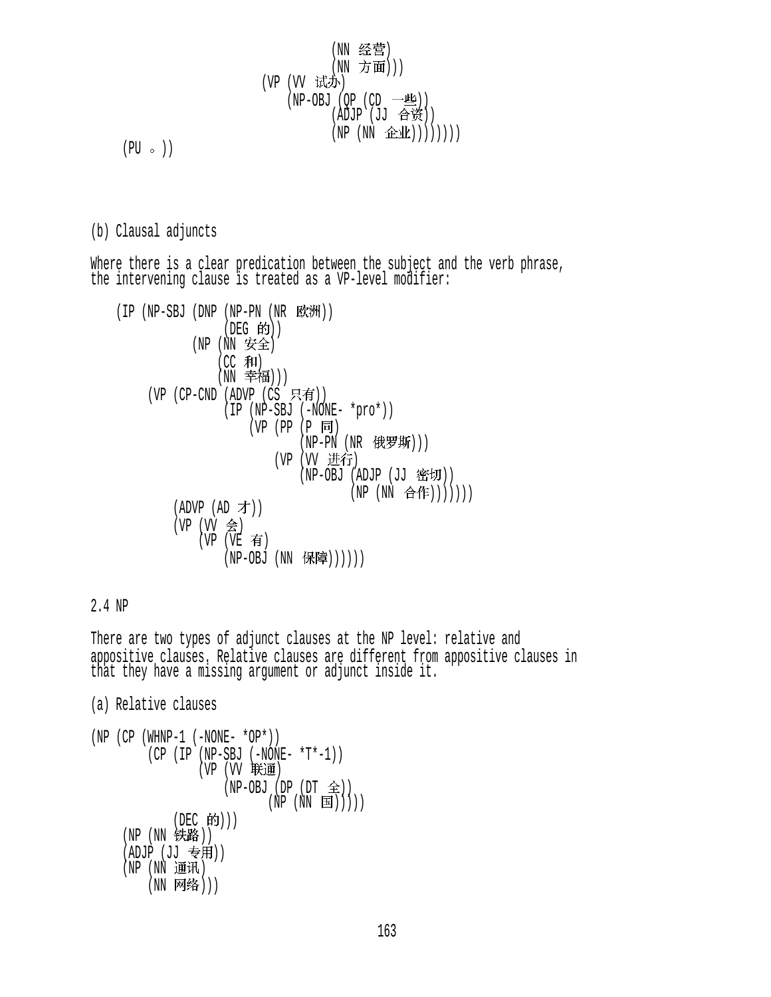$$
\begin{array}{cccc} & & & & (\text{NN} & \frac{\mathcal{L}}{\mathcal{L}} \mathbb{F}) \\ & & & & (\text{NN} & \mathcal{T}) \\ & & & (\text{NN} & \mathcal{T}) \\ & & & (\text{NN} & \mathcal{T}) \\ & & & (\text{NN} & \mathcal{L}) \\ & & & (\text{NN} & \mathcal{L} \mathbb{F}) \\ & & & (\text{NP} & (\text{NN} & \mathcal{L} \mathbb{F}) \mathbb{F}) \\ & & & (\text{NP} & (\text{NN} & \mathcal{L} \mathbb{F}) \mathbb{F}) \mathbb{F} \end{array}
$$

 $(PU \circ )$ 

# (b) Clausal adjuncts

Where there is a clear predication between the subject and the verb phrase, the intervening clause is treated as a VP-level modifier:

\n
$$
\begin{array}{ll}\n \text{(IP (NP-SBJ (DNP (NP-PN (NR \r KxW)))} & \text{(DEC 6H)} \\
 \text{(NE (NN \r Kx))} & \text{(NE (NN \r Kx))} \\
 \text{(NC 7H)} & \text{(NN \r Kx))} \\
 \text{(NP (NP-SBJ (PANW - *pro*))} & \text{(NP (NP-SBJ (NNW - *pro*))} \\
 \text{(VP (NP-SBJ (NP - PN (NR \r KxW)))} & \text{(VP (UV \r Kx))} \\
 \text{(NP (NN \r Kx))} & \text{(NP (NN \r Kx))} & \text{(NP (NN \r Kx))} \\
 \text{(APV (NP (ND \r Kx))} & \text{(NP (NN \r Kx))} & \text{(NP (NN \r Kx))} \\
 \text{(NP (VP (VP \r Kx))} & \text{(NP (NE \r Kx))} & \text{(NP (NP - VBM \r Kx))} & \text{(NP (NP - VBM \r Kx))} & \text{(NP (NP - VBM \r Kx))} \\
 \text{(NP (VP (VP \r Kx))} & \text{(NP (NP - VBM \r Kx))} & \text{(NP (NP - VBM \r Kx))} & \text{(NP (NP - VBM \r Kx))} & \text{(NP (NP - VBM \r Kx))} & \text{(NP (NP \r Kx))} & \text{(NP (NP - VBM \r Kx))} & \text{(NP (NP - VBM \r Kx))} & \text{(NP (NP - VBM \r Kx))} & \text{(NP (NP - VBM \r Kx))} & \text{(NP (NP - VBM \r Kx))} & \text{(NP (NP - VBM \r Kx))} & \text{(NP (NP - VBM \r Kx))} & \text{(NP (NP - VBM \r Kx))} & \text{(NP (NP - VBM \r Kx))} & \text{(NP (NP - VBM \r Kx))} & \text{(NP (NP - VBM \r Kx))} & \text{(NP (NP - VBM \r Kx))} & \text{(NP (NP - VBM \r Kx))} & \text{(NP (NP - VBM \r Kx))} & \text{(NP (NP - VBM \r Kx))} & \text{(NP (NP - VBM \r Kx))} & \text{(NP (NP - VBM \r Kx))} &
$$

### 2.4 NP

There are two types of adjunct clauses at the NP level: relative and appositive clauses. Relative clauses are different from appositive clauses in that they have a missing argument or adjunct inside it.

(a) Relative clauses

```
(NP (CP (WHNP-1 (-NONE- *OP*)))(CP (IP (NP-SBJ (-NONE- *T*-1)))(VP) (VV) 联通)(NP-OBJ (DP (DT <math>\hat{\pm}</math>))(NP(NN \equiv 1)))
              (DEC 的)))
     (NP (NN 铁路))
     (ADJP (JJ 专用))
     (NP(NN H<sub>1</sub>(NN 网络)))
```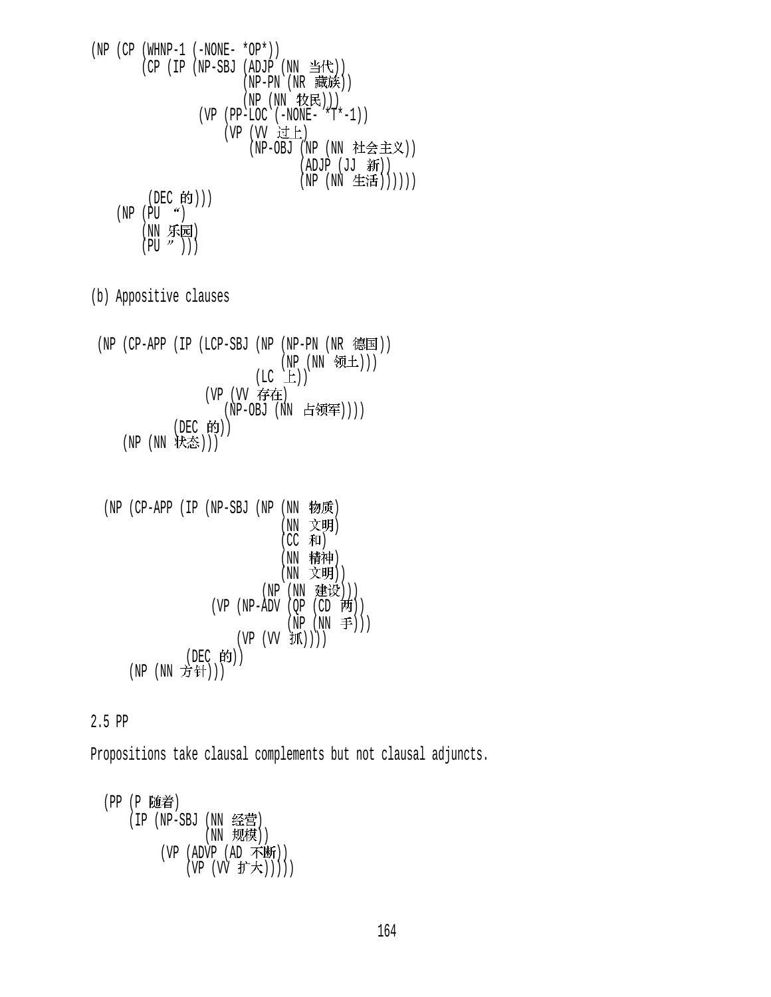(NP (CP (WHNP-1 (-NONE- \*OP\*)) (CP (IP (NP-SBJ (ADJP (NN )) (NP-PN (NR )) (NP (NN ))) (VP (PP-LOC (-NONE- \*T\*-1)) (VP (VV ) (NP-OBJ (NP (NN )) (ADJP (JJ )) (NP (NN )))))) (DEC ))) (NP (PU ) (NN ) (PU )))

(b) Appositive clauses

 $(NP (CP-APP (IP (LCP-SBJ (NP (NP-PN (NR$ 德国))) (NP (NN 领土)))  $(LC \quad \pm))$ (VP (VV 存在) (NP-OBJ (NN 占领军))))  $(DEC$   $HJ)$ )  $(NP (NN 4\pi\hat{\omega})))$ 

\n
$$
(NP (CP-APP (IP (NP-SBJ (NP (NN 1) 10)) (NN 20))
$$
\n

\n\n
$$
(CC \#H)
$$
\n

\n\n
$$
(NN \#H)
$$
\n

\n\n
$$
(NN \#H)
$$
\n

\n\n
$$
(NN \#H)
$$
\n

\n\n
$$
(NN \#H)
$$
\n

\n\n
$$
(NP (NN \#H))
$$
\n

\n\n
$$
(VP (NP-ADV (QP (CD \#H)) )
$$
\n

\n\n
$$
(VP (VV \#H)) )
$$
\n

\n\n
$$
(DF (PW \#H)) )
$$
\n

\n\n
$$
(DF (TV \#H)) )
$$
\n

\n\n
$$
(NP (NN \#H)) )
$$
\n

2.5 PP

Propositions take clausal complements but not clausal adjuncts.

(PP (P 随着) (IP (NP-SBJ (NN 经宫)  $(NN \quad \mathcal{F}\mathcal{H}'\mathcal{F})$ (VP (ADVP (AD 4下25町))  $(VP (VV J) \times$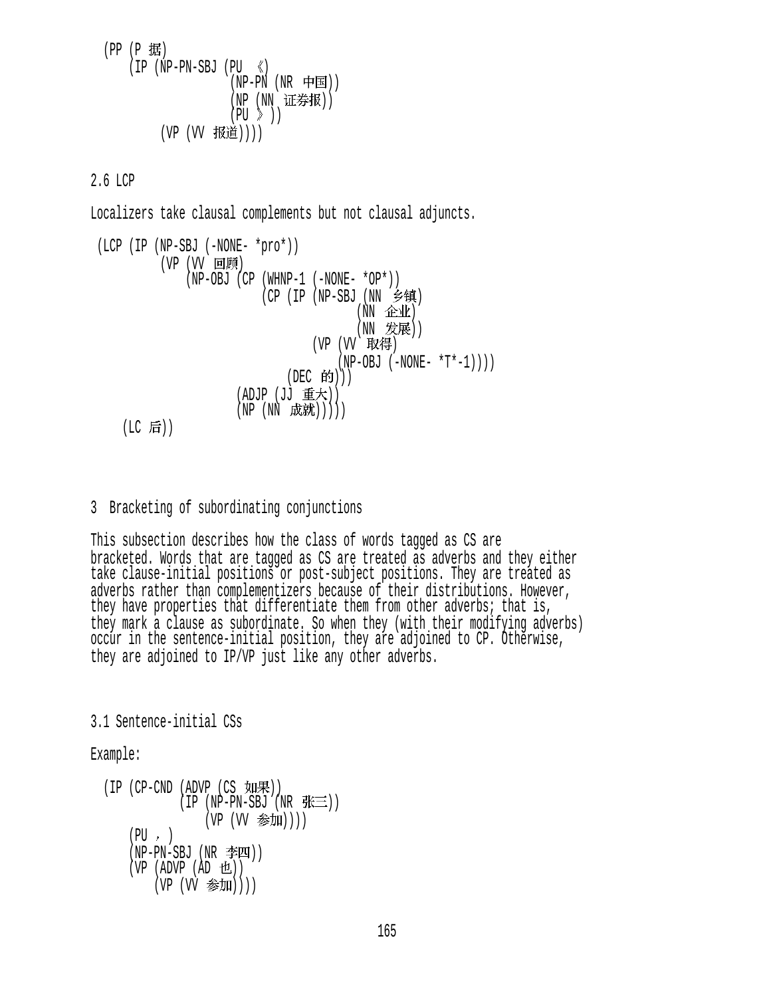```
(PP (P 1#))(IP (NP-PN-SBJ (PU < (NP-PN (NR \noplus)(NP (NN 证券报))
                    (PU \n\geq 1)(VP (VV 报道))))
```
2.6 LCP

Localizers take clausal complements but not clausal adjuncts.

```
 (LCP (IP (NP-SBJ (-NONE- *pro*)) 
           (VP (VV 回顾)
                (NP-OBJ (CP (WHNP-1 (-NONE- *OP*))
                               (CP (IP (NP-SBJ (NN 乡镇)
                                                 (NN \quad \hat{L}^{\pm} \hat{L}^{\pm})(NN 发展))
                                         (VP (VV 取得)
                                              (NP-OBJ (-NONE- *T*-1)))
                                    (DEC 的))(ADJP (JJ 重大))
                          (NP(NN K, \nleftrightarrow \mathbb{R})))
```
 $($ LC 后 $)$  $)$ 

### 3 Bracketing of subordinating conjunctions

This subsection describes how the class of words tagged as CS are bracketed. Words that are tagged as CS are treated as adverbs and they either take clause-initial positions or post-subject positions. They are treated as adverbs rather than complementizers because of their distributions. However, they have properties that differentiate them from other adverbs; that is, they mark a clause as subordinate. So when they (with their modifying adverbs) occur in the sentence-initial position, they are adjoined to CP. Otherwise, they are adjoined to IP/VP just like any other adverbs.

3.1 Sentence-initial CSs

Example:

```
(IP (CP-CND (ADVP (CS <math>\text{yI} \#)</math>))(IP (NP-PN-SBJ (NR <math>\# \equiv</math>)))(VP (VV 参加))))
     (PU, )(NP-PN-SBJ (NR 2EU))(VP (ADVP (AD <math>\pm 1))
          (VP (VV 参加))))
```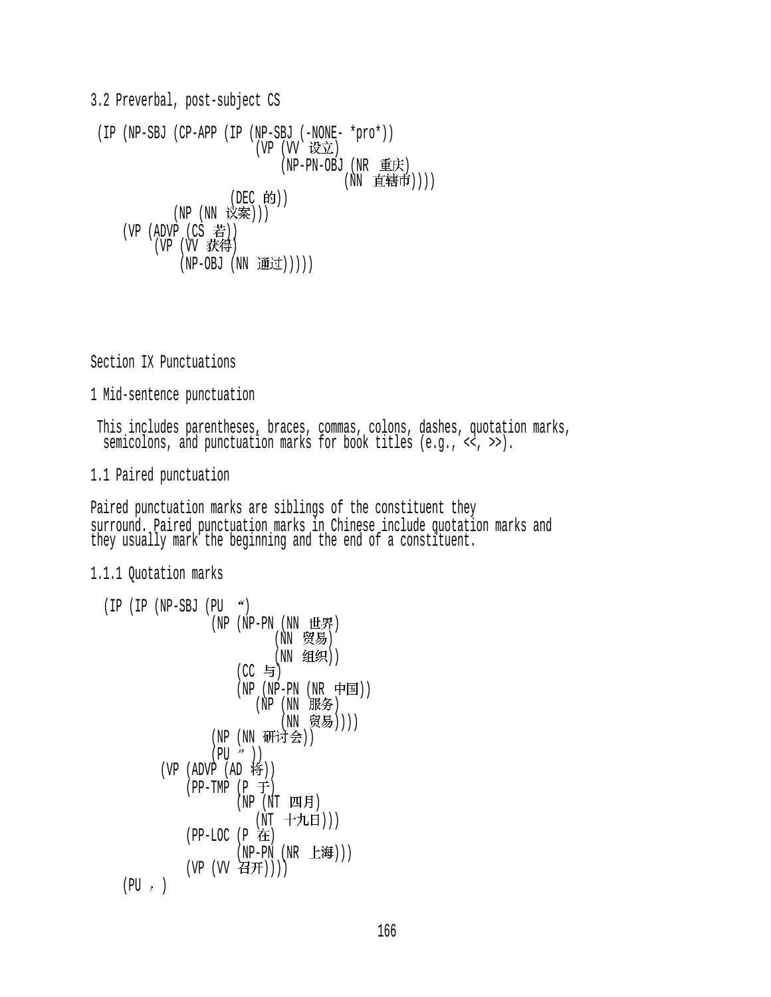3.2 Preverbal, post-subject CS (IP (NP-SBJ (CP-APP (IP (NP-SBJ (-NONE- \*pro\*)) (VP (VV 设立) (NP-PN-OBJ (NR 重庆) (NN 直辖市))))  $(DEC$  的 $))$ (NP (NN 议案)))  $(VP (ADVP (CS$  若)) (VP (VV 获得) (NP-OBJ (NN 通过)))))

Section IX Punctuations

1 Mid-sentence punctuation

 This includes parentheses, braces, commas, colons, dashes, quotation marks, semicolons, and punctuation marks for book titles  $(e,q, \langle \langle , \rangle)$ .

1.1 Paired punctuation

Paired punctuation marks are siblings of the constituent they surround. Paired punctuation marks in Chinese include quotation marks and they usually mark the beginning and the end of a constituent.

1.1.1 Quotation marks

```
(IP (IP (NP-SBJ (PU <math>^{\prime\prime})(NP - PN (NN H<math>\#</math>)(NN 贸易)
                            (NN 组织))
                      (CC 与)
(NP - PN) (NR - H \equiv 1)(NP)(NN) \exists R \rightarrow \infty(NN 贸易))))
                  (NP (NN 研讨会))
                  (PU'')(VP (ADV\dot{P} (AD \t{sp}))
              (PP-TMP (P \oplus)(NP (NT 29)(NT 十九日)))
              (PP-LOC (P 在
                      (NP-PN(NR_t#)))(VP (VV H))))
    (PU, )
```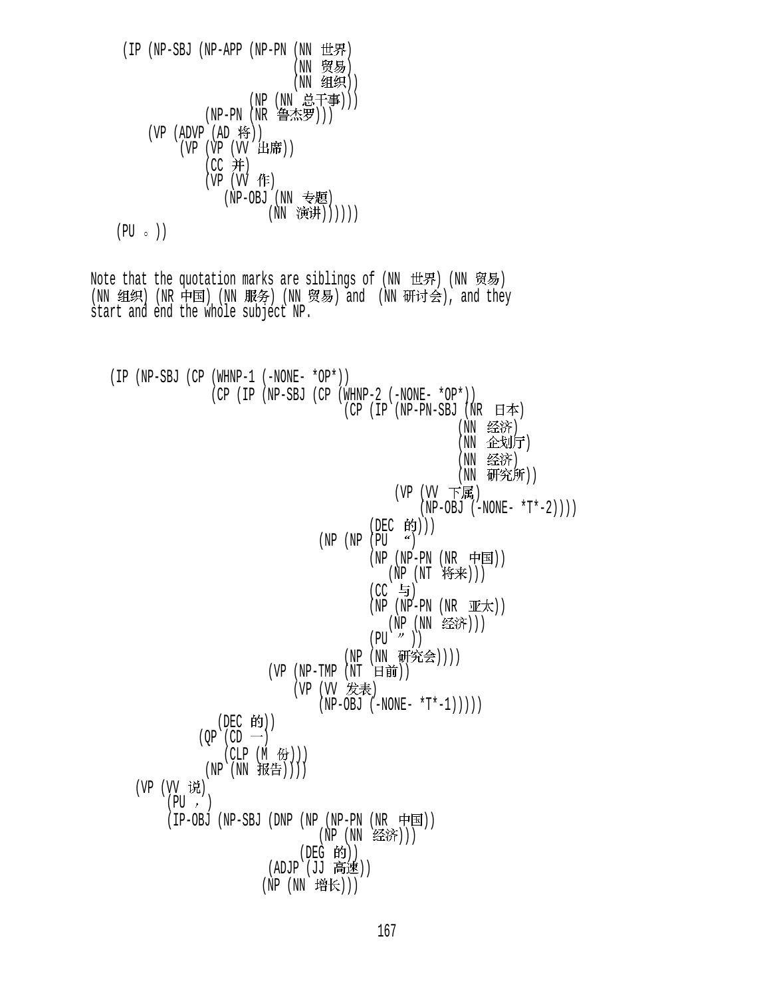$$
(IP (NP-SBJ (NP-APP (NP-PN (NN 世界) (NN كN) (NN 20))
$$
\n
$$
(NP (NN 20))
$$
\n
$$
(NP (NN 20))
$$
\n
$$
(NP - PN (NR 20))
$$
\n
$$
(VP (ADVP (AD 10) 10))
$$
\n
$$
(VP (VP (VV 1L) 16))
$$
\n
$$
(CC 3) (VP (UV 16))
$$
\n
$$
(NP-OBJ (NN 20))
$$
\n
$$
(NP-OBJ (NN 20))
$$
\n
$$
(NP-OBJ (NN 20))
$$
\n
$$
(PU \circ )
$$

Note that the quotation marks are siblings of (NN 世界) (NN 贸易) (NN 组织) (NR 中国) (NN 服务) (NN 贸易) and (NN 研讨会), and they<br>start and end the whole subject NP.

 (IP (NP-SBJ (CP (WHNP-1 (-NONE- \*OP\*)) (CP (IP (NP-SBJ (CP (WHNP-2 (-NONE- \*OP\*))  $(CP (IP (NP-PN-SBJ (NR H$ 本) (NN 经济) (NN 企划厅) (NN 经济) (NN 研究所)) (VP (VV 下属)  $(NP-OBJ (-NONE- *T*-2)))$ (DEC 的)))  $(NP (NP (PU <sup>4</sup>))$  $(NP (NP-PN (NR \noplus)$  $(NP (NT$  将来 $))))$  $(CC \t5)$  $(NP (NP-PN (NR WK))$  $(NP (NN \leq \epsilon)$ )  $(PU \cap U)$ (NP (NN 研究会)))) (VP (NP-TMP  $(NT \quad \exists \hat{m})$ ) (VP (VV 发表)  $(NP-OBJ (-NONE- *T*-1))))$  $(DEC$  的 $))$  $(QP (CD -)$  $(CLP(M \ \textcircled{f3})))$  $(NP)(NN HE))$  $(VP (VV \tilde{W})$  $(PU, )$ (IP-OBJ (NP-SBJ (DNP (NP (NP-PN (NR 中国)) (NP (NN 经济))) (DEG 的)) (ADJP (JJ 高速)) (NP (NN 增长)))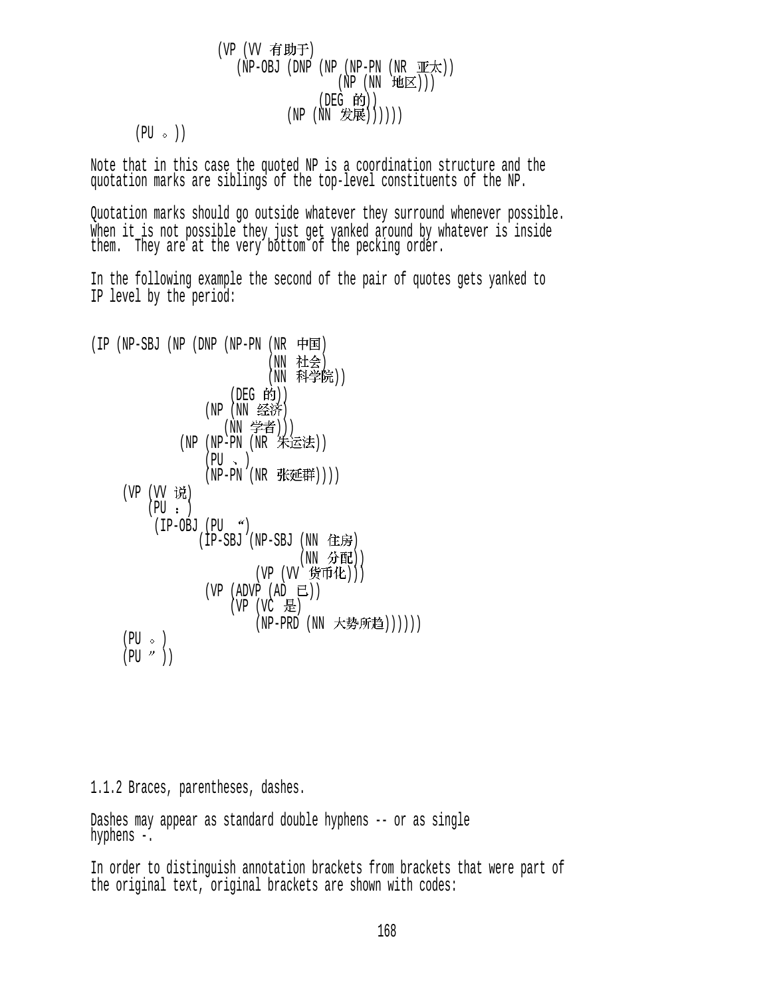$$
\begin{array}{ccccc} & (\text{VP} & (\text{VV} & \widehat{\mathbf{f}} \ \mathbf{f} \ \mathbf{f}) & & \\ & & (\text{NP}-\text{OBJ} & (\text{DP} & (\text{NP}-\text{PN} & (\text{NR} & \text{W}\mathcal{F}_{\mathcal{N}}))) \\ & & & (\text{NP} & (\text{NN} & \text{H}\text{M}\mathbb{E})) \\ & & & (\text{DEG} & \text{f}\text{f})) & \\ & & & (\text{NP} & (\text{NN} & \text{H}\text{R}\mathbb{E}))))) \\ (\text{PU} & \circ & ) \end{array}
$$

Note that in this case the quoted NP is a coordination structure and the quotation marks are siblings of the top-level constituents of the NP.

Quotation marks should go outside whatever they surround whenever possible. When it is not possible they just get yanked around by whatever is inside them. They are at the very bottom of the pecking order.

In the following example the second of the pair of quotes gets yanked to IP level by the period:

```
(IP(NP-SBJ(NP(NP-PN(NR \mathbf{F} \mathbf{E}))(NN 社会)
                              (NN 科学院))
                        (DEG 的))
                   (NP (NN 经济)
                      (NN 学者)))
               (NP (NP-PN (NR 朱运法))
                   (PU \sim )(NP-PN (NR 张延群)))(VP (VV 说)
         (PU : )(IP-OBJ (PU <math>^{\prime\prime}</math>)(IP-SBJ (NP-SBJ (NN 住房))(NN 分配))
                            (VP (VV f \nleftrightarrow E))(VP (ADVP (AD E))(VP (VC E))(NP-PRD (NN 大势所趋))))))
     (PU \circ)(PU'')
```
1.1.2 Braces, parentheses, dashes.

Dashes may appear as standard double hyphens -- or as single hyphens -.

In order to distinguish annotation brackets from brackets that were part of the original text, original brackets are shown with codes: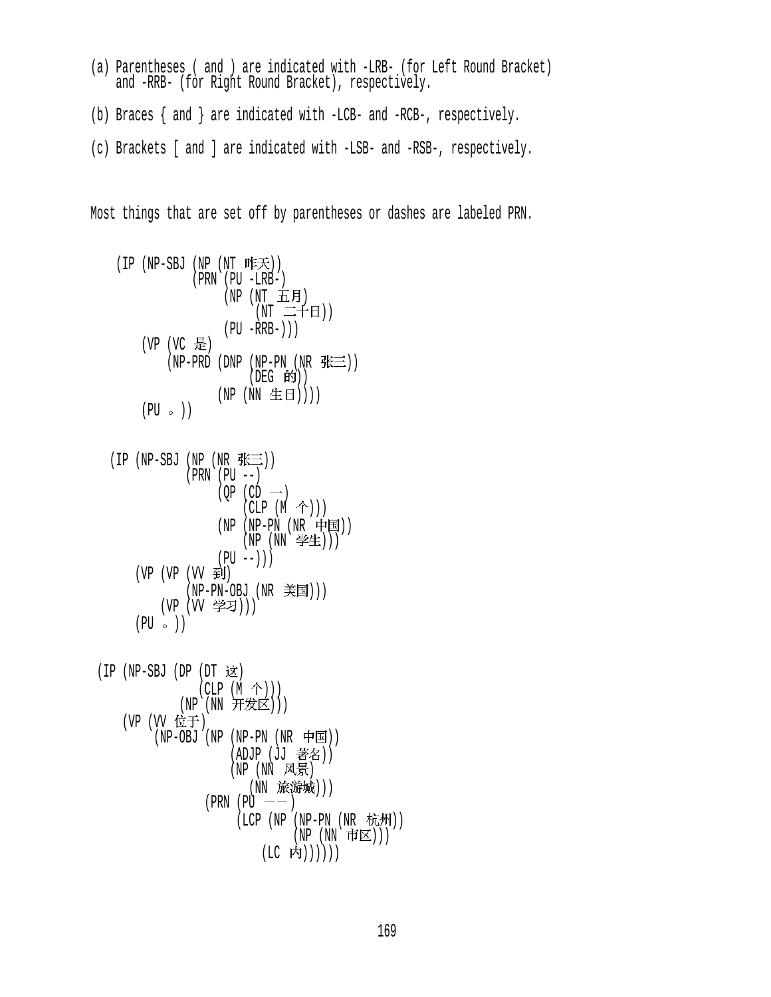- (a) Parentheses ( and ) are indicated with -LRB- (for Left Round Bracket) and -RRB- (for Right Round Bracket), respectively.
- (b) Braces { and } are indicated with -LCB- and -RCB-, respectively.
- (c) Brackets [ and ] are indicated with -LSB- and -RSB-, respectively.

Most things that are set off by parentheses or dashes are labeled PRN.

$$
(IP (NP-SBJ (NP (NT #E $\neq$ )))  
\n
$$
(PRN (PU - LRB -)
$$
\n
$$
(NP (NT #EB))
$$
\n
$$
(NT #EB))
$$
\n
$$
(PT - FRB -))
$$
\n
$$
(PU - RRB -))
$$
\n
$$
(VP (VC #E))
$$
\n
$$
(NP - PRD (DNP (NP - PN (NR #E=)))
$$
\n
$$
(DEG #Y))
$$
\n
$$
(NP (NN #E B))))
$$
$$

$$
(IP (NP-SBJ (NP (NR JK ... ... ... ... ... ... ... ... ... ... ... ... ... ... ... ... ... ... ... ... ... ... ... ... ... ... ... ... ... ... ... ... ... ... ... ... ... ... ... ... ... ... ... ... ... ... ... ... ... ... ... ... ... ... ... ... ... ... ... ... ... ... ... ... ... ... ... ... ... ... ... ... ... ... ... ... ... ... ... ... ... ... ... ... ... ... ... ... ... ... ... ... ... ... ... ... ... ... ... ... ... ... ... ... ... ... ... ... ... ... ... ... ... ... ... ... ... ... ... ... ... ... ... ...
$$

 (IP (NP-SBJ (DP (DT ) (CLP (M ))) (NP (NN ))) (VP (VV ) (NP-OBJ (NP (NP-PN (NR )) (ADJP (JJ )) (NP (NN ) (NN ))) (PRN (PU ) (LCP (NP (NP-PN (NR )) (NP (NN ))) (LC ))))))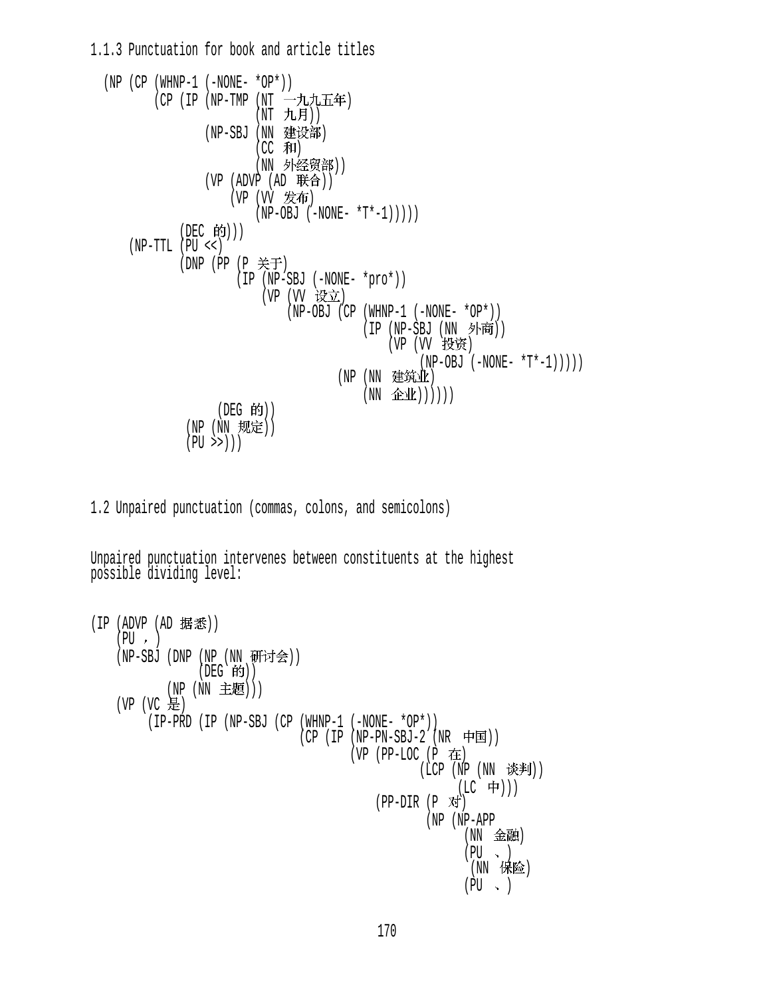1.1.3 Punctuation for book and article titles

```
(NP (CP (WHNP-1 (-NONE- *OP*)))(CP (IP (NP-TMP (NT →九九五年)
                         (NT 九月))
                (NP-SBJ (NN 建设部)
                         (CC 和)
                         (NN 外经贸部))
                (VP (ADVP (AD E#A)))(VP (VV 发布)
                         (NP-OBJ (-NONE- *T*-1))(DEC 的)))
     (NP-TTL (PU <<) 
            (DNP (PP (P 关于)
                      (IP (NP-SBJ (-NONE- *pro*)))(VP (VV 设立)
                              (NP-OBJ (CP (WHNP-1 (-NONE- *OP*))
                                          (IP (NP-SBJ (NN \nvert \nvert \nvert \nvert))(VP (VV 投资)
                                                    (NP-OBJ (-NONE- *T*-1)))))(NP (NN 建筑业)
                                          (NN \quad \hat{L}(\hat{L}(\lambda)))))(DEG 的))
             (NP (NN 规定))
             (PU \gg))
```
1.2 Unpaired punctuation (commas, colons, and semicolons)

Unpaired punctuation intervenes between constituents at the highest possible dividing level:

```
(IP (ADVP (AD 据悉))
   (PU, )(NP-SBJ (DNP (NP (NN 毋[P]会))
(DEG - HJ))(NP (NN 主题)))
   (VP (VC 是)
         (IP-PRD (IP (NP-SBJ (CP (WHNP-1 (-NONE- *OP*)) 
                               (CP (IP (NP-PN-SBJ-2 (NR \nleftrightarrow E)))(VP (PP-LOC (P \t H)(iCP (NP (NN \; K)(LC 中)))
                                          (PP-DIR (P对)
                                                   (NP (NP-APP
                                                        (NN 金融)
                                                        (PU \sim )(NN 保险)
                                                        (PU \sim )
```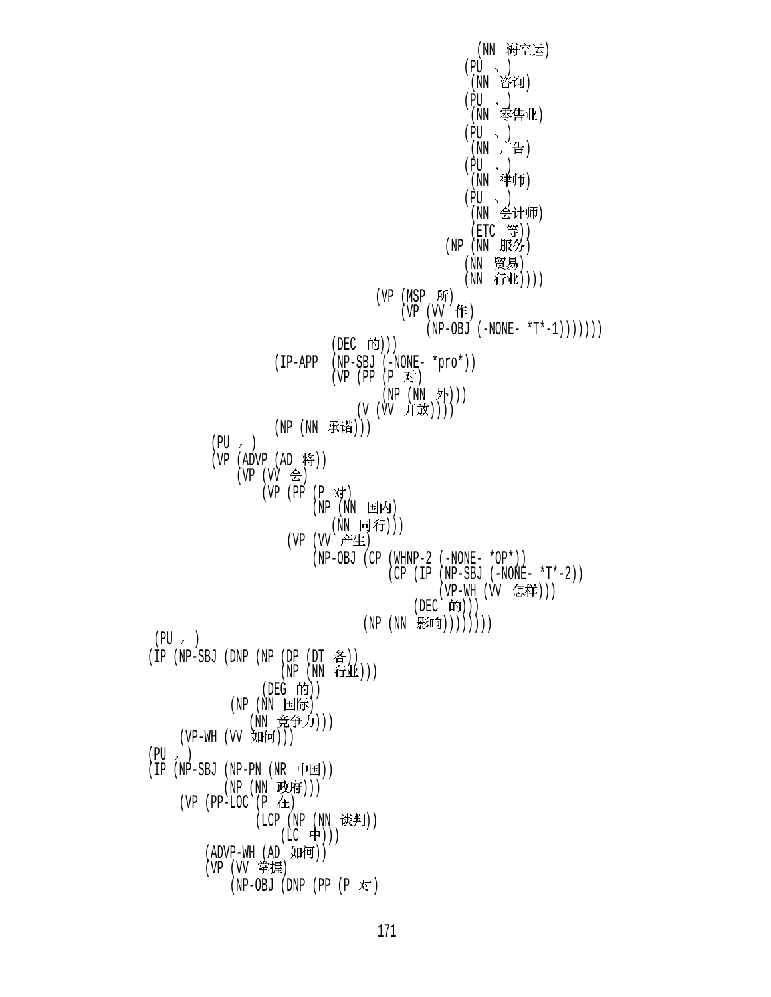(NN 海空运)  $(PU \sim )$ (NN 咨询)  $(PU \rightarrow )$ (NN 零售业)  $(PU \sim )$ (NN 广告)  $(PU \rightarrow )$ (NN 律师)  $(PU \sim )$ (NN 会计师)  $(ETC  $\frac{45}{3})$ )$  $(NP(NN \quad K\rightarrow)$ (NN 贸易)  $(NN$  行业 $))$ )  $(VP (MSP Ff)$  $(VP (VV fF))$  $(NP-OBJ (-NONE- *T*-1)))))$  $(DEC$  的 $)))$  (IP-APP (NP-SBJ (-NONE- \*pro\*))  $(VP (PP (P \nightharpoonup T))$ (NP (NN 外))) (V (W 开放)))) (NP (NN 承诺)))  $(PU, )$  $(VP (ADVP (AD 19))$  $(VP (VV \text{A})$  $(VP (PP (P \n{N})$  $(NP (NN E K)$ (NN 同行))) (VP (VV 产生) (NP-OBJ (CP (WHNP-2 (-NONE- \*OP\*)) (CP (IP (NP-SBJ (-NONE- \*T\*-2)) (VP-WH (VV 怎样)))  $(DEC$  的 $)))$  $(NP(NN \quad \cancel{\mathbb{P}}^{\mathsf{sim}}))))))$  $(PU, )$  $(1P$   $(NP-SBU)$   $(DNP)$   $(NP)$   $(DP)$   $(DT)$   $\hat{\mathfrak{S}}$   $))$  $(NP (NN TJIL))$  $($ DEG 的 $)$  $)$  $(NP (NN E)$ (NN 竞争力))) (VP-WH (VV 如何)))  $(PU, )$  $(IP(NP-SBJ(NP-PN(NR \mathcal{F} E)))$  $(NP (NN \; K)$  (VP (PP-LOC (P )  $( LCP ( NP ( NN \; K)$ (LC 中))) (ADVP-WH (AD 如何)) (VP (VV 掌握)  $(NP-OBJ (DNP (PP (P \times j))$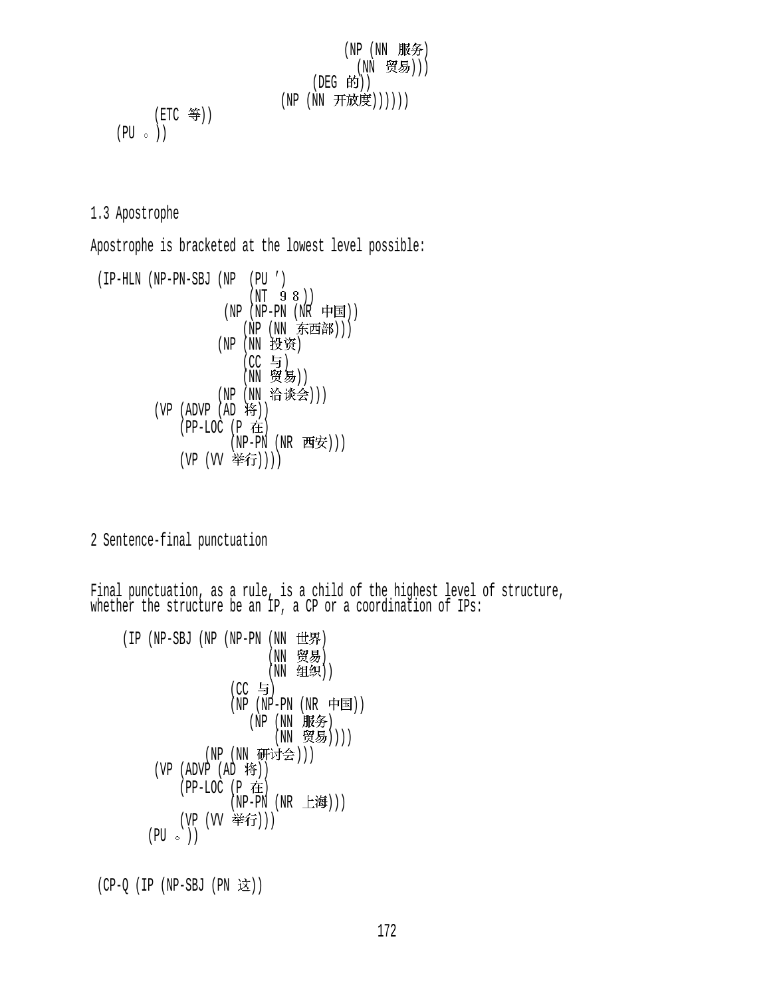$$
\begin{array}{c}\n\text{(NP (NN #\%)} \\
\text{(NP (NN #\%)} \\
\text{(NN #\%)} \\
\text{(NP (NN #\%)} \\
\text{(NP (NN #\%)} \\
\text{(PU & )}\n\end{array}
$$

1.3 Apostrophe

Apostrophe is bracketed at the lowest level possible:

```
 (IP-HLN (NP-PN-SBJ (NP (PU ') 
                           (NT \t 9 \t 8))(NP (NP-PN (NR HE))(NP (NN 东西部)))
                     (NP (NN 投资)
                         (CC \nexists)(NN 贸易))
                     (NP (NN 洽谈会)))
          (VP (ADVP (AD 19))(PP-LOC (P 在
                       (NP-PN(NR \quad \text{Ff}(\hat{\mathcal{F}})))(VP (VV 举行))))
```
2 Sentence-final punctuation

Final punctuation, as a rule, is a child of the highest level of structure, whether the structure be an IP, a CP or a coordination of IPs:

```
(IP (NP-SBJ (NP (NP-PN (NN t#1))(NN 贸易)
                     (NN \t319)(CC 与)
               (NP (NP-PN (NR \#E))(NP (NN 服务)
                      (NN 贸易))))
            (NP (NN 研讨会)))
    (VP (ADVP (AD  ))(PP-LOC (P 在
               (NP-PN (NR_t#)))(VP (VV 举行)))
   (PU \circ)
```
 $(CP-Q (IP (NP-SBJ (PN  $\dot{\mathbb{Z}}$ )))$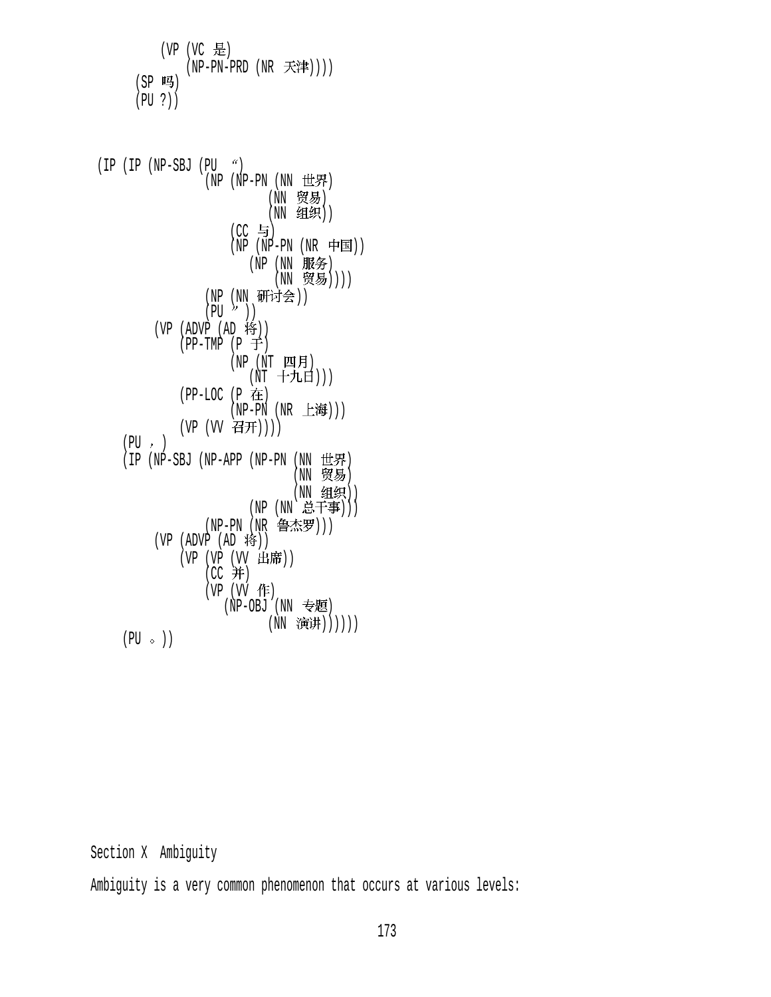(VP (VC 是)  $(NP-PN-PRD (NR \nexists \mathcal{F} \mathcal{F}|\mathcal{F}))$  $(SP$  吗) (PU ?))

 $(IP (IP (NP-SBJ (PU  $^{\alpha})$$  $(NP (NP-PN (NN HR))$ (NN 贸易)  $(MN \nvert \mathfrak{A}(n))$  $(CC 5)$ (NP (NP-PN (NR 中国)) (NP (NN 服务) (NN 贸易)))) (NP (NN 册刊会))  $(PU^{\prime\prime})$ )  $(VP (ADVP (AD ))$  $(PP-TMP (P \neq))$ (NP (NT 四月) (NT 十九日)))  $(PP-LOC (P$  在  $(NP-PN (NR_t#)))$  $(VP (W 4H)))$  $(PU, )$  $(IP (NP-SBJ (NP-APP (NP-PN (NN 14)$  $(NN$  贸易)  $(NN \t{g}(\mathbf{M}))$ (NP (NN 总干事))) (NP-PN (NR 鲁杰罗))) (VP  $(ADVP (AD 19))$ (VP (VP (VV 出席))  $(CC#)$  $(VP (W **f**F))$  $(NP-OBJ$   $(NN \t\equiv 15)$ (NN 演讲))))))  $(PU \circ)$ 

Section X Ambiguity

Ambiguity is a very common phenomenon that occurs at various levels: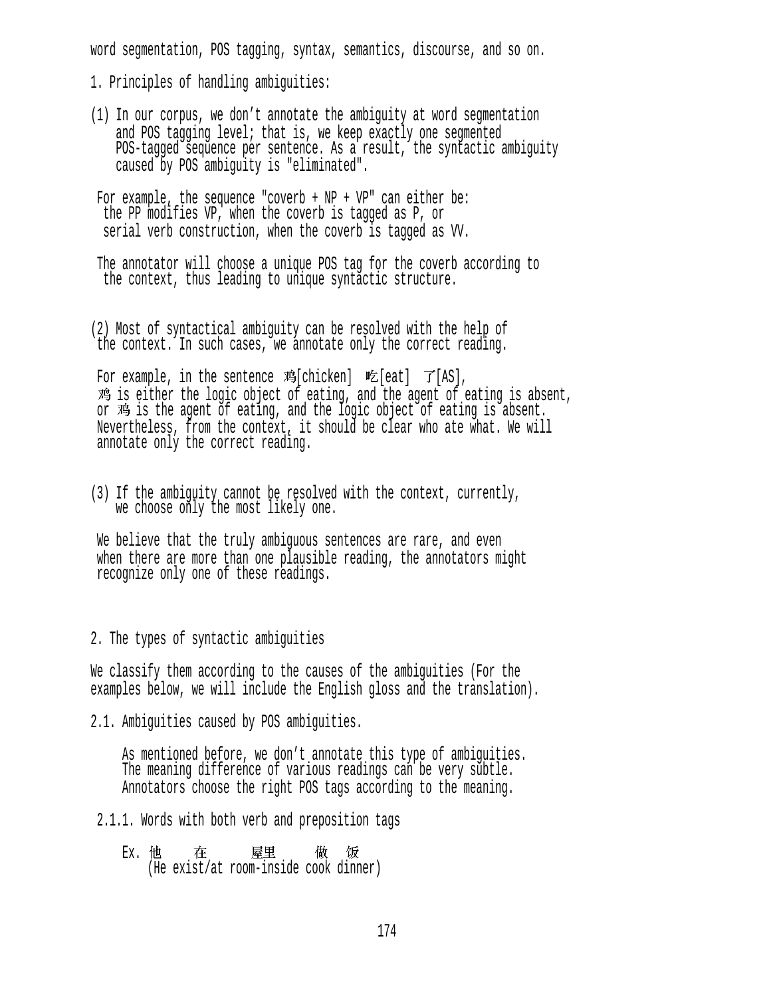word segmentation, POS tagging, syntax, semantics, discourse, and so on.

1. Principles of handling ambiguities:

(1) In our corpus, we don't annotate the ambiguity at word segmentation and POS tagging level; that is, we keep exactly one segmented POS-tagged sequence per sentence. As a result, the syntactic ambiguity caused by POS ambiguity is "eliminated".

For example, the sequence "coverb +  $NP$  +  $VP$ " can either be: the PP modifies VP, when the coverb is tagged as P, or serial verb construction, when the coverb is tagged as W.

The annotator will choose a unique POS tag for the coverb according to the context, thus leading to unique syntactic structure.

(2) Most of syntactical ambiguity can be resolved with the help of the context. In such cases, we annotate only the correct reading.

For example, in the sentence 鸡[chicken] 吃[eat]  $\vec{J}$ [AS], 鸡 is either the logic object of eating, and the agent of eating is absent, or 鸡 is the agent of eating, and the logic object of eating is absent. Nevertheless, from the context, it should be clear who ate what. We will annotate only the correct reading.

(3) If the ambiguity cannot be resolved with the context, currently, we choose only the most likely one.

We believe that the truly ambiguous sentences are rare, and even when there are more than one plausible reading, the annotators might recognize only one of these readings.

2. The types of syntactic ambiguities

We classify them according to the causes of the ambiguities (For the examples below, we will include the English gloss and the translation).

2.1. Ambiguities caused by POS ambiguities.

 As mentioned before, we don't annotate this type of ambiguities. The meaning difference of various readings can be very subtle. Annotators choose the right POS tags according to the meaning.

- 2.1.1. Words with both verb and preposition tags
	- Ex. 他 在 屋里 做 饭<br>(He exist/at room-inside cook dinner)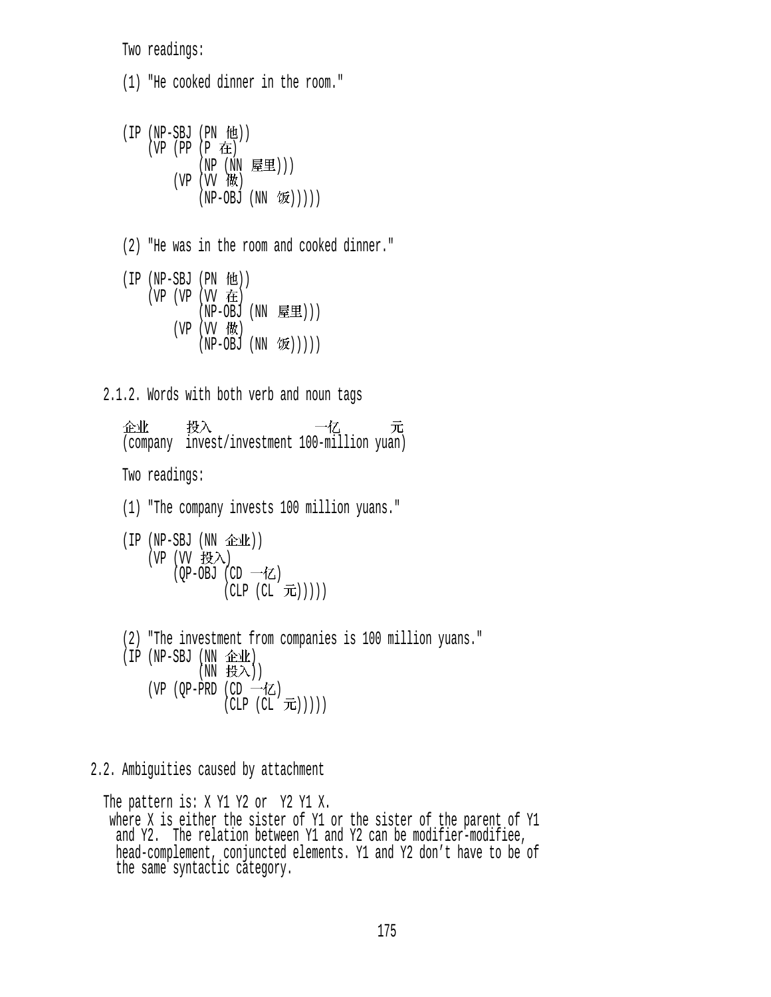Two readings:

 (1) "He cooked dinner in the room."  $(IP (NP-SBJ (PN 12))$  (VP (PP (P )  $(NP)$   $(NN)$  (空里)))  $(VP (VV 10X))$  $(NP-OBJ (NN  $\circled{k}$ )))$  (2) "He was in the room and cooked dinner."  $(IP (NP-SBJ (PN 4H))$  $(VP (VP (VV E))$  $(NP-OBJ (NN \t\t\mathbb{E}1))$  $(VP (W$ 做  $(NP-OBJ (NN \t{W})()))$  2.1.2. Words with both verb and noun tags 企业 投入 元<br>(company invest/investment 100-million yuan) Two readings: (1) "The company invests 100 million yuans."  $(IP (NP-SBJ (NN \triangle 1k))$ (VP  $(W \> \lambda)$ (OP-OBJ (CD 一亿)  $(CLP (CL \; \vec{\pi})))$  (2) "The investment from companies is 100 million yuans."  $(IP(NP-SBJ(NN \t\&\t\&\t)$  $(NN$ 投入) (VP (OP-PRD (CD  $\rightarrow$   $\mathbb{Z}$ )  $(CLP (CL \nabla))$ )) 2.2. Ambiguities caused by attachment

The pattern is: X Y1 Y2 or Y2 Y1 X. where X is either the sister of Y1 or the sister of the parent of Y1 and Y2. The relation between Y1 and Y2 can be modifier-modifiee, head-complement, conjuncted elements. Y1 and Y2 don't have to be of the same syntactic category.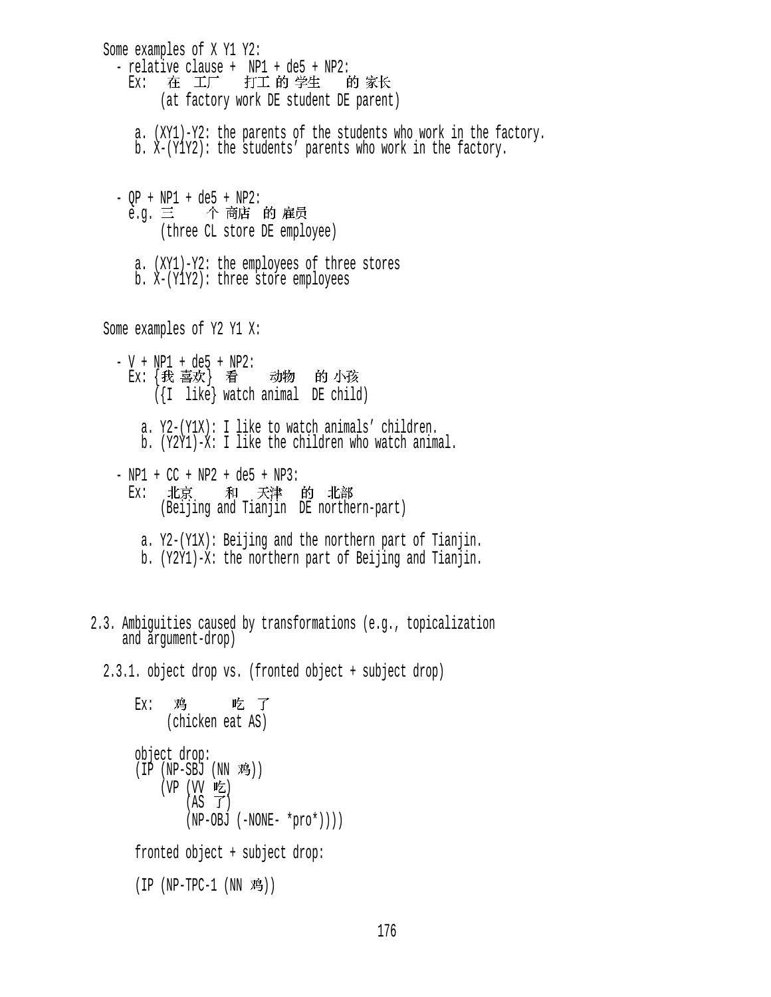Some examples of X Y1 Y2: - relative clause + NP1 + de5 + NP2:<br>Ex: 在 工厂 打工 的 学生 的 家长 (at factory work DE student DE parent) a. (XY1)-Y2: the parents of the students who work in the factory. b. X-(Y1Y2): the students' parents who work in the factory. - QP + NP1 + de5 + NP2:<br>e.g. 三 个 商店 的 雇员 (three CL store DE employee) a. (XY1)-Y2: the employees of three stores b. X-(Y1Y2): three store employees Some examples of Y2 Y1 X: - V + NP1 + de5 + NP2:<br>Ex: {我 喜欢} 看 {我 喜欢} 看 动物 的 小孩<br>({I like} watch animal DE child) a. Y2-(Y1X): I like to watch animals' children. b. (Y2Y1)-X: I like the children who watch animal.  $- NP1 + CC + NP2 + de5 + NP3$ : Ex: 北京 和 天津 的 北部<br>(Beijing and Tianjin DE northern-part) a. Y2-(Y1X): Beijing and the northern part of Tianjin. b. (Y2Y1)-X: the northern part of Beijing and Tianjin. 2.3. Ambiguities caused by transformations (e.g., topicalization and argument-drop) 2.3.1. object drop vs. (fronted object + subject drop) Ex: 鸡 吃 了<br>(chicken eat AS) object drop:  $(I\check{P}$  (NP-SB $\check{J}$  (NN 鸡)) (VP (VV 吃)  $(AS \ \mathcal{T})$  $(NP-OBJ (-NONE- *proc*)))$  fronted object + subject drop:  $(IP (NP-TPC-1 (NN 3)))$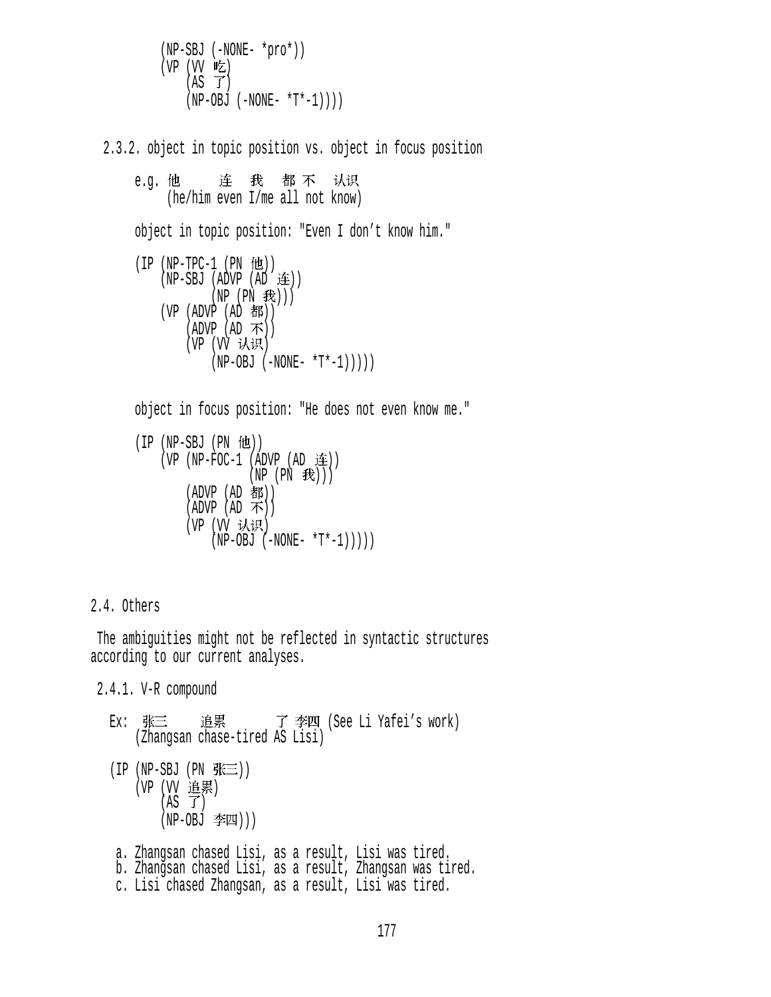(NP-SBJ (-NONE- \*pro\*))  $(VP (W E)$  $(AS \tJ)$  $(NP-OBJ (-NONE- *T*-1)))$ 

2.3.2. object in topic position vs. object in focus position

e.g. 他 连 我 都 不 认识<br>(he/him even I/me all not know) object in topic position: "Even I don't know him."  $(IP (NP-TPC-1 (PN 12))$  $(NP-SBJ (ADVP (AD E))$  $(NP (PN E))$  $(VP (ADVP (AD A))$  $(ADVP (AD \, \overline{\Lambda}))$ (VP (VV 认识)  $(NP-OBJ (-NONE- *T*-1))))$  object in focus position: "He does not even know me."  $(IP (NP-SBJ (PN  $ftt)$ ))$  $(VP (NP-FOC-1 (ADVP (AD \t{#}))$  $(NP (PN \t#))$  $(ADVP (AD **#***K*))$  $(ADVP (AD \; \vec{\Lambda}) )$ (VP (VV 认识)  $(NP-OBJ (-NONE- *T*-1))))$ 

2.4. Others

 The ambiguities might not be reflected in syntactic structures according to our current analyses.

2.4.1. V-R compound

Ex: 张三 追累 了李四 (See Li Yafei's work) (Zhangsan chase-tired AS Lisi)  $(IP (NP-SBJ (PN  $\frac{F}{N} \equiv$ )))$ (VP (VV 追累)  $(AS \tJ)$  $(NP-OBJ \cong I)$  a. Zhangsan chased Lisi, as a result, Lisi was tired. b. Zhangsan chased Lisi, as a result, Zhangsan was tired. c. Lisi chased Zhangsan, as a result, Lisi was tired.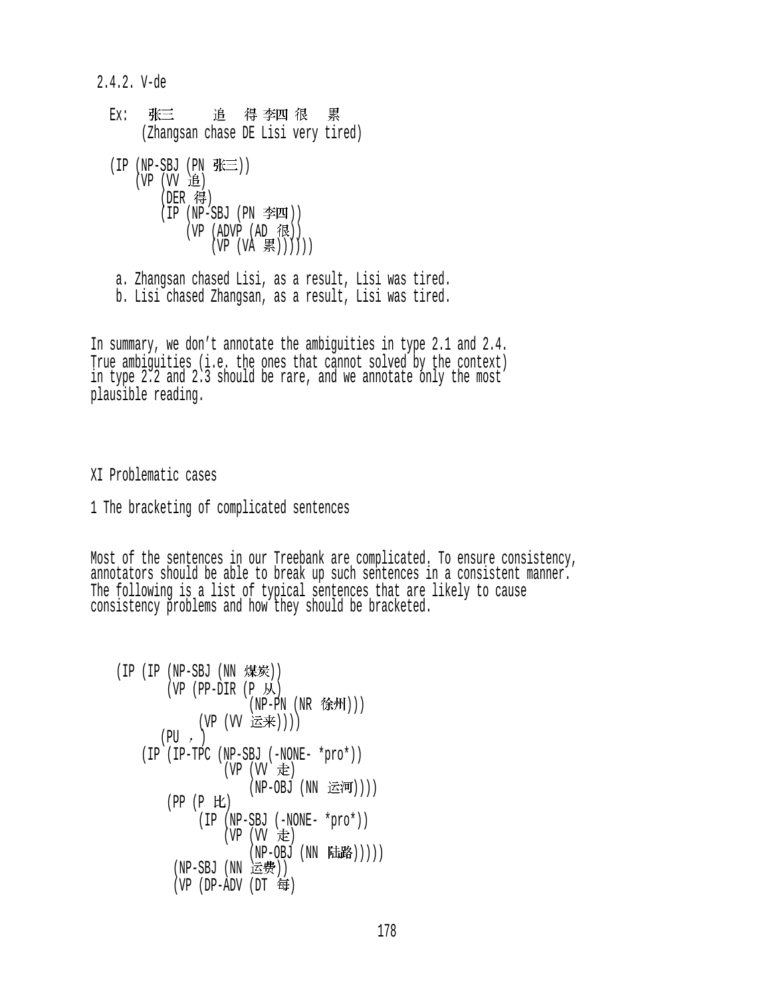2.4.2. V-de

Ex: 张三 追 得 李四 很 累<br>(Zhangsan chase DE Lisi very tired)  $(IP (NP-SBJ (PN K $\equiv$ )))$  $(VP (VV H))$  $($ DER 得 $)$  (IP (NP-SBJ (PN ))  $(VP (ADVP (AD 1)$  $(VP (VA \t{R}))))$ a. Zhangsan chased Lisi, as a result, Lisi was tired.

b. Lisi chased Zhangsan, as a result, Lisi was tired.

In summary, we don't annotate the ambiguities in type 2.1 and 2.4. True ambiguities (i.e. the ones that cannot solved by the context) in type 2.2 and 2.3 should be rare, and we annotate only the most plausible reading.

XI Problematic cases

1 The bracketing of complicated sentences

Most of the sentences in our Treebank are complicated. To ensure consistency, annotators should be able to break up such sentences in a consistent manner. The following is a list of typical sentences that are likely to cause consistency problems and how they should be bracketed.

```
(IP (IP (NP-SBJ (NN 1)(VP (PP-DIR (P M))
                    (NP-PN (NR <b>*(kM)</b>)))(VP (VV 运来))))
      (PU, ) (IP (IP-TPC (NP-SBJ (-NONE- *pro*)) 
                (VP (VV E)(NP-OBJ (NN 运河))))
         (PP (P ) 
             (IP (NP-SBJ (-NONE- *pro*)) 
                (VP (W 走
                    (NP-OBJ (NN E#B)))(NP-SBJ (NN 运费))
        (VP (DP-ADV) (DT \oplus)
```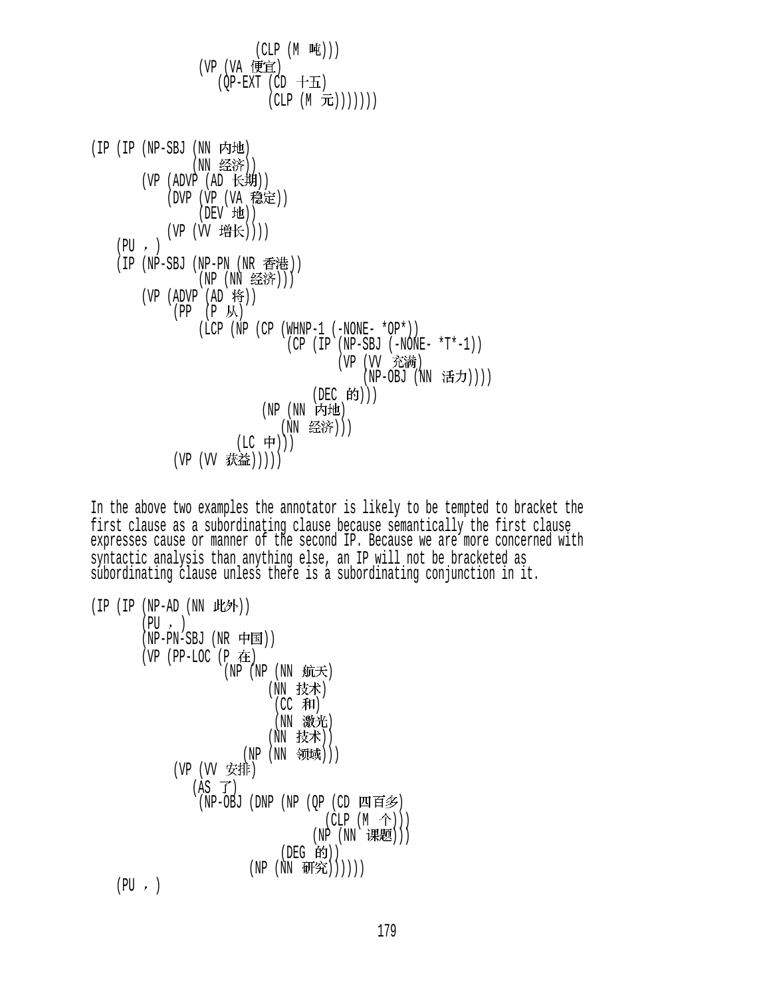(CLP (M ))) (VP (VA ) (QP-EXT (CD ) (CLP (M ))))))) (IP (IP (NP-SBJ (NN ) (NN )) (VP (ADVP (AD )) (DVP (VP (VA )) (DEV )) (VP (VV )))) (PU ) (IP (NP-SBJ (NP-PN (NR )) (NP (NN ))) (VP (ADVP (AD )) (PP (P ) (LCP (NP (CP (WHNP-1 (-NONE- \*OP\*)) (CP (IP (NP-SBJ (-NONE- \*T\*-1)) (VP (VV ) (NP-OBJ (NN )))) (DEC ))) (NP (NN ) (NN ))) (LC ))) (VP (VV )))))

In the above two examples the annotator is likely to be tempted to bracket the first clause as a subordinating clause because semantically the first clause expresses cause or manner of the second IP. Because we are more concerned with syntactic analysis than anything else, an IP will not be bracketed as subordinating clause unless there is a subordinating conjunction in it.

\n
$$
\begin{array}{ll}\n \text{(IP (IP - AD (NN \tH\#))} & \text{(PU -)} \\
 \text{(NP - PN - SBJ (NR \t H\Pi))} & \text{(NP (NP \tH\#))} \\
 \text{(VP (PP - LOC (P \tH\#))} & \text{(NN \tH\#))} \\
 \text{(NP (NP (NN \tH\#))} & \text{(NN \tH\#))} \\
 \text{(NN \tH\#))} & \text{(NN \tH\#))} \\
 \text{(NP (VN \tH\#))} & \text{(NP (NN \tH\#))} \\
 \text{(NP (NP \tH\#))} & \text{(CLP (M \tH))} \\
 \text{(NP (NN \tH\#))} & \text{(NE G \tH))} \\
 \text{(NE G \tH))} & \text{(NE G \tH))} \\
 \text{(NP (NN \tH\#))} & \text{(NE G \tH))} \\
 \text{(NP (NN \tH\#))} & \text{(NP (NN \tH\#))} \\
 \text{(PU -)} & \text{(NP (NN \tH\#))} & \text{(NP (NN \tH\#))} \\
 \text{(PU -)} & \text{(NP (NN \tH\#))} & \text{(NP (NN \tH\#))} \\
 \text{(PU -)} & \text{(NP (NN \tH\#))} & \text{(NP (NN \tH\#))} & \text{(NP (NN \tH\#))} \\
 \text{(PW -)} & \text{(NP (NN \tH\#))} & \text{(NP (NN \tH\#))} & \text{(NP (NN \tH\#))} \\
 \text{(NP (NN \tH\#))} & \text{(NP (NN \tH\#))} & \text{(NP (NN \tH\#))} & \text{(NP (NN \tH\#))} \\
 \text{(NP (NN \tH\#))} & \text{(NP (NN \tH\#))} & \text{(NP (NN \tH\#))} & \text{(NP (NN \tH\#))} \\
 \text{(NP (NN \tH\#))} & \text{(NP (NN \tH\#))} & \text{(NP (NN \tH\#))} & \text{(NP (NN \tH\#))} \\
 \text{(NP (NN \tH\#))} & \text{(NP (NN \tH\#))} & \text{(NP (NN \tH\#))} & \text{(NP (NN \tH
$$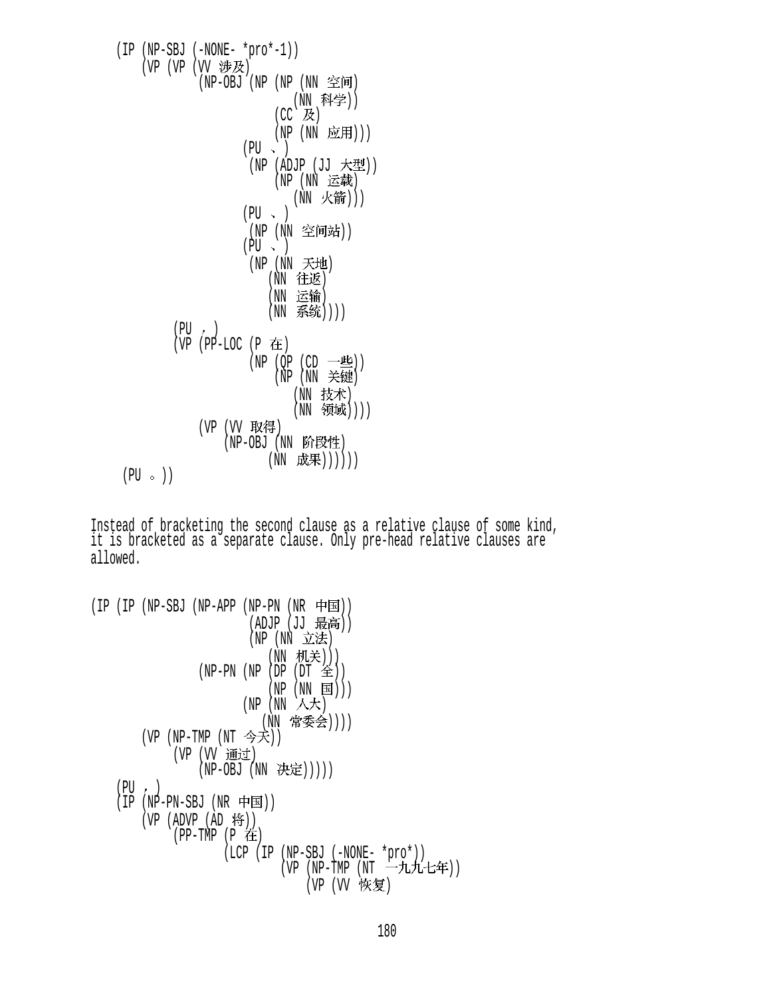$$
\begin{array}{c}\n \text{(IP (NP-SBJ (-NONE - *prov - 1))} \\
 \text{(VP (VP (VV & 1000 \text{N})} \quad \text{(NP (NN \cdot 1000 \cdot 1000 \cdot 1000 \cdot 1000 \cdot 1000 \cdot 1000 \cdot 1000 \cdot 1000 \cdot 1000 \cdot 1000 \cdot 1000 \cdot 1000 \cdot 1000 \cdot 1000 \cdot 1000 \cdot 1000 \cdot 1000 \cdot 1000 \cdot 1000 \cdot 1000 \cdot 1000 \cdot 1000 \cdot 1000 \cdot 1000 \cdot 1000 \cdot 1000 \cdot 1000 \cdot 1000 \cdot 1000 \cdot 1000 \cdot 1000 \cdot 1000 \cdot 1000 \cdot 1000 \cdot 1000 \cdot 1000 \cdot 1000 \cdot 1000 \cdot 1000 \cdot 1000 \cdot 1000 \cdot 1000 \cdot 1000 \cdot 1000 \cdot 1000 \cdot 1000 \cdot 1000 \cdot 1000 \cdot 1000 \cdot 1000 \cdot 1000 \cdot 1000 \cdot 1000 \cdot 1000 \cdot 1000 \cdot 1000 \cdot 1000 \cdot 1000 \cdot 1000 \cdot 1000 \cdot 1000 \cdot 1000 \cdot 1000 \cdot 1000 \cdot 1000 \cdot 1000 \cdot 1000 \cdot 1000 \cdot 1000 \cdot 1000 \cdot 1000 \cdot 1000 \cdot 1000 \cdot 1000 \cdot 1000 \cdot 1000 \cdot 1000 \cdot 1000 \cdot 1000 \cdot 1000 \cdot 1000 \cdot 1000 \cdot 1000 \cdot 1000 \cdot 1000 \cdot 1000 \cdot 1000 \cdot 1000 \cdot 1000 \cdot 1000 \cdot 1000 \cdot 1000 \cdot 1000 \cdot 1000 \cdot 1000 \cdot 1000 \cdot 1000 \cdot 1000 \cdot 1000 \cdot 1000
$$

Instead of bracketing the second clause as a relative clause of some kind, it is bracketed as a separate clause. Only pre-head relative clauses are allowed.

```
(IP (IP (NP-SBJ (NP-APP (NP-PN (NR \nleftrightarrow \nexists)))(ADJP (JJ 取向))
(NP)(NN) \geq L/2\pi(NN 机关)))
                (NP-PN (NP (DP (DT <math>\hat{\mathfrak{D}})</math>))(NP (NN \t{ is }))/(NP)(NN \wedge \overline{\wedge} \overline{\wedge})(NN 常委会))))
        (VP (NP-TMP (NT 今天))
            (VP (VV 通过)
                (NP-OBJ (NN \nexists E))))(PU, )(IP (NP-PN-SBJ (NR \nleftrightarrow)(VP (ADVP (AD 19))(PP-TMP (P 在
                     (LCP (IP (NP-SBJ (-NONE- *pro*)) 
                             (VP (NP-TMP (NT -FL/L-t4))(VP (VV 恢复)
```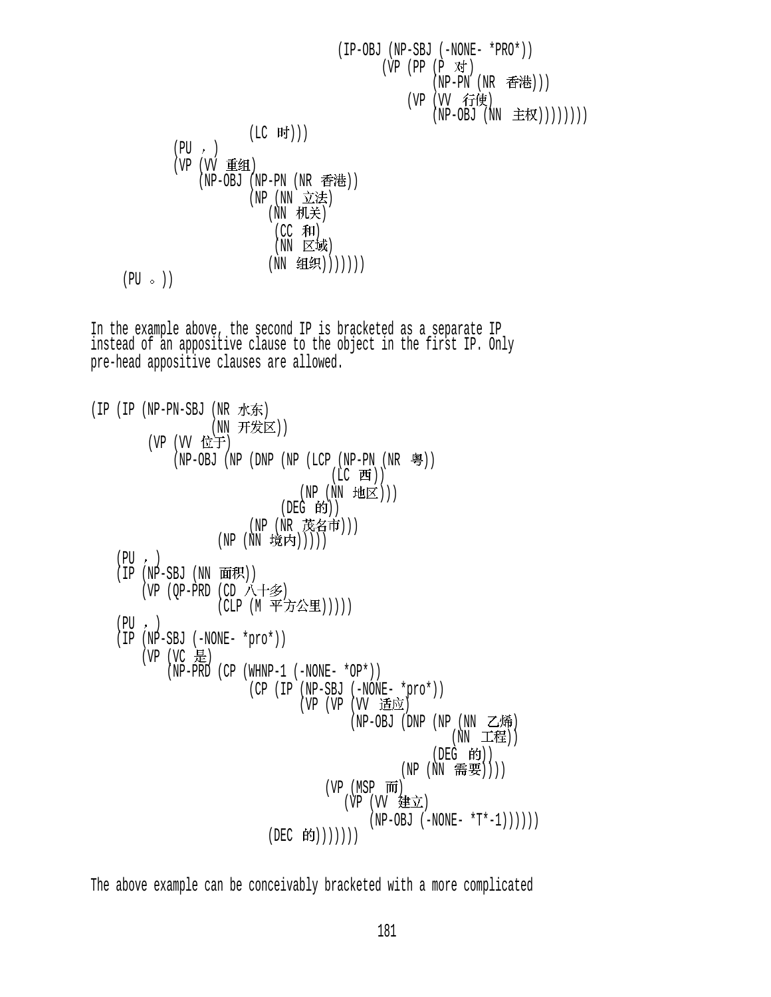(IP-OBJ (NP-SBJ (-NONE- \*PRO\*))  $(VP (PP (P \n{N})$  $(NP-PN (NR \tPhi)$ ) (VP (VV 行使) (NP-OBJ (NN 主权))))))))  $(LC$  时 $))$  $(PU, )$ (VP (VV 重组)  $(NP-OBJ$   $(NP-PN$   $(NR \t{F*}$ (NP (NN 立法) (NN 机关)  $(CC \cdot \overline{A}H)$  $(NN \times W)$ (NN 组织)))))))  $(PU \circ)$ In the example above, the second IP is bracketed as a separate IP instead of an appositive clause to the object in the first IP. Only pre-head appositive clauses are allowed.  $(IP (IP (NP-PN-SBJ (NR) \n#F))$ (NN 开发区)) (VP (VV 位于)  $(NP-OBJ (NP (DNP (NP (LCP (NP-PN (NR  $\frac{\infty}{2})$ )))$ (LC 西))  $(NP(NN HE))$  $(DEG$  的)) (NP (NR 茂名市))) (NP (NN 境内)))))  $(PU, )$  $(IP (NP-SBJ (NN H)$ (VP  $(QP-PRD$  (CD 八十多) (CLP (M 平方公里)))))  $(PU, )$  (IP (NP-SBJ (-NONE- \*pro\*))  $(VP (VC \tfrac{1}{10})$  $(NP-PRD (CP (WHNP-1 (-NONE- *OP*)))$  (CP (IP (NP-SBJ (-NONE- \*pro\*)) (VP (VP (VV 适应)  $(NP-OBJ$  (DNP  $(NP(NN \tmathbb{Z}$ 烯)  $(NN$  工程))  $($ DEG 的 $)$  $)$  $(NP(NN$  需要)))  $(VP (MSP \overline{m})$ (VP (VV 建立)  $(NP-OBJ (-NONE- *T*-1)))))$  $(DEC$  的))))))

The above example can be conceivably bracketed with a more complicated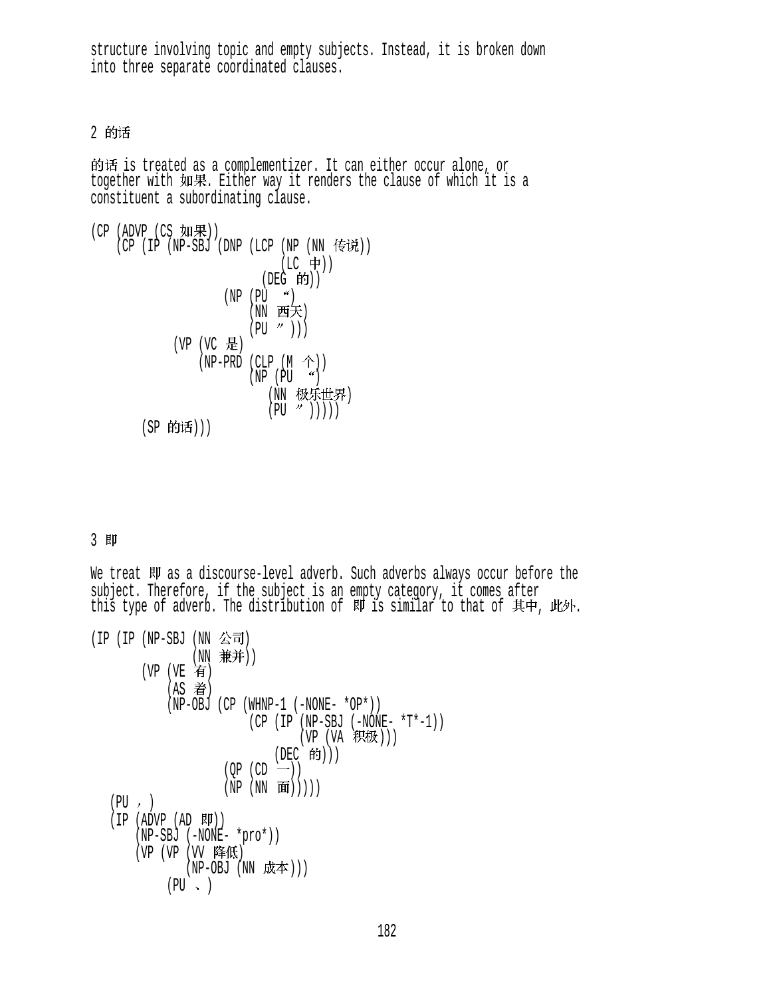structure involving topic and empty subjects. Instead, it is broken down into three separate coordinated clauses.

2 的话

的话 is treated as a complementizer. It can either occur alone, or<br>together with 如果. Either way it renders the clause of which it is a constituent a subordinating clause.

```
(CP (ADVP (CS <math>implies</math>)))(CP (IP (NP-SBJ (DNP (LCP (NP (NN 传说))
                                 (LC 中))
                              (DEG 的))
                       (NP (PU < 9))(NN 西天)
                           (PU \t')))
              (VP (VC 是)
                  (NP-PRD (CLP (M \hat{\uparrow}))
                           (NP (PU "')')(NN 极乐世界)
                               (PU \t" ))))
        (SP 的话)))
```
## 3 即

We treat 即 as a discourse-level adverb. Such adverbs always occur before the subject. Therefore, if the subject is an empty category, it comes after this type of adverb. The distribution of  $\mathbb N$  is similar to that of  $\overline{A}$   $\overline{P}$ ,  $\mathbb N$ .

 $(IP (IP (NP-SBJ (NN  $\Delta \overline{\mathbf{d}})$$ (NN 兼并)) (VP (VE 有)  $(AS \t\hat{\bar{\mathbf{s}}} )$  $(NP-OBJ (CP (WHNP-1 (-NONE- *OP*)))$  $(CP (IP (NP-SBJ (-NONE- *T*-1)))$ (VP (VA 积极))) (DEC 的)))  $(OP (CD -))$  $(NP(NN \t{f}(\mathbf{m})))$  $(PU, )$  $(IP (ADVP (AD  $W$ )))$  (NP-SBJ (-NONE- \*pro\*)) (VP (VP (VV 降低)  $(NP-OBJ$   $(NN$  成本)))  $(PU \sim )$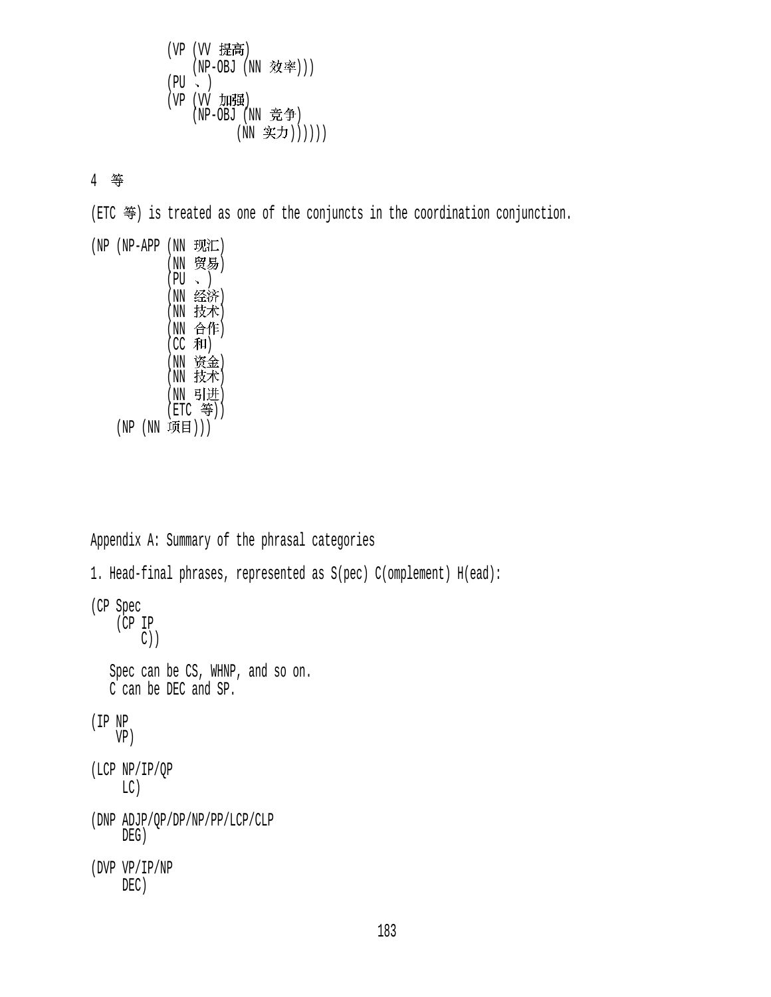(VP (VV 提高) (NP-OBJ (NN 效率)))  $(PU \sim )$ (VP (VV 加强)  $(NP-OBJ (NN E<sup>*</sup>))$ (NN 实力))))))

4 等

 $(ETC \; \mathcal{F})$  is treated as one of the conjuncts in the coordination conjunction.

| (NP | (NP-APP | (NN<br>'NN<br>' PU<br>NN<br>'NN<br>(NN<br>(CC<br>NN<br>'NN | 现汇)<br>贸易)<br>经济)<br>技术)<br>合作)<br>和)<br>资金)<br>技术) |
|-----|---------|------------------------------------------------------------|-----------------------------------------------------|
|     |         | NN                                                         | 引进)                                                 |
|     |         |                                                            | (ETC 等))                                            |
|     |         | 项目)))                                                      |                                                     |

```
Appendix A: Summary of the phrasal categories
1. Head-final phrases, represented as S(pec) C(omplement) H(ead): 
(CP Spec 
     (CP IP 
         C))
    Spec can be CS, WHNP, and so on.
    C can be DEC and SP. 
(IP NP 
     VP)
(LCP NP/IP/QP
      LC)
(DNP ADJP/QP/DP/NP/PP/LCP/CLP
      DEG)
(DVP VP/IP/NP 
      DEC)
```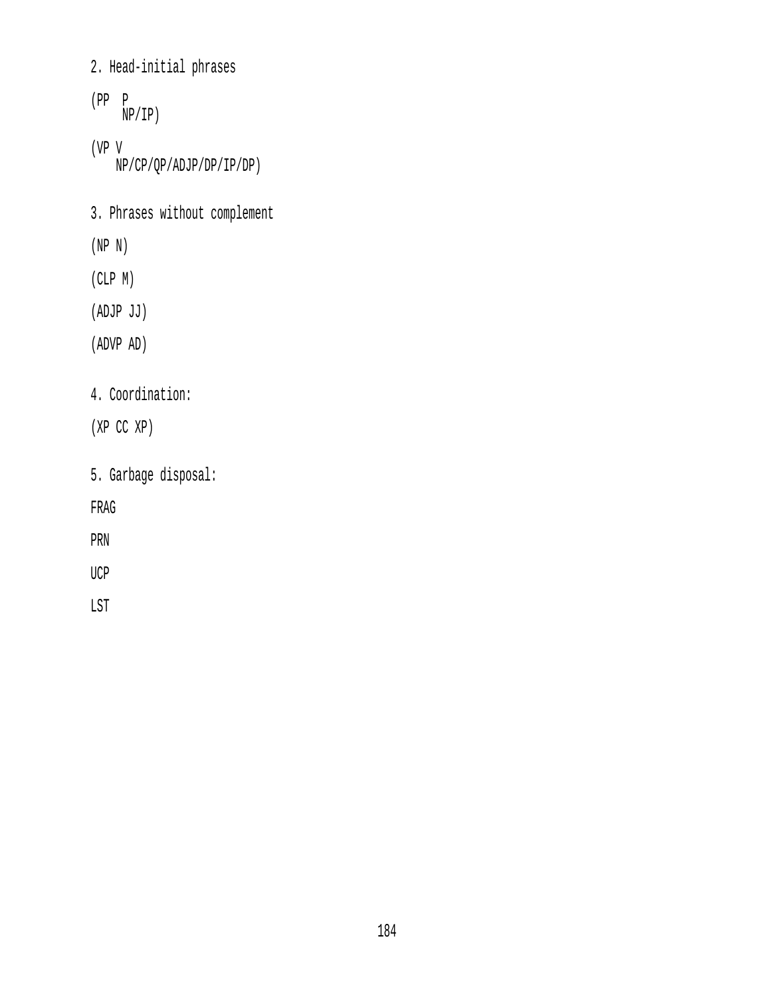## 2. Head-initial phrases

- (PP P NP/IP) (VP V NP/CP/QP/ADJP/DP/IP/DP)
- 3. Phrases without complement
- (NP N)
- (CLP M)
- (ADJP JJ)
- (ADVP AD)
- 4. Coordination:
- (XP CC XP)
- 5. Garbage disposal:
- FRAG
- PRN
- UCP
- LST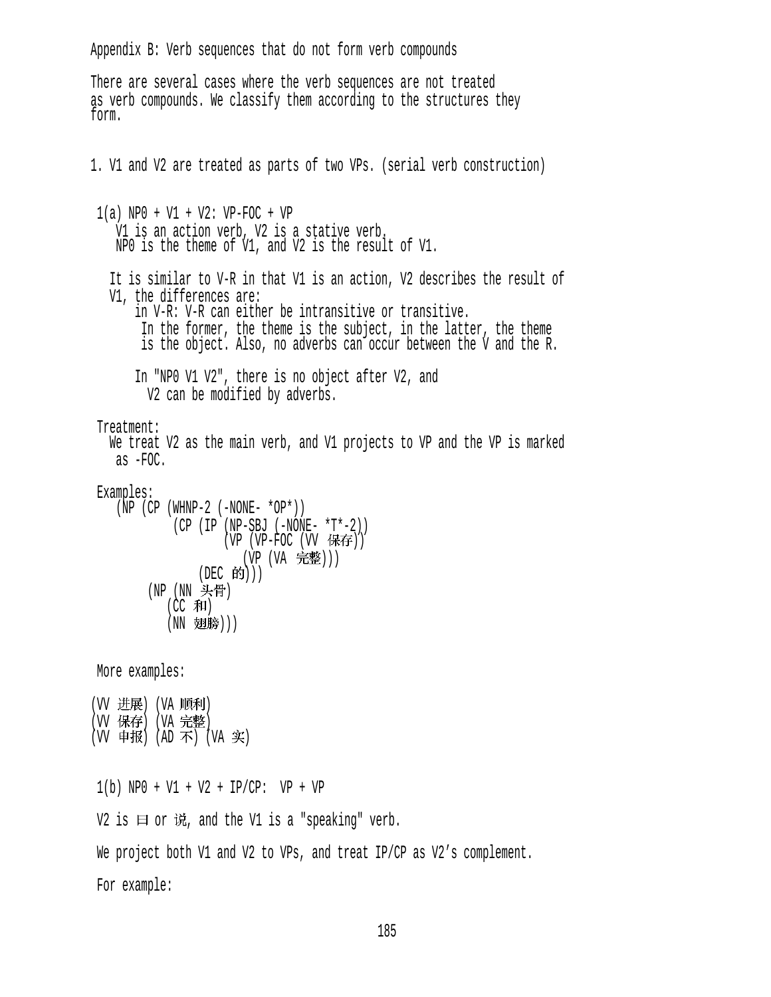Appendix B: Verb sequences that do not form verb compounds There are several cases where the verb sequences are not treated as verb compounds. We classify them according to the structures they form. 1. V1 and V2 are treated as parts of two VPs. (serial verb construction) 1(a) NP0 + V1 + V2: VP-FOC + VP V1 is an action verb, V2 is a stative verb. NP0 is the theme of V1, and V2 is the result of V1. It is similar to V-R in that V1 is an action, V2 describes the result of V1, the differences are: in V-R: V-R can either be intransitive or transitive. In the former, the theme is the subject, in the latter, the theme is the object. Also, no adverbs can occur between the V and the R. In "NP0 V1 V2", there is no object after V2, and V2 can be modified by adverbs. Treatment: We treat V2 as the main verb, and V1 projects to VP and the VP is marked as -FOC. Examples:  $(\bar{N}P$  (CP (WHNP-2 (-NONE- \*OP\*)) (CP (IP (NP-SBJ (-NONE- \*T\*-2)) (VP (VP-FOC (VV 保存)) (VP (VA 完整))) (DEC 的))) (NP (NN 头骨)  $(CC$  和) (NN 翅膀))) More examples: (W 进展) (VA 顺利) (VV 保存) (VA 完整) (VV 申报) (AD 不) (VA 实) 1(b) NP0 + V1 + V2 + IP/CP: VP + VP V2 is  $\boxdot$  or  $\ddot{\mathfrak{m}}$ , and the V1 is a "speaking" verb. We project both V1 and V2 to VPs, and treat IP/CP as V2's complement. For example: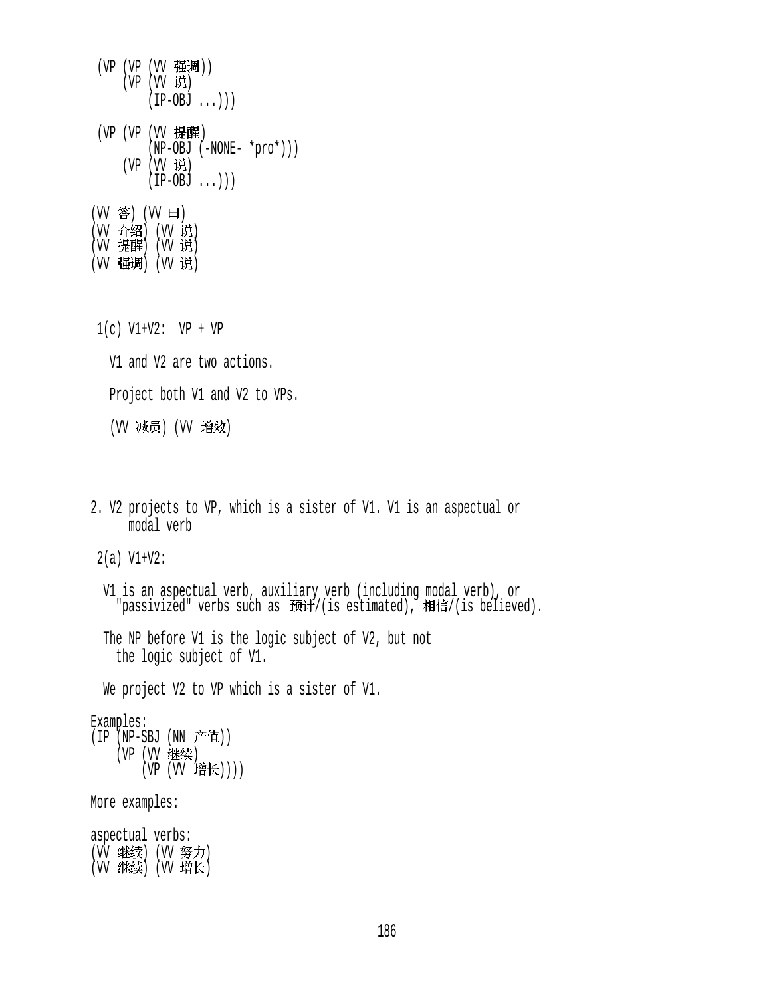- (VP (VP (VV 强调))  $(VP (VV$ 说  $(IP-OBJ ...))$ (VP (VP (VV 提醒) (NP-OBJ (-NONE- \*pro\*))) (VP (VV 说)  $(\overline{IP}-OBJ \ldots))$ (W 答) (W 曰) (VV フr郅) (VV レե) (VV 掟陛) (VV 玩) (VV 强调) (VV 说)
- $1(c)$  V1+V2: VP + VP
	- V1 and V2 are two actions.

Project both V1 and V2 to VPs.

(VV 减员) (VV 增效)

2. V2 projects to VP, which is a sister of V1. V1 is an aspectual or modal verb

2(a) V1+V2:

 V1 is an aspectual verb, auxiliary verb (including modal verb), or "passivized" verbs such as 预计/(is estimated), 相信/(is believed).

 The NP before V1 is the logic subject of V2, but not the logic subject of V1.

We project V2 to VP which is a sister of V1.

Examples:

 $(IP \nN-PSBJ (NN \nF4)$ (VP (VV 继续)  $(VP (VV ( 增长))$ )

More examples:

aspectual verbs: (W 继续) (W 努力)  $(W \# 2)$   $(W \# 6)$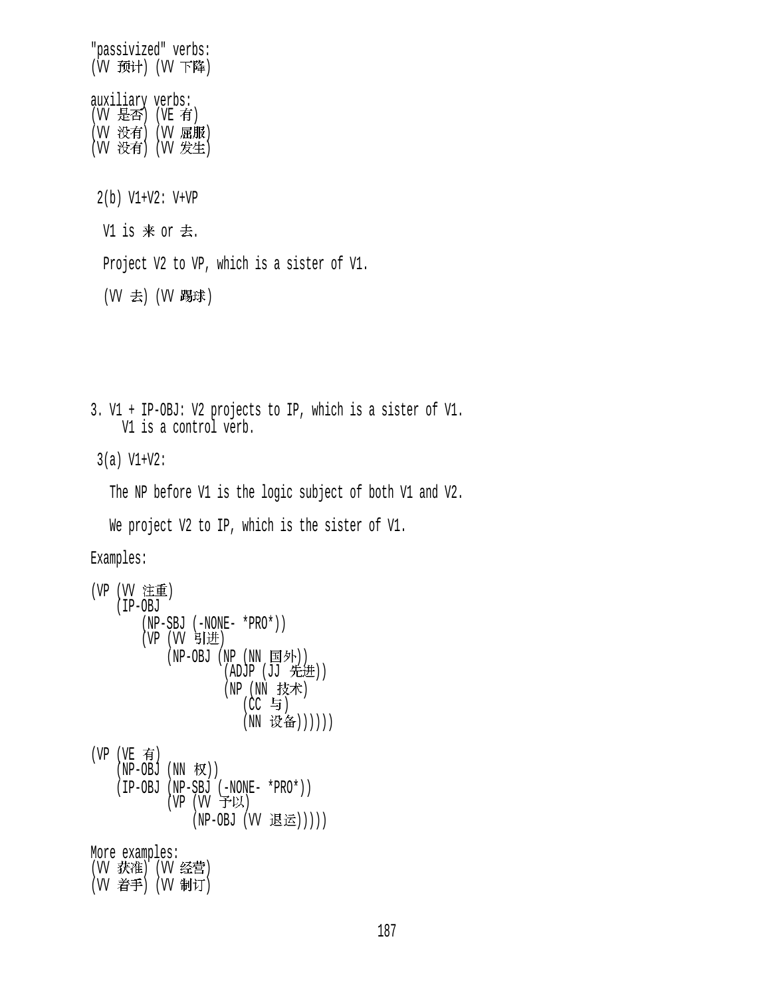"passivized" verbs: (W 预计) (W 下降) auxiliary verbs: (W 是否) (VE 有) (VV 没有) (VV 屈服) (W 没有) (W 发生) 2(b) V1+V2: V+VP V1 is  $#$  or  $#$ . Project V2 to VP, which is a sister of V1. (W 去) (W 踢球) 3. V1 + IP-OBJ: V2 projects to IP, which is a sister of V1. V1 is a control verb. 3(a) V1+V2: The NP before V1 is the logic subject of both V1 and V2. We project V2 to IP, which is the sister of V1. Examples: (VP (VV 注重) (IP-OBJ (NP-SBJ (-NONE- \*PRO\*))  $(VP (VV 9)$ 进 (NP-OBJ (NP (NN 国外))  $(ADJP (JJ f. , H))$ (NP (NN 技术)  $(CC \oplus)$ (NN 设备))))))  $(VP (VE \t{f})$  $(NP-OBJ (NN \nvert \nabla) )$  (IP-OBJ (NP-SBJ (-NONE- \*PRO\*))  $(VP (VV FU)$ (NP-OBJ (VV 退运))))) More examples: (W 获准) (W 经营) (W 着手) (W 制订)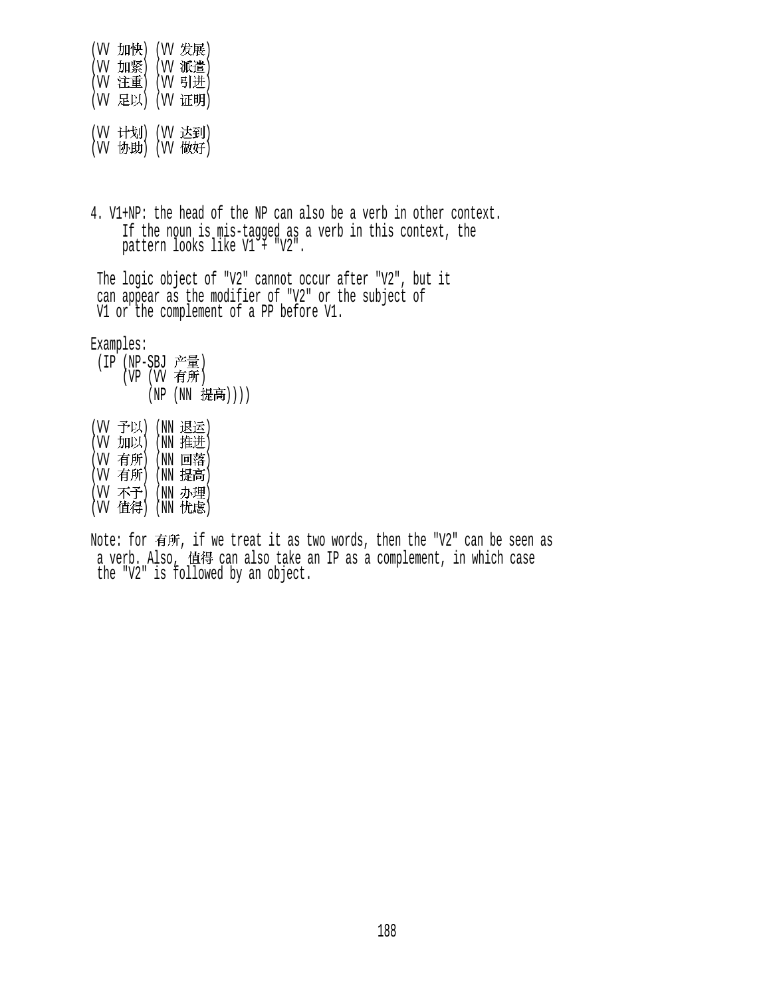(W 加快) (W 发展) (W 加紧) (W 派遣) (W 注重) (W 引进) (W 足以) (W 证明) (W 计划) (W 达到)  $(VV \nleftrightarrow B)$   $(VV \nleftrightarrow B)$ 

4. V1+NP: the head of the NP can also be a verb in other context. If the noun is mis-tagged as a verb in this context, the pattern looks like V1 + "V2".

 The logic object of "V2" cannot occur after "V2", but it can appear as the modifier of "V2" or the subject of V1 or the complement of a PP before V1.

Examples:

- (IP (NP-SBJ 产量)  $(VP)$   $(VV)$  有所) (NP (NN 提高))))
- (W 予以) (NN 退运) (W 加以) (NN 推进) (W 有所) (NN 回落)  $(W \nvert \nvert \nvert W)$   $(W \nvert \nvert \nvert \nvert W)$ (W 不予) (NN 办理)  $(W$  值得 $)$   $(NN$  忧虑 $)$
- Note: for 有所, if we treat it as two words, then the "V2" can be seen as a verb. Also, 值得 can also take an IP as a complement, in which case the "V2" is followed by an object.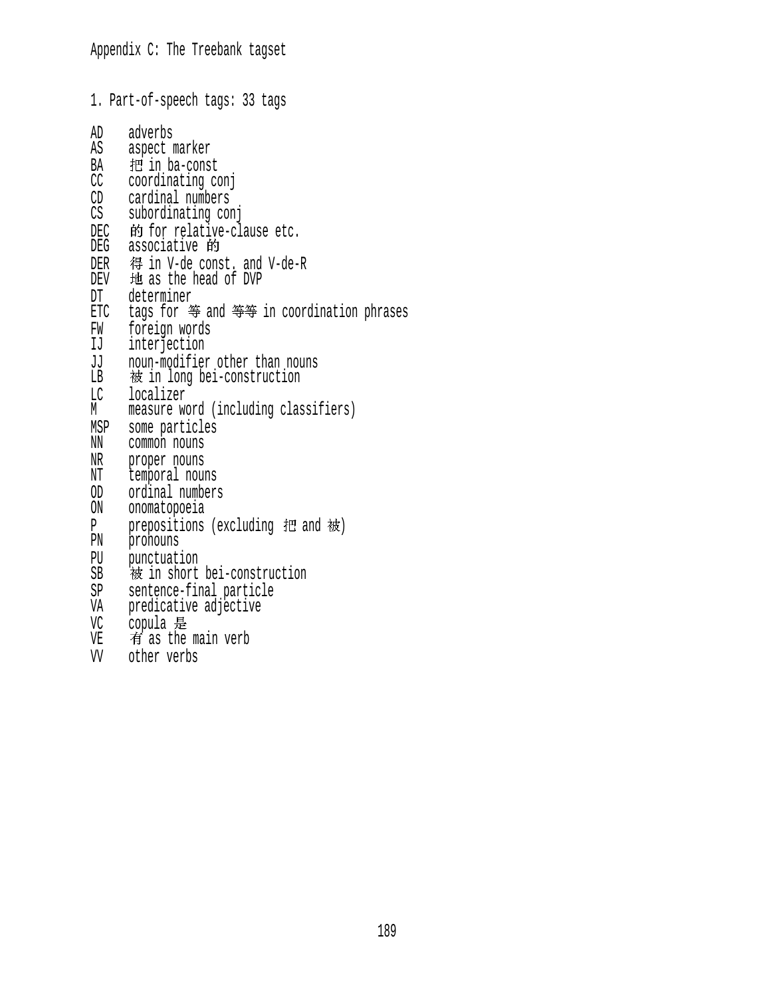1. Part-of-speech tags: 33 tags AD adverbs<br>AS aspect m aspect marker BA 把 in ba-const<br>CC coordinating co coordinating conj CD cardinal numbers CS subordinating conj DEC 的 for relative-clause etc.<br>DEG associative 的 DER 得 in V-de const. and V-de-R<br>DEV 地 as the head of DVP 地 as the head of DVP DT determiner ETC tags for 等 and 等等 in coordination phrases FW foreign words<br>IJ interjection interjection JJ noun-modifier other than nouns LB 被 in long bei-construction LC localizer M measure word (including classifiers) MSP some particles<br>NN common nouns common nouns NR proper nouns NT temporal nouns OD ordinal numbers ON onomatopoeia P prepositions (excluding  $H$  and  $\dot{\varpi}$ )<br>PN pronouns pronouns PU punctuation SB 被 in short bei-construction SP sentence-final particle VA predicative adjective VC copula  $\frac{1}{2}$ <br>VE  $\frac{1}{2}$  as the main verb VV other verbs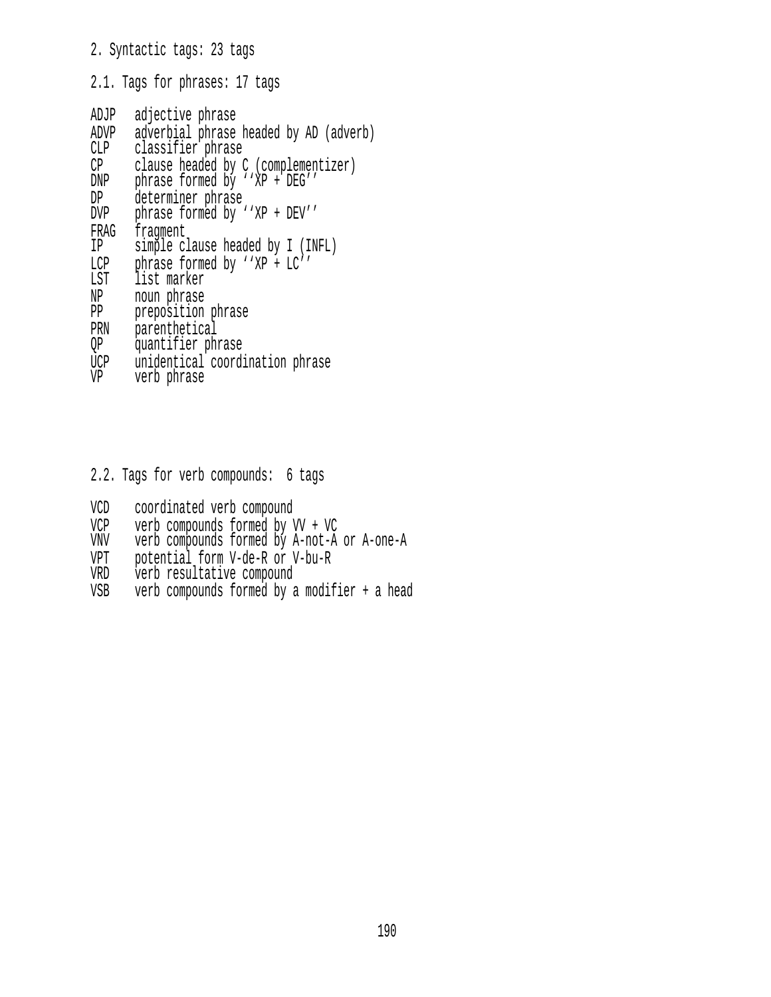## 2. Syntactic tags: 23 tags

2.1. Tags for phrases: 17 tags

| ADJP      | adjective phrase                                                     |  |  |  |  |
|-----------|----------------------------------------------------------------------|--|--|--|--|
| ADVP      | adverbial phrase headed by AD (adverb)                               |  |  |  |  |
| CLP       | classifier phrase                                                    |  |  |  |  |
| CP<br>DNP | clause headed by C (complementizer)<br>phrase formed by ''XP + DEG'' |  |  |  |  |
| DP        | determiner phrase                                                    |  |  |  |  |
| DVP       | phrase formed by ''XP + DEV''                                        |  |  |  |  |
|           |                                                                      |  |  |  |  |
| FRAG      | fragment                                                             |  |  |  |  |
| IP        | simple clause headed by I (INFL)                                     |  |  |  |  |
| LCP       | phrase formed by ''XP + LC''                                         |  |  |  |  |
| LST       | list marker                                                          |  |  |  |  |
| NP        | noun phrase                                                          |  |  |  |  |
| PP        | preposition phrase                                                   |  |  |  |  |
| PRN       | parenthetical                                                        |  |  |  |  |
| QP        | quantifier phrase                                                    |  |  |  |  |
| UCP       | unidentical coordination phrase                                      |  |  |  |  |
| VP        | verb phrase                                                          |  |  |  |  |

2.2. Tags for verb compounds: 6 tags

- VCD coordinated verb compound
- VCP verb compounds formed by VV + VC
- VNV verb compounds formed by A-not-A or A-one-A
- VPT potential form V-de-R or V-bu-R
- VRD verb resultative compound
- VSB verb compounds formed by a modifier + a head